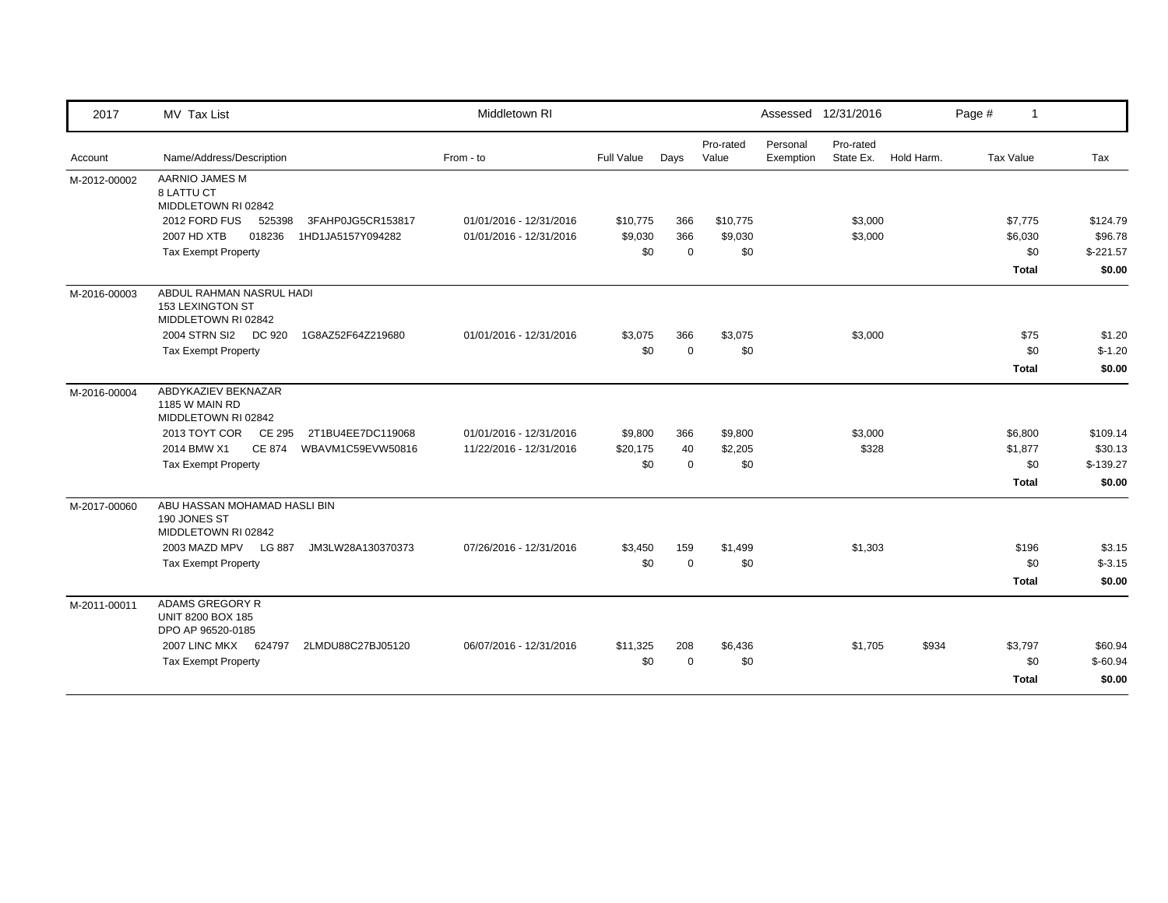| 2017         | MV Tax List                                                                |                   | Middletown RI           |            |             |                    |                       | Assessed 12/31/2016    |            | Page # | $\mathbf{1}$     |            |
|--------------|----------------------------------------------------------------------------|-------------------|-------------------------|------------|-------------|--------------------|-----------------------|------------------------|------------|--------|------------------|------------|
| Account      | Name/Address/Description                                                   |                   | From - to               | Full Value | Days        | Pro-rated<br>Value | Personal<br>Exemption | Pro-rated<br>State Ex. | Hold Harm. |        | <b>Tax Value</b> | Tax        |
| M-2012-00002 | AARNIO JAMES M<br>8 LATTU CT<br>MIDDLETOWN RI 02842                        |                   |                         |            |             |                    |                       |                        |            |        |                  |            |
|              | 2012 FORD FUS<br>525398                                                    | 3FAHP0JG5CR153817 | 01/01/2016 - 12/31/2016 | \$10,775   | 366         | \$10,775           |                       | \$3,000                |            |        | \$7,775          | \$124.79   |
|              | 2007 HD XTB<br>018236                                                      | 1HD1JA5157Y094282 | 01/01/2016 - 12/31/2016 | \$9,030    | 366         | \$9,030            |                       | \$3,000                |            |        | \$6,030          | \$96.78    |
|              | <b>Tax Exempt Property</b>                                                 |                   |                         | \$0        | $\mathbf 0$ | \$0                |                       |                        |            |        | \$0              | $$-221.57$ |
|              |                                                                            |                   |                         |            |             |                    |                       |                        |            |        | <b>Total</b>     | \$0.00     |
| M-2016-00003 | ABDUL RAHMAN NASRUL HADI<br><b>153 LEXINGTON ST</b><br>MIDDLETOWN RI 02842 |                   |                         |            |             |                    |                       |                        |            |        |                  |            |
|              | 2004 STRN SI2<br>DC 920                                                    | 1G8AZ52F64Z219680 | 01/01/2016 - 12/31/2016 | \$3,075    | 366         | \$3,075            |                       | \$3,000                |            |        | \$75             | \$1.20     |
|              | <b>Tax Exempt Property</b>                                                 |                   |                         | \$0        | $\mathbf 0$ | \$0                |                       |                        |            |        | \$0              | $$-1.20$   |
|              |                                                                            |                   |                         |            |             |                    |                       |                        |            |        | <b>Total</b>     | \$0.00     |
| M-2016-00004 | ABDYKAZIEV BEKNAZAR<br>1185 W MAIN RD<br>MIDDLETOWN RI 02842               |                   |                         |            |             |                    |                       |                        |            |        |                  |            |
|              | 2013 TOYT COR<br>CE 295                                                    | 2T1BU4EE7DC119068 | 01/01/2016 - 12/31/2016 | \$9,800    | 366         | \$9,800            |                       | \$3,000                |            |        | \$6,800          | \$109.14   |
|              | 2014 BMW X1<br><b>CE 874</b>                                               | WBAVM1C59EVW50816 | 11/22/2016 - 12/31/2016 | \$20,175   | 40          | \$2,205            |                       | \$328                  |            |        | \$1,877          | \$30.13    |
|              | <b>Tax Exempt Property</b>                                                 |                   |                         | \$0        | $\mathbf 0$ | \$0                |                       |                        |            |        | \$0              | $$-139.27$ |
|              |                                                                            |                   |                         |            |             |                    |                       |                        |            |        | <b>Total</b>     | \$0.00     |
| M-2017-00060 | ABU HASSAN MOHAMAD HASLI BIN<br>190 JONES ST<br>MIDDLETOWN RI 02842        |                   |                         |            |             |                    |                       |                        |            |        |                  |            |
|              | 2003 MAZD MPV LG 887                                                       | JM3LW28A130370373 | 07/26/2016 - 12/31/2016 | \$3,450    | 159         | \$1,499            |                       | \$1,303                |            |        | \$196            | \$3.15     |
|              | <b>Tax Exempt Property</b>                                                 |                   |                         | \$0        | $\mathbf 0$ | \$0                |                       |                        |            |        | \$0              | $$-3.15$   |
|              |                                                                            |                   |                         |            |             |                    |                       |                        |            |        | <b>Total</b>     | \$0.00     |
| M-2011-00011 | ADAMS GREGORY R<br><b>UNIT 8200 BOX 185</b><br>DPO AP 96520-0185           |                   |                         |            |             |                    |                       |                        |            |        |                  |            |
|              | 2007 LINC MKX<br>624797                                                    | 2LMDU88C27BJ05120 | 06/07/2016 - 12/31/2016 | \$11,325   | 208         | \$6,436            |                       | \$1,705                | \$934      |        | \$3,797          | \$60.94    |
|              | <b>Tax Exempt Property</b>                                                 |                   |                         | \$0        | $\Omega$    | \$0                |                       |                        |            |        | \$0              | $$-60.94$  |
|              |                                                                            |                   |                         |            |             |                    |                       |                        |            |        | <b>Total</b>     | \$0.00     |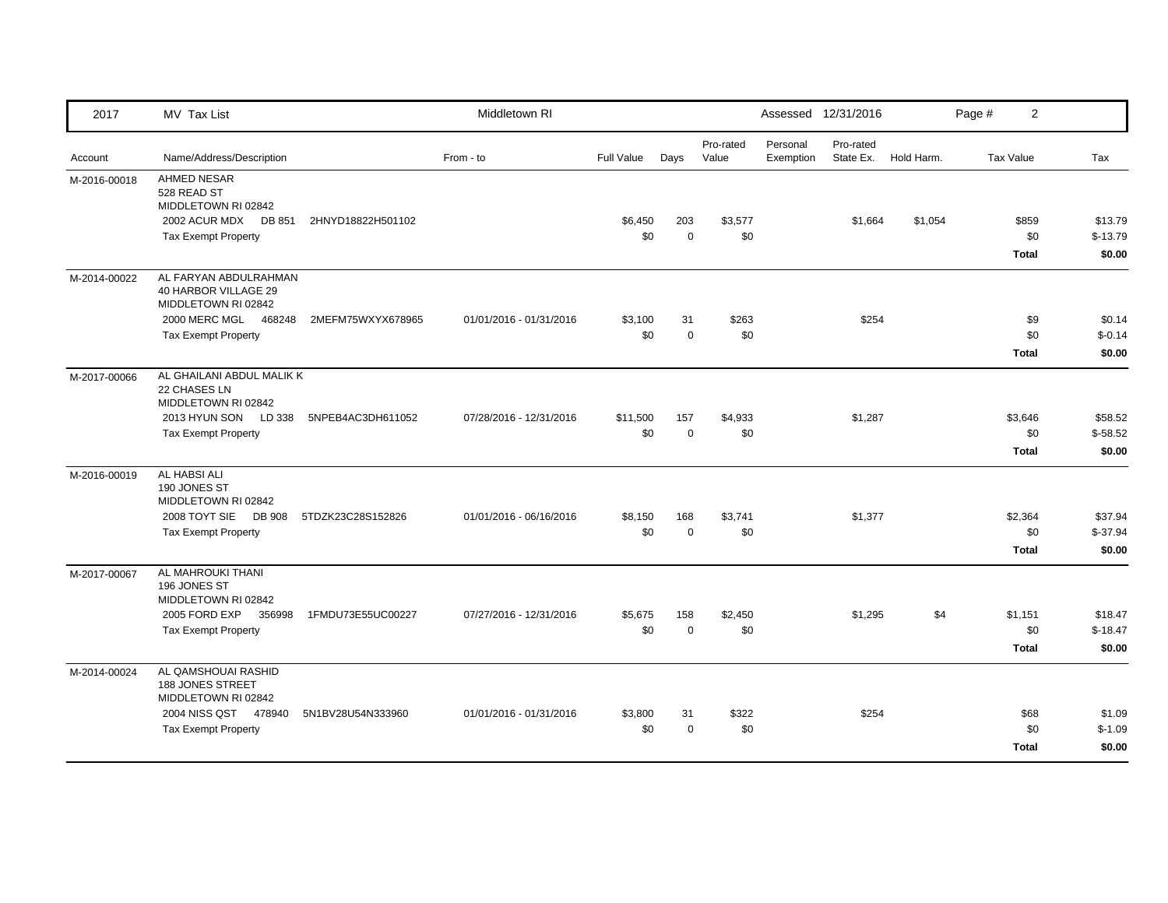| 2017         | MV Tax List                                                                                                    |                   | Middletown RI           |                 |                    |                    |                       | Assessed 12/31/2016    |            | Page # | $\overline{2}$                 |                                |
|--------------|----------------------------------------------------------------------------------------------------------------|-------------------|-------------------------|-----------------|--------------------|--------------------|-----------------------|------------------------|------------|--------|--------------------------------|--------------------------------|
| Account      | Name/Address/Description                                                                                       |                   | From - to               | Full Value      | Days               | Pro-rated<br>Value | Personal<br>Exemption | Pro-rated<br>State Ex. | Hold Harm. |        | <b>Tax Value</b>               | Tax                            |
| M-2016-00018 | <b>AHMED NESAR</b><br>528 READ ST<br>MIDDLETOWN RI 02842<br>2002 ACUR MDX DB 851<br><b>Tax Exempt Property</b> | 2HNYD18822H501102 |                         | \$6,450<br>\$0  | 203<br>$\mathbf 0$ | \$3,577<br>\$0     |                       | \$1,664                | \$1,054    |        | \$859<br>\$0<br><b>Total</b>   | \$13.79<br>$$-13.79$<br>\$0.00 |
| M-2014-00022 | AL FARYAN ABDULRAHMAN<br>40 HARBOR VILLAGE 29<br>MIDDLETOWN RI 02842                                           |                   |                         |                 |                    |                    |                       |                        |            |        |                                |                                |
|              | 2000 MERC MGL 468248<br><b>Tax Exempt Property</b>                                                             | 2MEFM75WXYX678965 | 01/01/2016 - 01/31/2016 | \$3,100<br>\$0  | 31<br>$\mathbf 0$  | \$263<br>\$0       |                       | \$254                  |            |        | \$9<br>\$0<br><b>Total</b>     | \$0.14<br>$$-0.14$<br>\$0.00   |
| M-2017-00066 | AL GHAILANI ABDUL MALIK K<br>22 CHASES LN<br>MIDDLETOWN RI 02842<br>2013 HYUN SON                              |                   | 07/28/2016 - 12/31/2016 |                 | 157                |                    |                       |                        |            |        |                                | \$58.52                        |
|              | LD 338<br><b>Tax Exempt Property</b>                                                                           | 5NPEB4AC3DH611052 |                         | \$11,500<br>\$0 | $\mathbf 0$        | \$4,933<br>\$0     |                       | \$1,287                |            |        | \$3,646<br>\$0<br><b>Total</b> | $$-58.52$<br>\$0.00            |
| M-2016-00019 | AL HABSI ALI<br>190 JONES ST<br>MIDDLETOWN RI 02842                                                            |                   |                         |                 |                    |                    |                       |                        |            |        |                                |                                |
|              | 2008 TOYT SIE DB 908<br><b>Tax Exempt Property</b>                                                             | 5TDZK23C28S152826 | 01/01/2016 - 06/16/2016 | \$8,150<br>\$0  | 168<br>$\mathbf 0$ | \$3,741<br>\$0     |                       | \$1,377                |            |        | \$2,364<br>\$0<br><b>Total</b> | \$37.94<br>$$-37.94$<br>\$0.00 |
| M-2017-00067 | AL MAHROUKI THANI<br>196 JONES ST<br>MIDDLETOWN RI 02842                                                       |                   |                         |                 |                    |                    |                       |                        |            |        |                                |                                |
|              | 2005 FORD EXP<br>356998<br><b>Tax Exempt Property</b>                                                          | 1FMDU73E55UC00227 | 07/27/2016 - 12/31/2016 | \$5,675<br>\$0  | 158<br>$\mathbf 0$ | \$2,450<br>\$0     |                       | \$1,295                | \$4        |        | \$1,151<br>\$0<br><b>Total</b> | \$18.47<br>$$-18.47$<br>\$0.00 |
| M-2014-00024 | AL QAMSHOUAI RASHID<br>188 JONES STREET<br>MIDDLETOWN RI 02842                                                 |                   |                         |                 |                    |                    |                       |                        |            |        |                                |                                |
|              | 2004 NISS QST 478940<br><b>Tax Exempt Property</b>                                                             | 5N1BV28U54N333960 | 01/01/2016 - 01/31/2016 | \$3,800<br>\$0  | 31<br>$\mathbf 0$  | \$322<br>\$0       |                       | \$254                  |            |        | \$68<br>\$0<br><b>Total</b>    | \$1.09<br>$$-1.09$<br>\$0.00   |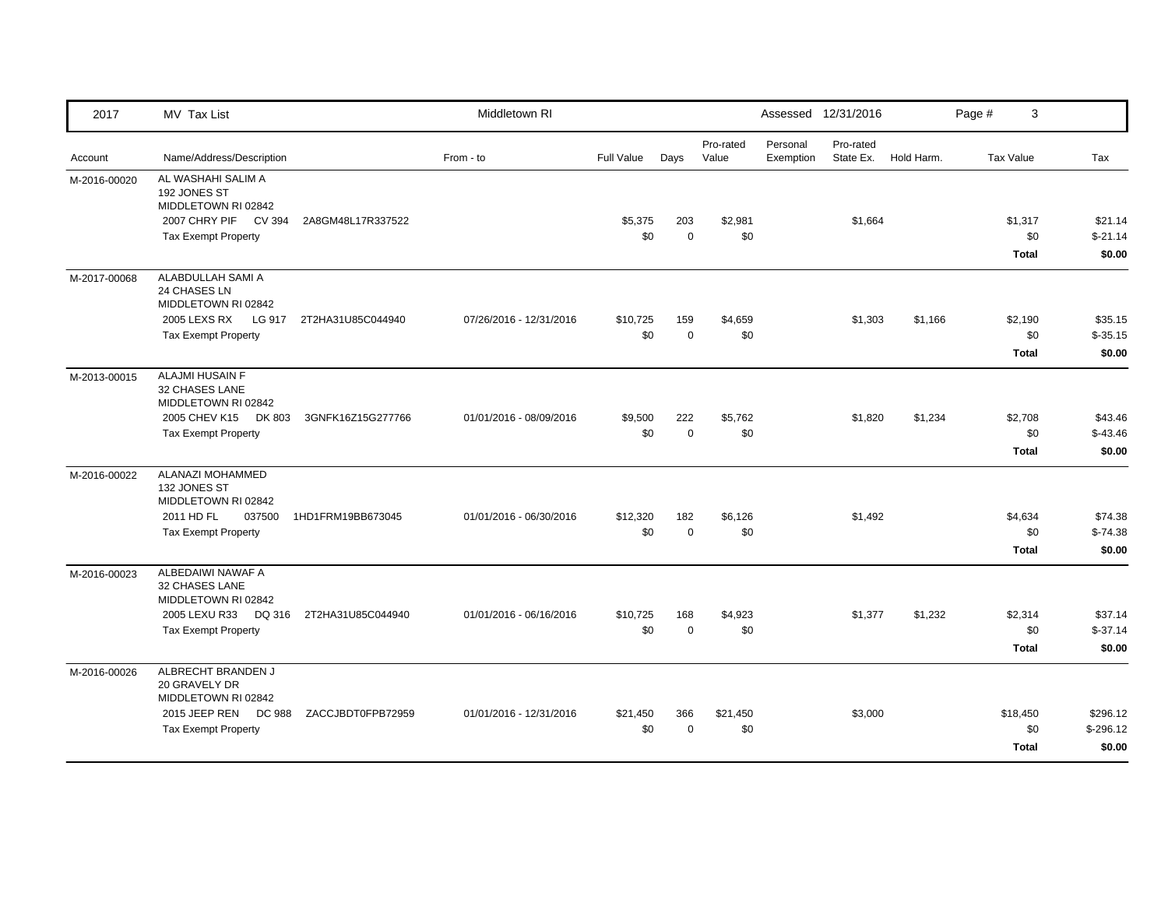| 2017         | MV Tax List                                                |                   | Middletown RI           |                   |                    |                    |                       | Assessed 12/31/2016    |            | Page #                   | 3                                       |
|--------------|------------------------------------------------------------|-------------------|-------------------------|-------------------|--------------------|--------------------|-----------------------|------------------------|------------|--------------------------|-----------------------------------------|
| Account      | Name/Address/Description                                   |                   | From - to               | <b>Full Value</b> | Days               | Pro-rated<br>Value | Personal<br>Exemption | Pro-rated<br>State Ex. | Hold Harm. | <b>Tax Value</b>         | Tax                                     |
| M-2016-00020 | AL WASHAHI SALIM A<br>192 JONES ST<br>MIDDLETOWN RI 02842  |                   |                         |                   |                    |                    |                       |                        |            |                          |                                         |
|              | 2007 CHRY PIF CV 394<br><b>Tax Exempt Property</b>         | 2A8GM48L17R337522 |                         | \$5,375<br>\$0    | 203<br>$\mathbf 0$ | \$2,981<br>\$0     |                       | \$1,664                |            | \$1,317<br><b>Total</b>  | \$21.14<br>\$0<br>$$-21.14$<br>\$0.00   |
| M-2017-00068 | ALABDULLAH SAMI A<br>24 CHASES LN<br>MIDDLETOWN RI 02842   |                   |                         |                   |                    |                    |                       |                        |            |                          |                                         |
|              | 2005 LEXS RX LG 917<br><b>Tax Exempt Property</b>          | 2T2HA31U85C044940 | 07/26/2016 - 12/31/2016 | \$10,725<br>\$0   | 159<br>$\mathbf 0$ | \$4,659<br>\$0     |                       | \$1,303                | \$1,166    | \$2,190<br><b>Total</b>  | \$35.15<br>\$0<br>$$-35.15$<br>\$0.00   |
| M-2013-00015 | ALAJMI HUSAIN F<br>32 CHASES LANE<br>MIDDLETOWN RI 02842   |                   |                         |                   |                    |                    |                       |                        |            |                          |                                         |
|              | 2005 CHEV K15<br>DK 803<br><b>Tax Exempt Property</b>      | 3GNFK16Z15G277766 | 01/01/2016 - 08/09/2016 | \$9,500<br>\$0    | 222<br>$\mathbf 0$ | \$5,762<br>\$0     |                       | \$1,820                | \$1,234    | \$2,708<br>Total         | \$43.46<br>\$0<br>$$-43.46$<br>\$0.00   |
| M-2016-00022 | ALANAZI MOHAMMED<br>132 JONES ST<br>MIDDLETOWN RI 02842    |                   |                         |                   |                    |                    |                       |                        |            |                          |                                         |
|              | 2011 HD FL<br>037500<br><b>Tax Exempt Property</b>         | 1HD1FRM19BB673045 | 01/01/2016 - 06/30/2016 | \$12,320<br>\$0   | 182<br>$\mathbf 0$ | \$6,126<br>\$0     |                       | \$1,492                |            | \$4,634<br><b>Total</b>  | \$74.38<br>\$0<br>$$-74.38$<br>\$0.00   |
| M-2016-00023 | ALBEDAIWI NAWAF A<br>32 CHASES LANE<br>MIDDLETOWN RI 02842 |                   |                         |                   |                    |                    |                       |                        |            |                          |                                         |
|              | 2005 LEXU R33<br>DQ 316<br><b>Tax Exempt Property</b>      | 2T2HA31U85C044940 | 01/01/2016 - 06/16/2016 | \$10,725<br>\$0   | 168<br>$\mathbf 0$ | \$4,923<br>\$0     |                       | \$1,377                | \$1,232    | \$2,314<br><b>Total</b>  | \$37.14<br>\$0<br>$$-37.14$<br>\$0.00   |
| M-2016-00026 | ALBRECHT BRANDEN J<br>20 GRAVELY DR<br>MIDDLETOWN RI 02842 |                   |                         |                   |                    |                    |                       |                        |            |                          |                                         |
|              | 2015 JEEP REN<br>DC 988<br><b>Tax Exempt Property</b>      | ZACCJBDT0FPB72959 | 01/01/2016 - 12/31/2016 | \$21,450<br>\$0   | 366<br>$\Omega$    | \$21,450<br>\$0    |                       | \$3,000                |            | \$18,450<br><b>Total</b> | \$296.12<br>\$0<br>$$-296.12$<br>\$0.00 |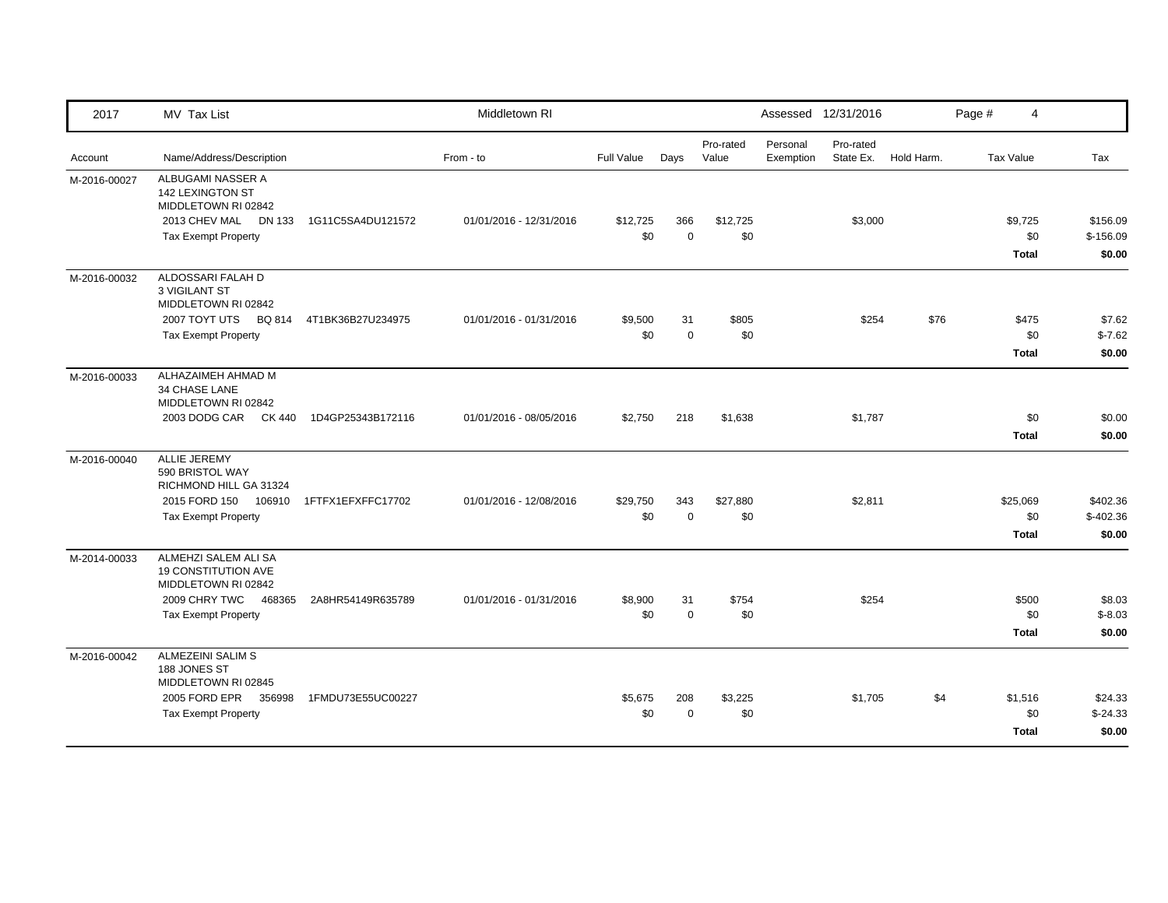| 2017         | MV Tax List                                                                                                                        |                   | Middletown RI           |                   |                    |                    |                       | Assessed 12/31/2016    |            | Page # | 4                               |                                  |
|--------------|------------------------------------------------------------------------------------------------------------------------------------|-------------------|-------------------------|-------------------|--------------------|--------------------|-----------------------|------------------------|------------|--------|---------------------------------|----------------------------------|
| Account      | Name/Address/Description                                                                                                           |                   | From - to               | <b>Full Value</b> | Days               | Pro-rated<br>Value | Personal<br>Exemption | Pro-rated<br>State Ex. | Hold Harm. |        | <b>Tax Value</b>                | Tax                              |
| M-2016-00027 | ALBUGAMI NASSER A<br><b>142 LEXINGTON ST</b><br>MIDDLETOWN RI 02842<br>2013 CHEV MAL DN 133<br><b>Tax Exempt Property</b>          | 1G11C5SA4DU121572 | 01/01/2016 - 12/31/2016 | \$12,725<br>\$0   | 366<br>$\mathbf 0$ | \$12,725<br>\$0    |                       | \$3,000                |            |        | \$9,725<br>\$0<br><b>Total</b>  | \$156.09<br>$$-156.09$<br>\$0.00 |
| M-2016-00032 | ALDOSSARI FALAH D<br><b>3 VIGILANT ST</b><br>MIDDLETOWN RI 02842<br>2007 TOYT UTS BQ 814<br><b>Tax Exempt Property</b>             | 4T1BK36B27U234975 | 01/01/2016 - 01/31/2016 | \$9,500<br>\$0    | 31<br>$\mathbf 0$  | \$805<br>\$0       |                       | \$254                  | \$76       |        | \$475<br>\$0<br><b>Total</b>    | \$7.62<br>$$-7.62$<br>\$0.00     |
| M-2016-00033 | ALHAZAIMEH AHMAD M<br><b>34 CHASE LANE</b><br>MIDDLETOWN RI 02842<br>2003 DODG CAR CK 440                                          | 1D4GP25343B172116 | 01/01/2016 - 08/05/2016 | \$2,750           | 218                | \$1,638            |                       | \$1,787                |            |        | \$0<br><b>Total</b>             | \$0.00<br>\$0.00                 |
| M-2016-00040 | <b>ALLIE JEREMY</b><br>590 BRISTOL WAY<br>RICHMOND HILL GA 31324<br>2015 FORD 150 106910<br><b>Tax Exempt Property</b>             | 1FTFX1EFXFFC17702 | 01/01/2016 - 12/08/2016 | \$29,750<br>\$0   | 343<br>$\mathbf 0$ | \$27,880<br>\$0    |                       | \$2,811                |            |        | \$25,069<br>\$0<br><b>Total</b> | \$402.36<br>$$-402.36$<br>\$0.00 |
| M-2014-00033 | ALMEHZI SALEM ALI SA<br><b>19 CONSTITUTION AVE</b><br>MIDDLETOWN RI 02842<br>2009 CHRY TWC<br>468365<br><b>Tax Exempt Property</b> | 2A8HR54149R635789 | 01/01/2016 - 01/31/2016 | \$8,900<br>\$0    | 31<br>$\pmb{0}$    | \$754<br>\$0       |                       | \$254                  |            |        | \$500<br>\$0<br><b>Total</b>    | \$8.03<br>$$-8.03$<br>\$0.00     |
| M-2016-00042 | ALMEZEINI SALIM S<br>188 JONES ST<br>MIDDLETOWN RI 02845<br>2005 FORD EPR<br>356998<br><b>Tax Exempt Property</b>                  | 1FMDU73E55UC00227 |                         | \$5.675<br>\$0    | 208<br>$\mathbf 0$ | \$3,225<br>\$0     |                       | \$1,705                | \$4        |        | \$1,516<br>\$0<br><b>Total</b>  | \$24.33<br>$$-24.33$<br>\$0.00   |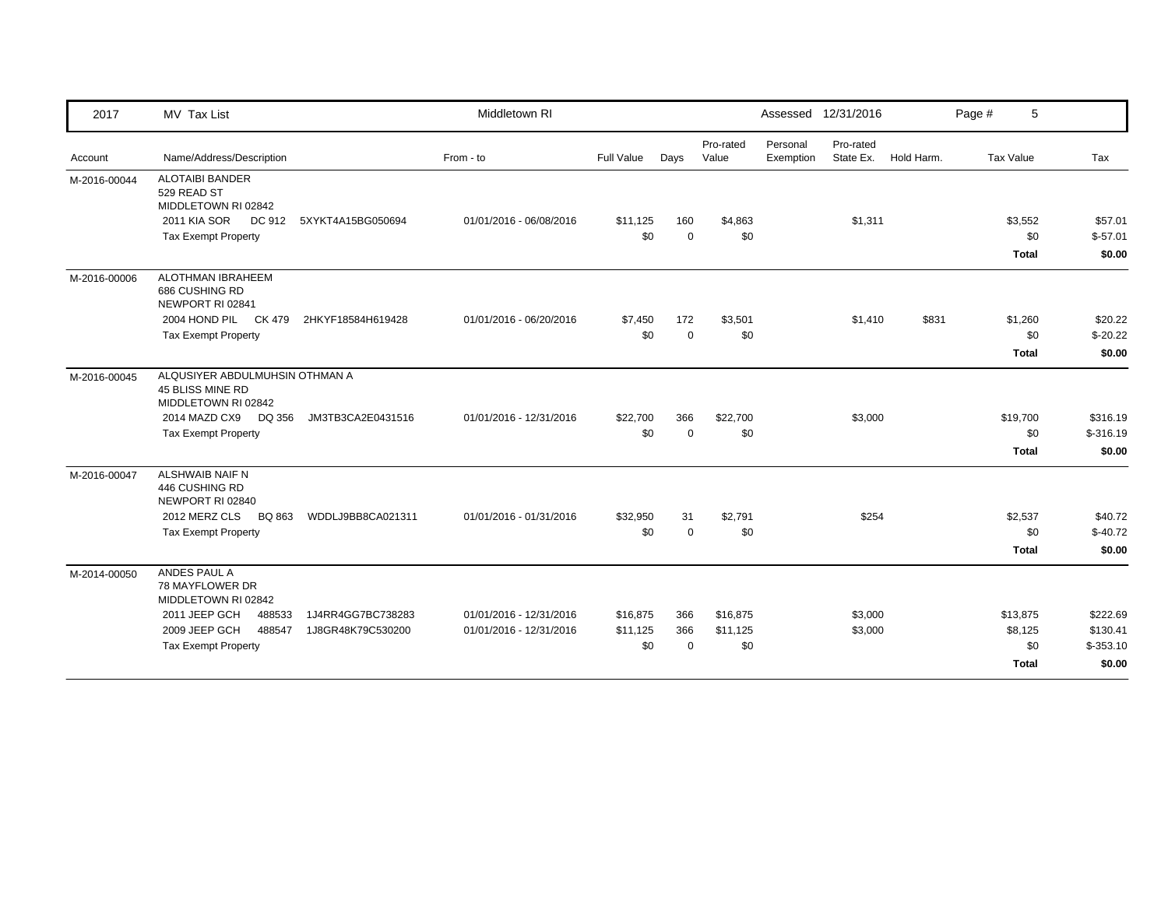| 2017         | MV Tax List                                                               |                   | Middletown RI           |            |             |                    |                       | Assessed 12/31/2016    |            | Page #           | 5                 |
|--------------|---------------------------------------------------------------------------|-------------------|-------------------------|------------|-------------|--------------------|-----------------------|------------------------|------------|------------------|-------------------|
| Account      | Name/Address/Description                                                  |                   | From - to               | Full Value | Days        | Pro-rated<br>Value | Personal<br>Exemption | Pro-rated<br>State Ex. | Hold Harm. | <b>Tax Value</b> | Tax               |
| M-2016-00044 | <b>ALOTAIBI BANDER</b><br>529 READ ST<br>MIDDLETOWN RI 02842              |                   |                         |            |             |                    |                       |                        |            |                  |                   |
|              | <b>2011 KIA SOR</b><br>DC 912                                             | 5XYKT4A15BG050694 | 01/01/2016 - 06/08/2016 | \$11,125   | 160         | \$4,863            |                       | \$1,311                |            | \$3,552          | \$57.01           |
|              | <b>Tax Exempt Property</b>                                                |                   |                         | \$0        | $\mathbf 0$ | \$0                |                       |                        |            |                  | \$0<br>$$-57.01$  |
|              |                                                                           |                   |                         |            |             |                    |                       |                        |            | <b>Total</b>     | \$0.00            |
| M-2016-00006 | <b>ALOTHMAN IBRAHEEM</b><br>686 CUSHING RD<br>NEWPORT RI 02841            |                   |                         |            |             |                    |                       |                        |            |                  |                   |
|              | 2004 HOND PIL CK 479                                                      | 2HKYF18584H619428 | 01/01/2016 - 06/20/2016 | \$7,450    | 172         | \$3,501            |                       | \$1,410                | \$831      | \$1,260          | \$20.22           |
|              | <b>Tax Exempt Property</b>                                                |                   |                         | \$0        | $\Omega$    | \$0                |                       |                        |            |                  | $$-20.22$<br>\$0  |
|              |                                                                           |                   |                         |            |             |                    |                       |                        |            | <b>Total</b>     | \$0.00            |
| M-2016-00045 | ALQUSIYER ABDULMUHSIN OTHMAN A<br>45 BLISS MINE RD<br>MIDDLETOWN RI 02842 |                   |                         |            |             |                    |                       |                        |            |                  |                   |
|              | 2014 MAZD CX9<br>DQ 356                                                   | JM3TB3CA2E0431516 | 01/01/2016 - 12/31/2016 | \$22,700   | 366         | \$22,700           |                       | \$3,000                |            | \$19,700         | \$316.19          |
|              | <b>Tax Exempt Property</b>                                                |                   |                         | \$0        | $\mathbf 0$ | \$0                |                       |                        |            |                  | \$0<br>$$-316.19$ |
|              |                                                                           |                   |                         |            |             |                    |                       |                        |            | Total            | \$0.00            |
| M-2016-00047 | ALSHWAIB NAIF N<br>446 CUSHING RD<br>NEWPORT RI 02840                     |                   |                         |            |             |                    |                       |                        |            |                  |                   |
|              | 2012 MERZ CLS<br><b>BQ 863</b>                                            | WDDLJ9BB8CA021311 | 01/01/2016 - 01/31/2016 | \$32,950   | 31          | \$2,791            |                       | \$254                  |            | \$2,537          | \$40.72           |
|              | <b>Tax Exempt Property</b>                                                |                   |                         | \$0        | $\mathbf 0$ | \$0                |                       |                        |            |                  | \$0<br>$$-40.72$  |
|              |                                                                           |                   |                         |            |             |                    |                       |                        |            | <b>Total</b>     | \$0.00            |
| M-2014-00050 | ANDES PAUL A<br>78 MAYFLOWER DR<br>MIDDLETOWN RI 02842                    |                   |                         |            |             |                    |                       |                        |            |                  |                   |
|              | 2011 JEEP GCH<br>488533                                                   | 1J4RR4GG7BC738283 | 01/01/2016 - 12/31/2016 | \$16,875   | 366         | \$16,875           |                       | \$3,000                |            | \$13,875         | \$222.69          |
|              | 2009 JEEP GCH<br>488547                                                   | 1J8GR48K79C530200 | 01/01/2016 - 12/31/2016 | \$11,125   | 366         | \$11,125           |                       | \$3,000                |            | \$8,125          | \$130.41          |
|              | <b>Tax Exempt Property</b>                                                |                   |                         | \$0        | $\mathbf 0$ | \$0                |                       |                        |            |                  | \$0<br>$$-353.10$ |
|              |                                                                           |                   |                         |            |             |                    |                       |                        |            | <b>Total</b>     | \$0.00            |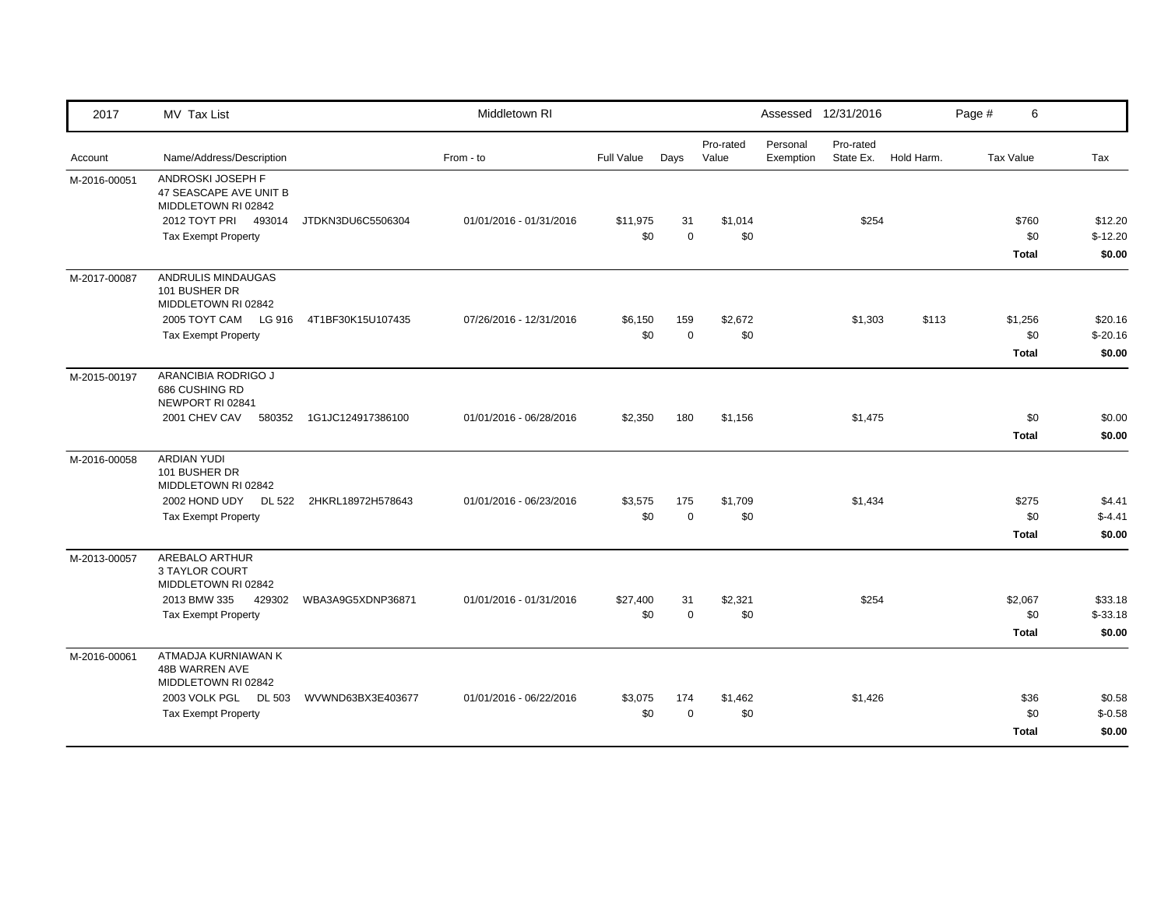| 2017         | MV Tax List                                                                                                                 |                   | Middletown RI           |                   |                    |                    |                       | Assessed 12/31/2016    |            | Page # | 6                              |                                |
|--------------|-----------------------------------------------------------------------------------------------------------------------------|-------------------|-------------------------|-------------------|--------------------|--------------------|-----------------------|------------------------|------------|--------|--------------------------------|--------------------------------|
| Account      | Name/Address/Description                                                                                                    |                   | From - to               | <b>Full Value</b> | Days               | Pro-rated<br>Value | Personal<br>Exemption | Pro-rated<br>State Ex. | Hold Harm. |        | <b>Tax Value</b>               | Tax                            |
| M-2016-00051 | ANDROSKI JOSEPH F<br>47 SEASCAPE AVE UNIT B<br>MIDDLETOWN RI 02842<br>2012 TOYT PRI<br>493014<br><b>Tax Exempt Property</b> | JTDKN3DU6C5506304 | 01/01/2016 - 01/31/2016 | \$11,975<br>\$0   | 31<br>$\mathbf 0$  | \$1,014<br>\$0     |                       | \$254                  |            |        | \$760<br>\$0<br><b>Total</b>   | \$12.20<br>$$-12.20$<br>\$0.00 |
| M-2017-00087 | ANDRULIS MINDAUGAS<br>101 BUSHER DR<br>MIDDLETOWN RI 02842<br>2005 TOYT CAM LG 916<br><b>Tax Exempt Property</b>            | 4T1BF30K15U107435 | 07/26/2016 - 12/31/2016 | \$6,150<br>\$0    | 159<br>$\mathbf 0$ | \$2,672<br>\$0     |                       | \$1,303                | \$113      |        | \$1,256<br>\$0<br><b>Total</b> | \$20.16<br>$$-20.16$<br>\$0.00 |
| M-2015-00197 | ARANCIBIA RODRIGO J<br>686 CUSHING RD<br>NEWPORT RI 02841<br>2001 CHEV CAV<br>580352                                        | 1G1JC124917386100 | 01/01/2016 - 06/28/2016 | \$2,350           | 180                | \$1,156            |                       | \$1,475                |            |        | \$0<br><b>Total</b>            | \$0.00<br>\$0.00               |
| M-2016-00058 | <b>ARDIAN YUDI</b><br>101 BUSHER DR<br>MIDDLETOWN RI 02842<br>2002 HOND UDY DL 522<br><b>Tax Exempt Property</b>            | 2HKRL18972H578643 | 01/01/2016 - 06/23/2016 | \$3,575<br>\$0    | 175<br>$\mathbf 0$ | \$1,709<br>\$0     |                       | \$1,434                |            |        | \$275<br>\$0<br>Total          | \$4.41<br>$$-4.41$<br>\$0.00   |
| M-2013-00057 | <b>AREBALO ARTHUR</b><br>3 TAYLOR COURT<br>MIDDLETOWN RI 02842<br>2013 BMW 335<br>429302<br><b>Tax Exempt Property</b>      | WBA3A9G5XDNP36871 | 01/01/2016 - 01/31/2016 | \$27,400<br>\$0   | 31<br>$\pmb{0}$    | \$2,321<br>\$0     |                       | \$254                  |            |        | \$2,067<br>\$0<br><b>Total</b> | \$33.18<br>$$-33.18$<br>\$0.00 |
| M-2016-00061 | ATMADJA KURNIAWAN K<br>48B WARREN AVE<br>MIDDLETOWN RI 02842<br>2003 VOLK PGL DL 503<br><b>Tax Exempt Property</b>          | WVWND63BX3E403677 | 01/01/2016 - 06/22/2016 | \$3,075<br>\$0    | 174<br>$\mathbf 0$ | \$1,462<br>\$0     |                       | \$1,426                |            |        | \$36<br>\$0<br><b>Total</b>    | \$0.58<br>$$-0.58$<br>\$0.00   |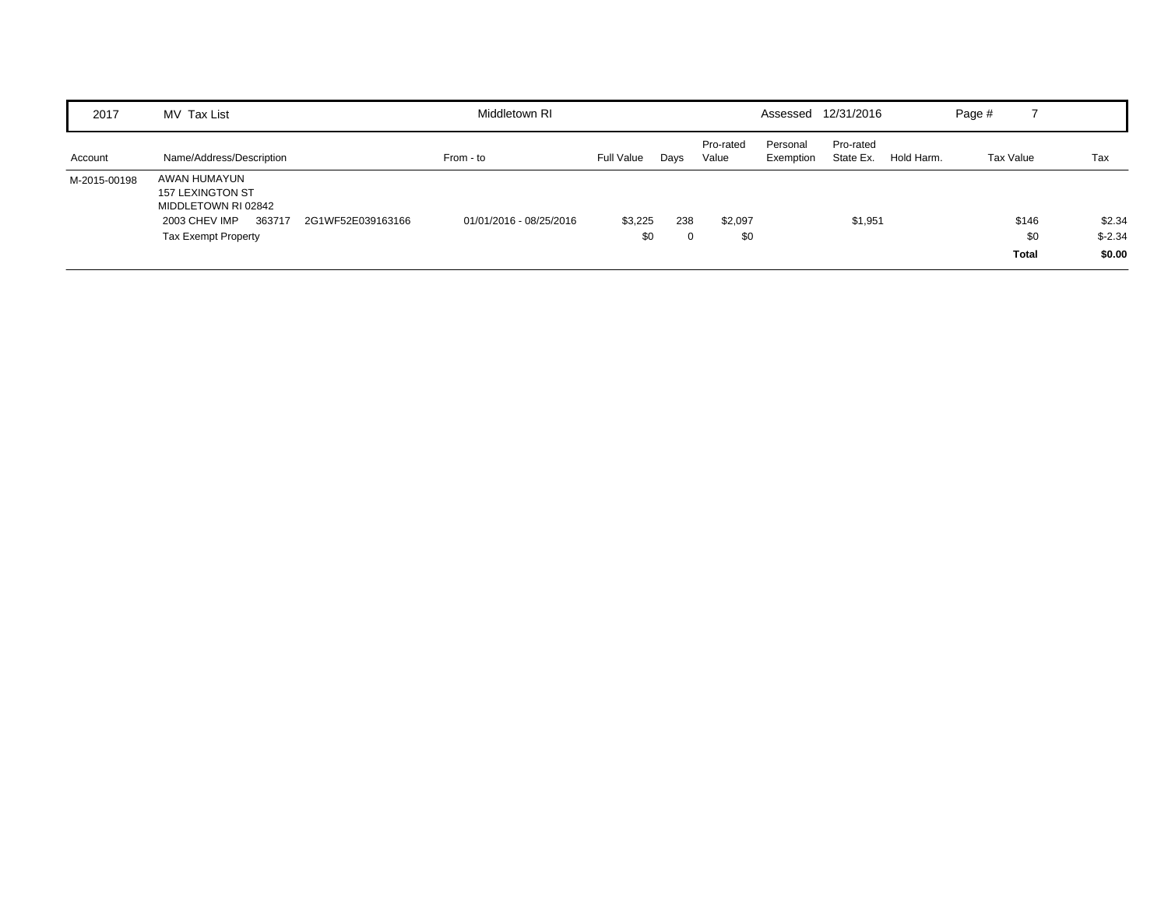| 2017         | MV Tax List                                                                                                      |                   | Middletown RI           |                |      |                    |                       | Assessed 12/31/2016    |            | Page #    |                              |                               |
|--------------|------------------------------------------------------------------------------------------------------------------|-------------------|-------------------------|----------------|------|--------------------|-----------------------|------------------------|------------|-----------|------------------------------|-------------------------------|
| Account      | Name/Address/Description                                                                                         |                   | From - to               | Full Value     | Days | Pro-rated<br>Value | Personal<br>Exemption | Pro-rated<br>State Ex. | Hold Harm. | Tax Value |                              | Tax                           |
| M-2015-00198 | AWAN HUMAYUN<br>157 LEXINGTON ST<br>MIDDLETOWN RI 02842<br>2003 CHEV IMP<br>363717<br><b>Tax Exempt Property</b> | 2G1WF52E039163166 | 01/01/2016 - 08/25/2016 | \$3,225<br>\$0 | 238  | \$2,097<br>\$0     |                       | \$1,951                |            |           | \$146<br>\$0<br><b>Total</b> | \$2.34<br>$$ -2.34$<br>\$0.00 |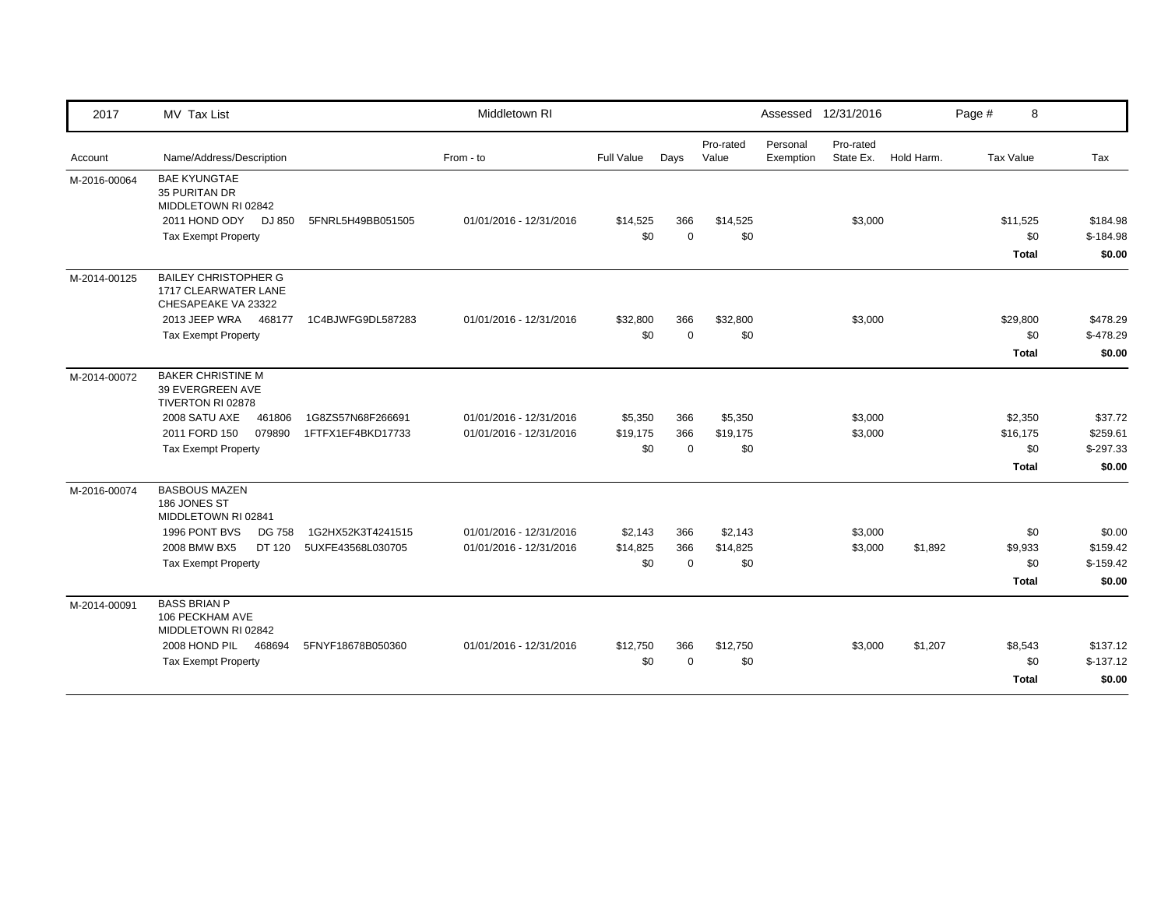| 2017         | MV Tax List                                                                         |                   | Middletown RI           |                 |                 |                    |                       | Assessed 12/31/2016    |            | Page #<br>8                    |                                  |
|--------------|-------------------------------------------------------------------------------------|-------------------|-------------------------|-----------------|-----------------|--------------------|-----------------------|------------------------|------------|--------------------------------|----------------------------------|
| Account      | Name/Address/Description                                                            |                   | From - to               | Full Value      | Days            | Pro-rated<br>Value | Personal<br>Exemption | Pro-rated<br>State Ex. | Hold Harm. | Tax Value                      | Tax                              |
| M-2016-00064 | <b>BAE KYUNGTAE</b><br>35 PURITAN DR<br>MIDDLETOWN RI 02842<br>2011 HOND ODY DJ 850 | 5FNRL5H49BB051505 | 01/01/2016 - 12/31/2016 | \$14,525        | 366             | \$14,525           |                       | \$3,000                |            | \$11,525                       | \$184.98                         |
|              | <b>Tax Exempt Property</b>                                                          |                   |                         | \$0             | $\mathbf 0$     | \$0                |                       |                        |            | \$0<br>Total                   | $$-184.98$<br>\$0.00             |
| M-2014-00125 | <b>BAILEY CHRISTOPHER G</b><br>1717 CLEARWATER LANE<br>CHESAPEAKE VA 23322          |                   |                         |                 |                 |                    |                       |                        |            |                                |                                  |
|              | 2013 JEEP WRA 468177                                                                | 1C4BJWFG9DL587283 | 01/01/2016 - 12/31/2016 | \$32,800        | 366             | \$32,800           |                       | \$3,000                |            | \$29,800                       | \$478.29                         |
|              | <b>Tax Exempt Property</b>                                                          |                   |                         | \$0             | $\mathbf 0$     | \$0                |                       |                        |            | \$0                            | $$-478.29$                       |
|              |                                                                                     |                   |                         |                 |                 |                    |                       |                        |            | <b>Total</b>                   | \$0.00                           |
| M-2014-00072 | <b>BAKER CHRISTINE M</b><br>39 EVERGREEN AVE<br>TIVERTON RI 02878                   |                   |                         |                 |                 |                    |                       |                        |            |                                |                                  |
|              | 2008 SATU AXE<br>461806                                                             | 1G8ZS57N68F266691 | 01/01/2016 - 12/31/2016 | \$5,350         | 366             | \$5,350            |                       | \$3,000                |            | \$2,350                        | \$37.72                          |
|              | 2011 FORD 150<br>079890                                                             | 1FTFX1EF4BKD17733 | 01/01/2016 - 12/31/2016 | \$19,175        | 366             | \$19,175           |                       | \$3,000                |            | \$16,175                       | \$259.61                         |
|              | <b>Tax Exempt Property</b>                                                          |                   |                         | \$0             | $\mathbf 0$     | \$0                |                       |                        |            | \$0                            | $$-297.33$                       |
|              |                                                                                     |                   |                         |                 |                 |                    |                       |                        |            | <b>Total</b>                   | \$0.00                           |
| M-2016-00074 | <b>BASBOUS MAZEN</b><br>186 JONES ST<br>MIDDLETOWN RI 02841                         |                   |                         |                 |                 |                    |                       |                        |            |                                |                                  |
|              | 1996 PONT BVS<br><b>DG 758</b>                                                      | 1G2HX52K3T4241515 | 01/01/2016 - 12/31/2016 | \$2,143         | 366             | \$2,143            |                       | \$3,000                |            | \$0                            | \$0.00                           |
|              | 2008 BMW BX5<br>DT 120                                                              | 5UXFE43568L030705 | 01/01/2016 - 12/31/2016 | \$14,825        | 366             | \$14,825           |                       | \$3,000                | \$1,892    | \$9,933                        | \$159.42                         |
|              | <b>Tax Exempt Property</b>                                                          |                   |                         | \$0             | $\Omega$        | \$0                |                       |                        |            | \$0                            | $$-159.42$                       |
|              |                                                                                     |                   |                         |                 |                 |                    |                       |                        |            | Total                          | \$0.00                           |
| M-2014-00091 | <b>BASS BRIAN P</b><br>106 PECKHAM AVE<br>MIDDLETOWN RI 02842                       |                   |                         |                 |                 |                    |                       |                        |            |                                |                                  |
|              | 2008 HOND PIL<br>468694<br><b>Tax Exempt Property</b>                               | 5FNYF18678B050360 | 01/01/2016 - 12/31/2016 | \$12,750<br>\$0 | 366<br>$\Omega$ | \$12,750<br>\$0    |                       | \$3,000                | \$1,207    | \$8,543<br>\$0<br><b>Total</b> | \$137.12<br>$$-137.12$<br>\$0.00 |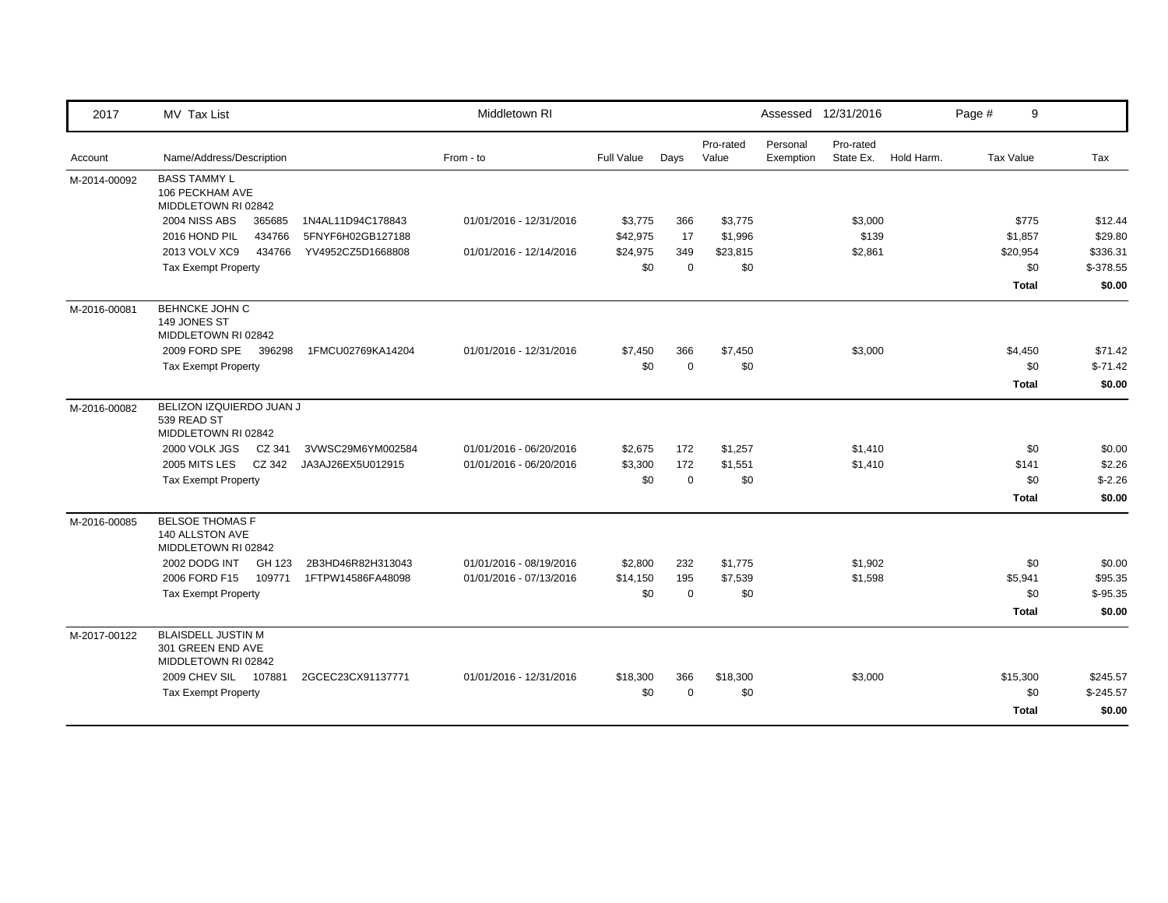| 2017         | MV Tax List                                                           |                   | Middletown RI           |                   |             |                    |                       | Assessed 12/31/2016    |            | Page #           | 9            |            |
|--------------|-----------------------------------------------------------------------|-------------------|-------------------------|-------------------|-------------|--------------------|-----------------------|------------------------|------------|------------------|--------------|------------|
| Account      | Name/Address/Description                                              |                   | From - to               | <b>Full Value</b> | Days        | Pro-rated<br>Value | Personal<br>Exemption | Pro-rated<br>State Ex. | Hold Harm. | <b>Tax Value</b> |              | Tax        |
| M-2014-00092 | <b>BASS TAMMY L</b><br>106 PECKHAM AVE<br>MIDDLETOWN RI 02842         |                   |                         |                   |             |                    |                       |                        |            |                  |              |            |
|              | <b>2004 NISS ABS</b><br>365685                                        | 1N4AL11D94C178843 | 01/01/2016 - 12/31/2016 | \$3,775           | 366         | \$3,775            |                       | \$3,000                |            |                  | \$775        | \$12.44    |
|              | 2016 HOND PIL<br>434766                                               | 5FNYF6H02GB127188 |                         | \$42,975          | 17          | \$1,996            |                       | \$139                  |            |                  | \$1,857      | \$29.80    |
|              | 2013 VOLV XC9<br>434766                                               | YV4952CZ5D1668808 | 01/01/2016 - 12/14/2016 | \$24,975          | 349         | \$23,815           |                       | \$2,861                |            |                  | \$20,954     | \$336.31   |
|              | <b>Tax Exempt Property</b>                                            |                   |                         | \$0               | $\mathbf 0$ | \$0                |                       |                        |            |                  | \$0          | \$-378.55  |
|              |                                                                       |                   |                         |                   |             |                    |                       |                        |            |                  | <b>Total</b> | \$0.00     |
| M-2016-00081 | <b>BEHNCKE JOHN C</b><br>149 JONES ST<br>MIDDLETOWN RI 02842          |                   |                         |                   |             |                    |                       |                        |            |                  |              |            |
|              | 2009 FORD SPE<br>396298                                               | 1FMCU02769KA14204 | 01/01/2016 - 12/31/2016 | \$7,450           | 366         | \$7,450            |                       | \$3,000                |            |                  | \$4,450      | \$71.42    |
|              | <b>Tax Exempt Property</b>                                            |                   |                         | \$0               | $\mathbf 0$ | \$0                |                       |                        |            |                  | \$0          | $$-71.42$  |
|              |                                                                       |                   |                         |                   |             |                    |                       |                        |            |                  | <b>Total</b> | \$0.00     |
| M-2016-00082 | BELIZON IZQUIERDO JUAN J<br>539 READ ST<br>MIDDLETOWN RI 02842        |                   |                         |                   |             |                    |                       |                        |            |                  |              |            |
|              | 2000 VOLK JGS<br>CZ 341                                               | 3VWSC29M6YM002584 | 01/01/2016 - 06/20/2016 | \$2,675           | 172         | \$1,257            |                       | \$1,410                |            |                  | \$0          | \$0.00     |
|              | 2005 MITS LES<br>CZ 342                                               | JA3AJ26EX5U012915 | 01/01/2016 - 06/20/2016 | \$3,300           | 172         | \$1,551            |                       | \$1,410                |            |                  | \$141        | \$2.26     |
|              | <b>Tax Exempt Property</b>                                            |                   |                         | \$0               | $\mathbf 0$ | \$0                |                       |                        |            |                  | \$0          | $$-2.26$   |
|              |                                                                       |                   |                         |                   |             |                    |                       |                        |            |                  | <b>Total</b> | \$0.00     |
| M-2016-00085 | <b>BELSOE THOMAS F</b><br>140 ALLSTON AVE<br>MIDDLETOWN RI 02842      |                   |                         |                   |             |                    |                       |                        |            |                  |              |            |
|              | 2002 DODG INT<br>GH 123                                               | 2B3HD46R82H313043 | 01/01/2016 - 08/19/2016 | \$2,800           | 232         | \$1,775            |                       | \$1,902                |            |                  | \$0          | \$0.00     |
|              | 2006 FORD F15<br>109771                                               | 1FTPW14586FA48098 | 01/01/2016 - 07/13/2016 | \$14,150          | 195         | \$7,539            |                       | \$1,598                |            |                  | \$5,941      | \$95.35    |
|              | <b>Tax Exempt Property</b>                                            |                   |                         | \$0               | $\mathbf 0$ | \$0                |                       |                        |            |                  | \$0          | $$-95.35$  |
|              |                                                                       |                   |                         |                   |             |                    |                       |                        |            |                  | <b>Total</b> | \$0.00     |
| M-2017-00122 | <b>BLAISDELL JUSTIN M</b><br>301 GREEN END AVE<br>MIDDLETOWN RI 02842 |                   |                         |                   |             |                    |                       |                        |            |                  |              |            |
|              | 2009 CHEV SIL 107881                                                  | 2GCEC23CX91137771 | 01/01/2016 - 12/31/2016 | \$18,300          | 366         | \$18,300           |                       | \$3,000                |            |                  | \$15,300     | \$245.57   |
|              | <b>Tax Exempt Property</b>                                            |                   |                         | \$0               | $\mathbf 0$ | \$0                |                       |                        |            |                  | \$0          | $$-245.57$ |
|              |                                                                       |                   |                         |                   |             |                    |                       |                        |            |                  | <b>Total</b> | \$0.00     |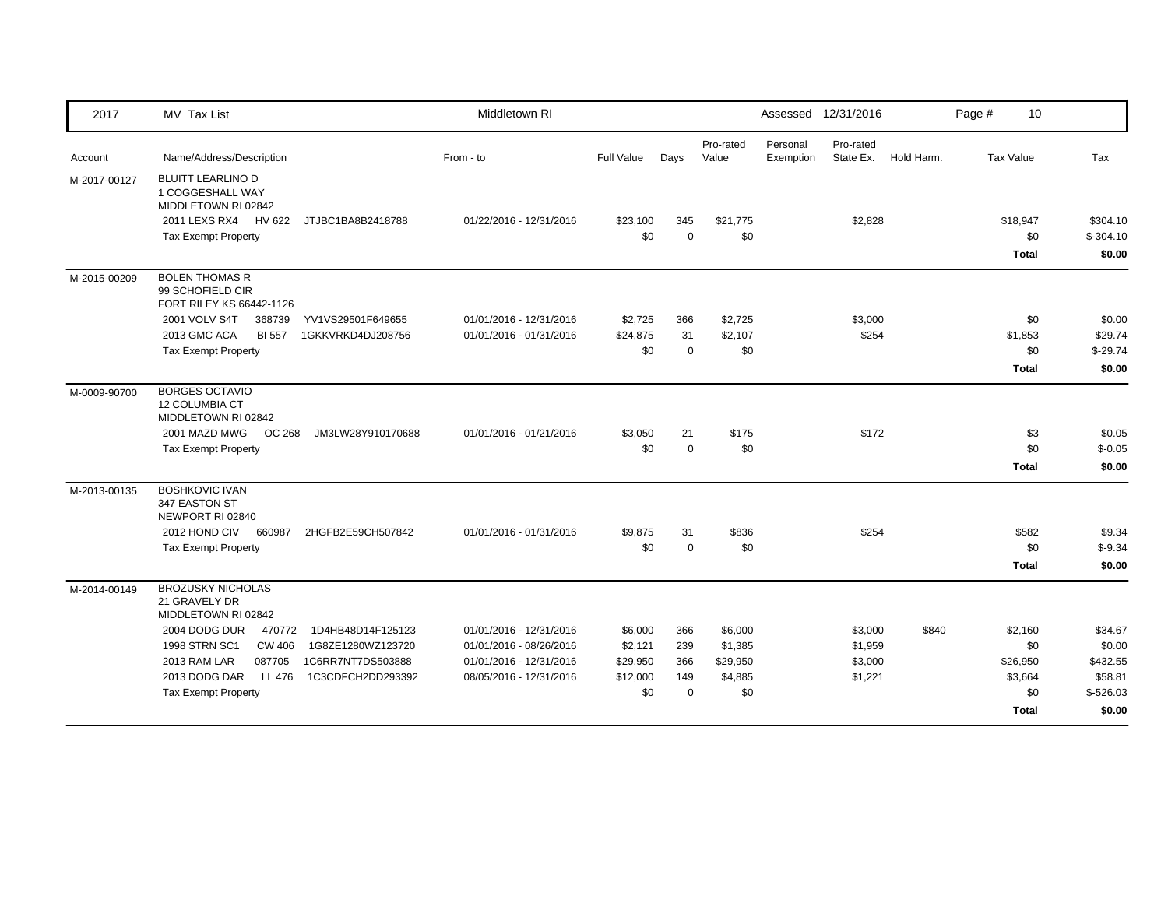| 2017         | MV Tax List                                                                                                                                    | Middletown RI           |                 |                    |                    | Assessed 12/31/2016                             |            | Page #<br>10     |                        |
|--------------|------------------------------------------------------------------------------------------------------------------------------------------------|-------------------------|-----------------|--------------------|--------------------|-------------------------------------------------|------------|------------------|------------------------|
| Account      | Name/Address/Description                                                                                                                       | From - to               | Full Value      | Days               | Pro-rated<br>Value | Pro-rated<br>Personal<br>State Ex.<br>Exemption | Hold Harm. | <b>Tax Value</b> | Tax                    |
| M-2017-00127 | <b>BLUITT LEARLINO D</b><br>1 COGGESHALL WAY<br>MIDDLETOWN RI 02842<br>2011 LEXS RX4 HV 622<br>JTJBC1BA8B2418788<br><b>Tax Exempt Property</b> | 01/22/2016 - 12/31/2016 | \$23,100<br>\$0 | 345<br>$\mathbf 0$ | \$21,775<br>\$0    | \$2,828                                         |            | \$18,947<br>\$0  | \$304.10<br>$$-304.10$ |
|              |                                                                                                                                                |                         |                 |                    |                    |                                                 |            | <b>Total</b>     | \$0.00                 |
| M-2015-00209 | <b>BOLEN THOMAS R</b><br>99 SCHOFIELD CIR<br>FORT RILEY KS 66442-1126                                                                          |                         |                 |                    |                    |                                                 |            |                  |                        |
|              | 2001 VOLV S4T<br>368739<br>YV1VS29501F649655                                                                                                   | 01/01/2016 - 12/31/2016 | \$2,725         | 366                | \$2,725            | \$3,000                                         |            | \$0              | \$0.00                 |
|              | 2013 GMC ACA<br><b>BI 557</b><br>1GKKVRKD4DJ208756                                                                                             | 01/01/2016 - 01/31/2016 | \$24,875<br>\$0 | 31<br>$\mathbf 0$  | \$2,107<br>\$0     | \$254                                           |            | \$1,853<br>\$0   | \$29.74<br>$$-29.74$   |
|              | <b>Tax Exempt Property</b>                                                                                                                     |                         |                 |                    |                    |                                                 |            | <b>Total</b>     | \$0.00                 |
| M-0009-90700 | <b>BORGES OCTAVIO</b><br><b>12 COLUMBIA CT</b><br>MIDDLETOWN RI 02842                                                                          |                         |                 |                    |                    |                                                 |            |                  |                        |
|              | 2001 MAZD MWG<br>OC 268<br>JM3LW28Y910170688                                                                                                   | 01/01/2016 - 01/21/2016 | \$3,050         | 21                 | \$175              | \$172                                           |            | \$3              | \$0.05                 |
|              | <b>Tax Exempt Property</b>                                                                                                                     |                         | \$0             | $\mathbf 0$        | \$0                |                                                 |            | \$0              | $$-0.05$               |
|              |                                                                                                                                                |                         |                 |                    |                    |                                                 |            | <b>Total</b>     | \$0.00                 |
| M-2013-00135 | <b>BOSHKOVIC IVAN</b><br>347 EASTON ST<br>NEWPORT RI 02840                                                                                     |                         |                 |                    |                    |                                                 |            |                  |                        |
|              | 2012 HOND CIV<br>660987<br>2HGFB2E59CH507842                                                                                                   | 01/01/2016 - 01/31/2016 | \$9,875         | 31                 | \$836              | \$254                                           |            | \$582            | \$9.34                 |
|              | <b>Tax Exempt Property</b>                                                                                                                     |                         | \$0             | $\mathbf 0$        | \$0                |                                                 |            | \$0              | $$ -9.34$              |
|              |                                                                                                                                                |                         |                 |                    |                    |                                                 |            | Total            | \$0.00                 |
| M-2014-00149 | <b>BROZUSKY NICHOLAS</b><br>21 GRAVELY DR<br>MIDDLETOWN RI 02842                                                                               |                         |                 |                    |                    |                                                 |            |                  |                        |
|              | 2004 DODG DUR<br>470772<br>1D4HB48D14F125123                                                                                                   | 01/01/2016 - 12/31/2016 | \$6,000         | 366                | \$6,000            | \$3,000                                         | \$840      | \$2,160          | \$34.67                |
|              | 1998 STRN SC1<br><b>CW 406</b><br>1G8ZE1280WZ123720                                                                                            | 01/01/2016 - 08/26/2016 | \$2,121         | 239                | \$1,385            | \$1,959                                         |            | \$0              | \$0.00                 |
|              | 1C6RR7NT7DS503888<br>2013 RAM LAR<br>087705                                                                                                    | 01/01/2016 - 12/31/2016 | \$29,950        | 366                | \$29,950           | \$3,000                                         |            | \$26,950         | \$432.55               |
|              | 2013 DODG DAR<br>1C3CDFCH2DD293392<br>LL 476                                                                                                   | 08/05/2016 - 12/31/2016 | \$12,000        | 149                | \$4,885            | \$1,221                                         |            | \$3,664          | \$58.81                |
|              | <b>Tax Exempt Property</b>                                                                                                                     |                         | \$0             | $\mathbf 0$        | \$0                |                                                 |            | \$0              | $$-526.03$             |
|              |                                                                                                                                                |                         |                 |                    |                    |                                                 |            | <b>Total</b>     | \$0.00                 |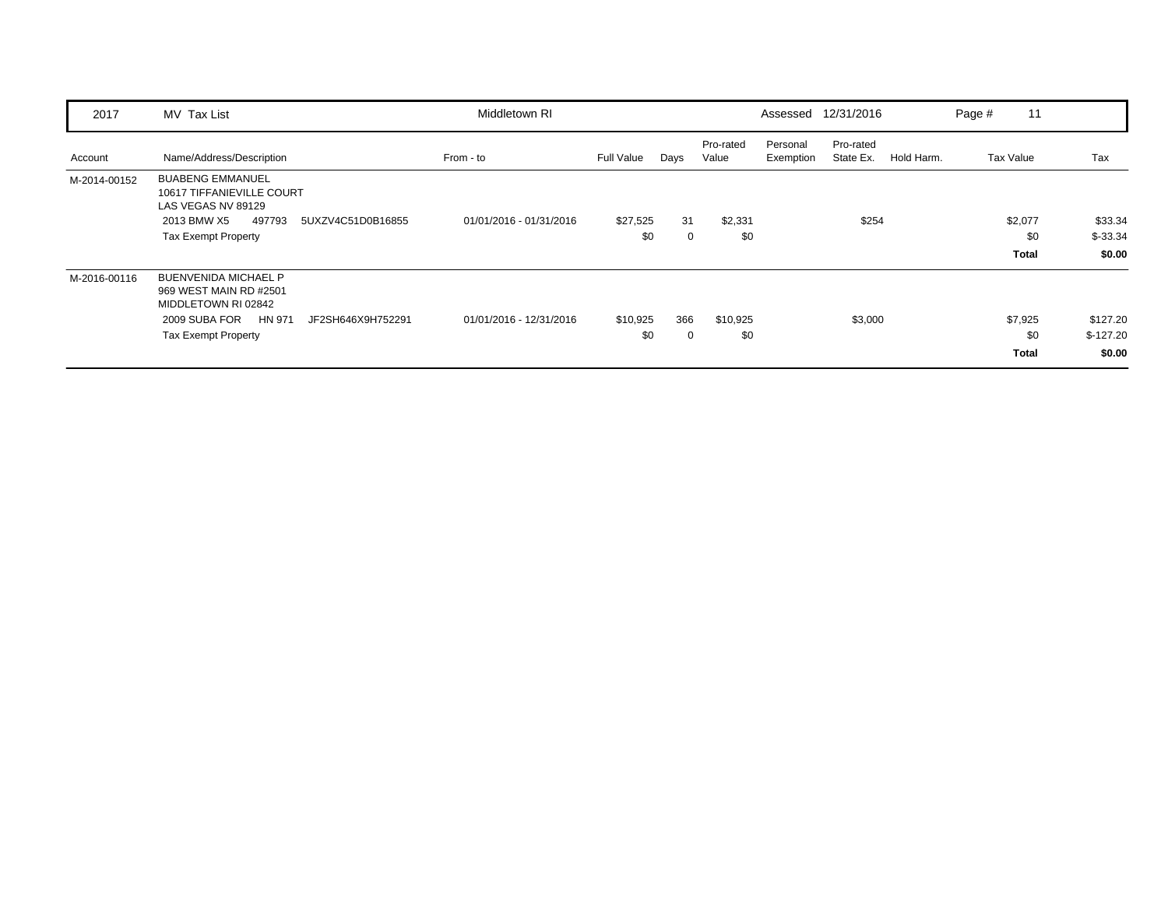| 2017         | MV Tax List                                                                                                                                                | Middletown RI           |                   |         |                    |                       | Assessed 12/31/2016    |            | Page # | 11                             |                                  |
|--------------|------------------------------------------------------------------------------------------------------------------------------------------------------------|-------------------------|-------------------|---------|--------------------|-----------------------|------------------------|------------|--------|--------------------------------|----------------------------------|
| Account      | Name/Address/Description                                                                                                                                   | From - to               | <b>Full Value</b> | Days    | Pro-rated<br>Value | Personal<br>Exemption | Pro-rated<br>State Ex. | Hold Harm. |        | Tax Value                      | Tax                              |
| M-2014-00152 | <b>BUABENG EMMANUEL</b><br>10617 TIFFANIEVILLE COURT<br>LAS VEGAS NV 89129<br>497793<br>2013 BMW X5<br>5UXZV4C51D0B16855<br><b>Tax Exempt Property</b>     | 01/01/2016 - 01/31/2016 | \$27,525<br>\$0   | 31<br>0 | \$2,331<br>\$0     |                       | \$254                  |            |        | \$2,077<br>\$0<br><b>Total</b> | \$33.34<br>$$-33.34$<br>\$0.00   |
| M-2016-00116 | <b>BUENVENIDA MICHAEL P</b><br>969 WEST MAIN RD #2501<br>MIDDLETOWN RI 02842<br>2009 SUBA FOR<br>HN 971<br>JF2SH646X9H752291<br><b>Tax Exempt Property</b> | 01/01/2016 - 12/31/2016 | \$10,925<br>\$0   | 366     | \$10,925<br>\$0    |                       | \$3,000                |            |        | \$7,925<br>\$0<br>Total        | \$127.20<br>$$-127.20$<br>\$0.00 |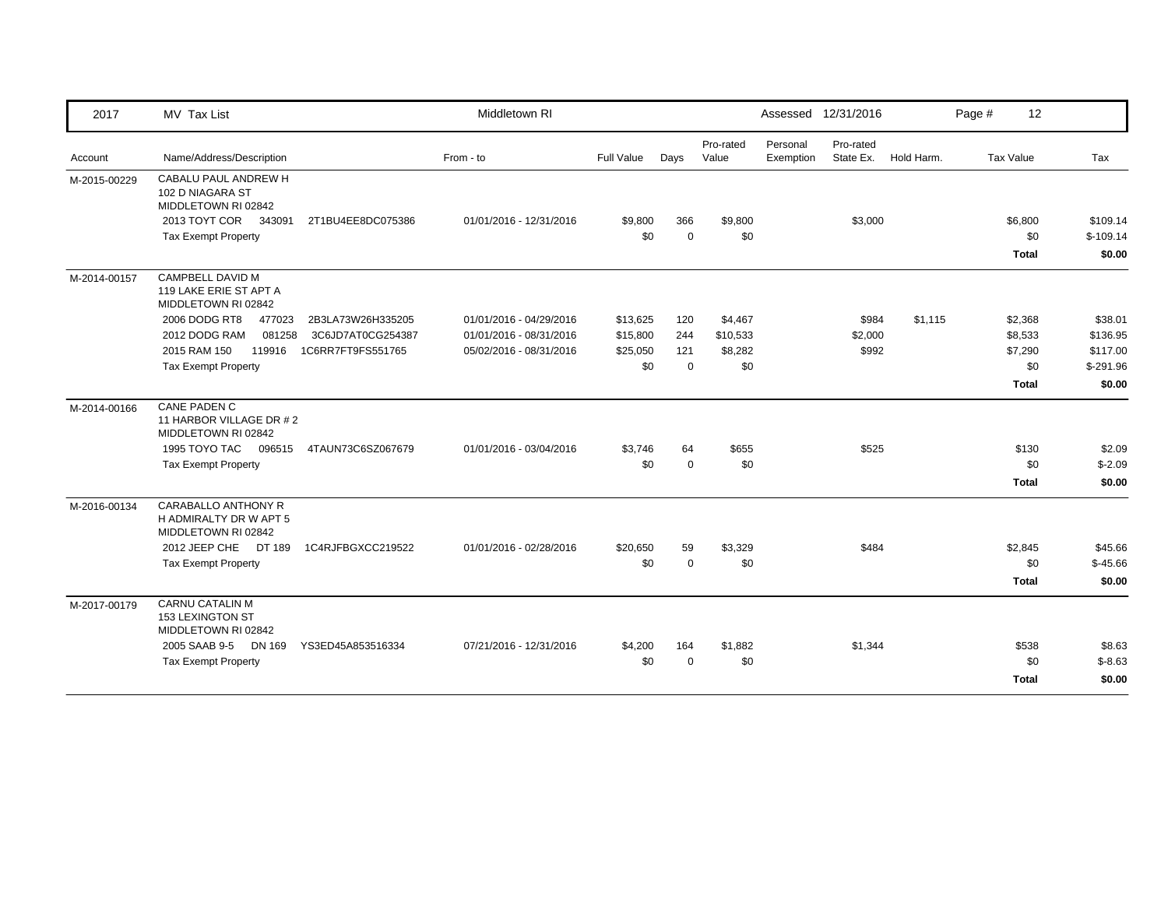| 2017         | MV Tax List                                                          | Middletown RI           |            |             |                    |                       | Assessed 12/31/2016    |            | Page #    | 12           |            |
|--------------|----------------------------------------------------------------------|-------------------------|------------|-------------|--------------------|-----------------------|------------------------|------------|-----------|--------------|------------|
| Account      | Name/Address/Description                                             | From - to               | Full Value | Days        | Pro-rated<br>Value | Personal<br>Exemption | Pro-rated<br>State Ex. | Hold Harm. | Tax Value |              | Tax        |
| M-2015-00229 | CABALU PAUL ANDREW H<br>102 D NIAGARA ST<br>MIDDLETOWN RI 02842      |                         |            |             |                    |                       |                        |            |           |              |            |
|              | 2013 TOYT COR<br>343091<br>2T1BU4EE8DC075386                         | 01/01/2016 - 12/31/2016 | \$9,800    | 366         | \$9,800            |                       | \$3,000                |            |           | \$6,800      | \$109.14   |
|              | <b>Tax Exempt Property</b>                                           |                         | \$0        | $\Omega$    | \$0                |                       |                        |            |           | \$0          | $$-109.14$ |
|              |                                                                      |                         |            |             |                    |                       |                        |            |           | <b>Total</b> | \$0.00     |
| M-2014-00157 | CAMPBELL DAVID M<br>119 LAKE ERIE ST APT A<br>MIDDLETOWN RI 02842    |                         |            |             |                    |                       |                        |            |           |              |            |
|              | 2006 DODG RT8<br>477023<br>2B3LA73W26H335205                         | 01/01/2016 - 04/29/2016 | \$13,625   | 120         | \$4,467            |                       | \$984                  | \$1,115    |           | \$2,368      | \$38.01    |
|              | 081258<br>2012 DODG RAM<br>3C6JD7AT0CG254387                         | 01/01/2016 - 08/31/2016 | \$15,800   | 244         | \$10,533           |                       | \$2,000                |            |           | \$8,533      | \$136.95   |
|              | 119916<br>1C6RR7FT9FS551765<br>2015 RAM 150                          | 05/02/2016 - 08/31/2016 | \$25,050   | 121         | \$8,282            |                       | \$992                  |            |           | \$7,290      | \$117.00   |
|              | <b>Tax Exempt Property</b>                                           |                         | \$0        | $\mathbf 0$ | \$0                |                       |                        |            |           | \$0          | $$-291.96$ |
|              |                                                                      |                         |            |             |                    |                       |                        |            |           | <b>Total</b> | \$0.00     |
| M-2014-00166 | CANE PADEN C<br>11 HARBOR VILLAGE DR #2<br>MIDDLETOWN RI 02842       |                         |            |             |                    |                       |                        |            |           |              |            |
|              | 1995 TOYO TAC<br>096515<br>4TAUN73C6SZ067679                         | 01/01/2016 - 03/04/2016 | \$3,746    | 64          | \$655              |                       | \$525                  |            |           | \$130        | \$2.09     |
|              | <b>Tax Exempt Property</b>                                           |                         | \$0        | $\mathbf 0$ | \$0                |                       |                        |            |           | \$0          | $$-2.09$   |
|              |                                                                      |                         |            |             |                    |                       |                        |            |           | <b>Total</b> | \$0.00     |
| M-2016-00134 | CARABALLO ANTHONY R<br>H ADMIRALTY DR W APT 5<br>MIDDLETOWN RI 02842 |                         |            |             |                    |                       |                        |            |           |              |            |
|              | 2012 JEEP CHE DT 189<br>1C4RJFBGXCC219522                            | 01/01/2016 - 02/28/2016 | \$20,650   | 59          | \$3,329            |                       | \$484                  |            |           | \$2,845      | \$45.66    |
|              | <b>Tax Exempt Property</b>                                           |                         | \$0        | $\Omega$    | \$0                |                       |                        |            |           | \$0          | $$-45.66$  |
|              |                                                                      |                         |            |             |                    |                       |                        |            |           | <b>Total</b> | \$0.00     |
| M-2017-00179 | <b>CARNU CATALIN M</b><br>153 LEXINGTON ST<br>MIDDLETOWN RI 02842    |                         |            |             |                    |                       |                        |            |           |              |            |
|              | 2005 SAAB 9-5<br>DN 169<br>YS3ED45A853516334                         | 07/21/2016 - 12/31/2016 | \$4,200    | 164         | \$1,882            |                       | \$1,344                |            |           | \$538        | \$8.63     |
|              | <b>Tax Exempt Property</b>                                           |                         | \$0        | $\Omega$    | \$0                |                       |                        |            |           | \$0          | $$-8.63$   |
|              |                                                                      |                         |            |             |                    |                       |                        |            |           | <b>Total</b> | \$0.00     |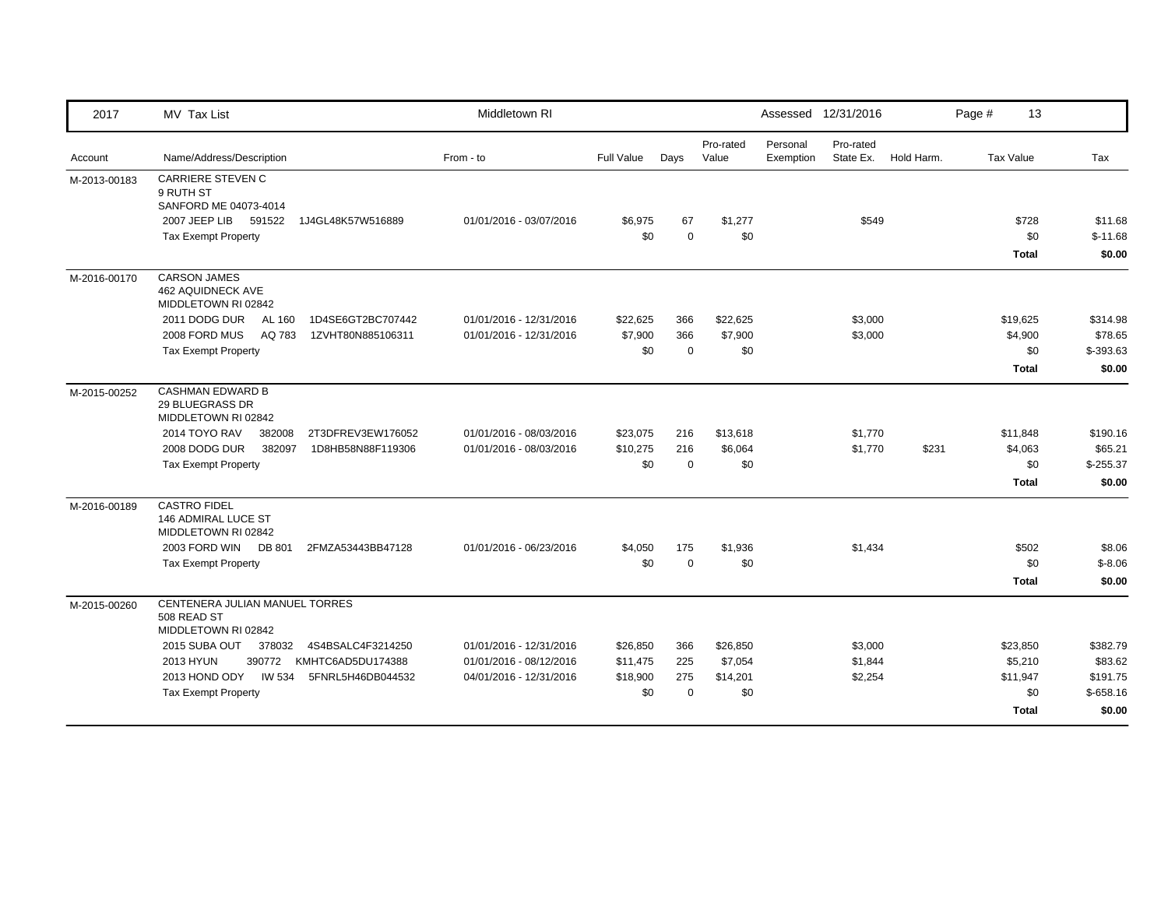| 2017         | MV Tax List                                                            | Middletown RI           |            |             |                    | Assessed 12/31/2016   |                        |            | Page # | 13           |            |
|--------------|------------------------------------------------------------------------|-------------------------|------------|-------------|--------------------|-----------------------|------------------------|------------|--------|--------------|------------|
| Account      | Name/Address/Description                                               | From - to               | Full Value | Days        | Pro-rated<br>Value | Personal<br>Exemption | Pro-rated<br>State Ex. | Hold Harm. |        | Tax Value    | Tax        |
| M-2013-00183 | <b>CARRIERE STEVEN C</b><br>9 RUTH ST<br>SANFORD ME 04073-4014         |                         |            |             |                    |                       |                        |            |        |              |            |
|              | 2007 JEEP LIB<br>591522<br>1J4GL48K57W516889                           | 01/01/2016 - 03/07/2016 | \$6,975    | 67          | \$1,277            |                       | \$549                  |            |        | \$728        | \$11.68    |
|              | <b>Tax Exempt Property</b>                                             |                         | \$0        | $\mathbf 0$ | \$0                |                       |                        |            |        | \$0          | $$-11.68$  |
|              |                                                                        |                         |            |             |                    |                       |                        |            |        | <b>Total</b> | \$0.00     |
| M-2016-00170 | <b>CARSON JAMES</b><br><b>462 AQUIDNECK AVE</b><br>MIDDLETOWN RI 02842 |                         |            |             |                    |                       |                        |            |        |              |            |
|              | 2011 DODG DUR<br>AL 160<br>1D4SE6GT2BC707442                           | 01/01/2016 - 12/31/2016 | \$22,625   | 366         | \$22,625           |                       | \$3,000                |            |        | \$19,625     | \$314.98   |
|              | 2008 FORD MUS<br>AQ 783<br>1ZVHT80N885106311                           | 01/01/2016 - 12/31/2016 | \$7,900    | 366         | \$7,900            |                       | \$3,000                |            |        | \$4,900      | \$78.65    |
|              | <b>Tax Exempt Property</b>                                             |                         | \$0        | $\mathbf 0$ | \$0                |                       |                        |            |        | \$0          | $$-393.63$ |
|              |                                                                        |                         |            |             |                    |                       |                        |            |        | <b>Total</b> | \$0.00     |
| M-2015-00252 | <b>CASHMAN EDWARD B</b><br>29 BLUEGRASS DR<br>MIDDLETOWN RI 02842      |                         |            |             |                    |                       |                        |            |        |              |            |
|              | 2014 TOYO RAV<br>2T3DFREV3EW176052<br>382008                           | 01/01/2016 - 08/03/2016 | \$23,075   | 216         | \$13,618           |                       | \$1,770                |            |        | \$11,848     | \$190.16   |
|              | 2008 DODG DUR<br>382097<br>1D8HB58N88F119306                           | 01/01/2016 - 08/03/2016 | \$10,275   | 216         | \$6,064            |                       | \$1,770                | \$231      |        | \$4,063      | \$65.21    |
|              | <b>Tax Exempt Property</b>                                             |                         | \$0        | $\mathbf 0$ | \$0                |                       |                        |            |        | \$0          | $$-255.37$ |
|              |                                                                        |                         |            |             |                    |                       |                        |            |        | <b>Total</b> | \$0.00     |
| M-2016-00189 | <b>CASTRO FIDEL</b><br>146 ADMIRAL LUCE ST<br>MIDDLETOWN RI 02842      |                         |            |             |                    |                       |                        |            |        |              |            |
|              | 2003 FORD WIN<br>DB 801<br>2FMZA53443BB47128                           | 01/01/2016 - 06/23/2016 | \$4,050    | 175         | \$1,936            |                       | \$1,434                |            |        | \$502        | \$8.06     |
|              | <b>Tax Exempt Property</b>                                             |                         | \$0        | $\mathbf 0$ | \$0                |                       |                        |            |        | \$0          | $$-8.06$   |
|              |                                                                        |                         |            |             |                    |                       |                        |            |        | <b>Total</b> | \$0.00     |
| M-2015-00260 | CENTENERA JULIAN MANUEL TORRES<br>508 READ ST<br>MIDDLETOWN RI 02842   |                         |            |             |                    |                       |                        |            |        |              |            |
|              | 2015 SUBA OUT<br>378032<br>4S4BSALC4F3214250                           | 01/01/2016 - 12/31/2016 | \$26,850   | 366         | \$26,850           |                       | \$3,000                |            |        | \$23,850     | \$382.79   |
|              | <b>2013 HYUN</b><br>390772<br>KMHTC6AD5DU174388                        | 01/01/2016 - 08/12/2016 | \$11,475   | 225         | \$7,054            |                       | \$1,844                |            |        | \$5,210      | \$83.62    |
|              | 2013 HOND ODY<br>IW 534<br>5FNRL5H46DB044532                           | 04/01/2016 - 12/31/2016 | \$18,900   | 275         | \$14,201           |                       | \$2,254                |            |        | \$11,947     | \$191.75   |
|              | <b>Tax Exempt Property</b>                                             |                         | \$0        | $\Omega$    | \$0                |                       |                        |            |        | \$0          | $$-658.16$ |
|              |                                                                        |                         |            |             |                    |                       |                        |            |        | <b>Total</b> | \$0.00     |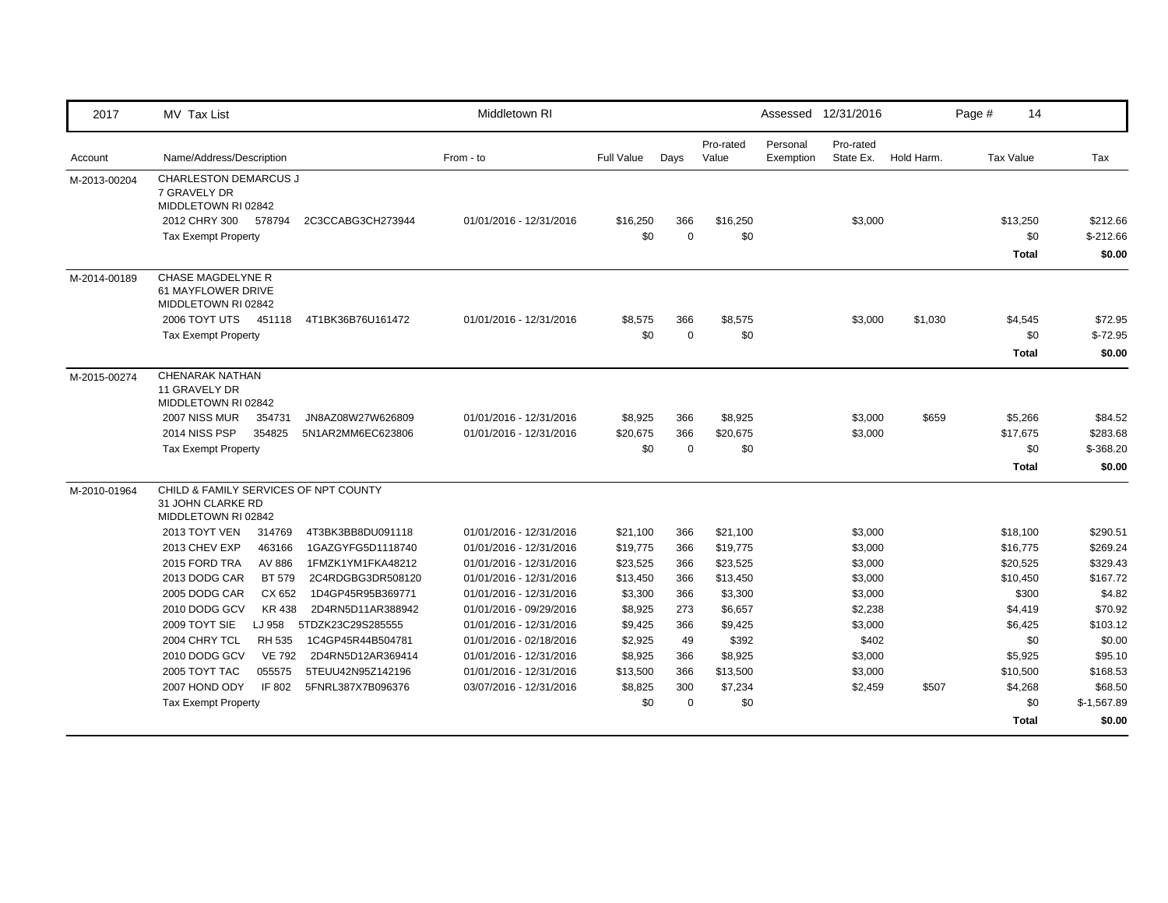| 2017         | MV Tax List                                                                       |                          | Middletown RI           |                   |             |                    |                       | Assessed 12/31/2016    |            | Page #           | 14                     |
|--------------|-----------------------------------------------------------------------------------|--------------------------|-------------------------|-------------------|-------------|--------------------|-----------------------|------------------------|------------|------------------|------------------------|
| Account      | Name/Address/Description                                                          |                          | From - to               | <b>Full Value</b> | Days        | Pro-rated<br>Value | Personal<br>Exemption | Pro-rated<br>State Ex. | Hold Harm. | <b>Tax Value</b> | Tax                    |
| M-2013-00204 | <b>CHARLESTON DEMARCUS J</b><br>7 GRAVELY DR<br>MIDDLETOWN RI 02842               |                          |                         |                   |             |                    |                       |                        |            |                  |                        |
|              | 2012 CHRY 300<br>578794                                                           | 2C3CCABG3CH273944        | 01/01/2016 - 12/31/2016 | \$16,250          | 366         | \$16,250           |                       | \$3,000                |            | \$13,250         | \$212.66               |
|              | <b>Tax Exempt Property</b>                                                        |                          |                         | \$0               | $\Omega$    | \$0                |                       |                        |            |                  | \$0<br>$$-212.66$      |
|              |                                                                                   |                          |                         |                   |             |                    |                       |                        |            |                  | \$0.00<br><b>Total</b> |
| M-2014-00189 | CHASE MAGDELYNE R<br>61 MAYFLOWER DRIVE<br>MIDDLETOWN RI 02842                    |                          |                         |                   |             |                    |                       |                        |            |                  |                        |
|              | 2006 TOYT UTS 451118                                                              | 4T1BK36B76U161472        | 01/01/2016 - 12/31/2016 | \$8,575           | 366         | \$8,575            |                       | \$3,000                | \$1,030    | \$4,545          | \$72.95                |
|              | <b>Tax Exempt Property</b>                                                        |                          |                         | \$0               | $\mathbf 0$ | \$0                |                       |                        |            |                  | $$-72.95$<br>\$0       |
|              |                                                                                   |                          |                         |                   |             |                    |                       |                        |            |                  | <b>Total</b><br>\$0.00 |
| M-2015-00274 | <b>CHENARAK NATHAN</b><br>11 GRAVELY DR<br>MIDDLETOWN RI 02842                    |                          |                         |                   |             |                    |                       |                        |            |                  |                        |
|              | 2007 NISS MUR<br>354731                                                           | JN8AZ08W27W626809        | 01/01/2016 - 12/31/2016 | \$8,925           | 366         | \$8,925            |                       | \$3,000                | \$659      | \$5,266          | \$84.52                |
|              | 2014 NISS PSP<br>354825                                                           | 5N1AR2MM6EC623806        | 01/01/2016 - 12/31/2016 | \$20,675          | 366         | \$20,675           |                       | \$3,000                |            | \$17,675         | \$283.68               |
|              | <b>Tax Exempt Property</b>                                                        |                          |                         | \$0               | $\mathbf 0$ | \$0                |                       |                        |            |                  | \$0<br>$$-368.20$      |
|              |                                                                                   |                          |                         |                   |             |                    |                       |                        |            |                  | <b>Total</b><br>\$0.00 |
| M-2010-01964 | CHILD & FAMILY SERVICES OF NPT COUNTY<br>31 JOHN CLARKE RD<br>MIDDLETOWN RI 02842 |                          |                         |                   |             |                    |                       |                        |            |                  |                        |
|              | 2013 TOYT VEN<br>314769                                                           | 4T3BK3BB8DU091118        | 01/01/2016 - 12/31/2016 | \$21,100          | 366         | \$21,100           |                       | \$3,000                |            | \$18,100         | \$290.51               |
|              | 2013 CHEV EXP<br>463166                                                           | 1GAZGYFG5D1118740        | 01/01/2016 - 12/31/2016 | \$19,775          | 366         | \$19,775           |                       | \$3,000                |            | \$16,775         | \$269.24               |
|              | 2015 FORD TRA<br>AV 886                                                           | 1FMZK1YM1FKA48212        | 01/01/2016 - 12/31/2016 | \$23,525          | 366         | \$23,525           |                       | \$3,000                |            | \$20,525         | \$329.43               |
|              | 2013 DODG CAR<br><b>BT 579</b>                                                    | 2C4RDGBG3DR508120        | 01/01/2016 - 12/31/2016 | \$13,450          | 366         | \$13,450           |                       | \$3,000                |            | \$10,450         | \$167.72               |
|              | 2005 DODG CAR                                                                     | CX 652 1D4GP45R95B369771 | 01/01/2016 - 12/31/2016 | \$3,300           | 366         | \$3,300            |                       | \$3,000                |            |                  | \$300<br>\$4.82        |
|              | 2010 DODG GCV<br>KR 438                                                           | 2D4RN5D11AR388942        | 01/01/2016 - 09/29/2016 | \$8,925           | 273         | \$6,657            |                       | \$2,238                |            | \$4,419          | \$70.92                |
|              | 2009 TOYT SIE<br>LJ 958                                                           | 5TDZK23C29S285555        | 01/01/2016 - 12/31/2016 | \$9,425           | 366         | \$9,425            |                       | \$3,000                |            | \$6,425          | \$103.12               |
|              | 2004 CHRY TCL<br>RH 535                                                           | 1C4GP45R44B504781        | 01/01/2016 - 02/18/2016 | \$2,925           | 49          | \$392              |                       | \$402                  |            |                  | \$0<br>\$0.00          |
|              | 2010 DODG GCV<br><b>VE 792</b>                                                    | 2D4RN5D12AR369414        | 01/01/2016 - 12/31/2016 | \$8,925           | 366         | \$8,925            |                       | \$3,000                |            | \$5,925          | \$95.10                |
|              | 2005 TOYT TAC<br>055575                                                           | 5TEUU42N95Z142196        | 01/01/2016 - 12/31/2016 | \$13,500          | 366         | \$13,500           |                       | \$3,000                |            | \$10,500         | \$168.53               |
|              | 2007 HOND ODY<br>IF 802                                                           | 5FNRL387X7B096376        | 03/07/2016 - 12/31/2016 | \$8,825           | 300         | \$7,234            |                       | \$2,459                | \$507      | \$4,268          | \$68.50                |
|              | <b>Tax Exempt Property</b>                                                        |                          |                         | \$0               | $\mathbf 0$ | \$0                |                       |                        |            |                  | \$0<br>$$-1,567.89$    |
|              |                                                                                   |                          |                         |                   |             |                    |                       |                        |            |                  | \$0.00<br><b>Total</b> |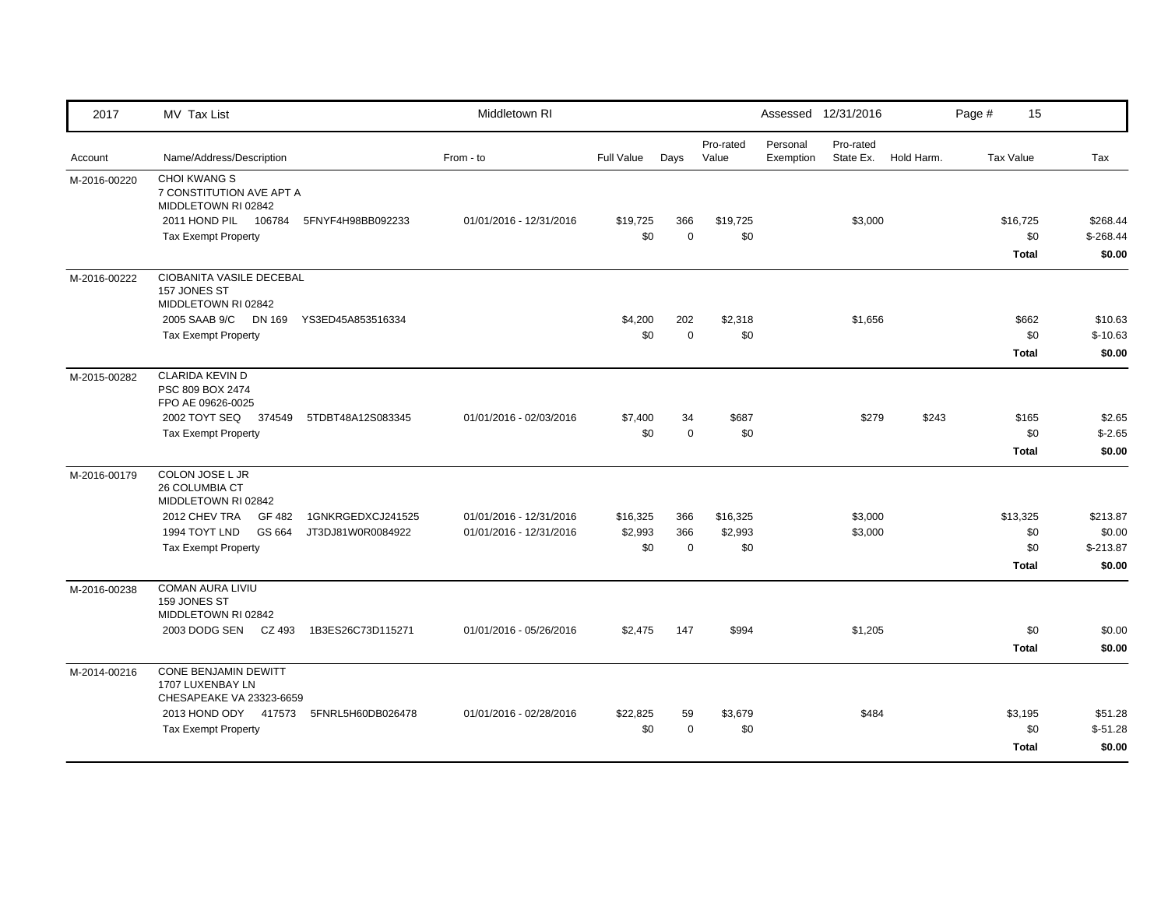| 2017         | MV Tax List                                                                                    |                                        | Middletown RI                                                                    |                           |                            |                       | Assessed 12/31/2016    |            | Page #           | 15                                     |                                            |
|--------------|------------------------------------------------------------------------------------------------|----------------------------------------|----------------------------------------------------------------------------------|---------------------------|----------------------------|-----------------------|------------------------|------------|------------------|----------------------------------------|--------------------------------------------|
| Account      | Name/Address/Description                                                                       | From - to                              | Full Value                                                                       | Days                      | Pro-rated<br>Value         | Personal<br>Exemption | Pro-rated<br>State Ex. | Hold Harm. | <b>Tax Value</b> |                                        | Tax                                        |
| M-2016-00220 | <b>CHOI KWANG S</b><br>7 CONSTITUTION AVE APT A<br>MIDDLETOWN RI 02842<br>2011 HOND PIL 106784 | 5FNYF4H98BB092233                      | 01/01/2016 - 12/31/2016<br>\$19,725                                              | 366                       | \$19,725                   |                       | \$3,000                |            |                  | \$16,725                               | \$268.44                                   |
|              | <b>Tax Exempt Property</b>                                                                     |                                        | \$0                                                                              | $\Omega$                  | \$0                        |                       |                        |            |                  | \$0<br><b>Total</b>                    | $$-268.44$<br>\$0.00                       |
| M-2016-00222 | CIOBANITA VASILE DECEBAL<br>157 JONES ST<br>MIDDLETOWN RI 02842                                |                                        |                                                                                  |                           |                            |                       |                        |            |                  |                                        |                                            |
|              | 2005 SAAB 9/C DN 169<br><b>Tax Exempt Property</b>                                             | YS3ED45A853516334                      | \$4,200<br>\$0                                                                   | 202<br>$\mathbf 0$        | \$2,318<br>\$0             |                       | \$1,656                |            |                  | \$662<br>\$0<br><b>Total</b>           | \$10.63<br>$$-10.63$<br>\$0.00             |
| M-2015-00282 | <b>CLARIDA KEVIN D</b><br>PSC 809 BOX 2474<br>FPO AE 09626-0025                                |                                        |                                                                                  |                           |                            |                       |                        |            |                  |                                        |                                            |
|              | 2002 TOYT SEQ 374549<br>Tax Exempt Property                                                    | 5TDBT48A12S083345                      | 01/01/2016 - 02/03/2016<br>\$7,400<br>\$0                                        | 34<br>$\mathbf 0$         | \$687<br>\$0               |                       | \$279                  | \$243      |                  | \$165<br>\$0<br>Total                  | \$2.65<br>$$-2.65$<br>\$0.00               |
| M-2016-00179 | COLON JOSE L JR<br>26 COLUMBIA CT<br>MIDDLETOWN RI 02842                                       |                                        |                                                                                  |                           |                            |                       |                        |            |                  |                                        |                                            |
|              | 2012 CHEV TRA<br>GF 482<br>1994 TOYT LND<br>GS 664<br><b>Tax Exempt Property</b>               | 1GNKRGEDXCJ241525<br>JT3DJ81W0R0084922 | \$16,325<br>01/01/2016 - 12/31/2016<br>\$2,993<br>01/01/2016 - 12/31/2016<br>\$0 | 366<br>366<br>$\mathbf 0$ | \$16,325<br>\$2,993<br>\$0 |                       | \$3,000<br>\$3,000     |            |                  | \$13,325<br>\$0<br>\$0<br><b>Total</b> | \$213.87<br>\$0.00<br>$$-213.87$<br>\$0.00 |
| M-2016-00238 | <b>COMAN AURA LIVIU</b><br>159 JONES ST<br>MIDDLETOWN RI 02842                                 |                                        |                                                                                  |                           |                            |                       |                        |            |                  |                                        |                                            |
|              | 2003 DODG SEN CZ 493 1B3ES26C73D115271                                                         |                                        | \$2,475<br>01/01/2016 - 05/26/2016                                               | 147                       | \$994                      |                       | \$1,205                |            |                  | \$0<br><b>Total</b>                    | \$0.00<br>\$0.00                           |
| M-2014-00216 | CONE BENJAMIN DEWITT<br>1707 LUXENBAY LN<br>CHESAPEAKE VA 23323-6659                           |                                        |                                                                                  |                           |                            |                       |                        |            |                  |                                        |                                            |
|              | 2013 HOND ODY 417573<br><b>Tax Exempt Property</b>                                             | 5FNRL5H60DB026478                      | 01/01/2016 - 02/28/2016<br>\$22,825<br>\$0                                       | 59<br>$\mathbf 0$         | \$3,679<br>\$0             |                       | \$484                  |            |                  | \$3,195<br>\$0<br><b>Total</b>         | \$51.28<br>$$-51.28$<br>\$0.00             |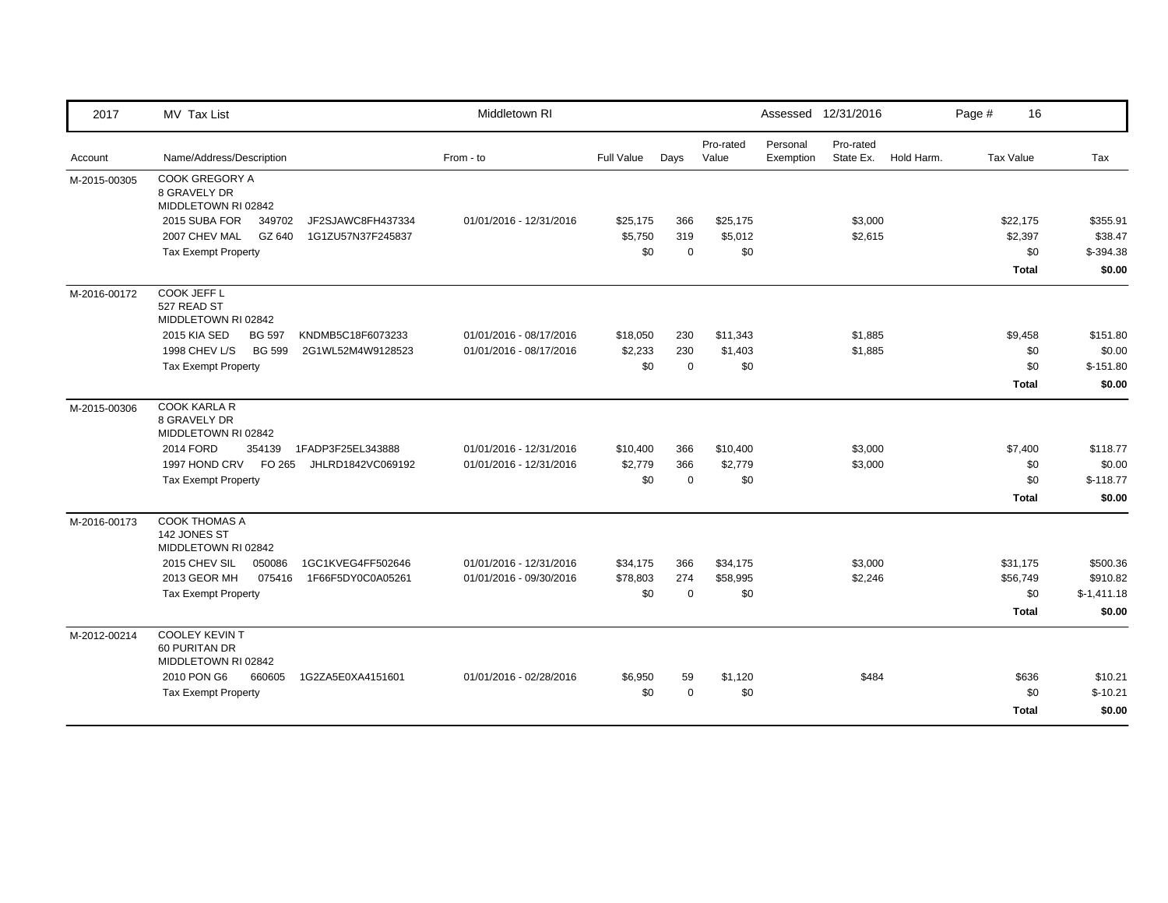| 2017         | MV Tax List                                                   | Middletown RI           |            |             |                    |                       | Assessed 12/31/2016    |            | Page #           | 16           |              |
|--------------|---------------------------------------------------------------|-------------------------|------------|-------------|--------------------|-----------------------|------------------------|------------|------------------|--------------|--------------|
| Account      | Name/Address/Description                                      | From - to               | Full Value | Days        | Pro-rated<br>Value | Personal<br>Exemption | Pro-rated<br>State Ex. | Hold Harm. | <b>Tax Value</b> |              | Tax          |
| M-2015-00305 | <b>COOK GREGORY A</b><br>8 GRAVELY DR<br>MIDDLETOWN RI 02842  |                         |            |             |                    |                       |                        |            |                  |              |              |
|              | 2015 SUBA FOR<br>349702<br>JF2SJAWC8FH437334                  | 01/01/2016 - 12/31/2016 | \$25,175   | 366         | \$25,175           |                       | \$3,000                |            |                  | \$22,175     | \$355.91     |
|              | 2007 CHEV MAL<br>GZ 640<br>1G1ZU57N37F245837                  |                         | \$5,750    | 319         | \$5,012            |                       | \$2,615                |            |                  | \$2,397      | \$38.47      |
|              | <b>Tax Exempt Property</b>                                    |                         | \$0        | $\mathbf 0$ | \$0                |                       |                        |            |                  | \$0          | $$-394.38$   |
|              |                                                               |                         |            |             |                    |                       |                        |            |                  | <b>Total</b> | \$0.00       |
| M-2016-00172 | COOK JEFF L<br>527 READ ST<br>MIDDLETOWN RI 02842             |                         |            |             |                    |                       |                        |            |                  |              |              |
|              | 2015 KIA SED<br><b>BG 597</b><br>KNDMB5C18F6073233            | 01/01/2016 - 08/17/2016 | \$18,050   | 230         | \$11,343           |                       | \$1,885                |            |                  | \$9,458      | \$151.80     |
|              | 1998 CHEV L/S<br><b>BG 599</b><br>2G1WL52M4W9128523           | 01/01/2016 - 08/17/2016 | \$2,233    | 230         | \$1,403            |                       | \$1,885                |            |                  | \$0          | \$0.00       |
|              | <b>Tax Exempt Property</b>                                    |                         | \$0        | $\mathbf 0$ | \$0                |                       |                        |            |                  | \$0          | $$-151.80$   |
|              |                                                               |                         |            |             |                    |                       |                        |            |                  | <b>Total</b> | \$0.00       |
| M-2015-00306 | <b>COOK KARLA R</b><br>8 GRAVELY DR<br>MIDDLETOWN RI 02842    |                         |            |             |                    |                       |                        |            |                  |              |              |
|              | 2014 FORD<br>354139 1FADP3F25EL343888                         | 01/01/2016 - 12/31/2016 | \$10,400   | 366         | \$10,400           |                       | \$3,000                |            |                  | \$7,400      | \$118.77     |
|              | 1997 HOND CRV FO 265<br>JHLRD1842VC069192                     | 01/01/2016 - 12/31/2016 | \$2,779    | 366         | \$2,779            |                       | \$3,000                |            |                  | \$0          | \$0.00       |
|              | Tax Exempt Property                                           |                         | \$0        | $\mathbf 0$ | \$0                |                       |                        |            |                  | \$0          | $$-118.77$   |
|              |                                                               |                         |            |             |                    |                       |                        |            |                  | <b>Total</b> | \$0.00       |
| M-2016-00173 | <b>COOK THOMAS A</b><br>142 JONES ST<br>MIDDLETOWN RI 02842   |                         |            |             |                    |                       |                        |            |                  |              |              |
|              | 2015 CHEV SIL<br>050086<br>1GC1KVEG4FF502646                  | 01/01/2016 - 12/31/2016 | \$34,175   | 366         | \$34,175           |                       | \$3,000                |            |                  | \$31,175     | \$500.36     |
|              | 2013 GEOR MH<br>075416<br>1F66F5DY0C0A05261                   | 01/01/2016 - 09/30/2016 | \$78,803   | 274         | \$58,995           |                       | \$2,246                |            |                  | \$56,749     | \$910.82     |
|              | <b>Tax Exempt Property</b>                                    |                         | \$0        | $\mathbf 0$ | \$0                |                       |                        |            |                  | \$0          | $$-1,411.18$ |
|              |                                                               |                         |            |             |                    |                       |                        |            |                  | <b>Total</b> | \$0.00       |
| M-2012-00214 | <b>COOLEY KEVIN T</b><br>60 PURITAN DR<br>MIDDLETOWN RI 02842 |                         |            |             |                    |                       |                        |            |                  |              |              |
|              | 2010 PON G6<br>660605<br>1G2ZA5E0XA4151601                    | 01/01/2016 - 02/28/2016 | \$6,950    | 59          | \$1,120            |                       | \$484                  |            |                  | \$636        | \$10.21      |
|              | <b>Tax Exempt Property</b>                                    |                         | \$0        | $\mathbf 0$ | \$0                |                       |                        |            |                  | \$0          | $$-10.21$    |
|              |                                                               |                         |            |             |                    |                       |                        |            |                  | <b>Total</b> | \$0.00       |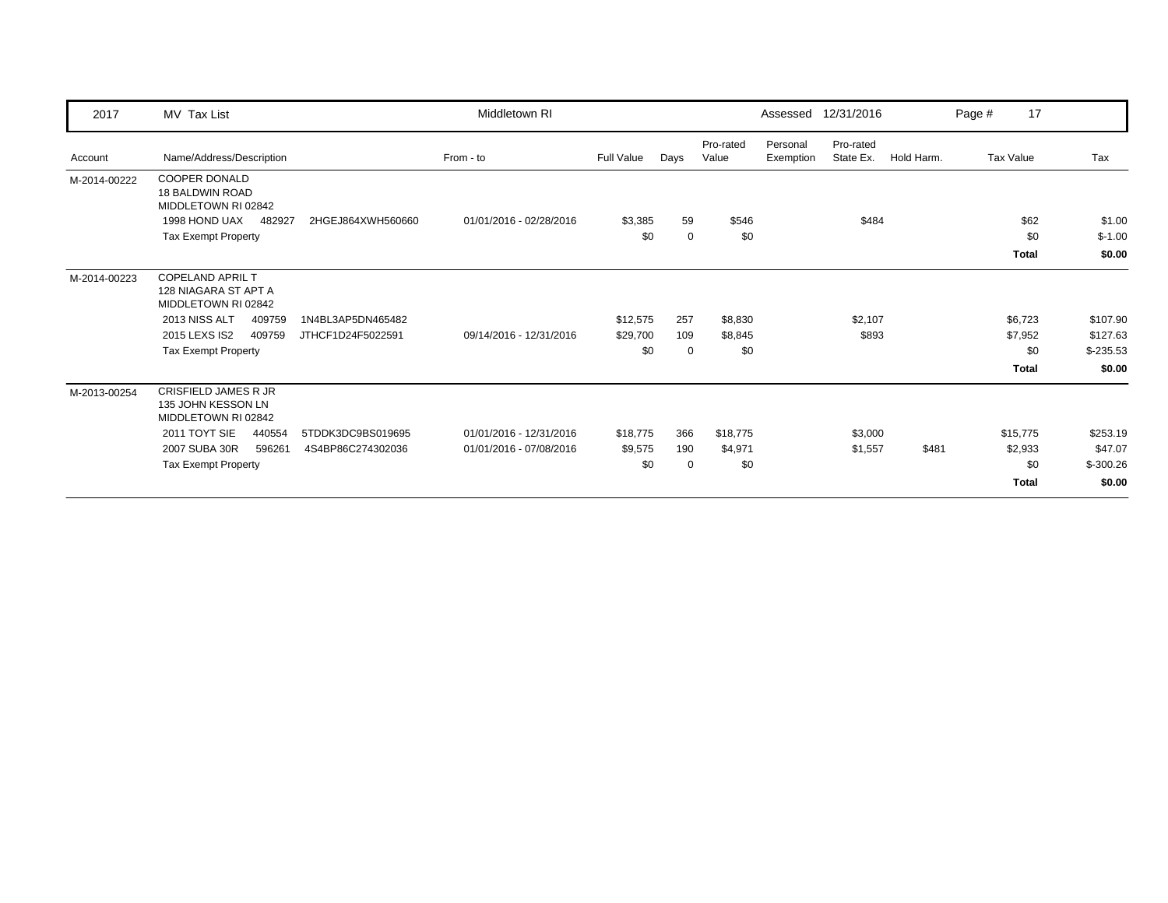| 2017         | MV Tax List                                                            |                   | Middletown RI           |            |             |                    | Assessed              | 12/31/2016             |            | Page # | 17           |            |
|--------------|------------------------------------------------------------------------|-------------------|-------------------------|------------|-------------|--------------------|-----------------------|------------------------|------------|--------|--------------|------------|
| Account      | Name/Address/Description                                               |                   | From - to               | Full Value | Days        | Pro-rated<br>Value | Personal<br>Exemption | Pro-rated<br>State Ex. | Hold Harm. |        | Tax Value    | Tax        |
| M-2014-00222 | <b>COOPER DONALD</b><br><b>18 BALDWIN ROAD</b><br>MIDDLETOWN RI 02842  |                   |                         |            |             |                    |                       |                        |            |        |              |            |
|              | 1998 HOND UAX<br>482927                                                | 2HGEJ864XWH560660 | 01/01/2016 - 02/28/2016 | \$3,385    | 59          | \$546              |                       | \$484                  |            |        | \$62         | \$1.00     |
|              | <b>Tax Exempt Property</b>                                             |                   |                         | \$0        | $\mathbf 0$ | \$0                |                       |                        |            |        | \$0          | $$-1.00$   |
|              |                                                                        |                   |                         |            |             |                    |                       |                        |            |        | <b>Total</b> | \$0.00     |
| M-2014-00223 | <b>COPELAND APRIL T</b><br>128 NIAGARA ST APT A<br>MIDDLETOWN RI 02842 |                   |                         |            |             |                    |                       |                        |            |        |              |            |
|              | 2013 NISS ALT<br>409759                                                | 1N4BL3AP5DN465482 |                         | \$12,575   | 257         | \$8,830            |                       | \$2,107                |            |        | \$6,723      | \$107.90   |
|              | 2015 LEXS IS2<br>409759                                                | JTHCF1D24F5022591 | 09/14/2016 - 12/31/2016 | \$29,700   | 109         | \$8,845            |                       | \$893                  |            |        | \$7,952      | \$127.63   |
|              | <b>Tax Exempt Property</b>                                             |                   |                         | \$0        | $\mathbf 0$ | \$0                |                       |                        |            |        | \$0          | $$-235.53$ |
|              |                                                                        |                   |                         |            |             |                    |                       |                        |            |        | <b>Total</b> | \$0.00     |
| M-2013-00254 | CRISFIELD JAMES R JR<br>135 JOHN KESSON LN<br>MIDDLETOWN RI 02842      |                   |                         |            |             |                    |                       |                        |            |        |              |            |
|              | 2011 TOYT SIE<br>440554                                                | 5TDDK3DC9BS019695 | 01/01/2016 - 12/31/2016 | \$18,775   | 366         | \$18,775           |                       | \$3,000                |            |        | \$15,775     | \$253.19   |
|              | 2007 SUBA 30R<br>596261                                                | 4S4BP86C274302036 | 01/01/2016 - 07/08/2016 | \$9,575    | 190         | \$4,971            |                       | \$1,557                | \$481      |        | \$2,933      | \$47.07    |
|              | <b>Tax Exempt Property</b>                                             |                   |                         | \$0        | $\mathbf 0$ | \$0                |                       |                        |            |        | \$0          | $$-300.26$ |
|              |                                                                        |                   |                         |            |             |                    |                       |                        |            |        | <b>Total</b> | \$0.00     |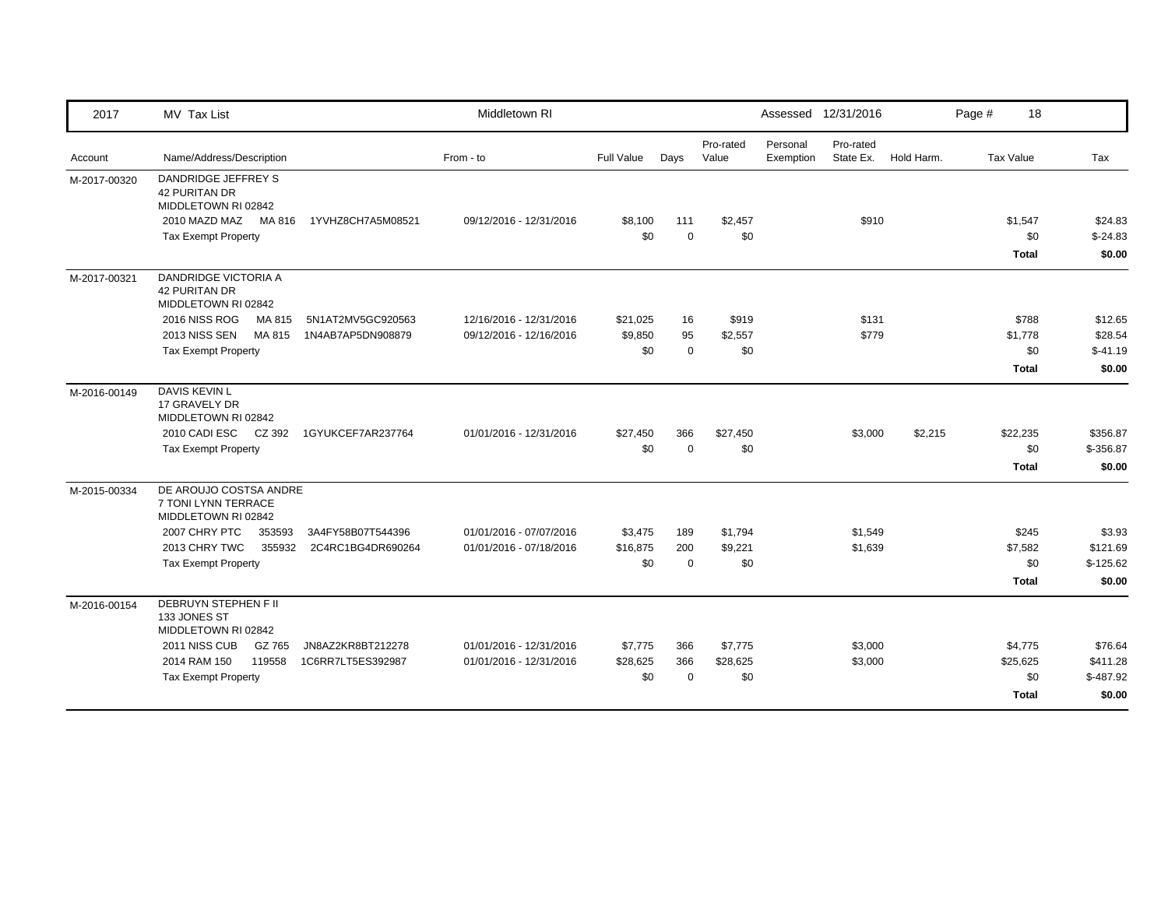| 2017         | MV Tax List                                                          |                   | Middletown RI           |            |             |                    |                       | Assessed 12/31/2016    |            | Page # | 18               |            |
|--------------|----------------------------------------------------------------------|-------------------|-------------------------|------------|-------------|--------------------|-----------------------|------------------------|------------|--------|------------------|------------|
| Account      | Name/Address/Description                                             |                   | From - to               | Full Value | Days        | Pro-rated<br>Value | Personal<br>Exemption | Pro-rated<br>State Ex. | Hold Harm. |        | <b>Tax Value</b> | Tax        |
| M-2017-00320 | DANDRIDGE JEFFREY S<br><b>42 PURITAN DR</b><br>MIDDLETOWN RI 02842   |                   |                         |            |             |                    |                       |                        |            |        |                  |            |
|              | 2010 MAZD MAZ<br>MA 816                                              | 1YVHZ8CH7A5M08521 | 09/12/2016 - 12/31/2016 | \$8,100    | 111         | \$2,457            |                       | \$910                  |            |        | \$1,547          | \$24.83    |
|              | <b>Tax Exempt Property</b>                                           |                   |                         | \$0        | $\mathbf 0$ | \$0                |                       |                        |            |        | \$0              | $$-24.83$  |
|              |                                                                      |                   |                         |            |             |                    |                       |                        |            |        | <b>Total</b>     | \$0.00     |
| M-2017-00321 | DANDRIDGE VICTORIA A<br><b>42 PURITAN DR</b><br>MIDDLETOWN RI 02842  |                   |                         |            |             |                    |                       |                        |            |        |                  |            |
|              | <b>2016 NISS ROG</b><br>MA 815                                       | 5N1AT2MV5GC920563 | 12/16/2016 - 12/31/2016 | \$21,025   | 16          | \$919              |                       | \$131                  |            |        | \$788            | \$12.65    |
|              | 2013 NISS SEN<br>MA 815                                              | 1N4AB7AP5DN908879 | 09/12/2016 - 12/16/2016 | \$9,850    | 95          | \$2,557            |                       | \$779                  |            |        | \$1,778          | \$28.54    |
|              | <b>Tax Exempt Property</b>                                           |                   |                         | \$0        | $\mathbf 0$ | \$0                |                       |                        |            |        | \$0              | $$-41.19$  |
|              |                                                                      |                   |                         |            |             |                    |                       |                        |            |        | <b>Total</b>     | \$0.00     |
| M-2016-00149 | DAVIS KEVIN L<br>17 GRAVELY DR<br>MIDDLETOWN RI 02842                |                   |                         |            |             |                    |                       |                        |            |        |                  |            |
|              | 2010 CADI ESC<br>CZ 392                                              | 1GYUKCEF7AR237764 | 01/01/2016 - 12/31/2016 | \$27,450   | 366         | \$27,450           |                       | \$3,000                | \$2,215    |        | \$22,235         | \$356.87   |
|              | <b>Tax Exempt Property</b>                                           |                   |                         | \$0        | $\Omega$    | \$0                |                       |                        |            |        | \$0              | \$-356.87  |
|              |                                                                      |                   |                         |            |             |                    |                       |                        |            |        | <b>Total</b>     | \$0.00     |
| M-2015-00334 | DE AROUJO COSTSA ANDRE<br>7 TONI LYNN TERRACE<br>MIDDLETOWN RI 02842 |                   |                         |            |             |                    |                       |                        |            |        |                  |            |
|              | 2007 CHRY PTC<br>353593                                              | 3A4FY58B07T544396 | 01/01/2016 - 07/07/2016 | \$3,475    | 189         | \$1,794            |                       | \$1,549                |            |        | \$245            | \$3.93     |
|              | 2013 CHRY TWC<br>355932                                              | 2C4RC1BG4DR690264 | 01/01/2016 - 07/18/2016 | \$16,875   | 200         | \$9,221            |                       | \$1,639                |            |        | \$7,582          | \$121.69   |
|              | <b>Tax Exempt Property</b>                                           |                   |                         | \$0        | $\mathbf 0$ | \$0                |                       |                        |            |        | \$0              | $$-125.62$ |
|              |                                                                      |                   |                         |            |             |                    |                       |                        |            |        | <b>Total</b>     | \$0.00     |
| M-2016-00154 | <b>DEBRUYN STEPHEN F II</b><br>133 JONES ST<br>MIDDLETOWN RI 02842   |                   |                         |            |             |                    |                       |                        |            |        |                  |            |
|              | 2011 NISS CUB<br>GZ 765                                              | JN8AZ2KR8BT212278 | 01/01/2016 - 12/31/2016 | \$7,775    | 366         | \$7,775            |                       | \$3,000                |            |        | \$4,775          | \$76.64    |
|              | 2014 RAM 150<br>119558                                               | 1C6RR7LT5ES392987 | 01/01/2016 - 12/31/2016 | \$28,625   | 366         | \$28,625           |                       | \$3,000                |            |        | \$25,625         | \$411.28   |
|              | <b>Tax Exempt Property</b>                                           |                   |                         | \$0        | $\Omega$    | \$0                |                       |                        |            |        | \$0              | $$-487.92$ |
|              |                                                                      |                   |                         |            |             |                    |                       |                        |            |        | <b>Total</b>     | \$0.00     |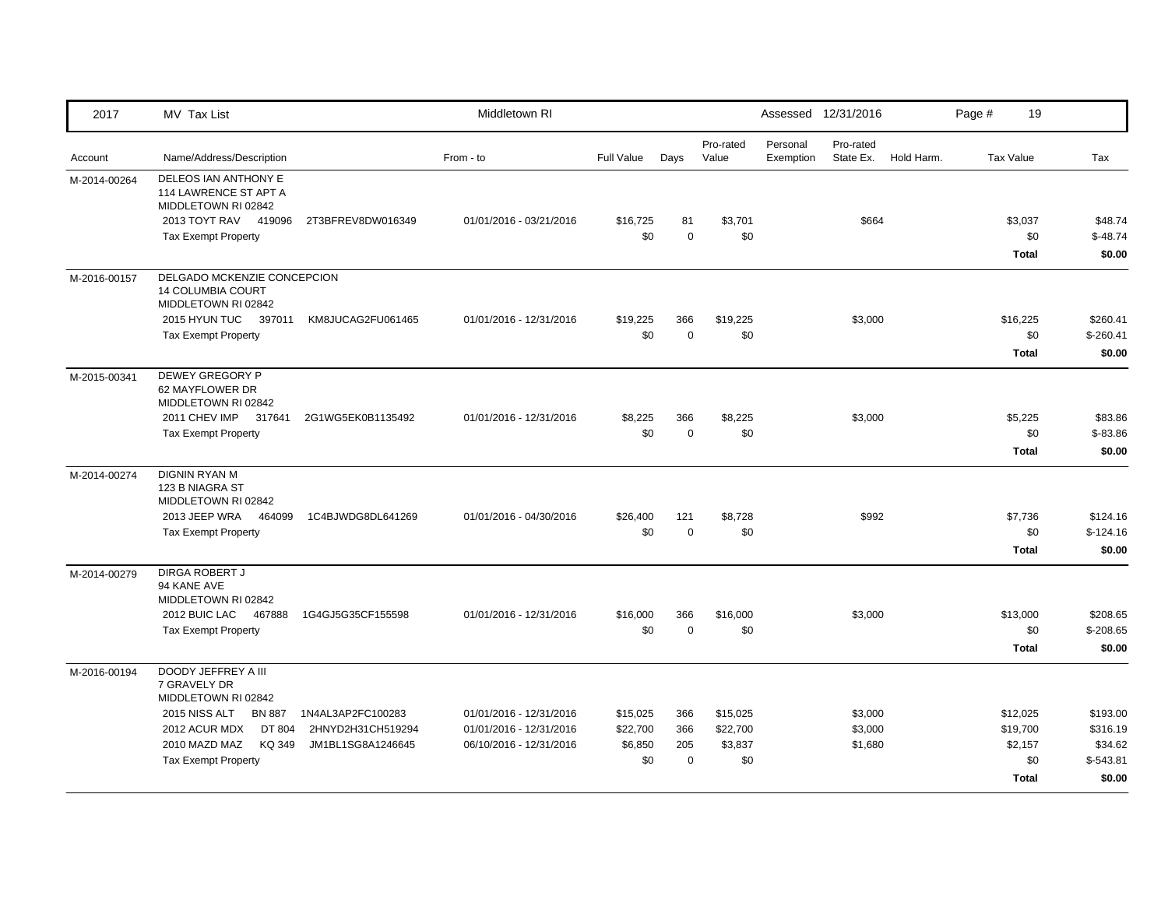| 2017         | <b>MV Tax List</b>                                                                                                                                                               |                                                             | Middletown RI                                                                 |                                        |                                  |                                        |                       | Assessed 12/31/2016           |            | Page # | 19                                                     |                                                         |
|--------------|----------------------------------------------------------------------------------------------------------------------------------------------------------------------------------|-------------------------------------------------------------|-------------------------------------------------------------------------------|----------------------------------------|----------------------------------|----------------------------------------|-----------------------|-------------------------------|------------|--------|--------------------------------------------------------|---------------------------------------------------------|
| Account      | Name/Address/Description                                                                                                                                                         |                                                             | From - to                                                                     | <b>Full Value</b>                      | Days                             | Pro-rated<br>Value                     | Personal<br>Exemption | Pro-rated<br>State Ex.        | Hold Harm. |        | <b>Tax Value</b>                                       | Tax                                                     |
| M-2014-00264 | DELEOS IAN ANTHONY E<br>114 LAWRENCE ST APT A<br>MIDDLETOWN RI 02842<br>2013 TOYT RAV 419096<br><b>Tax Exempt Property</b>                                                       | 2T3BFREV8DW016349                                           | 01/01/2016 - 03/21/2016                                                       | \$16,725<br>\$0                        | 81<br>$\mathbf 0$                | \$3,701<br>\$0                         |                       | \$664                         |            |        | \$3,037<br>\$0<br><b>Total</b>                         | \$48.74<br>$$-48.74$<br>\$0.00                          |
| M-2016-00157 | DELGADO MCKENZIE CONCEPCION<br>14 COLUMBIA COURT<br>MIDDLETOWN RI 02842<br>2015 HYUN TUC 397011<br><b>Tax Exempt Property</b>                                                    | KM8JUCAG2FU061465                                           | 01/01/2016 - 12/31/2016                                                       | \$19,225<br>\$0                        | 366<br>$\mathbf 0$               | \$19,225<br>\$0                        |                       | \$3,000                       |            |        | \$16,225<br>\$0<br><b>Total</b>                        | \$260.41<br>$$-260.41$<br>\$0.00                        |
| M-2015-00341 | DEWEY GREGORY P<br>62 MAYFLOWER DR<br>MIDDLETOWN RI 02842<br>2011 CHEV IMP 317641<br><b>Tax Exempt Property</b>                                                                  | 2G1WG5EK0B1135492                                           | 01/01/2016 - 12/31/2016                                                       | \$8,225<br>\$0                         | 366<br>$\mathbf 0$               | \$8,225<br>\$0                         |                       | \$3,000                       |            |        | \$5,225<br>\$0<br><b>Total</b>                         | \$83.86<br>$$-83.86$<br>\$0.00                          |
| M-2014-00274 | <b>DIGNIN RYAN M</b><br>123 B NIAGRA ST<br>MIDDLETOWN RI 02842<br>2013 JEEP WRA 464099<br><b>Tax Exempt Property</b>                                                             | 1C4BJWDG8DL641269                                           | 01/01/2016 - 04/30/2016                                                       | \$26,400<br>\$0                        | 121<br>$\mathbf 0$               | \$8,728<br>\$0                         |                       | \$992                         |            |        | \$7,736<br>\$0<br><b>Total</b>                         | \$124.16<br>$$-124.16$<br>\$0.00                        |
| M-2014-00279 | <b>DIRGA ROBERT J</b><br>94 KANE AVE<br>MIDDLETOWN RI 02842<br>2012 BUIC LAC<br>467888<br><b>Tax Exempt Property</b>                                                             | 1G4GJ5G35CF155598                                           | 01/01/2016 - 12/31/2016                                                       | \$16,000<br>\$0                        | 366<br>$\mathbf 0$               | \$16,000<br>\$0                        |                       | \$3,000                       |            |        | \$13,000<br>\$0<br><b>Total</b>                        | \$208.65<br>$$-208.65$<br>\$0.00                        |
| M-2016-00194 | DOODY JEFFREY A III<br>7 GRAVELY DR<br>MIDDLETOWN RI 02842<br>2015 NISS ALT<br><b>BN 887</b><br>2012 ACUR MDX<br>DT 804<br>2010 MAZD MAZ<br>KQ 349<br><b>Tax Exempt Property</b> | 1N4AL3AP2FC100283<br>2HNYD2H31CH519294<br>JM1BL1SG8A1246645 | 01/01/2016 - 12/31/2016<br>01/01/2016 - 12/31/2016<br>06/10/2016 - 12/31/2016 | \$15,025<br>\$22,700<br>\$6,850<br>\$0 | 366<br>366<br>205<br>$\mathbf 0$ | \$15,025<br>\$22,700<br>\$3,837<br>\$0 |                       | \$3,000<br>\$3,000<br>\$1,680 |            |        | \$12,025<br>\$19,700<br>\$2,157<br>\$0<br><b>Total</b> | \$193.00<br>\$316.19<br>\$34.62<br>$$-543.81$<br>\$0.00 |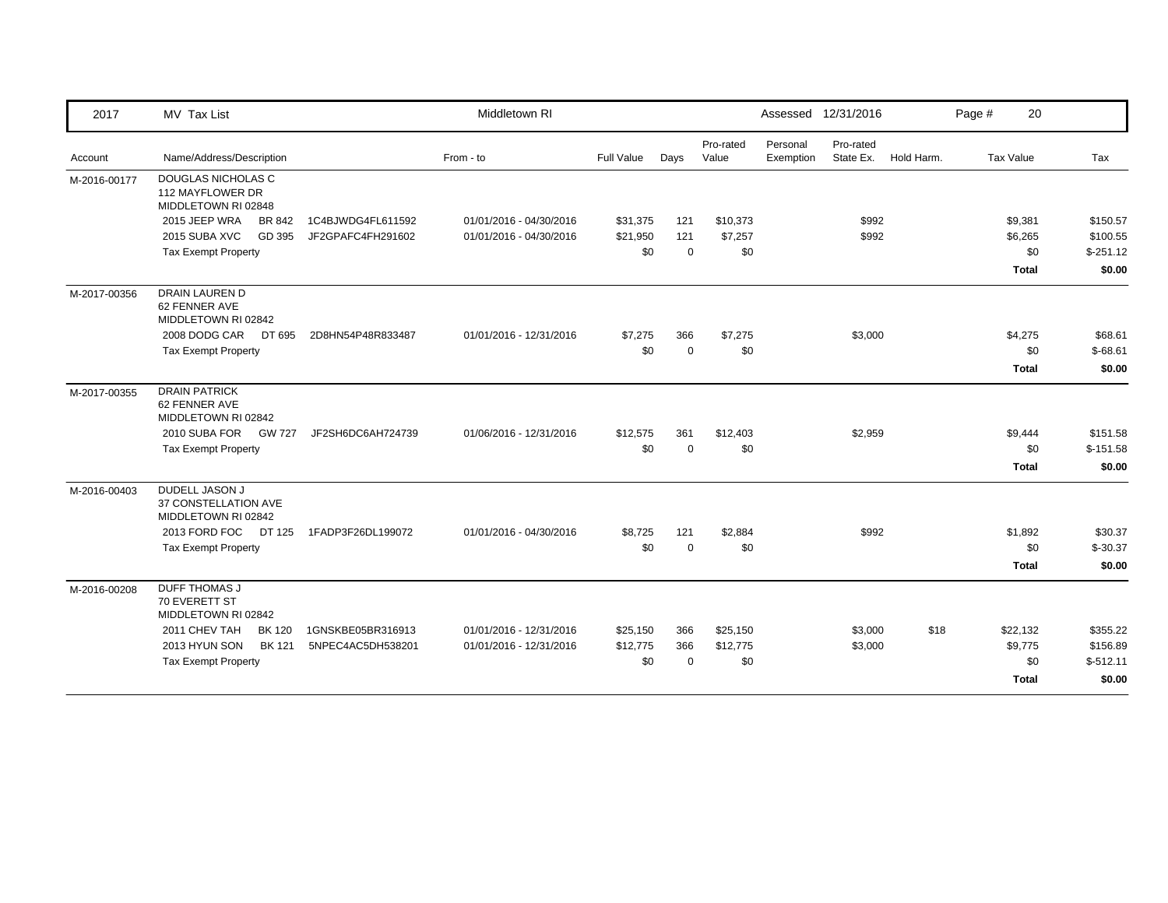| 2017         | MV Tax List                                                          |                   | Middletown RI           |            |             |                    |                       | Assessed 12/31/2016    |            | Page # | 20               |            |
|--------------|----------------------------------------------------------------------|-------------------|-------------------------|------------|-------------|--------------------|-----------------------|------------------------|------------|--------|------------------|------------|
| Account      | Name/Address/Description                                             |                   | From - to               | Full Value | Days        | Pro-rated<br>Value | Personal<br>Exemption | Pro-rated<br>State Ex. | Hold Harm. |        | <b>Tax Value</b> | Tax        |
| M-2016-00177 | <b>DOUGLAS NICHOLAS C</b><br>112 MAYFLOWER DR<br>MIDDLETOWN RI 02848 |                   |                         |            |             |                    |                       |                        |            |        |                  |            |
|              | 2015 JEEP WRA<br>BR 842                                              | 1C4BJWDG4FL611592 | 01/01/2016 - 04/30/2016 | \$31,375   | 121         | \$10,373           |                       | \$992                  |            |        | \$9,381          | \$150.57   |
|              | 2015 SUBA XVC<br>GD 395                                              | JF2GPAFC4FH291602 | 01/01/2016 - 04/30/2016 | \$21,950   | 121         | \$7,257            |                       | \$992                  |            |        | \$6,265          | \$100.55   |
|              | <b>Tax Exempt Property</b>                                           |                   |                         | \$0        | $\mathbf 0$ | \$0                |                       |                        |            |        | \$0              | $$-251.12$ |
|              |                                                                      |                   |                         |            |             |                    |                       |                        |            |        | <b>Total</b>     | \$0.00     |
| M-2017-00356 | <b>DRAIN LAUREN D</b><br>62 FENNER AVE<br>MIDDLETOWN RI 02842        |                   |                         |            |             |                    |                       |                        |            |        |                  |            |
|              | 2008 DODG CAR<br>DT 695                                              | 2D8HN54P48R833487 | 01/01/2016 - 12/31/2016 | \$7,275    | 366         | \$7,275            |                       | \$3,000                |            |        | \$4,275          | \$68.61    |
|              | <b>Tax Exempt Property</b>                                           |                   |                         | \$0        | $\mathbf 0$ | \$0                |                       |                        |            |        | \$0              | $$-68.61$  |
|              |                                                                      |                   |                         |            |             |                    |                       |                        |            |        | <b>Total</b>     | \$0.00     |
| M-2017-00355 | <b>DRAIN PATRICK</b><br>62 FENNER AVE<br>MIDDLETOWN RI 02842         |                   |                         |            |             |                    |                       |                        |            |        |                  |            |
|              | 2010 SUBA FOR<br>GW 727                                              | JF2SH6DC6AH724739 | 01/06/2016 - 12/31/2016 | \$12,575   | 361         | \$12,403           |                       | \$2,959                |            |        | \$9,444          | \$151.58   |
|              | <b>Tax Exempt Property</b>                                           |                   |                         | \$0        | $\mathbf 0$ | \$0                |                       |                        |            |        | \$0              | $$-151.58$ |
|              |                                                                      |                   |                         |            |             |                    |                       |                        |            |        | <b>Total</b>     | \$0.00     |
| M-2016-00403 | <b>DUDELL JASON J</b><br>37 CONSTELLATION AVE<br>MIDDLETOWN RI 02842 |                   |                         |            |             |                    |                       |                        |            |        |                  |            |
|              | 2013 FORD FOC DT 125                                                 | 1FADP3F26DL199072 | 01/01/2016 - 04/30/2016 | \$8,725    | 121         | \$2,884            |                       | \$992                  |            |        | \$1,892          | \$30.37    |
|              | <b>Tax Exempt Property</b>                                           |                   |                         | \$0        | $\Omega$    | \$0                |                       |                        |            |        | \$0              | $$-30.37$  |
|              |                                                                      |                   |                         |            |             |                    |                       |                        |            |        | <b>Total</b>     | \$0.00     |
| M-2016-00208 | <b>DUFF THOMAS J</b><br>70 EVERETT ST<br>MIDDLETOWN RI 02842         |                   |                         |            |             |                    |                       |                        |            |        |                  |            |
|              | 2011 CHEV TAH<br><b>BK 120</b>                                       | 1GNSKBE05BR316913 | 01/01/2016 - 12/31/2016 | \$25,150   | 366         | \$25,150           |                       | \$3,000                | \$18       |        | \$22,132         | \$355.22   |
|              | 2013 HYUN SON<br><b>BK 121</b>                                       | 5NPEC4AC5DH538201 | 01/01/2016 - 12/31/2016 | \$12,775   | 366         | \$12,775           |                       | \$3,000                |            |        | \$9,775          | \$156.89   |
|              | <b>Tax Exempt Property</b>                                           |                   |                         | \$0        | $\Omega$    | \$0                |                       |                        |            |        | \$0              | $$-512.11$ |
|              |                                                                      |                   |                         |            |             |                    |                       |                        |            |        | <b>Total</b>     | \$0.00     |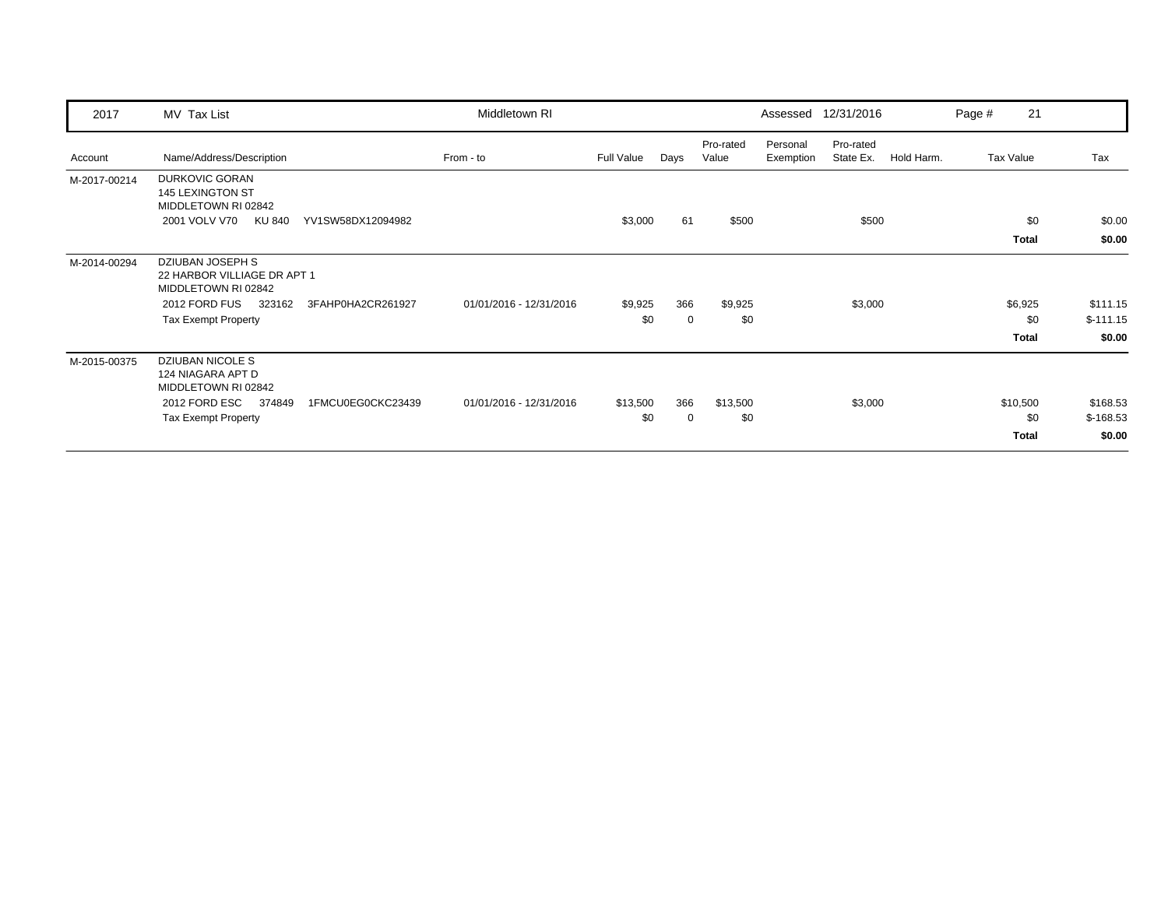| 2017         | MV Tax List                                                                                                                                                 | Middletown RI           |                 |          |                    |                       | Assessed 12/31/2016    |            | Page # | 21                       |                                  |
|--------------|-------------------------------------------------------------------------------------------------------------------------------------------------------------|-------------------------|-----------------|----------|--------------------|-----------------------|------------------------|------------|--------|--------------------------|----------------------------------|
| Account      | Name/Address/Description                                                                                                                                    | From - to               | Full Value      | Days     | Pro-rated<br>Value | Personal<br>Exemption | Pro-rated<br>State Ex. | Hold Harm. |        | Tax Value                | Tax                              |
| M-2017-00214 | <b>DURKOVIC GORAN</b><br>145 LEXINGTON ST<br>MIDDLETOWN RI 02842<br>2001 VOLV V70<br>KU 840<br>YV1SW58DX12094982                                            |                         | \$3,000         | 61       | \$500              |                       | \$500                  |            |        | \$0<br>Total             | \$0.00<br>\$0.00                 |
| M-2014-00294 | <b>DZIUBAN JOSEPH S</b><br>22 HARBOR VILLIAGE DR APT 1<br>MIDDLETOWN RI 02842<br>2012 FORD FUS<br>323162<br>3FAHP0HA2CR261927<br><b>Tax Exempt Property</b> | 01/01/2016 - 12/31/2016 | \$9,925<br>\$0  | 366<br>0 | \$9,925<br>\$0     |                       | \$3,000                |            |        | \$6,925<br>\$0<br>Total  | \$111.15<br>$$-111.15$<br>\$0.00 |
| M-2015-00375 | <b>DZIUBAN NICOLE S</b><br>124 NIAGARA APT D<br>MIDDLETOWN RI 02842<br>2012 FORD ESC<br>374849<br>1FMCU0EG0CKC23439<br><b>Tax Exempt Property</b>           | 01/01/2016 - 12/31/2016 | \$13,500<br>\$0 | 366<br>0 | \$13,500<br>\$0    |                       | \$3,000                |            |        | \$10,500<br>\$0<br>Total | \$168.53<br>$$-168.53$<br>\$0.00 |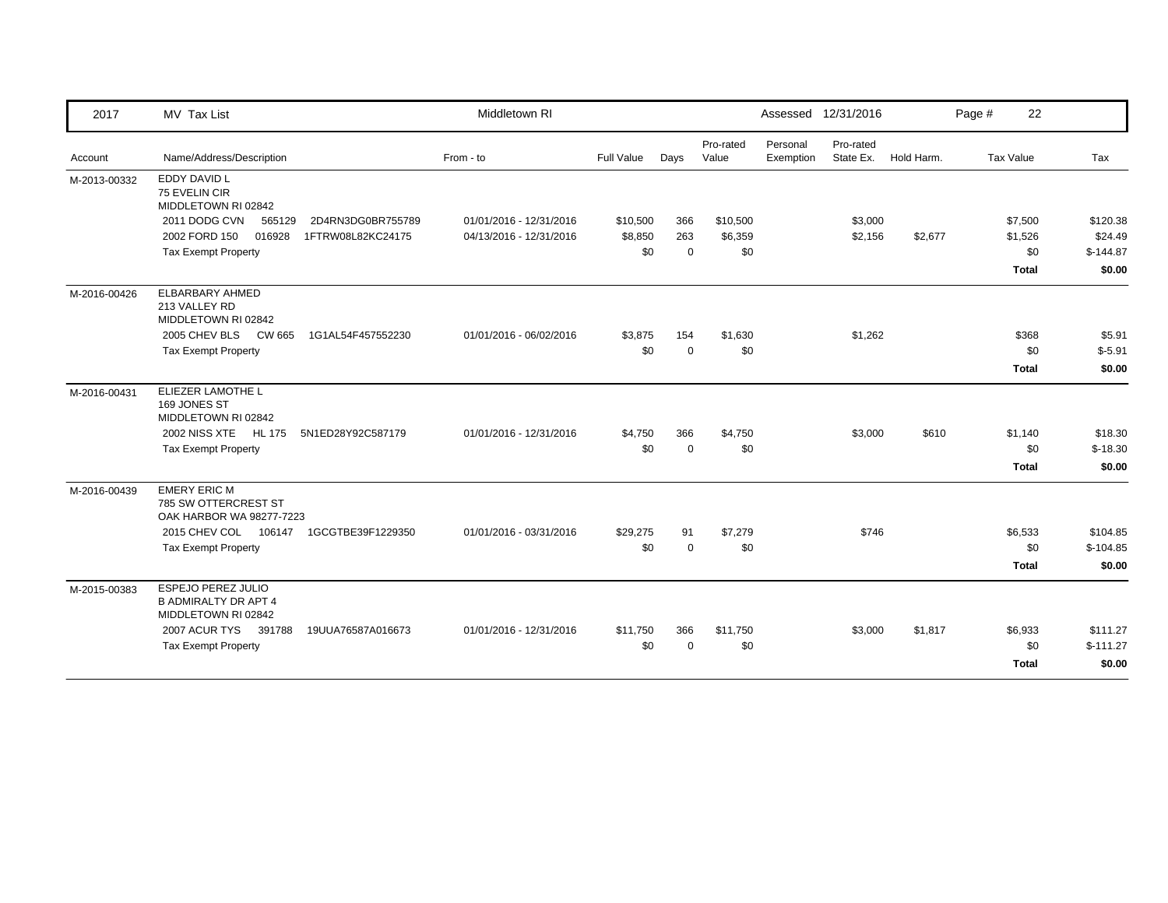| 2017         | MV Tax List                                                              | Middletown RI           |            |             |                    |                       | Assessed 12/31/2016    |            | Page # | 22           |            |
|--------------|--------------------------------------------------------------------------|-------------------------|------------|-------------|--------------------|-----------------------|------------------------|------------|--------|--------------|------------|
| Account      | Name/Address/Description                                                 | From - to               | Full Value | Days        | Pro-rated<br>Value | Personal<br>Exemption | Pro-rated<br>State Ex. | Hold Harm. |        | Tax Value    | Tax        |
| M-2013-00332 | EDDY DAVID L<br>75 EVELIN CIR<br>MIDDLETOWN RI 02842                     |                         |            |             |                    |                       |                        |            |        |              |            |
|              | 2011 DODG CVN<br>2D4RN3DG0BR755789<br>565129                             | 01/01/2016 - 12/31/2016 | \$10,500   | 366         | \$10,500           |                       | \$3,000                |            |        | \$7,500      | \$120.38   |
|              | 2002 FORD 150<br>016928<br>1FTRW08L82KC24175                             | 04/13/2016 - 12/31/2016 | \$8,850    | 263         | \$6,359            |                       | \$2,156                | \$2,677    |        | \$1,526      | \$24.49    |
|              | <b>Tax Exempt Property</b>                                               |                         | \$0        | $\mathbf 0$ | \$0                |                       |                        |            |        | \$0          | $$-144.87$ |
|              |                                                                          |                         |            |             |                    |                       |                        |            |        | <b>Total</b> | \$0.00     |
| M-2016-00426 | ELBARBARY AHMED<br>213 VALLEY RD<br>MIDDLETOWN RI 02842                  |                         |            |             |                    |                       |                        |            |        |              |            |
|              | 1G1AL54F457552230                                                        | 01/01/2016 - 06/02/2016 | \$3,875    | 154         | \$1,630            |                       | \$1,262                |            |        | \$368        | \$5.91     |
|              | <b>Tax Exempt Property</b>                                               |                         | \$0        | $\mathbf 0$ | \$0                |                       |                        |            |        | \$0          | $$-5.91$   |
|              |                                                                          |                         |            |             |                    |                       |                        |            |        | <b>Total</b> | \$0.00     |
| M-2016-00431 | ELIEZER LAMOTHE L<br>169 JONES ST<br>MIDDLETOWN RI 02842                 |                         |            |             |                    |                       |                        |            |        |              |            |
|              | 2002 NISS XTE HL 175<br>5N1ED28Y92C587179                                | 01/01/2016 - 12/31/2016 | \$4,750    | 366         | \$4,750            |                       | \$3,000                | \$610      |        | \$1,140      | \$18.30    |
|              | <b>Tax Exempt Property</b>                                               |                         | \$0        | $\mathbf 0$ | \$0                |                       |                        |            |        | \$0          | $$-18.30$  |
|              |                                                                          |                         |            |             |                    |                       |                        |            |        | <b>Total</b> | \$0.00     |
| M-2016-00439 | <b>EMERY ERIC M</b><br>785 SW OTTERCREST ST<br>OAK HARBOR WA 98277-7223  |                         |            |             |                    |                       |                        |            |        |              |            |
|              | 1GCGTBE39F1229350<br>2015 CHEV COL 106147                                | 01/01/2016 - 03/31/2016 | \$29,275   | 91          | \$7,279            |                       | \$746                  |            |        | \$6,533      | \$104.85   |
|              | <b>Tax Exempt Property</b>                                               |                         | \$0        | $\mathbf 0$ | \$0                |                       |                        |            |        | \$0          | $$-104.85$ |
|              |                                                                          |                         |            |             |                    |                       |                        |            |        | <b>Total</b> | \$0.00     |
| M-2015-00383 | ESPEJO PEREZ JULIO<br><b>B ADMIRALTY DR APT 4</b><br>MIDDLETOWN RI 02842 |                         |            |             |                    |                       |                        |            |        |              |            |
|              | 2007 ACUR TYS 391788<br>19UUA76587A016673                                | 01/01/2016 - 12/31/2016 | \$11,750   | 366         | \$11,750           |                       | \$3,000                | \$1,817    |        | \$6,933      | \$111.27   |
|              | <b>Tax Exempt Property</b>                                               |                         | \$0        | $\Omega$    | \$0                |                       |                        |            |        | \$0          | $$-111.27$ |
|              |                                                                          |                         |            |             |                    |                       |                        |            |        | Total        | \$0.00     |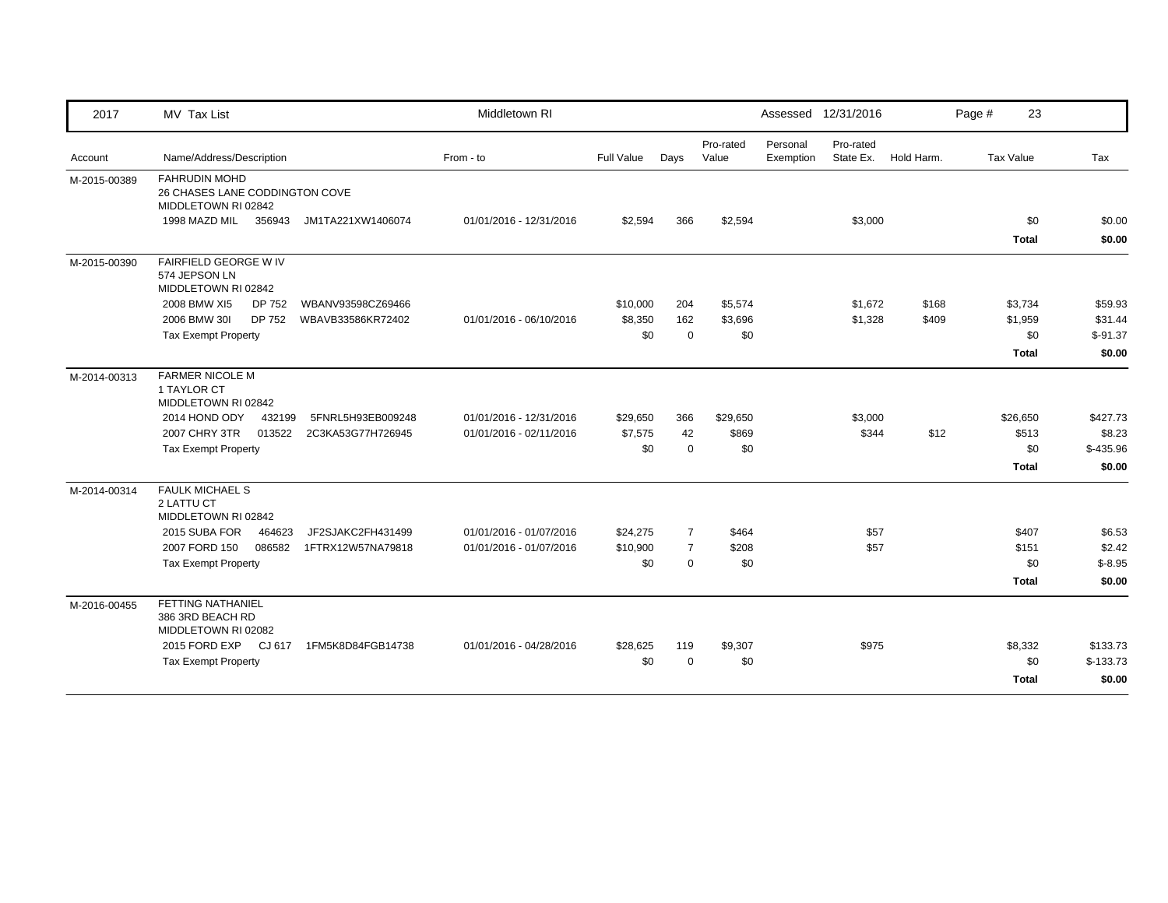| 2017         | MV Tax List                                                                   | Middletown RI           |            |                |                    |                       | Assessed 12/31/2016    |            | Page #           | 23                      |
|--------------|-------------------------------------------------------------------------------|-------------------------|------------|----------------|--------------------|-----------------------|------------------------|------------|------------------|-------------------------|
| Account      | Name/Address/Description                                                      | From - to               | Full Value | Days           | Pro-rated<br>Value | Personal<br>Exemption | Pro-rated<br>State Ex. | Hold Harm. | <b>Tax Value</b> | Tax                     |
| M-2015-00389 | <b>FAHRUDIN MOHD</b><br>26 CHASES LANE CODDINGTON COVE<br>MIDDLETOWN RI 02842 |                         |            |                |                    |                       |                        |            |                  |                         |
|              | 1998 MAZD MIL<br>356943<br>JM1TA221XW1406074                                  | 01/01/2016 - 12/31/2016 | \$2,594    | 366            | \$2,594            |                       | \$3,000                |            | <b>Total</b>     | \$0<br>\$0.00<br>\$0.00 |
| M-2015-00390 | FAIRFIELD GEORGE W IV<br>574 JEPSON LN<br>MIDDLETOWN RI 02842                 |                         |            |                |                    |                       |                        |            |                  |                         |
|              | 2008 BMW XI5<br>DP 752<br>WBANV93598CZ69466                                   |                         | \$10,000   | 204            | \$5,574            |                       | \$1,672                | \$168      | \$3,734          | \$59.93                 |
|              | 2006 BMW 301<br>DP 752<br>WBAVB33586KR72402                                   | 01/01/2016 - 06/10/2016 | \$8,350    | 162            | \$3,696            |                       | \$1,328                | \$409      | \$1,959          | \$31.44                 |
|              | <b>Tax Exempt Property</b>                                                    |                         | \$0        | $\mathbf 0$    | \$0                |                       |                        |            |                  | \$0<br>$$-91.37$        |
|              |                                                                               |                         |            |                |                    |                       |                        |            | <b>Total</b>     | \$0.00                  |
| M-2014-00313 | <b>FARMER NICOLE M</b><br>1 TAYLOR CT<br>MIDDLETOWN RI 02842                  |                         |            |                |                    |                       |                        |            |                  |                         |
|              | 2014 HOND ODY<br>432199<br>5FNRL5H93EB009248                                  | 01/01/2016 - 12/31/2016 | \$29,650   | 366            | \$29,650           |                       | \$3,000                |            | \$26,650         | \$427.73                |
|              | <b>2007 CHRY 3TR</b><br>013522<br>2C3KA53G77H726945                           | 01/01/2016 - 02/11/2016 | \$7,575    | 42             | \$869              |                       | \$344                  | \$12       | \$513            | \$8.23                  |
|              | <b>Tax Exempt Property</b>                                                    |                         | \$0        | $\mathbf 0$    | \$0                |                       |                        |            |                  | \$0<br>$$-435.96$       |
|              |                                                                               |                         |            |                |                    |                       |                        |            | <b>Total</b>     | \$0.00                  |
| M-2014-00314 | <b>FAULK MICHAEL S</b><br>2 LATTU CT<br>MIDDLETOWN RI 02842                   |                         |            |                |                    |                       |                        |            |                  |                         |
|              | JF2SJAKC2FH431499<br>2015 SUBA FOR<br>464623                                  | 01/01/2016 - 01/07/2016 | \$24,275   | $\overline{7}$ | \$464              |                       | \$57                   |            | \$407            | \$6.53                  |
|              | 2007 FORD 150<br>086582<br>1FTRX12W57NA79818                                  | 01/01/2016 - 01/07/2016 | \$10,900   | $\overline{7}$ | \$208              |                       | \$57                   |            | \$151            | \$2.42                  |
|              | <b>Tax Exempt Property</b>                                                    |                         | \$0        | $\mathbf 0$    | \$0                |                       |                        |            |                  | \$0<br>$$-8.95$         |
|              |                                                                               |                         |            |                |                    |                       |                        |            | <b>Total</b>     | \$0.00                  |
| M-2016-00455 | <b>FETTING NATHANIEL</b><br>386 3RD BEACH RD<br>MIDDLETOWN RI 02082           |                         |            |                |                    |                       |                        |            |                  |                         |
|              | 2015 FORD EXP CJ 617<br>1FM5K8D84FGB14738                                     | 01/01/2016 - 04/28/2016 | \$28,625   | 119            | \$9,307            |                       | \$975                  |            | \$8,332          | \$133.73                |
|              | <b>Tax Exempt Property</b>                                                    |                         | \$0        | $\Omega$       | \$0                |                       |                        |            |                  | \$0<br>$$-133.73$       |
|              |                                                                               |                         |            |                |                    |                       |                        |            | <b>Total</b>     | \$0.00                  |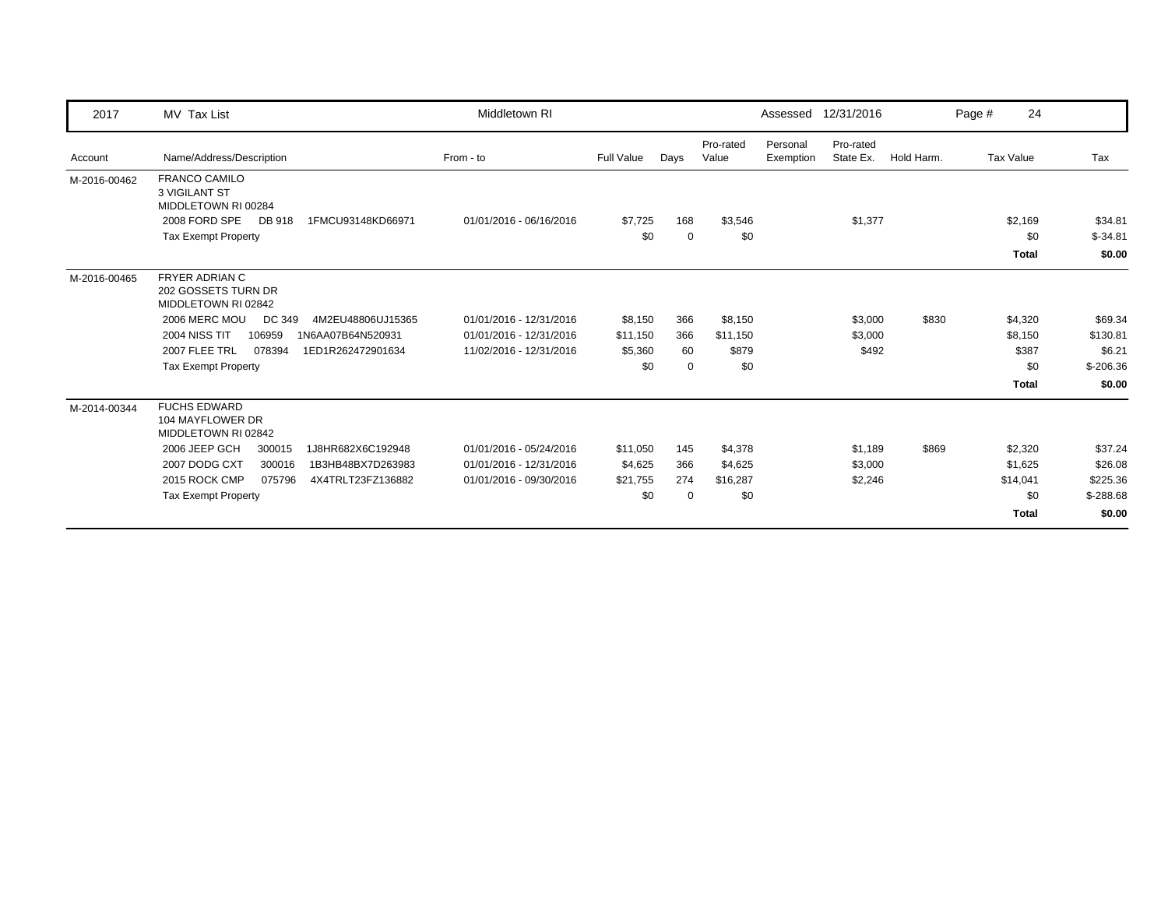| 2017         | MV Tax List                                                         | Middletown RI           |                   |             |                    |                       | Assessed 12/31/2016    |            | Page # | 24               |             |
|--------------|---------------------------------------------------------------------|-------------------------|-------------------|-------------|--------------------|-----------------------|------------------------|------------|--------|------------------|-------------|
| Account      | Name/Address/Description                                            | From - to               | <b>Full Value</b> | Days        | Pro-rated<br>Value | Personal<br>Exemption | Pro-rated<br>State Ex. | Hold Harm. |        | <b>Tax Value</b> | Tax         |
| M-2016-00462 | <b>FRANCO CAMILO</b><br><b>3 VIGILANT ST</b><br>MIDDLETOWN RI 00284 |                         |                   |             |                    |                       |                        |            |        |                  |             |
|              | 2008 FORD SPE<br>DB 918<br>1FMCU93148KD66971                        | 01/01/2016 - 06/16/2016 | \$7,725           | 168         | \$3,546            |                       | \$1,377                |            |        | \$2,169          | \$34.81     |
|              | <b>Tax Exempt Property</b>                                          |                         | \$0               | $\mathbf 0$ | \$0                |                       |                        |            |        | \$0              | $$-34.81$   |
|              |                                                                     |                         |                   |             |                    |                       |                        |            |        | <b>Total</b>     | \$0.00      |
| M-2016-00465 | <b>FRYER ADRIAN C</b><br>202 GOSSETS TURN DR<br>MIDDLETOWN RI 02842 |                         |                   |             |                    |                       |                        |            |        |                  |             |
|              | 2006 MERC MOU<br>DC 349<br>4M2EU48806UJ15365                        | 01/01/2016 - 12/31/2016 | \$8,150           | 366         | \$8,150            |                       | \$3,000                | \$830      |        | \$4,320          | \$69.34     |
|              | <b>2004 NISS TIT</b><br>106959<br>1N6AA07B64N520931                 | 01/01/2016 - 12/31/2016 | \$11,150          | 366         | \$11,150           |                       | \$3,000                |            |        | \$8,150          | \$130.81    |
|              | 2007 FLEE TRL<br>078394<br>1ED1R262472901634                        | 11/02/2016 - 12/31/2016 | \$5,360           | 60          | \$879              |                       | \$492                  |            |        | \$387            | \$6.21      |
|              | <b>Tax Exempt Property</b>                                          |                         | \$0               | $\mathbf 0$ | \$0                |                       |                        |            |        | \$0              | $$-206.36$  |
|              |                                                                     |                         |                   |             |                    |                       |                        |            |        | <b>Total</b>     | \$0.00      |
| M-2014-00344 | <b>FUCHS EDWARD</b><br>104 MAYFLOWER DR<br>MIDDLETOWN RI 02842      |                         |                   |             |                    |                       |                        |            |        |                  |             |
|              | 2006 JEEP GCH<br>1J8HR682X6C192948<br>300015                        | 01/01/2016 - 05/24/2016 | \$11,050          | 145         | \$4,378            |                       | \$1,189                | \$869      |        | \$2,320          | \$37.24     |
|              | 2007 DODG CXT<br>300016<br>1B3HB48BX7D263983                        | 01/01/2016 - 12/31/2016 | \$4,625           | 366         | \$4,625            |                       | \$3,000                |            |        | \$1,625          | \$26.08     |
|              | 2015 ROCK CMP<br>4X4TRLT23FZ136882<br>075796                        | 01/01/2016 - 09/30/2016 | \$21,755          | 274         | \$16,287           |                       | \$2,246                |            |        | \$14,041         | \$225.36    |
|              | <b>Tax Exempt Property</b>                                          |                         | \$0               | $\Omega$    | \$0                |                       |                        |            |        | \$0              | $$ -288.68$ |
|              |                                                                     |                         |                   |             |                    |                       |                        |            |        | <b>Total</b>     | \$0.00      |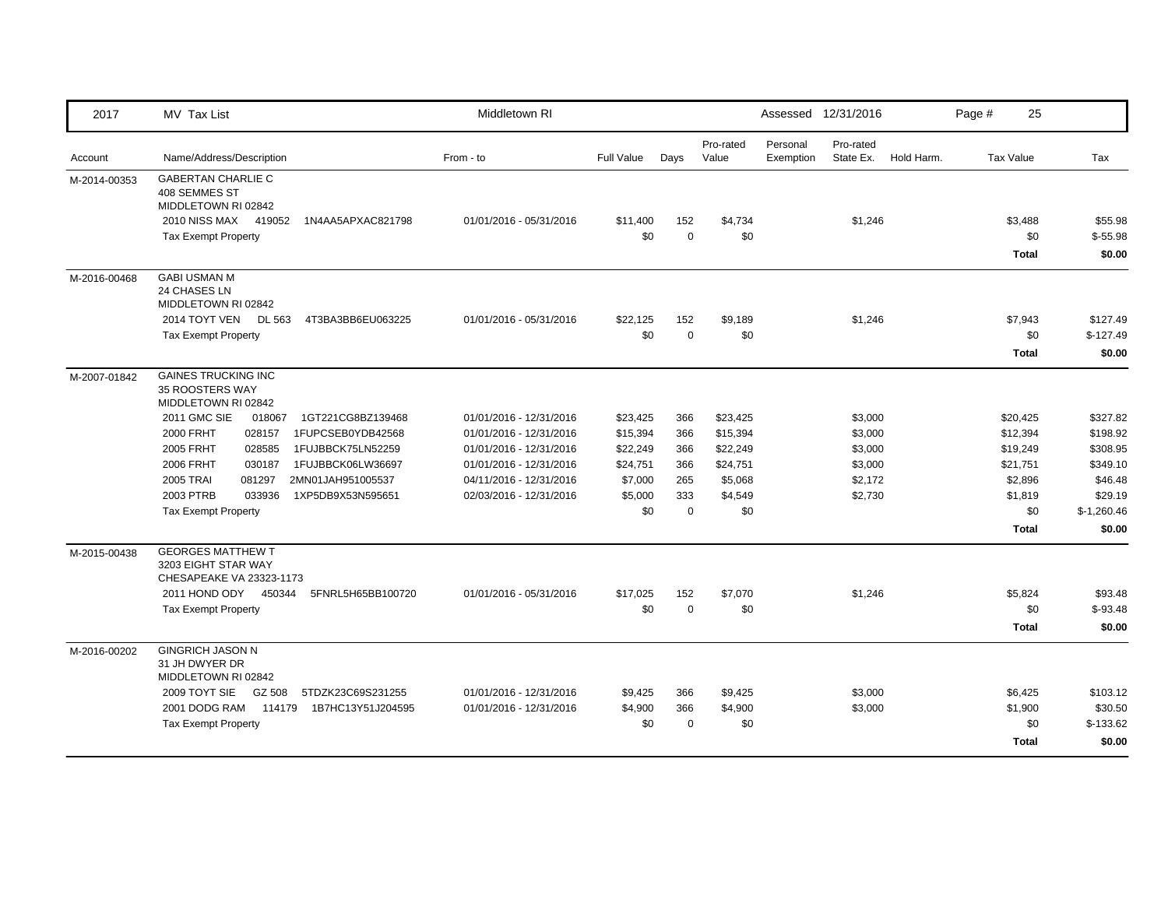| 2017         | MV Tax List                                                                 | Middletown RI           |                   |             |                    |                       | Assessed 12/31/2016    |            | Page # | 25               |              |
|--------------|-----------------------------------------------------------------------------|-------------------------|-------------------|-------------|--------------------|-----------------------|------------------------|------------|--------|------------------|--------------|
| Account      | Name/Address/Description                                                    | From - to               | <b>Full Value</b> | Days        | Pro-rated<br>Value | Personal<br>Exemption | Pro-rated<br>State Ex. | Hold Harm. |        | <b>Tax Value</b> | Tax          |
| M-2014-00353 | <b>GABERTAN CHARLIE C</b><br>408 SEMMES ST<br>MIDDLETOWN RI 02842           |                         |                   |             |                    |                       |                        |            |        |                  |              |
|              | 2010 NISS MAX<br>419052<br>1N4AA5APXAC821798                                | 01/01/2016 - 05/31/2016 | \$11,400          | 152         | \$4,734            |                       | \$1,246                |            |        | \$3,488          | \$55.98      |
|              | <b>Tax Exempt Property</b>                                                  |                         | \$0               | $\mathbf 0$ | \$0                |                       |                        |            |        | \$0              | $$-55.98$    |
|              |                                                                             |                         |                   |             |                    |                       |                        |            |        | <b>Total</b>     | \$0.00       |
| M-2016-00468 | <b>GABI USMAN M</b><br>24 CHASES LN<br>MIDDLETOWN RI 02842                  |                         |                   |             |                    |                       |                        |            |        |                  |              |
|              | 2014 TOYT VEN<br><b>DL 563</b><br>4T3BA3BB6EU063225                         | 01/01/2016 - 05/31/2016 | \$22,125          | 152         | \$9,189            |                       | \$1,246                |            |        | \$7,943          | \$127.49     |
|              | <b>Tax Exempt Property</b>                                                  |                         | \$0               | $\mathbf 0$ | \$0                |                       |                        |            |        | \$0              | $$-127.49$   |
|              |                                                                             |                         |                   |             |                    |                       |                        |            |        | <b>Total</b>     | \$0.00       |
| M-2007-01842 | <b>GAINES TRUCKING INC</b><br>35 ROOSTERS WAY<br>MIDDLETOWN RI 02842        |                         |                   |             |                    |                       |                        |            |        |                  |              |
|              | 2011 GMC SIE<br>018067<br>1GT221CG8BZ139468                                 | 01/01/2016 - 12/31/2016 | \$23,425          | 366         | \$23,425           |                       | \$3,000                |            |        | \$20,425         | \$327.82     |
|              | 2000 FRHT<br>028157<br>1FUPCSEB0YDB42568                                    | 01/01/2016 - 12/31/2016 | \$15,394          | 366         | \$15,394           |                       | \$3,000                |            |        | \$12,394         | \$198.92     |
|              | 2005 FRHT<br>028585<br>1FUJBBCK75LN52259                                    | 01/01/2016 - 12/31/2016 | \$22,249          | 366         | \$22,249           |                       | \$3,000                |            |        | \$19,249         | \$308.95     |
|              | 2006 FRHT<br>030187<br>1FUJBBCK06LW36697                                    | 01/01/2016 - 12/31/2016 | \$24,751          | 366         | \$24,751           |                       | \$3,000                |            |        | \$21,751         | \$349.10     |
|              | <b>2005 TRAI</b><br>2MN01JAH951005537<br>081297                             | 04/11/2016 - 12/31/2016 | \$7,000           | 265         | \$5,068            |                       | \$2,172                |            |        | \$2,896          | \$46.48      |
|              | 2003 PTRB<br>033936<br>1XP5DB9X53N595651                                    | 02/03/2016 - 12/31/2016 | \$5,000           | 333         | \$4,549            |                       | \$2,730                |            |        | \$1,819          | \$29.19      |
|              | <b>Tax Exempt Property</b>                                                  |                         | \$0               | $\mathbf 0$ | \$0                |                       |                        |            |        | \$0              | $$-1,260.46$ |
|              |                                                                             |                         |                   |             |                    |                       |                        |            |        | <b>Total</b>     | \$0.00       |
| M-2015-00438 | <b>GEORGES MATTHEW T</b><br>3203 EIGHT STAR WAY<br>CHESAPEAKE VA 23323-1173 |                         |                   |             |                    |                       |                        |            |        |                  |              |
|              | 2011 HOND ODY 450344<br>5FNRL5H65BB100720                                   | 01/01/2016 - 05/31/2016 | \$17,025          | 152         | \$7,070            |                       | \$1,246                |            |        | \$5,824          | \$93.48      |
|              | <b>Tax Exempt Property</b>                                                  |                         | \$0               | $\mathbf 0$ | \$0                |                       |                        |            |        | \$0              | $$-93.48$    |
|              |                                                                             |                         |                   |             |                    |                       |                        |            |        | <b>Total</b>     | \$0.00       |
| M-2016-00202 | <b>GINGRICH JASON N</b><br>31 JH DWYER DR<br>MIDDLETOWN RI 02842            |                         |                   |             |                    |                       |                        |            |        |                  |              |
|              | 2009 TOYT SIE<br>GZ 508<br>5TDZK23C69S231255                                | 01/01/2016 - 12/31/2016 | \$9,425           | 366         | \$9,425            |                       | \$3,000                |            |        | \$6,425          | \$103.12     |
|              | 2001 DODG RAM<br>114179<br>1B7HC13Y51J204595                                | 01/01/2016 - 12/31/2016 | \$4,900           | 366         | \$4,900            |                       | \$3,000                |            |        | \$1,900          | \$30.50      |
|              | <b>Tax Exempt Property</b>                                                  |                         | \$0               | $\mathbf 0$ | \$0                |                       |                        |            |        | \$0              | $$-133.62$   |
|              |                                                                             |                         |                   |             |                    |                       |                        |            |        | Total            | \$0.00       |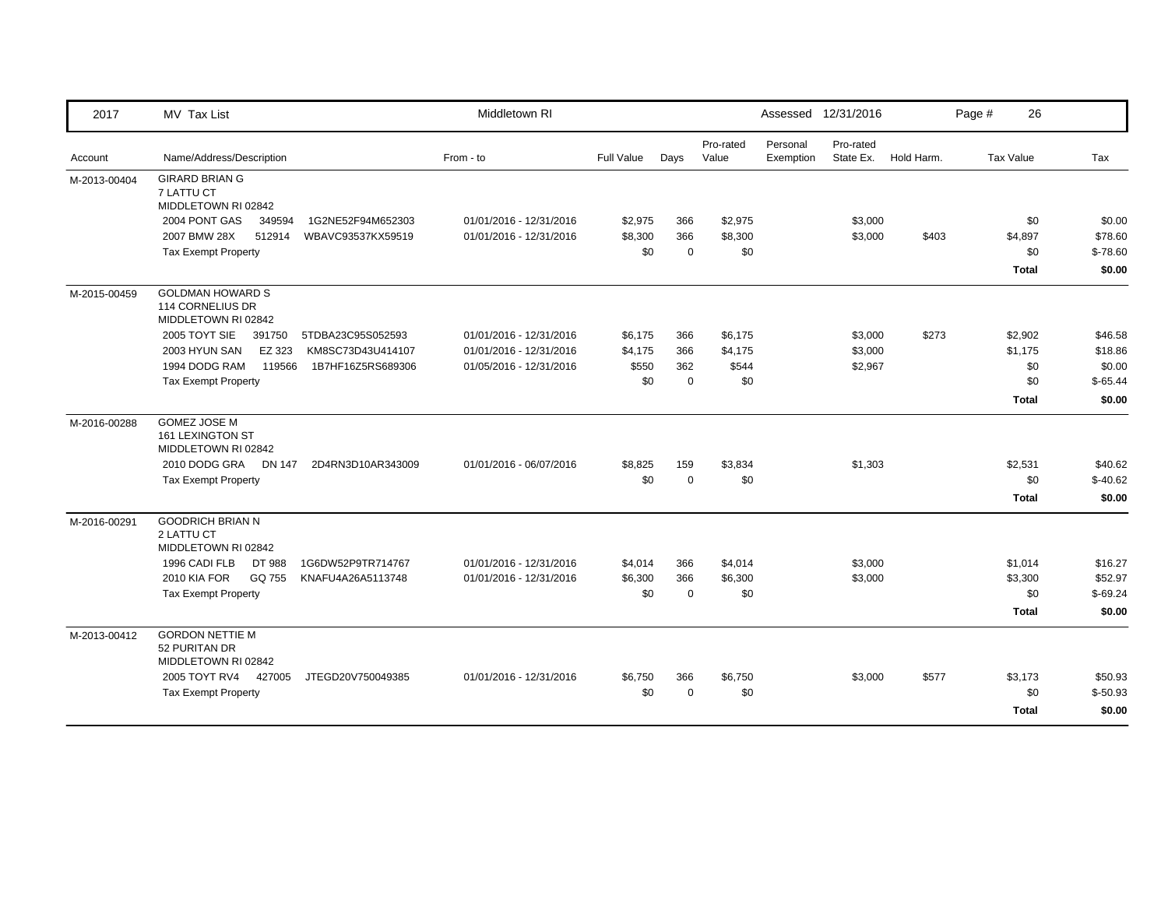| 2017         | MV Tax List                                                        | Middletown RI           |            |             |                    |                       | Assessed 12/31/2016    |            | Page #           | 26           |           |
|--------------|--------------------------------------------------------------------|-------------------------|------------|-------------|--------------------|-----------------------|------------------------|------------|------------------|--------------|-----------|
| Account      | Name/Address/Description                                           | From - to               | Full Value | Days        | Pro-rated<br>Value | Personal<br>Exemption | Pro-rated<br>State Ex. | Hold Harm. | <b>Tax Value</b> |              | Tax       |
| M-2013-00404 | <b>GIRARD BRIAN G</b><br>7 LATTU CT<br>MIDDLETOWN RI 02842         |                         |            |             |                    |                       |                        |            |                  |              |           |
|              | 2004 PONT GAS<br>349594<br>1G2NE52F94M652303                       | 01/01/2016 - 12/31/2016 | \$2,975    | 366         | \$2,975            |                       | \$3,000                |            |                  | \$0          | \$0.00    |
|              | 2007 BMW 28X<br>512914<br>WBAVC93537KX59519                        | 01/01/2016 - 12/31/2016 | \$8,300    | 366         | \$8,300            |                       | \$3,000                | \$403      |                  | \$4,897      | \$78.60   |
|              | <b>Tax Exempt Property</b>                                         |                         | \$0        | $\mathbf 0$ | \$0                |                       |                        |            |                  | \$0          | $$-78.60$ |
|              |                                                                    |                         |            |             |                    |                       |                        |            |                  | <b>Total</b> | \$0.00    |
| M-2015-00459 | <b>GOLDMAN HOWARD S</b><br>114 CORNELIUS DR<br>MIDDLETOWN RI 02842 |                         |            |             |                    |                       |                        |            |                  |              |           |
|              | 2005 TOYT SIE<br>391750<br>5TDBA23C95S052593                       | 01/01/2016 - 12/31/2016 | \$6,175    | 366         | \$6,175            |                       | \$3,000                | \$273      |                  | \$2,902      | \$46.58   |
|              | 2003 HYUN SAN<br>EZ 323<br>KM8SC73D43U414107                       | 01/01/2016 - 12/31/2016 | \$4,175    | 366         | \$4,175            |                       | \$3,000                |            |                  | \$1,175      | \$18.86   |
|              | 1994 DODG RAM<br>119566<br>1B7HF16Z5RS689306                       | 01/05/2016 - 12/31/2016 | \$550      | 362         | \$544              |                       | \$2,967                |            |                  | \$0          | \$0.00    |
|              | <b>Tax Exempt Property</b>                                         |                         | \$0        | $\mathbf 0$ | \$0                |                       |                        |            |                  | \$0          | $$-65.44$ |
|              |                                                                    |                         |            |             |                    |                       |                        |            |                  | Total        | \$0.00    |
| M-2016-00288 | <b>GOMEZ JOSE M</b><br>161 LEXINGTON ST<br>MIDDLETOWN RI 02842     |                         |            |             |                    |                       |                        |            |                  |              |           |
|              | 2010 DODG GRA<br><b>DN 147</b><br>2D4RN3D10AR343009                | 01/01/2016 - 06/07/2016 | \$8,825    | 159         | \$3,834            |                       | \$1,303                |            |                  | \$2,531      | \$40.62   |
|              | <b>Tax Exempt Property</b>                                         |                         | \$0        | $\mathbf 0$ | \$0                |                       |                        |            |                  | \$0          | $$-40.62$ |
|              |                                                                    |                         |            |             |                    |                       |                        |            |                  | <b>Total</b> | \$0.00    |
| M-2016-00291 | <b>GOODRICH BRIAN N</b><br>2 LATTU CT<br>MIDDLETOWN RI 02842       |                         |            |             |                    |                       |                        |            |                  |              |           |
|              | 1996 CADI FLB<br>DT 988<br>1G6DW52P9TR714767                       | 01/01/2016 - 12/31/2016 | \$4,014    | 366         | \$4,014            |                       | \$3,000                |            |                  | \$1,014      | \$16.27   |
|              | <b>2010 KIA FOR</b><br>GQ 755<br>KNAFU4A26A5113748                 | 01/01/2016 - 12/31/2016 | \$6,300    | 366         | \$6,300            |                       | \$3,000                |            |                  | \$3,300      | \$52.97   |
|              | <b>Tax Exempt Property</b>                                         |                         | \$0        | $\mathbf 0$ | \$0                |                       |                        |            |                  | \$0          | $$-69.24$ |
|              |                                                                    |                         |            |             |                    |                       |                        |            |                  | <b>Total</b> | \$0.00    |
| M-2013-00412 | <b>GORDON NETTIE M</b><br>52 PURITAN DR<br>MIDDLETOWN RI 02842     |                         |            |             |                    |                       |                        |            |                  |              |           |
|              | 2005 TOYT RV4<br>427005<br>JTEGD20V750049385                       | 01/01/2016 - 12/31/2016 | \$6,750    | 366         | \$6,750            |                       | \$3,000                | \$577      |                  | \$3,173      | \$50.93   |
|              | <b>Tax Exempt Property</b>                                         |                         | \$0        | $\mathbf 0$ | \$0                |                       |                        |            |                  | \$0          | $$-50.93$ |
|              |                                                                    |                         |            |             |                    |                       |                        |            |                  | <b>Total</b> | \$0.00    |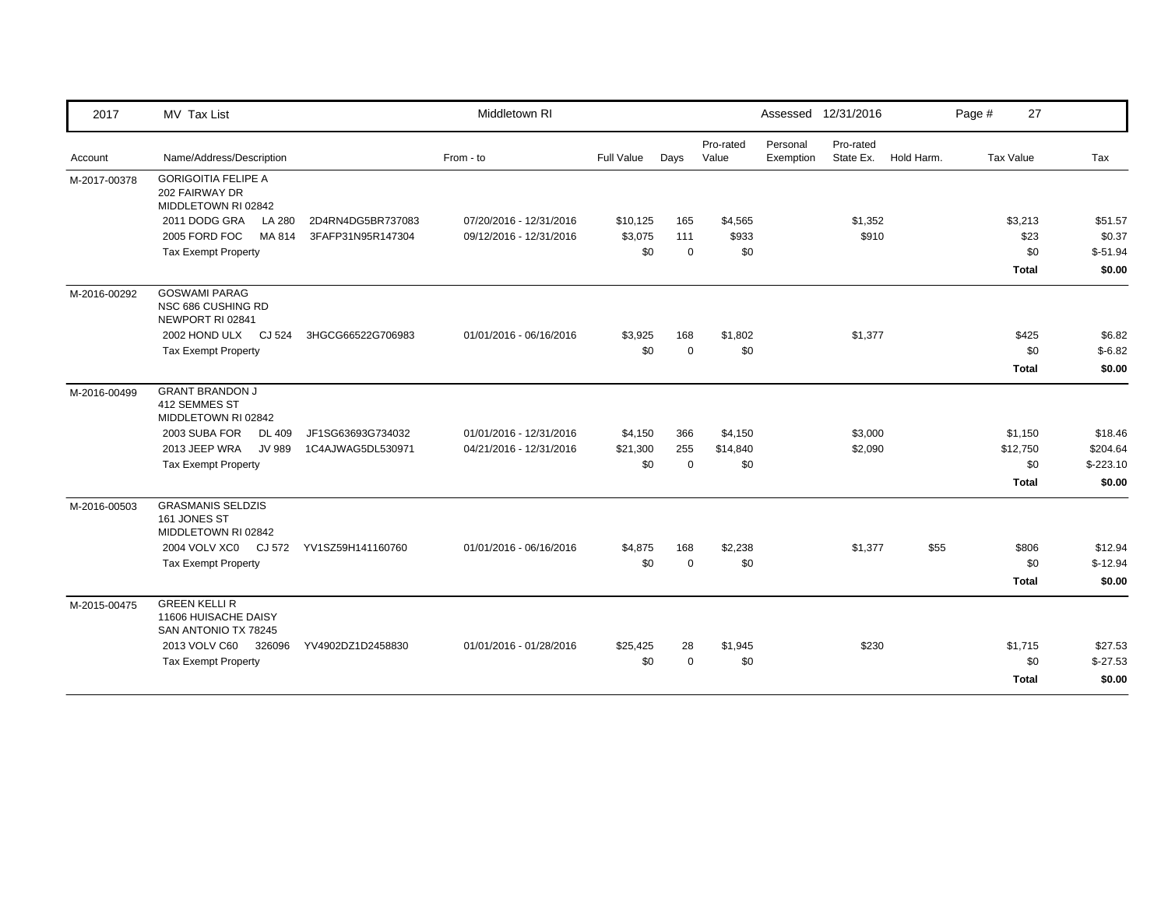| 2017         | MV Tax List                                                          |                   | Middletown RI           |            |             |                    |                       | Assessed 12/31/2016    |            | Page # | 27           |            |
|--------------|----------------------------------------------------------------------|-------------------|-------------------------|------------|-------------|--------------------|-----------------------|------------------------|------------|--------|--------------|------------|
| Account      | Name/Address/Description                                             |                   | From - to               | Full Value | Days        | Pro-rated<br>Value | Personal<br>Exemption | Pro-rated<br>State Ex. | Hold Harm. |        | Tax Value    | Tax        |
| M-2017-00378 | <b>GORIGOITIA FELIPE A</b><br>202 FAIRWAY DR<br>MIDDLETOWN RI 02842  |                   |                         |            |             |                    |                       |                        |            |        |              |            |
|              | 2011 DODG GRA<br><b>LA 280</b>                                       | 2D4RN4DG5BR737083 | 07/20/2016 - 12/31/2016 | \$10,125   | 165         | \$4,565            |                       | \$1,352                |            |        | \$3,213      | \$51.57    |
|              | 2005 FORD FOC<br>MA 814                                              | 3FAFP31N95R147304 | 09/12/2016 - 12/31/2016 | \$3,075    | 111         | \$933              |                       | \$910                  |            |        | \$23         | \$0.37     |
|              | <b>Tax Exempt Property</b>                                           |                   |                         | \$0        | $\Omega$    | \$0                |                       |                        |            |        | \$0          | $$-51.94$  |
|              |                                                                      |                   |                         |            |             |                    |                       |                        |            |        | <b>Total</b> | \$0.00     |
| M-2016-00292 | <b>GOSWAMI PARAG</b><br>NSC 686 CUSHING RD<br>NEWPORT RI 02841       |                   |                         |            |             |                    |                       |                        |            |        |              |            |
|              | 2002 HOND ULX CJ 524                                                 | 3HGCG66522G706983 | 01/01/2016 - 06/16/2016 | \$3,925    | 168         | \$1,802            |                       | \$1,377                |            |        | \$425        | \$6.82     |
|              | <b>Tax Exempt Property</b>                                           |                   |                         | \$0        | $\mathbf 0$ | \$0                |                       |                        |            |        | \$0          | $$-6.82$   |
|              |                                                                      |                   |                         |            |             |                    |                       |                        |            |        | <b>Total</b> | \$0.00     |
| M-2016-00499 | <b>GRANT BRANDON J</b><br>412 SEMMES ST<br>MIDDLETOWN RI 02842       |                   |                         |            |             |                    |                       |                        |            |        |              |            |
|              | 2003 SUBA FOR<br><b>DL 409</b>                                       | JF1SG63693G734032 | 01/01/2016 - 12/31/2016 | \$4,150    | 366         | \$4,150            |                       | \$3,000                |            |        | \$1,150      | \$18.46    |
|              | 2013 JEEP WRA<br><b>JV 989</b>                                       | 1C4AJWAG5DL530971 | 04/21/2016 - 12/31/2016 | \$21,300   | 255         | \$14,840           |                       | \$2,090                |            |        | \$12,750     | \$204.64   |
|              | <b>Tax Exempt Property</b>                                           |                   |                         | \$0        | $\mathbf 0$ | \$0                |                       |                        |            |        | \$0          | $$-223.10$ |
|              |                                                                      |                   |                         |            |             |                    |                       |                        |            |        | <b>Total</b> | \$0.00     |
| M-2016-00503 | <b>GRASMANIS SELDZIS</b><br>161 JONES ST<br>MIDDLETOWN RI 02842      |                   |                         |            |             |                    |                       |                        |            |        |              |            |
|              | 2004 VOLV XC0 CJ 572                                                 | YV1SZ59H141160760 | 01/01/2016 - 06/16/2016 | \$4,875    | 168         | \$2,238            |                       | \$1,377                | \$55       |        | \$806        | \$12.94    |
|              | <b>Tax Exempt Property</b>                                           |                   |                         | \$0        | $\mathbf 0$ | \$0                |                       |                        |            |        | \$0          | $$-12.94$  |
|              |                                                                      |                   |                         |            |             |                    |                       |                        |            |        | <b>Total</b> | \$0.00     |
| M-2015-00475 | <b>GREEN KELLI R</b><br>11606 HUISACHE DAISY<br>SAN ANTONIO TX 78245 |                   |                         |            |             |                    |                       |                        |            |        |              |            |
|              | 2013 VOLV C60<br>326096                                              | YV4902DZ1D2458830 | 01/01/2016 - 01/28/2016 | \$25,425   | 28          | \$1,945            |                       | \$230                  |            |        | \$1,715      | \$27.53    |
|              | <b>Tax Exempt Property</b>                                           |                   |                         | \$0        | $\Omega$    | \$0                |                       |                        |            |        | \$0          | $$-27.53$  |
|              |                                                                      |                   |                         |            |             |                    |                       |                        |            |        | <b>Total</b> | \$0.00     |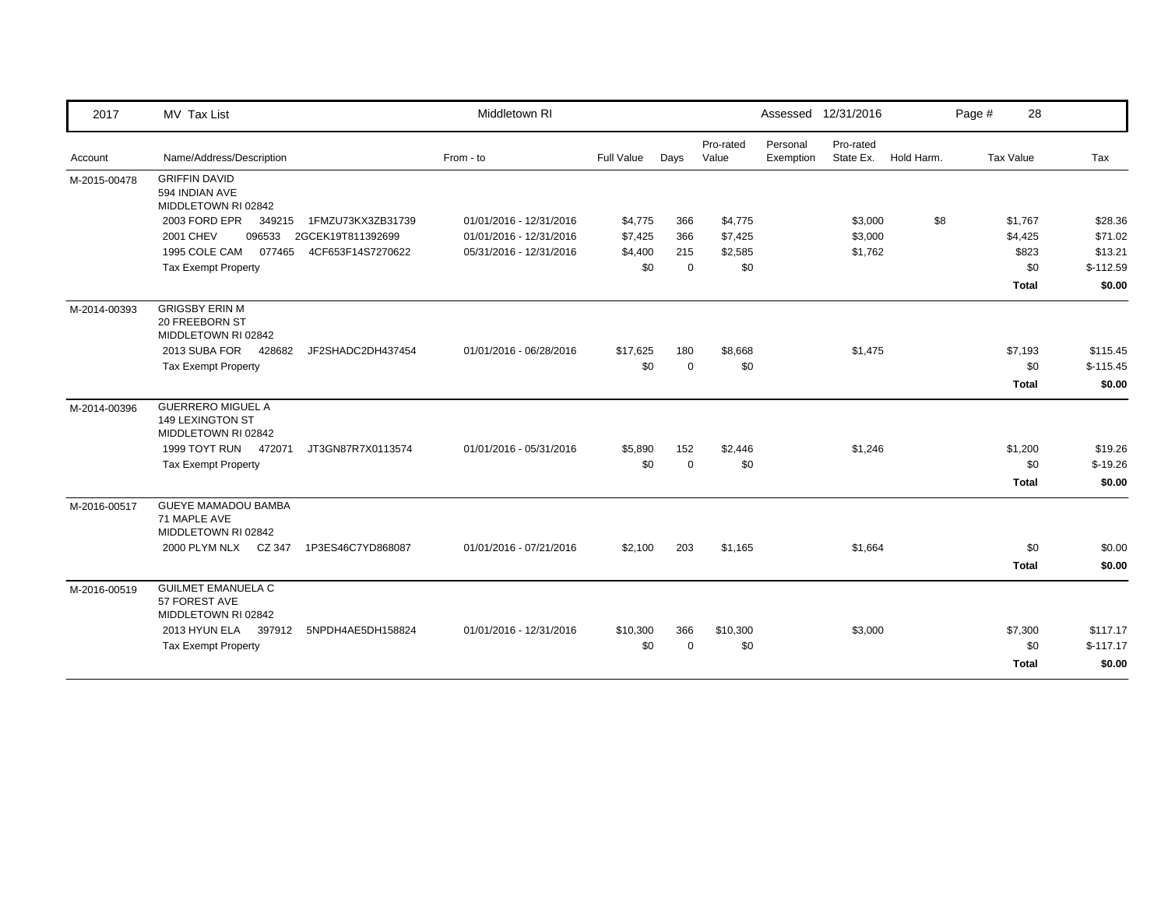| 2017         | MV Tax List                                                         | Middletown RI           |            |             |                    |                       | Assessed 12/31/2016    |            | Page # | 28           |            |
|--------------|---------------------------------------------------------------------|-------------------------|------------|-------------|--------------------|-----------------------|------------------------|------------|--------|--------------|------------|
| Account      | Name/Address/Description                                            | From - to               | Full Value | Days        | Pro-rated<br>Value | Personal<br>Exemption | Pro-rated<br>State Ex. | Hold Harm. |        | Tax Value    | Tax        |
| M-2015-00478 | <b>GRIFFIN DAVID</b><br>594 INDIAN AVE<br>MIDDLETOWN RI 02842       |                         |            |             |                    |                       |                        |            |        |              |            |
|              | 2003 FORD EPR<br>1FMZU73KX3ZB31739<br>349215                        | 01/01/2016 - 12/31/2016 | \$4,775    | 366         | \$4,775            |                       | \$3,000                | \$8        |        | \$1,767      | \$28.36    |
|              | <b>2001 CHEV</b><br>096533<br>2GCEK19T811392699                     | 01/01/2016 - 12/31/2016 | \$7,425    | 366         | \$7,425            |                       | \$3,000                |            |        | \$4,425      | \$71.02    |
|              | 1995 COLE CAM<br>077465<br>4CF653F14S7270622                        | 05/31/2016 - 12/31/2016 | \$4,400    | 215         | \$2,585            |                       | \$1,762                |            |        | \$823        | \$13.21    |
|              | <b>Tax Exempt Property</b>                                          |                         | \$0        | $\mathbf 0$ | \$0                |                       |                        |            |        | \$0          | $$-112.59$ |
|              |                                                                     |                         |            |             |                    |                       |                        |            |        | <b>Total</b> | \$0.00     |
| M-2014-00393 | <b>GRIGSBY ERIN M</b><br>20 FREEBORN ST<br>MIDDLETOWN RI 02842      |                         |            |             |                    |                       |                        |            |        |              |            |
|              | 2013 SUBA FOR<br>428682<br>JF2SHADC2DH437454                        | 01/01/2016 - 06/28/2016 | \$17,625   | 180         | \$8,668            |                       | \$1,475                |            |        | \$7,193      | \$115.45   |
|              | <b>Tax Exempt Property</b>                                          |                         | \$0        | $\Omega$    | \$0                |                       |                        |            |        | \$0          | $$-115.45$ |
|              |                                                                     |                         |            |             |                    |                       |                        |            |        | Total        | \$0.00     |
| M-2014-00396 | <b>GUERRERO MIGUEL A</b><br>149 LEXINGTON ST<br>MIDDLETOWN RI 02842 |                         |            |             |                    |                       |                        |            |        |              |            |
|              | 1999 TOYT RUN 472071<br>JT3GN87R7X0113574                           | 01/01/2016 - 05/31/2016 | \$5,890    | 152         | \$2,446            |                       | \$1,246                |            |        | \$1,200      | \$19.26    |
|              | <b>Tax Exempt Property</b>                                          |                         | \$0        | $\Omega$    | \$0                |                       |                        |            |        | \$0          | $$-19.26$  |
|              |                                                                     |                         |            |             |                    |                       |                        |            |        | Total        | \$0.00     |
| M-2016-00517 | GUEYE MAMADOU BAMBA<br>71 MAPLE AVE<br>MIDDLETOWN RI 02842          |                         |            |             |                    |                       |                        |            |        |              |            |
|              | 2000 PLYM NLX CZ 347<br>1P3ES46C7YD868087                           | 01/01/2016 - 07/21/2016 | \$2,100    | 203         | \$1,165            |                       | \$1,664                |            |        | \$0          | \$0.00     |
|              |                                                                     |                         |            |             |                    |                       |                        |            |        | Total        | \$0.00     |
| M-2016-00519 | <b>GUILMET EMANUELA C</b><br>57 FOREST AVE<br>MIDDLETOWN RI 02842   |                         |            |             |                    |                       |                        |            |        |              |            |
|              | 2013 HYUN ELA<br>397912<br>5NPDH4AE5DH158824                        | 01/01/2016 - 12/31/2016 | \$10,300   | 366         | \$10,300           |                       | \$3,000                |            |        | \$7,300      | \$117.17   |
|              | <b>Tax Exempt Property</b>                                          |                         | \$0        | $\Omega$    | \$0                |                       |                        |            |        | \$0          | $$-117.17$ |
|              |                                                                     |                         |            |             |                    |                       |                        |            |        | Total        | \$0.00     |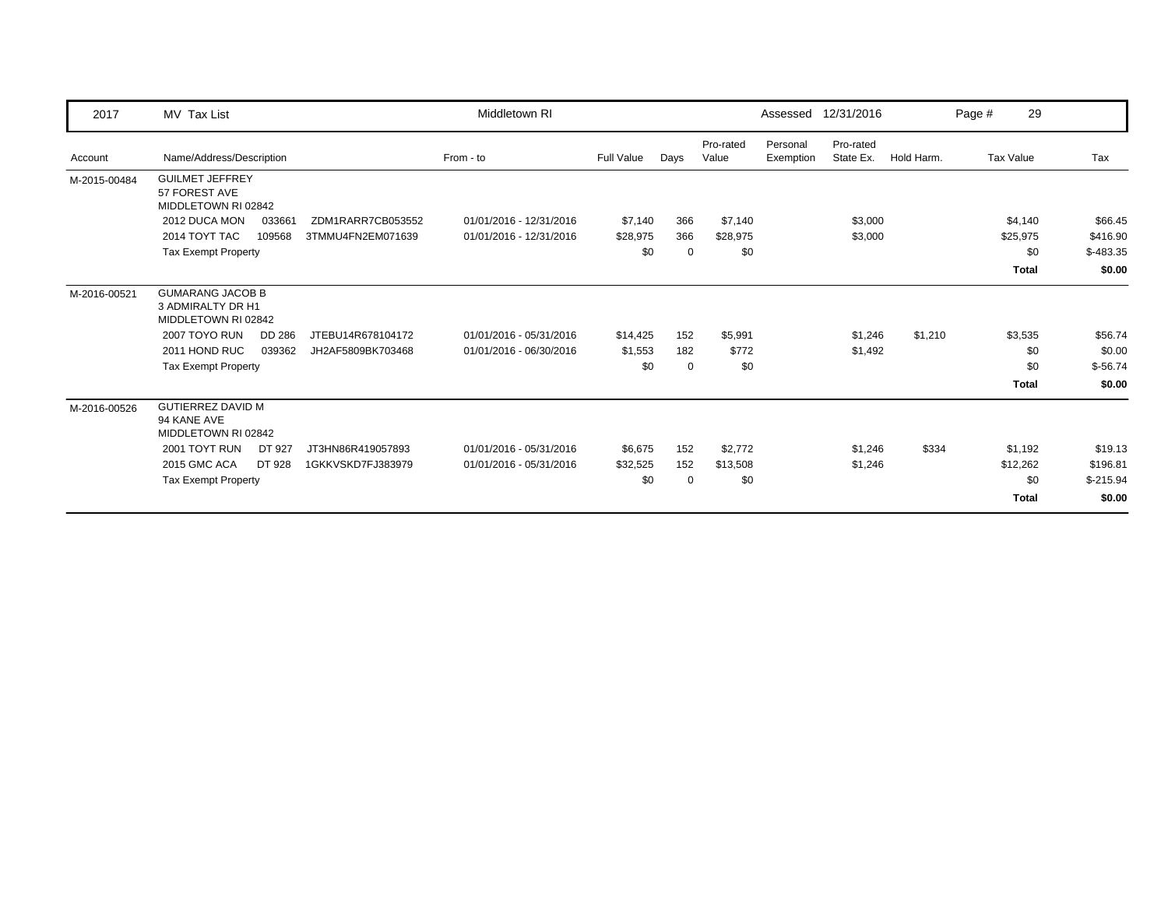| 2017         | MV Tax List                                                         | Middletown RI           |                   |             |                    |                       | Assessed 12/31/2016    |            | Page # | 29               |            |
|--------------|---------------------------------------------------------------------|-------------------------|-------------------|-------------|--------------------|-----------------------|------------------------|------------|--------|------------------|------------|
| Account      | Name/Address/Description                                            | From - to               | <b>Full Value</b> | Days        | Pro-rated<br>Value | Personal<br>Exemption | Pro-rated<br>State Ex. | Hold Harm. |        | <b>Tax Value</b> | Tax        |
| M-2015-00484 | <b>GUILMET JEFFREY</b><br>57 FOREST AVE<br>MIDDLETOWN RI 02842      |                         |                   |             |                    |                       |                        |            |        |                  |            |
|              | 2012 DUCA MON<br>ZDM1RARR7CB053552<br>033661                        | 01/01/2016 - 12/31/2016 | \$7,140           | 366         | \$7,140            |                       | \$3,000                |            |        | \$4,140          | \$66.45    |
|              | 2014 TOYT TAC<br>3TMMU4FN2EM071639<br>109568                        | 01/01/2016 - 12/31/2016 | \$28,975          | 366         | \$28,975           |                       | \$3,000                |            |        | \$25,975         | \$416.90   |
|              | Tax Exempt Property                                                 |                         | \$0               | 0           | \$0                |                       |                        |            |        | \$0              | $$-483.35$ |
|              |                                                                     |                         |                   |             |                    |                       |                        |            |        | <b>Total</b>     | \$0.00     |
| M-2016-00521 | <b>GUMARANG JACOB B</b><br>3 ADMIRALTY DR H1<br>MIDDLETOWN RI 02842 |                         |                   |             |                    |                       |                        |            |        |                  |            |
|              | 2007 TOYO RUN<br>DD 286<br>JTEBU14R678104172                        | 01/01/2016 - 05/31/2016 | \$14,425          | 152         | \$5,991            |                       | \$1,246                | \$1,210    |        | \$3,535          | \$56.74    |
|              | 2011 HOND RUC<br>039362<br>JH2AF5809BK703468                        | 01/01/2016 - 06/30/2016 | \$1,553           | 182         | \$772              |                       | \$1,492                |            |        | \$0              | \$0.00     |
|              | <b>Tax Exempt Property</b>                                          |                         | \$0               | $\mathbf 0$ | \$0                |                       |                        |            |        | \$0              | $$-56.74$  |
|              |                                                                     |                         |                   |             |                    |                       |                        |            |        | <b>Total</b>     | \$0.00     |
| M-2016-00526 | <b>GUTIERREZ DAVID M</b><br>94 KANE AVE<br>MIDDLETOWN RI 02842      |                         |                   |             |                    |                       |                        |            |        |                  |            |
|              | 2001 TOYT RUN<br>DT 927<br>JT3HN86R419057893                        | 01/01/2016 - 05/31/2016 | \$6,675           | 152         | \$2,772            |                       | \$1,246                | \$334      |        | \$1,192          | \$19.13    |
|              | 2015 GMC ACA<br>DT 928<br>1GKKVSKD7FJ383979                         | 01/01/2016 - 05/31/2016 | \$32,525          | 152         | \$13,508           |                       | \$1,246                |            |        | \$12,262         | \$196.81   |
|              | Tax Exempt Property                                                 |                         | \$0               | $\mathbf 0$ | \$0                |                       |                        |            |        | \$0              | $$-215.94$ |
|              |                                                                     |                         |                   |             |                    |                       |                        |            |        | <b>Total</b>     | \$0.00     |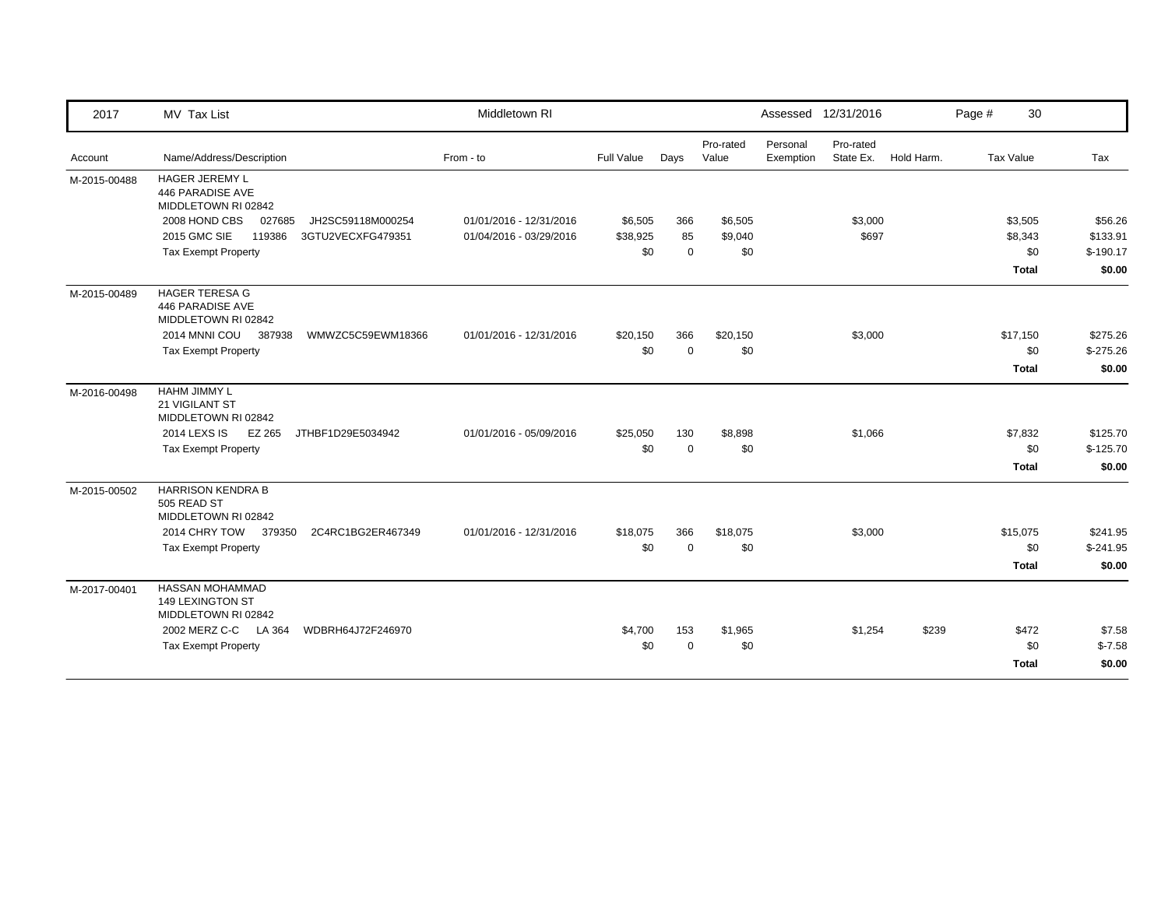| 2017         | MV Tax List                                                      | Middletown RI           |                   |             |                    |                       | Assessed 12/31/2016    |            | Page # | 30               |            |
|--------------|------------------------------------------------------------------|-------------------------|-------------------|-------------|--------------------|-----------------------|------------------------|------------|--------|------------------|------------|
| Account      | Name/Address/Description                                         | From - to               | <b>Full Value</b> | Days        | Pro-rated<br>Value | Personal<br>Exemption | Pro-rated<br>State Ex. | Hold Harm. |        | <b>Tax Value</b> | Tax        |
| M-2015-00488 | HAGER JEREMY L<br>446 PARADISE AVE<br>MIDDLETOWN RI 02842        |                         |                   |             |                    |                       |                        |            |        |                  |            |
|              | 2008 HOND CBS<br>027685<br>JH2SC59118M000254                     | 01/01/2016 - 12/31/2016 | \$6,505           | 366         | \$6,505            |                       | \$3,000                |            |        | \$3,505          | \$56.26    |
|              | <b>2015 GMC SIE</b><br>119386<br>3GTU2VECXFG479351               | 01/04/2016 - 03/29/2016 | \$38,925          | 85          | \$9,040            |                       | \$697                  |            |        | \$8,343          | \$133.91   |
|              | <b>Tax Exempt Property</b>                                       |                         | \$0               | $\mathbf 0$ | \$0                |                       |                        |            |        | \$0              | $$-190.17$ |
|              |                                                                  |                         |                   |             |                    |                       |                        |            |        | <b>Total</b>     | \$0.00     |
| M-2015-00489 | <b>HAGER TERESA G</b><br>446 PARADISE AVE<br>MIDDLETOWN RI 02842 |                         |                   |             |                    |                       |                        |            |        |                  |            |
|              | 2014 MNNI COU<br>387938<br>WMWZC5C59EWM18366                     | 01/01/2016 - 12/31/2016 | \$20,150          | 366         | \$20,150           |                       | \$3,000                |            |        | \$17,150         | \$275.26   |
|              | <b>Tax Exempt Property</b>                                       |                         | \$0               | $\Omega$    | \$0                |                       |                        |            |        | \$0              | $$-275.26$ |
|              |                                                                  |                         |                   |             |                    |                       |                        |            |        | <b>Total</b>     | \$0.00     |
| M-2016-00498 | HAHM JIMMY L<br>21 VIGILANT ST<br>MIDDLETOWN RI 02842            |                         |                   |             |                    |                       |                        |            |        |                  |            |
|              | <b>2014 LEXS IS</b><br>EZ 265<br>JTHBF1D29E5034942               | 01/01/2016 - 05/09/2016 | \$25,050          | 130         | \$8,898            |                       | \$1,066                |            |        | \$7,832          | \$125.70   |
|              | <b>Tax Exempt Property</b>                                       |                         | \$0               | $\mathbf 0$ | \$0                |                       |                        |            |        | \$0              | $$-125.70$ |
|              |                                                                  |                         |                   |             |                    |                       |                        |            |        | Total            | \$0.00     |
| M-2015-00502 | <b>HARRISON KENDRA B</b><br>505 READ ST<br>MIDDLETOWN RI 02842   |                         |                   |             |                    |                       |                        |            |        |                  |            |
|              | 2014 CHRY TOW 379350<br>2C4RC1BG2ER467349                        | 01/01/2016 - 12/31/2016 | \$18,075          | 366         | \$18,075           |                       | \$3,000                |            |        | \$15,075         | \$241.95   |
|              | <b>Tax Exempt Property</b>                                       |                         | \$0               | $\mathbf 0$ | \$0                |                       |                        |            |        | \$0              | $$-241.95$ |
|              |                                                                  |                         |                   |             |                    |                       |                        |            |        | <b>Total</b>     | \$0.00     |
| M-2017-00401 | HASSAN MOHAMMAD<br>149 LEXINGTON ST<br>MIDDLETOWN RI 02842       |                         |                   |             |                    |                       |                        |            |        |                  |            |
|              | 2002 MERZ C-C LA 364<br>WDBRH64J72F246970                        |                         | \$4,700           | 153         | \$1,965            |                       | \$1,254                | \$239      |        | \$472            | \$7.58     |
|              | <b>Tax Exempt Property</b>                                       |                         | \$0               | $\mathbf 0$ | \$0                |                       |                        |            |        | \$0              | $$-7.58$   |
|              |                                                                  |                         |                   |             |                    |                       |                        |            |        | <b>Total</b>     | \$0.00     |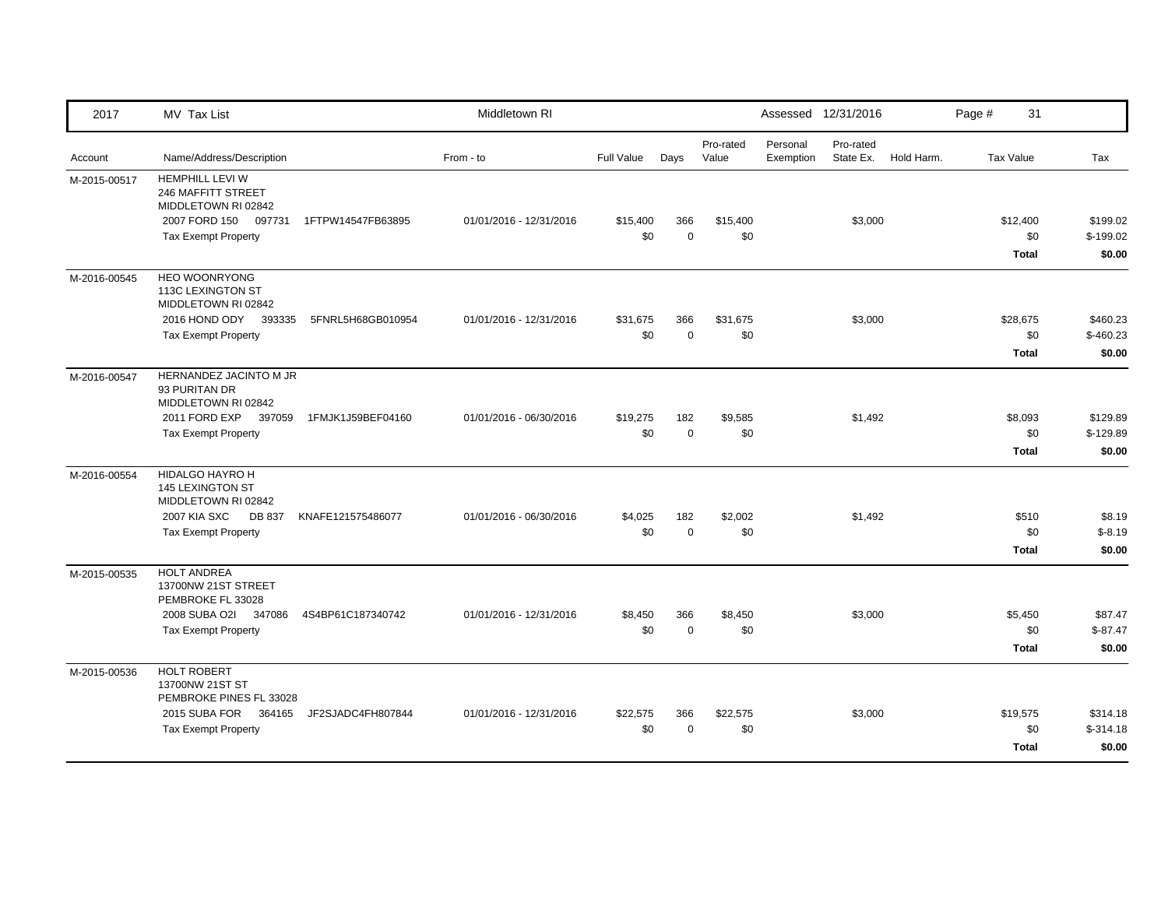| 2017         | MV Tax List                                                                                    |                   | Middletown RI           |                   |                    |                    |                       | Assessed 12/31/2016    |            | Page #           | 31                              |                                  |
|--------------|------------------------------------------------------------------------------------------------|-------------------|-------------------------|-------------------|--------------------|--------------------|-----------------------|------------------------|------------|------------------|---------------------------------|----------------------------------|
| Account      | Name/Address/Description                                                                       |                   | From - to               | <b>Full Value</b> | Days               | Pro-rated<br>Value | Personal<br>Exemption | Pro-rated<br>State Ex. | Hold Harm. | <b>Tax Value</b> |                                 | Tax                              |
| M-2015-00517 | <b>HEMPHILL LEVI W</b><br>246 MAFFITT STREET<br>MIDDLETOWN RI 02842<br>2007 FORD 150<br>097731 | 1FTPW14547FB63895 | 01/01/2016 - 12/31/2016 | \$15,400          | 366                | \$15,400           |                       | \$3,000                |            |                  | \$12,400                        | \$199.02                         |
|              | <b>Tax Exempt Property</b>                                                                     |                   |                         | \$0               | $\mathbf 0$        | \$0                |                       |                        |            |                  | \$0<br><b>Total</b>             | $$-199.02$<br>\$0.00             |
| M-2016-00545 | <b>HEO WOONRYONG</b><br>113C LEXINGTON ST<br>MIDDLETOWN RI 02842                               |                   |                         |                   |                    |                    |                       |                        |            |                  |                                 |                                  |
|              | 2016 HOND ODY 393335<br><b>Tax Exempt Property</b>                                             | 5FNRL5H68GB010954 | 01/01/2016 - 12/31/2016 | \$31,675<br>\$0   | 366<br>$\mathbf 0$ | \$31,675<br>\$0    |                       | \$3,000                |            |                  | \$28,675<br>\$0<br><b>Total</b> | \$460.23<br>$$-460.23$<br>\$0.00 |
| M-2016-00547 | HERNANDEZ JACINTO M JR<br>93 PURITAN DR<br>MIDDLETOWN RI 02842                                 |                   |                         |                   |                    |                    |                       |                        |            |                  |                                 |                                  |
|              | 2011 FORD EXP<br>397059<br><b>Tax Exempt Property</b>                                          | 1FMJK1J59BEF04160 | 01/01/2016 - 06/30/2016 | \$19,275<br>\$0   | 182<br>$\mathbf 0$ | \$9,585<br>\$0     |                       | \$1,492                |            |                  | \$8,093<br>\$0<br>Total         | \$129.89<br>$$-129.89$<br>\$0.00 |
| M-2016-00554 | HIDALGO HAYRO H<br>145 LEXINGTON ST<br>MIDDLETOWN RI 02842                                     |                   |                         |                   |                    |                    |                       |                        |            |                  |                                 |                                  |
|              | <b>2007 KIA SXC</b><br>DB 837<br><b>Tax Exempt Property</b>                                    | KNAFE121575486077 | 01/01/2016 - 06/30/2016 | \$4,025<br>\$0    | 182<br>$\mathbf 0$ | \$2,002<br>\$0     |                       | \$1,492                |            |                  | \$510<br>\$0<br><b>Total</b>    | \$8.19<br>$$-8.19$<br>\$0.00     |
| M-2015-00535 | <b>HOLT ANDREA</b><br>13700NW 21ST STREET<br>PEMBROKE FL 33028                                 |                   |                         |                   |                    |                    |                       |                        |            |                  |                                 |                                  |
|              | 2008 SUBA O2I<br>347086<br><b>Tax Exempt Property</b>                                          | 4S4BP61C187340742 | 01/01/2016 - 12/31/2016 | \$8,450<br>\$0    | 366<br>$\mathbf 0$ | \$8,450<br>\$0     |                       | \$3,000                |            |                  | \$5,450<br>\$0<br><b>Total</b>  | \$87.47<br>$$-87.47$<br>\$0.00   |
| M-2015-00536 | HOLT ROBERT<br>13700NW 21ST ST<br>PEMBROKE PINES FL 33028                                      |                   |                         |                   |                    |                    |                       |                        |            |                  |                                 |                                  |
|              | 2015 SUBA FOR 364165<br><b>Tax Exempt Property</b>                                             | JF2SJADC4FH807844 | 01/01/2016 - 12/31/2016 | \$22,575<br>\$0   | 366<br>$\Omega$    | \$22,575<br>\$0    |                       | \$3,000                |            |                  | \$19,575<br>\$0<br><b>Total</b> | \$314.18<br>$$-314.18$<br>\$0.00 |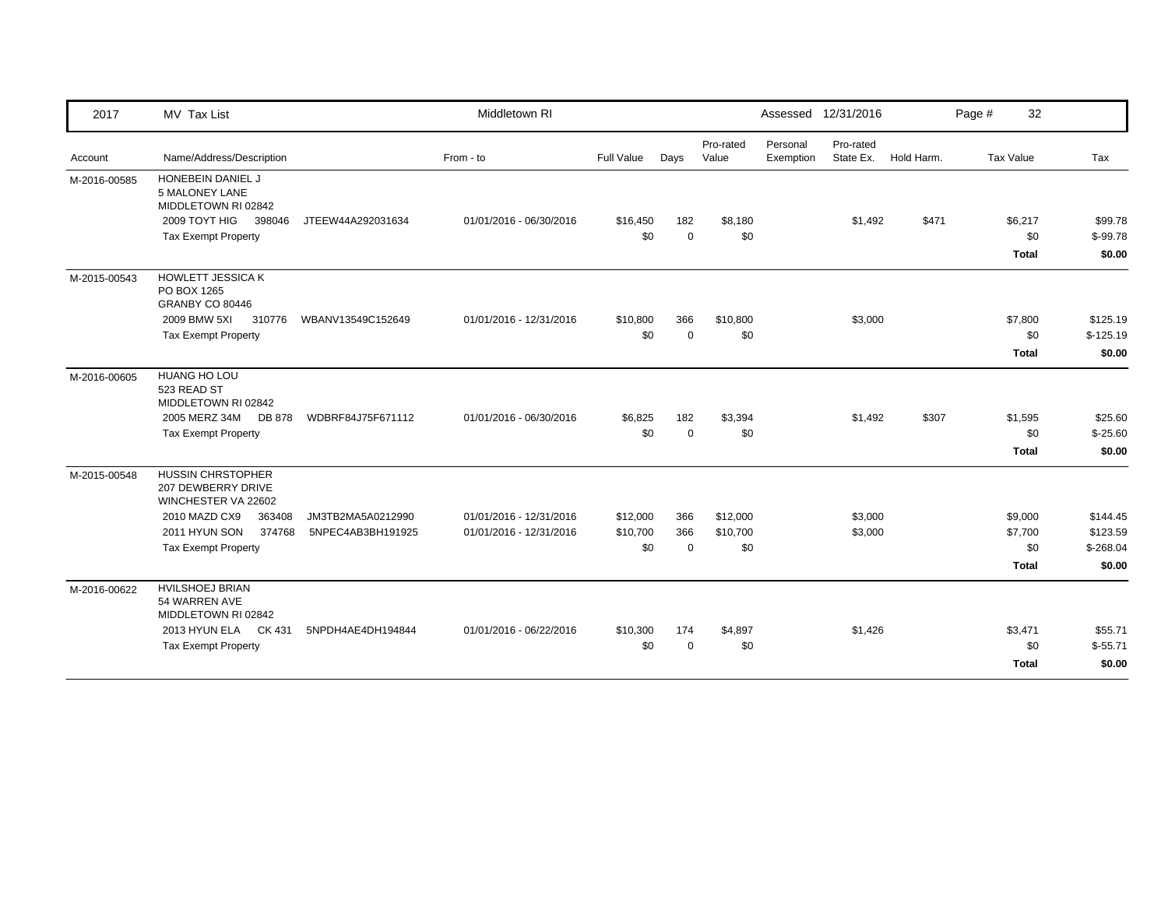| 2017         | MV Tax List                                                           |                   | Middletown RI           |            |             |                    |                       | Assessed 12/31/2016    |            | Page # | 32           |            |
|--------------|-----------------------------------------------------------------------|-------------------|-------------------------|------------|-------------|--------------------|-----------------------|------------------------|------------|--------|--------------|------------|
| Account      | Name/Address/Description                                              |                   | From - to               | Full Value | Days        | Pro-rated<br>Value | Personal<br>Exemption | Pro-rated<br>State Ex. | Hold Harm. |        | Tax Value    | Tax        |
| M-2016-00585 | HONEBEIN DANIEL J<br><b>5 MALONEY LANE</b><br>MIDDLETOWN RI 02842     |                   |                         |            |             |                    |                       |                        |            |        |              |            |
|              | 2009 TOYT HIG<br>398046                                               | JTEEW44A292031634 | 01/01/2016 - 06/30/2016 | \$16,450   | 182         | \$8,180            |                       | \$1,492                | \$471      |        | \$6,217      | \$99.78    |
|              | <b>Tax Exempt Property</b>                                            |                   |                         | \$0        | $\mathbf 0$ | \$0                |                       |                        |            |        | \$0          | $$-99.78$  |
|              |                                                                       |                   |                         |            |             |                    |                       |                        |            |        | <b>Total</b> | \$0.00     |
| M-2015-00543 | <b>HOWLETT JESSICA K</b><br>PO BOX 1265<br>GRANBY CO 80446            |                   |                         |            |             |                    |                       |                        |            |        |              |            |
|              | 2009 BMW 5XI<br>310776                                                | WBANV13549C152649 | 01/01/2016 - 12/31/2016 | \$10,800   | 366         | \$10,800           |                       | \$3,000                |            |        | \$7,800      | \$125.19   |
|              | <b>Tax Exempt Property</b>                                            |                   |                         | \$0        | $\Omega$    | \$0                |                       |                        |            |        | \$0          | $$-125.19$ |
|              |                                                                       |                   |                         |            |             |                    |                       |                        |            |        | <b>Total</b> | \$0.00     |
| M-2016-00605 | <b>HUANG HO LOU</b><br>523 READ ST<br>MIDDLETOWN RI 02842             |                   |                         |            |             |                    |                       |                        |            |        |              |            |
|              | 2005 MERZ 34M<br>DB 878                                               | WDBRF84J75F671112 | 01/01/2016 - 06/30/2016 | \$6,825    | 182         | \$3,394            |                       | \$1,492                | \$307      |        | \$1,595      | \$25.60    |
|              | <b>Tax Exempt Property</b>                                            |                   |                         | \$0        | $\mathbf 0$ | \$0                |                       |                        |            |        | \$0          | $$-25.60$  |
|              |                                                                       |                   |                         |            |             |                    |                       |                        |            |        | Total        | \$0.00     |
| M-2015-00548 | <b>HUSSIN CHRSTOPHER</b><br>207 DEWBERRY DRIVE<br>WINCHESTER VA 22602 |                   |                         |            |             |                    |                       |                        |            |        |              |            |
|              | 2010 MAZD CX9<br>363408                                               | JM3TB2MA5A0212990 | 01/01/2016 - 12/31/2016 | \$12,000   | 366         | \$12,000           |                       | \$3,000                |            |        | \$9,000      | \$144.45   |
|              | 2011 HYUN SON<br>374768                                               | 5NPEC4AB3BH191925 | 01/01/2016 - 12/31/2016 | \$10,700   | 366         | \$10,700           |                       | \$3,000                |            |        | \$7,700      | \$123.59   |
|              | <b>Tax Exempt Property</b>                                            |                   |                         | \$0        | $\mathbf 0$ | \$0                |                       |                        |            |        | \$0          | $$-268.04$ |
|              |                                                                       |                   |                         |            |             |                    |                       |                        |            |        | <b>Total</b> | \$0.00     |
| M-2016-00622 | <b>HVILSHOEJ BRIAN</b><br>54 WARREN AVE<br>MIDDLETOWN RI 02842        |                   |                         |            |             |                    |                       |                        |            |        |              |            |
|              | 2013 HYUN ELA CK 431                                                  | 5NPDH4AE4DH194844 | 01/01/2016 - 06/22/2016 | \$10,300   | 174         | \$4,897            |                       | \$1,426                |            |        | \$3,471      | \$55.71    |
|              | <b>Tax Exempt Property</b>                                            |                   |                         | \$0        | $\Omega$    | \$0                |                       |                        |            |        | \$0          | $$-55.71$  |
|              |                                                                       |                   |                         |            |             |                    |                       |                        |            |        | Total        | \$0.00     |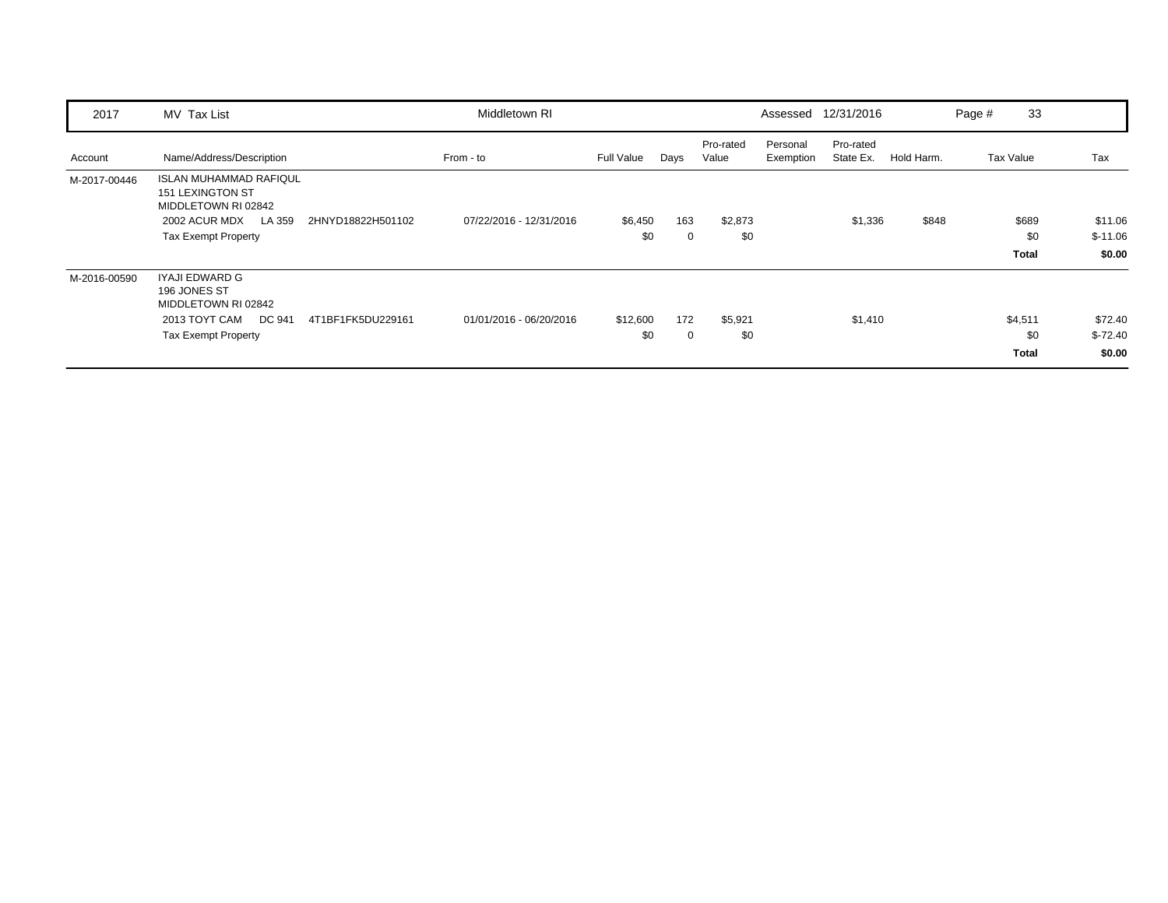| 2017         | MV Tax List                                                                                                                                                   | Middletown RI           |                   |                    |                    |                       | Assessed 12/31/2016    |            | Page # | 33                             |                                |
|--------------|---------------------------------------------------------------------------------------------------------------------------------------------------------------|-------------------------|-------------------|--------------------|--------------------|-----------------------|------------------------|------------|--------|--------------------------------|--------------------------------|
| Account      | Name/Address/Description                                                                                                                                      | From - to               | <b>Full Value</b> | Days               | Pro-rated<br>Value | Personal<br>Exemption | Pro-rated<br>State Ex. | Hold Harm. |        | Tax Value                      | Tax                            |
| M-2017-00446 | <b>ISLAN MUHAMMAD RAFIQUL</b><br><b>151 LEXINGTON ST</b><br>MIDDLETOWN RI 02842<br>2002 ACUR MDX<br>LA 359<br>2HNYD18822H501102<br><b>Tax Exempt Property</b> | 07/22/2016 - 12/31/2016 | \$6,450<br>\$0    | 163<br>0           | \$2,873<br>\$0     |                       | \$1,336                | \$848      |        | \$689<br>\$0<br><b>Total</b>   | \$11.06<br>$$-11.06$<br>\$0.00 |
| M-2016-00590 | IYAJI EDWARD G<br>196 JONES ST<br>MIDDLETOWN RI 02842<br>DC 941<br>2013 TOYT CAM<br>4T1BF1FK5DU229161<br><b>Tax Exempt Property</b>                           | 01/01/2016 - 06/20/2016 | \$12,600<br>\$0   | 172<br>$\mathbf 0$ | \$5,921<br>\$0     |                       | \$1,410                |            |        | \$4,511<br>\$0<br><b>Total</b> | \$72.40<br>$$-72.40$<br>\$0.00 |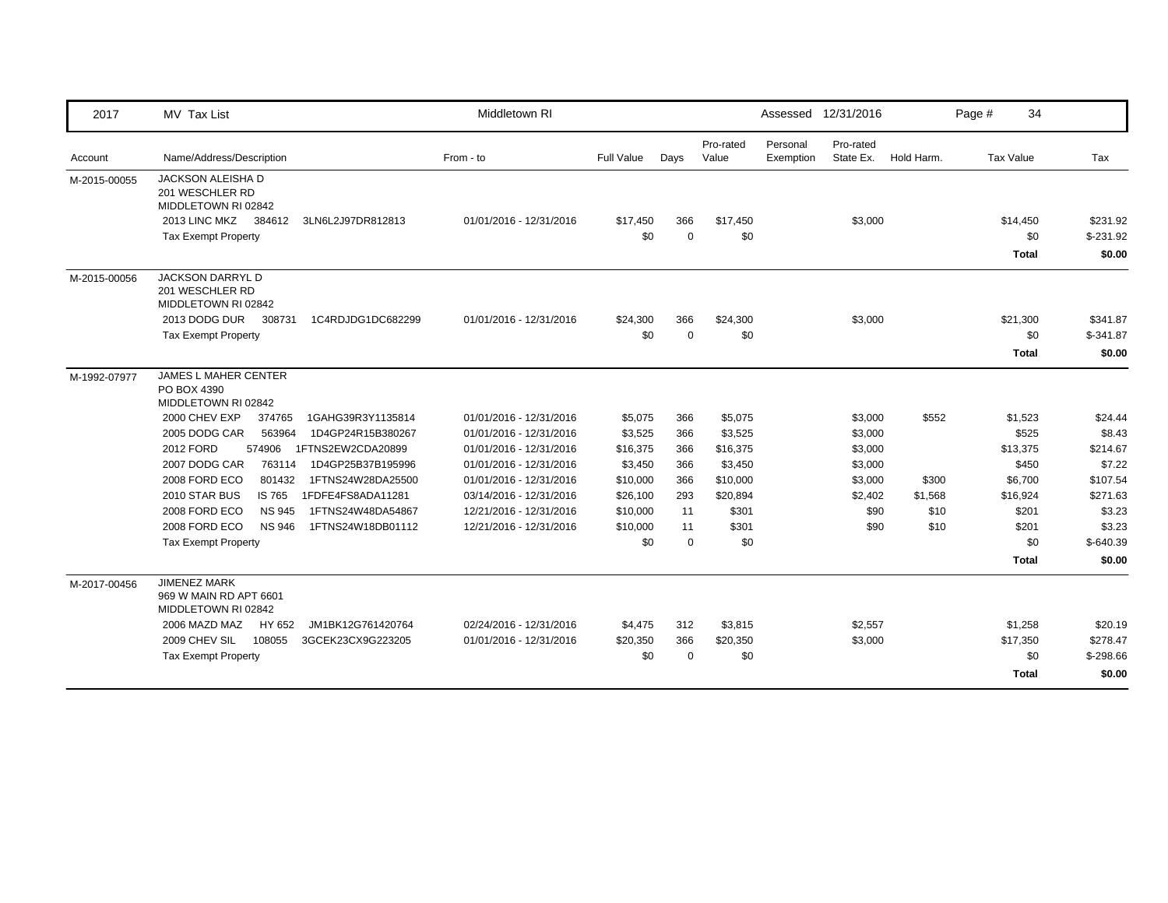| 2017         | MV Tax List                                                                                                                               | Middletown RI           |                 |                    |                    |                       | Assessed 12/31/2016    |            | Page #           | 34                            |
|--------------|-------------------------------------------------------------------------------------------------------------------------------------------|-------------------------|-----------------|--------------------|--------------------|-----------------------|------------------------|------------|------------------|-------------------------------|
| Account      | Name/Address/Description                                                                                                                  | From - to               | Full Value      | Days               | Pro-rated<br>Value | Personal<br>Exemption | Pro-rated<br>State Ex. | Hold Harm. | <b>Tax Value</b> | Tax                           |
| M-2015-00055 | JACKSON ALEISHA D<br>201 WESCHLER RD<br>MIDDLETOWN RI 02842<br>2013 LINC MKZ<br>384612<br>3LN6L2J97DR812813<br><b>Tax Exempt Property</b> | 01/01/2016 - 12/31/2016 | \$17,450<br>\$0 | 366<br>$\mathbf 0$ | \$17,450<br>\$0    |                       | \$3,000                |            | \$14,450         | \$231.92<br>$$-231.92$<br>\$0 |
| M-2015-00056 | <b>JACKSON DARRYL D</b>                                                                                                                   |                         |                 |                    |                    |                       |                        |            | <b>Total</b>     | \$0.00                        |
|              | 201 WESCHLER RD<br>MIDDLETOWN RI 02842                                                                                                    |                         |                 |                    |                    |                       |                        |            |                  |                               |
|              | 2013 DODG DUR<br>308731<br>1C4RDJDG1DC682299<br><b>Tax Exempt Property</b>                                                                | 01/01/2016 - 12/31/2016 | \$24,300<br>\$0 | 366<br>$\mathbf 0$ | \$24,300<br>\$0    |                       | \$3,000                |            | \$21,300         | \$341.87<br>\$0<br>$$-341.87$ |
|              |                                                                                                                                           |                         |                 |                    |                    |                       |                        |            | <b>Total</b>     | \$0.00                        |
| M-1992-07977 | <b>JAMES L MAHER CENTER</b><br>PO BOX 4390<br>MIDDLETOWN RI 02842                                                                         |                         |                 |                    |                    |                       |                        |            |                  |                               |
|              | 2000 CHEV EXP<br>1GAHG39R3Y1135814<br>374765                                                                                              | 01/01/2016 - 12/31/2016 | \$5,075         | 366                | \$5,075            |                       | \$3,000                | \$552      | \$1,523          | \$24.44                       |
|              | 2005 DODG CAR<br>1D4GP24R15B380267<br>563964                                                                                              | 01/01/2016 - 12/31/2016 | \$3,525         | 366                | \$3,525            |                       | \$3,000                |            | \$525            | \$8.43                        |
|              | 2012 FORD<br>1FTNS2EW2CDA20899<br>574906                                                                                                  | 01/01/2016 - 12/31/2016 | \$16,375        | 366                | \$16,375           |                       | \$3,000                |            | \$13,375         | \$214.67                      |
|              | 2007 DODG CAR<br>763114<br>1D4GP25B37B195996                                                                                              | 01/01/2016 - 12/31/2016 | \$3,450         | 366                | \$3,450            |                       | \$3,000                |            | \$450            | \$7.22                        |
|              | 2008 FORD ECO<br>801432<br>1FTNS24W28DA25500                                                                                              | 01/01/2016 - 12/31/2016 | \$10,000        | 366                | \$10,000           |                       | \$3,000                | \$300      | \$6,700          | \$107.54                      |
|              | 2010 STAR BUS<br>1FDFE4FS8ADA11281<br>IS 765                                                                                              | 03/14/2016 - 12/31/2016 | \$26,100        | 293                | \$20,894           |                       | \$2,402                | \$1,568    | \$16,924         | \$271.63                      |
|              | 1FTNS24W48DA54867<br>2008 FORD ECO<br><b>NS 945</b>                                                                                       | 12/21/2016 - 12/31/2016 | \$10,000        | 11                 | \$301              |                       | \$90                   | \$10       | \$201            | \$3.23                        |
|              | 2008 FORD ECO<br><b>NS 946</b><br>1FTNS24W18DB01112                                                                                       | 12/21/2016 - 12/31/2016 | \$10,000        | 11                 | \$301              |                       | \$90                   | \$10       | \$201            | \$3.23                        |
|              | <b>Tax Exempt Property</b>                                                                                                                |                         | \$0             | $\mathbf 0$        | \$0                |                       |                        |            |                  | \$0<br>$$-640.39$             |
|              |                                                                                                                                           |                         |                 |                    |                    |                       |                        |            | <b>Total</b>     | \$0.00                        |
| M-2017-00456 | <b>JIMENEZ MARK</b><br>969 W MAIN RD APT 6601<br>MIDDLETOWN RI 02842                                                                      |                         |                 |                    |                    |                       |                        |            |                  |                               |
|              | 2006 MAZD MAZ<br>HY 652<br>JM1BK12G761420764                                                                                              | 02/24/2016 - 12/31/2016 | \$4,475         | 312                | \$3,815            |                       | \$2,557                |            | \$1,258          | \$20.19                       |
|              | 2009 CHEV SIL<br>108055<br>3GCEK23CX9G223205                                                                                              | 01/01/2016 - 12/31/2016 | \$20,350        | 366                | \$20,350           |                       | \$3,000                |            | \$17,350         | \$278.47                      |
|              | <b>Tax Exempt Property</b>                                                                                                                |                         | \$0             | $\mathbf 0$        | \$0                |                       |                        |            |                  | \$0<br>$$-298.66$             |
|              |                                                                                                                                           |                         |                 |                    |                    |                       |                        |            | <b>Total</b>     | \$0.00                        |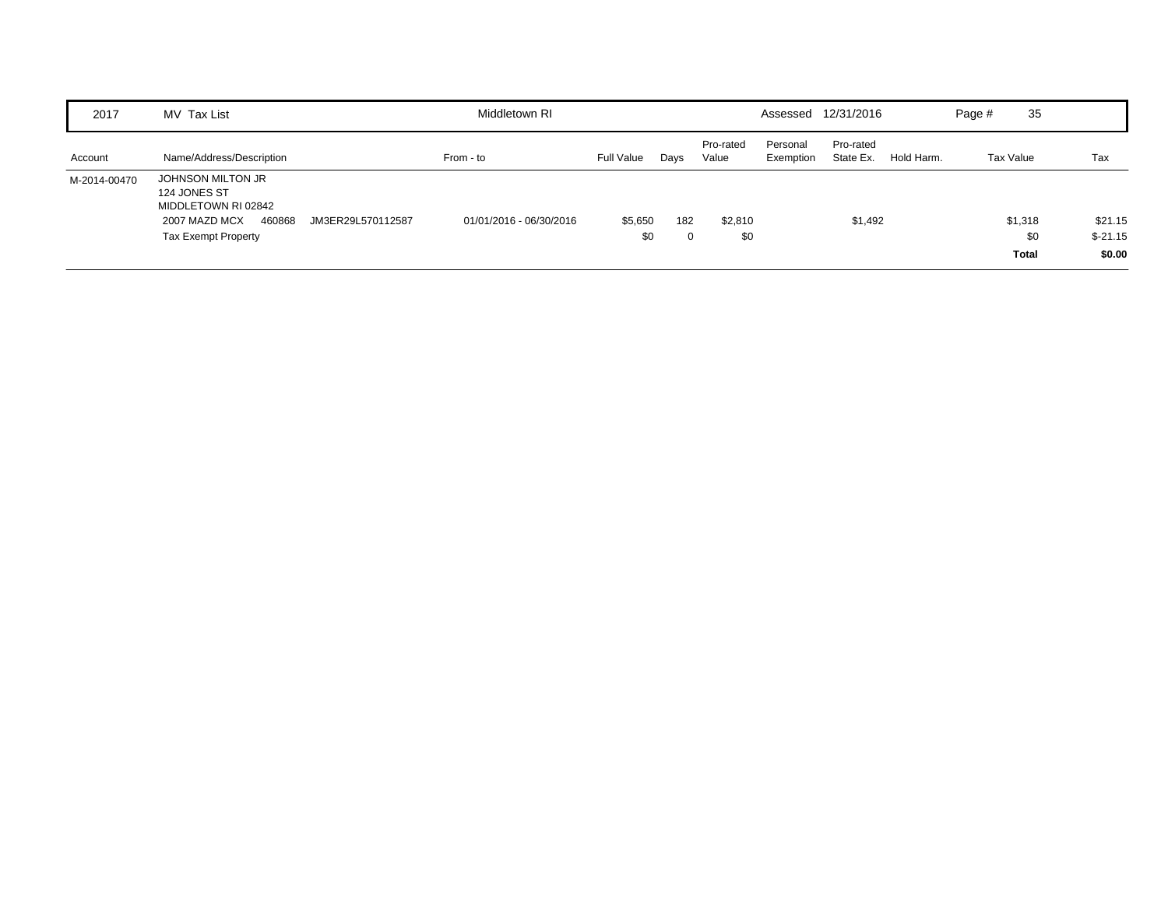| 2017         | MV Tax List                                                                                                                            | Middletown RI           |                |      |                    |                       | Assessed 12/31/2016    |            | Page #           | 35                             |                                |
|--------------|----------------------------------------------------------------------------------------------------------------------------------------|-------------------------|----------------|------|--------------------|-----------------------|------------------------|------------|------------------|--------------------------------|--------------------------------|
| Account      | Name/Address/Description                                                                                                               | From - to               | Full Value     | Days | Pro-rated<br>Value | Personal<br>Exemption | Pro-rated<br>State Ex. | Hold Harm. | <b>Tax Value</b> |                                | Tax                            |
| M-2014-00470 | JOHNSON MILTON JR<br>124 JONES ST<br>MIDDLETOWN RI 02842<br>2007 MAZD MCX<br>460868<br>JM3ER29L570112587<br><b>Tax Exempt Property</b> | 01/01/2016 - 06/30/2016 | \$5,650<br>\$0 | 182  | \$2,810<br>\$0     |                       | \$1,492                |            |                  | \$1,318<br>\$0<br><b>Total</b> | \$21.15<br>$$-21.15$<br>\$0.00 |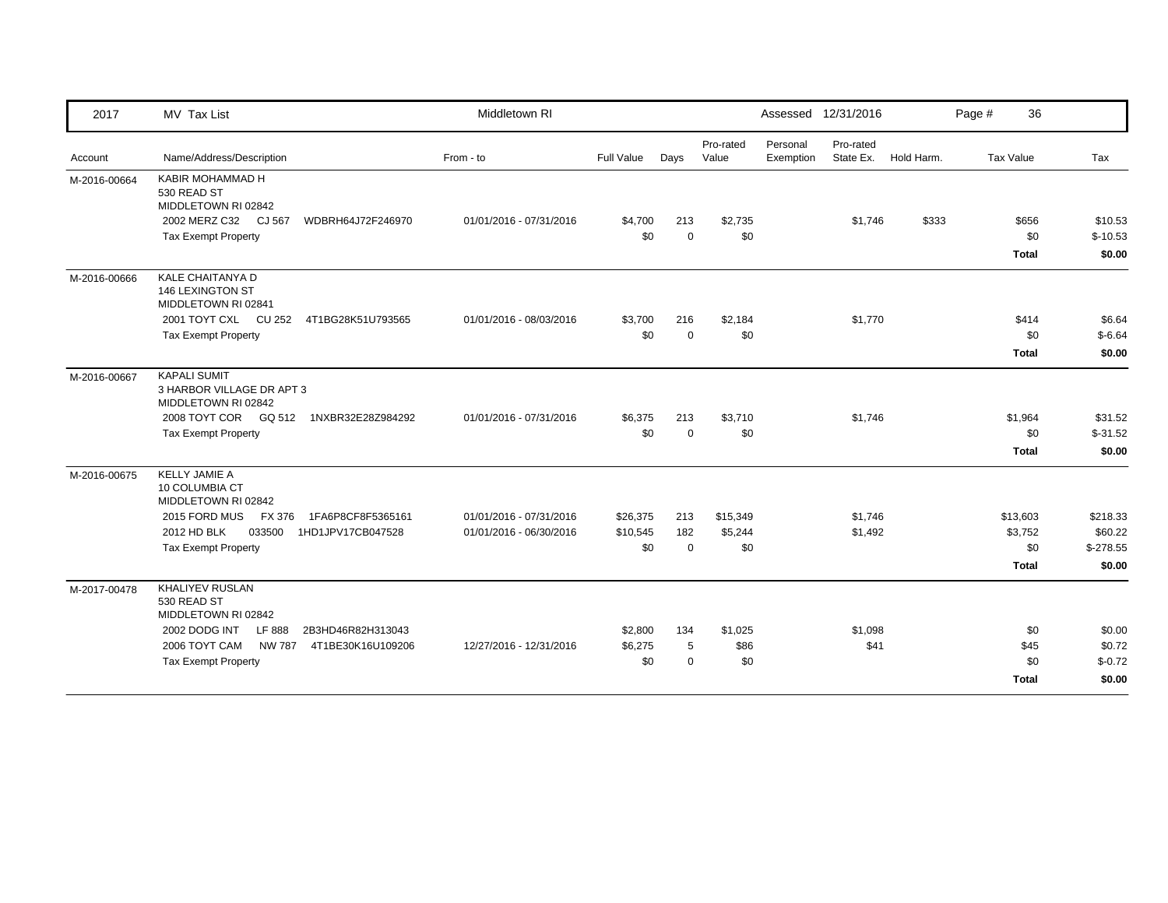| 2017         | MV Tax List                                                             | Middletown RI           |            |             |                    |                       | Assessed 12/31/2016    |            | Page # | 36               |            |
|--------------|-------------------------------------------------------------------------|-------------------------|------------|-------------|--------------------|-----------------------|------------------------|------------|--------|------------------|------------|
| Account      | Name/Address/Description                                                | From - to               | Full Value | Days        | Pro-rated<br>Value | Personal<br>Exemption | Pro-rated<br>State Ex. | Hold Harm. |        | <b>Tax Value</b> | Tax        |
| M-2016-00664 | KABIR MOHAMMAD H<br>530 READ ST<br>MIDDLETOWN RI 02842                  |                         |            |             |                    |                       |                        |            |        |                  |            |
|              | 2002 MERZ C32 CJ 567<br>WDBRH64J72F246970                               | 01/01/2016 - 07/31/2016 | \$4,700    | 213         | \$2,735            |                       | \$1,746                | \$333      |        | \$656            | \$10.53    |
|              | <b>Tax Exempt Property</b>                                              |                         | \$0        | $\Omega$    | \$0                |                       |                        |            |        | \$0              | $$-10.53$  |
|              |                                                                         |                         |            |             |                    |                       |                        |            |        | <b>Total</b>     | \$0.00     |
| M-2016-00666 | <b>KALE CHAITANYA D</b><br>146 LEXINGTON ST<br>MIDDLETOWN RI 02841      |                         |            |             |                    |                       |                        |            |        |                  |            |
|              | 2001 TOYT CXL CU 252<br>4T1BG28K51U793565                               | 01/01/2016 - 08/03/2016 | \$3,700    | 216         | \$2,184            |                       | \$1,770                |            |        | \$414            | \$6.64     |
|              | <b>Tax Exempt Property</b>                                              |                         | \$0        | $\mathbf 0$ | \$0                |                       |                        |            |        | \$0              | $$-6.64$   |
|              |                                                                         |                         |            |             |                    |                       |                        |            |        | <b>Total</b>     | \$0.00     |
| M-2016-00667 | <b>KAPALI SUMIT</b><br>3 HARBOR VILLAGE DR APT 3<br>MIDDLETOWN RI 02842 |                         |            |             |                    |                       |                        |            |        |                  |            |
|              | 2008 TOYT COR    GQ 512    1NXBR32E28Z984292                            | 01/01/2016 - 07/31/2016 | \$6,375    | 213         | \$3,710            |                       | \$1,746                |            |        | \$1,964          | \$31.52    |
|              | <b>Tax Exempt Property</b>                                              |                         | \$0        | $\mathbf 0$ | \$0                |                       |                        |            |        | \$0              | $$-31.52$  |
|              |                                                                         |                         |            |             |                    |                       |                        |            |        | Total            | \$0.00     |
| M-2016-00675 | <b>KELLY JAMIE A</b><br>10 COLUMBIA CT<br>MIDDLETOWN RI 02842           |                         |            |             |                    |                       |                        |            |        |                  |            |
|              | 2015 FORD MUS<br>1FA6P8CF8F5365161<br>FX 376                            | 01/01/2016 - 07/31/2016 | \$26,375   | 213         | \$15,349           |                       | \$1,746                |            |        | \$13,603         | \$218.33   |
|              | 2012 HD BLK<br>1HD1JPV17CB047528<br>033500                              | 01/01/2016 - 06/30/2016 | \$10,545   | 182         | \$5,244            |                       | \$1,492                |            |        | \$3,752          | \$60.22    |
|              | <b>Tax Exempt Property</b>                                              |                         | \$0        | $\Omega$    | \$0                |                       |                        |            |        | \$0              | $$-278.55$ |
|              |                                                                         |                         |            |             |                    |                       |                        |            |        | <b>Total</b>     | \$0.00     |
| M-2017-00478 | <b>KHALIYEV RUSLAN</b><br>530 READ ST<br>MIDDLETOWN RI 02842            |                         |            |             |                    |                       |                        |            |        |                  |            |
|              | 2002 DODG INT<br>LF 888<br>2B3HD46R82H313043                            |                         | \$2,800    | 134         | \$1,025            |                       | \$1,098                |            |        | \$0              | \$0.00     |
|              | 2006 TOYT CAM<br>NW 787<br>4T1BE30K16U109206                            | 12/27/2016 - 12/31/2016 | \$6,275    | 5           | \$86               |                       | \$41                   |            |        | \$45             | \$0.72     |
|              | <b>Tax Exempt Property</b>                                              |                         | \$0        | $\Omega$    | \$0                |                       |                        |            |        | \$0              | $$-0.72$   |
|              |                                                                         |                         |            |             |                    |                       |                        |            |        | <b>Total</b>     | \$0.00     |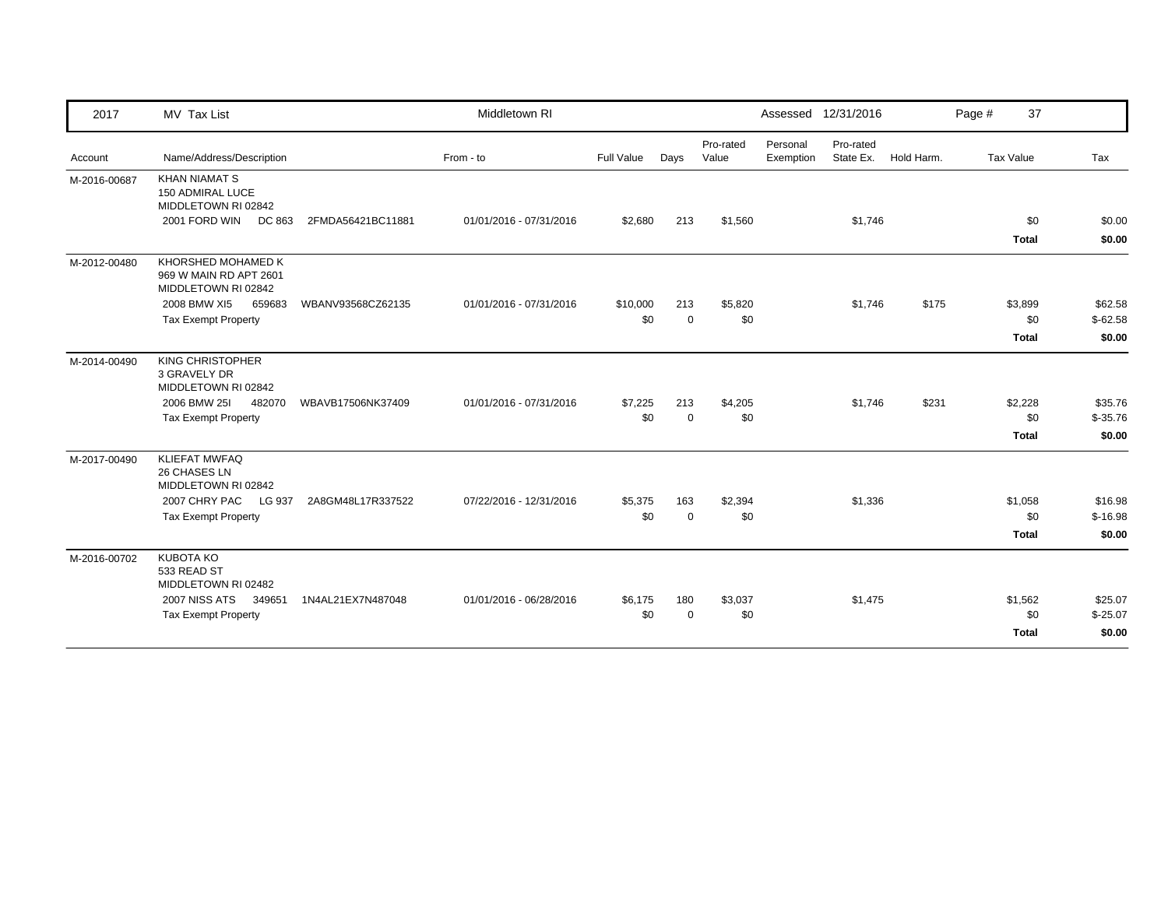| 2017         | MV Tax List                                                         |                   | Middletown RI           |                   |             |                    |                       | Assessed 12/31/2016 |                      | Page #           | 37                  |                  |
|--------------|---------------------------------------------------------------------|-------------------|-------------------------|-------------------|-------------|--------------------|-----------------------|---------------------|----------------------|------------------|---------------------|------------------|
| Account      | Name/Address/Description                                            |                   | From - to               | <b>Full Value</b> | Days        | Pro-rated<br>Value | Personal<br>Exemption | Pro-rated           | State Ex. Hold Harm. | <b>Tax Value</b> |                     | Tax              |
| M-2016-00687 | <b>KHAN NIAMAT S</b><br>150 ADMIRAL LUCE<br>MIDDLETOWN RI 02842     |                   |                         |                   |             |                    |                       |                     |                      |                  |                     |                  |
|              | 2001 FORD WIN<br>DC 863                                             | 2FMDA56421BC11881 | 01/01/2016 - 07/31/2016 | \$2,680           | 213         | \$1,560            |                       | \$1,746             |                      |                  | \$0<br><b>Total</b> | \$0.00<br>\$0.00 |
| M-2012-00480 | KHORSHED MOHAMED K<br>969 W MAIN RD APT 2601<br>MIDDLETOWN RI 02842 |                   |                         |                   |             |                    |                       |                     |                      |                  |                     |                  |
|              | 2008 BMW XI5<br>659683                                              | WBANV93568CZ62135 | 01/01/2016 - 07/31/2016 | \$10,000          | 213         | \$5,820            |                       | \$1,746             | \$175                |                  | \$3,899             | \$62.58          |
|              | <b>Tax Exempt Property</b>                                          |                   |                         | \$0               | $\mathbf 0$ | \$0                |                       |                     |                      |                  | \$0                 | $$-62.58$        |
|              |                                                                     |                   |                         |                   |             |                    |                       |                     |                      |                  | <b>Total</b>        | \$0.00           |
| M-2014-00490 | KING CHRISTOPHER<br>3 GRAVELY DR<br>MIDDLETOWN RI 02842             |                   |                         |                   |             |                    |                       |                     |                      |                  |                     |                  |
|              | 2006 BMW 251<br>482070                                              | WBAVB17506NK37409 | 01/01/2016 - 07/31/2016 | \$7,225           | 213         | \$4,205            |                       | \$1,746             | \$231                |                  | \$2,228             | \$35.76          |
|              | <b>Tax Exempt Property</b>                                          |                   |                         | \$0               | $\mathbf 0$ | \$0                |                       |                     |                      |                  | \$0                 | $$-35.76$        |
|              |                                                                     |                   |                         |                   |             |                    |                       |                     |                      |                  | <b>Total</b>        | \$0.00           |
| M-2017-00490 | <b>KLIEFAT MWFAQ</b><br>26 CHASES LN<br>MIDDLETOWN RI 02842         |                   |                         |                   |             |                    |                       |                     |                      |                  |                     |                  |
|              | 2007 CHRY PAC<br>LG 937                                             | 2A8GM48L17R337522 | 07/22/2016 - 12/31/2016 | \$5,375           | 163         | \$2,394            |                       | \$1,336             |                      |                  | \$1,058             | \$16.98          |
|              | <b>Tax Exempt Property</b>                                          |                   |                         | \$0               | $\mathbf 0$ | \$0                |                       |                     |                      |                  | \$0                 | $$-16.98$        |
|              |                                                                     |                   |                         |                   |             |                    |                       |                     |                      |                  | <b>Total</b>        | \$0.00           |
| M-2016-00702 | <b>KUBOTA KO</b><br>533 READ ST<br>MIDDLETOWN RI 02482              |                   |                         |                   |             |                    |                       |                     |                      |                  |                     |                  |
|              | 2007 NISS ATS<br>349651                                             | 1N4AL21EX7N487048 | 01/01/2016 - 06/28/2016 | \$6,175           | 180         | \$3,037            |                       | \$1,475             |                      |                  | \$1,562             | \$25.07          |
|              | <b>Tax Exempt Property</b>                                          |                   |                         | \$0               | $\mathbf 0$ | \$0                |                       |                     |                      |                  | \$0                 | $$-25.07$        |
|              |                                                                     |                   |                         |                   |             |                    |                       |                     |                      |                  | <b>Total</b>        | \$0.00           |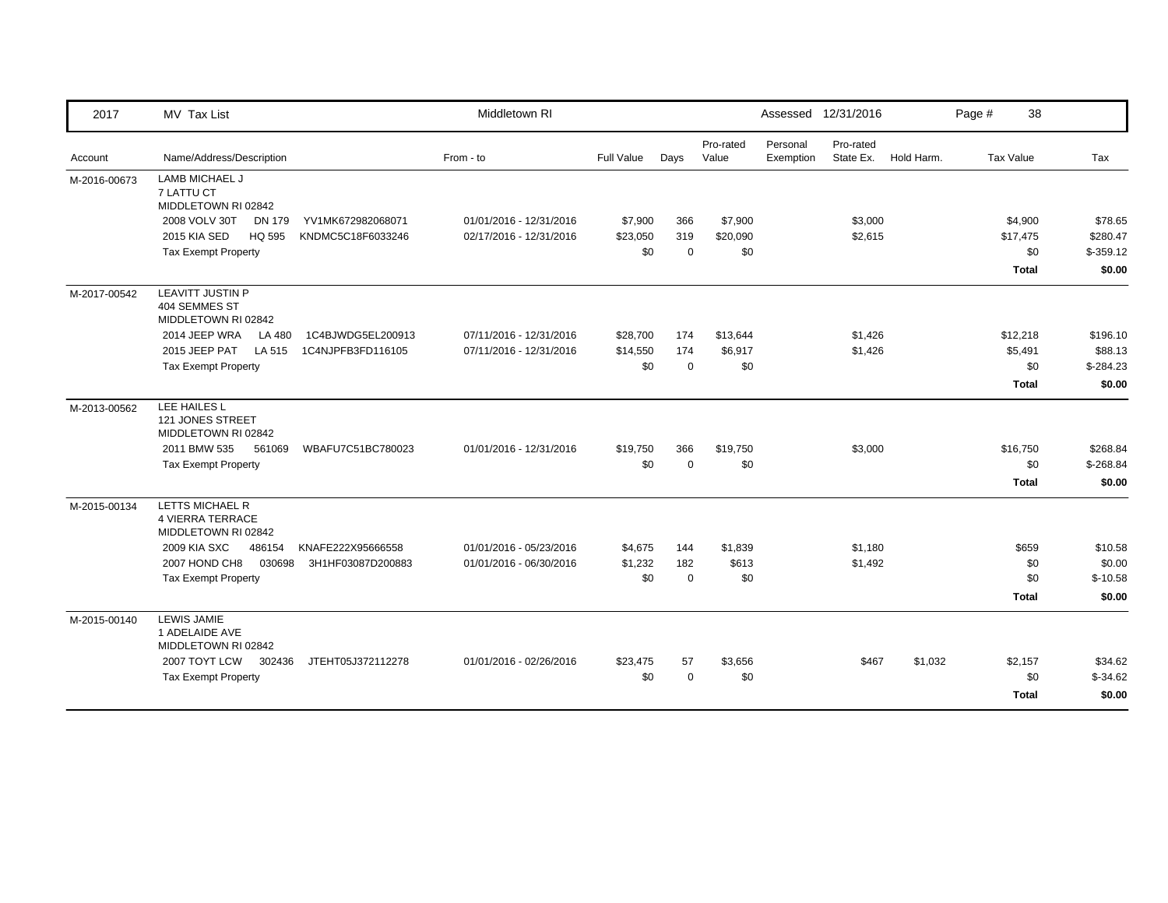| 2017         | MV Tax List                                                 |                   | Middletown RI           |                   |             |                    |                       | Assessed 12/31/2016    |            | Page # | 38           |             |
|--------------|-------------------------------------------------------------|-------------------|-------------------------|-------------------|-------------|--------------------|-----------------------|------------------------|------------|--------|--------------|-------------|
| Account      | Name/Address/Description                                    |                   | From - to               | <b>Full Value</b> | Days        | Pro-rated<br>Value | Personal<br>Exemption | Pro-rated<br>State Ex. | Hold Harm. |        | Tax Value    | Tax         |
| M-2016-00673 | LAMB MICHAEL J<br>7 LATTU CT<br>MIDDLETOWN RI 02842         |                   |                         |                   |             |                    |                       |                        |            |        |              |             |
|              | 2008 VOLV 30T<br>DN 179                                     | YV1MK672982068071 | 01/01/2016 - 12/31/2016 | \$7,900           | 366         | \$7,900            |                       | \$3,000                |            |        | \$4,900      | \$78.65     |
|              | 2015 KIA SED<br>HQ 595                                      | KNDMC5C18F6033246 | 02/17/2016 - 12/31/2016 | \$23,050          | 319         | \$20,090           |                       | \$2,615                |            |        | \$17,475     | \$280.47    |
|              | <b>Tax Exempt Property</b>                                  |                   |                         | \$0               | $\mathbf 0$ | \$0                |                       |                        |            |        | \$0          | $$-359.12$  |
|              |                                                             |                   |                         |                   |             |                    |                       |                        |            |        | <b>Total</b> | \$0.00      |
| M-2017-00542 | LEAVITT JUSTIN P<br>404 SEMMES ST<br>MIDDLETOWN RI 02842    |                   |                         |                   |             |                    |                       |                        |            |        |              |             |
|              | 2014 JEEP WRA<br>LA 480                                     | 1C4BJWDG5EL200913 | 07/11/2016 - 12/31/2016 | \$28,700          | 174         | \$13,644           |                       | \$1,426                |            |        | \$12,218     | \$196.10    |
|              | 2015 JEEP PAT<br>LA 515                                     | 1C4NJPFB3FD116105 | 07/11/2016 - 12/31/2016 | \$14,550          | 174         | \$6,917            |                       | \$1,426                |            |        | \$5,491      | \$88.13     |
|              | <b>Tax Exempt Property</b>                                  |                   |                         | \$0               | $\Omega$    | \$0                |                       |                        |            |        | \$0          | $$-284.23$  |
|              |                                                             |                   |                         |                   |             |                    |                       |                        |            |        | <b>Total</b> | \$0.00      |
| M-2013-00562 | LEE HAILES L<br>121 JONES STREET<br>MIDDLETOWN RI 02842     |                   |                         |                   |             |                    |                       |                        |            |        |              |             |
|              | 2011 BMW 535<br>561069                                      | WBAFU7C51BC780023 | 01/01/2016 - 12/31/2016 | \$19,750          | 366         | \$19,750           |                       | \$3,000                |            |        | \$16,750     | \$268.84    |
|              | <b>Tax Exempt Property</b>                                  |                   |                         | \$0               | $\Omega$    | \$0                |                       |                        |            |        | \$0          | $$ -268.84$ |
|              |                                                             |                   |                         |                   |             |                    |                       |                        |            |        | <b>Total</b> | \$0.00      |
| M-2015-00134 | LETTS MICHAEL R<br>4 VIERRA TERRACE<br>MIDDLETOWN RI 02842  |                   |                         |                   |             |                    |                       |                        |            |        |              |             |
|              | 2009 KIA SXC<br>486154                                      | KNAFE222X95666558 | 01/01/2016 - 05/23/2016 | \$4,675           | 144         | \$1,839            |                       | \$1,180                |            |        | \$659        | \$10.58     |
|              | 2007 HOND CH8<br>030698                                     | 3H1HF03087D200883 | 01/01/2016 - 06/30/2016 | \$1,232           | 182         | \$613              |                       | \$1,492                |            |        | \$0          | \$0.00      |
|              | <b>Tax Exempt Property</b>                                  |                   |                         | \$0               | $\Omega$    | \$0                |                       |                        |            |        | \$0          | $$-10.58$   |
|              |                                                             |                   |                         |                   |             |                    |                       |                        |            |        | <b>Total</b> | \$0.00      |
| M-2015-00140 | <b>LEWIS JAMIE</b><br>1 ADELAIDE AVE<br>MIDDLETOWN RI 02842 |                   |                         |                   |             |                    |                       |                        |            |        |              |             |
|              | 2007 TOYT LCW<br>302436                                     | JTEHT05J372112278 | 01/01/2016 - 02/26/2016 | \$23,475          | 57          | \$3,656            |                       | \$467                  | \$1,032    |        | \$2,157      | \$34.62     |
|              | <b>Tax Exempt Property</b>                                  |                   |                         | \$0               | $\Omega$    | \$0                |                       |                        |            |        | \$0          | $$-34.62$   |
|              |                                                             |                   |                         |                   |             |                    |                       |                        |            |        | <b>Total</b> | \$0.00      |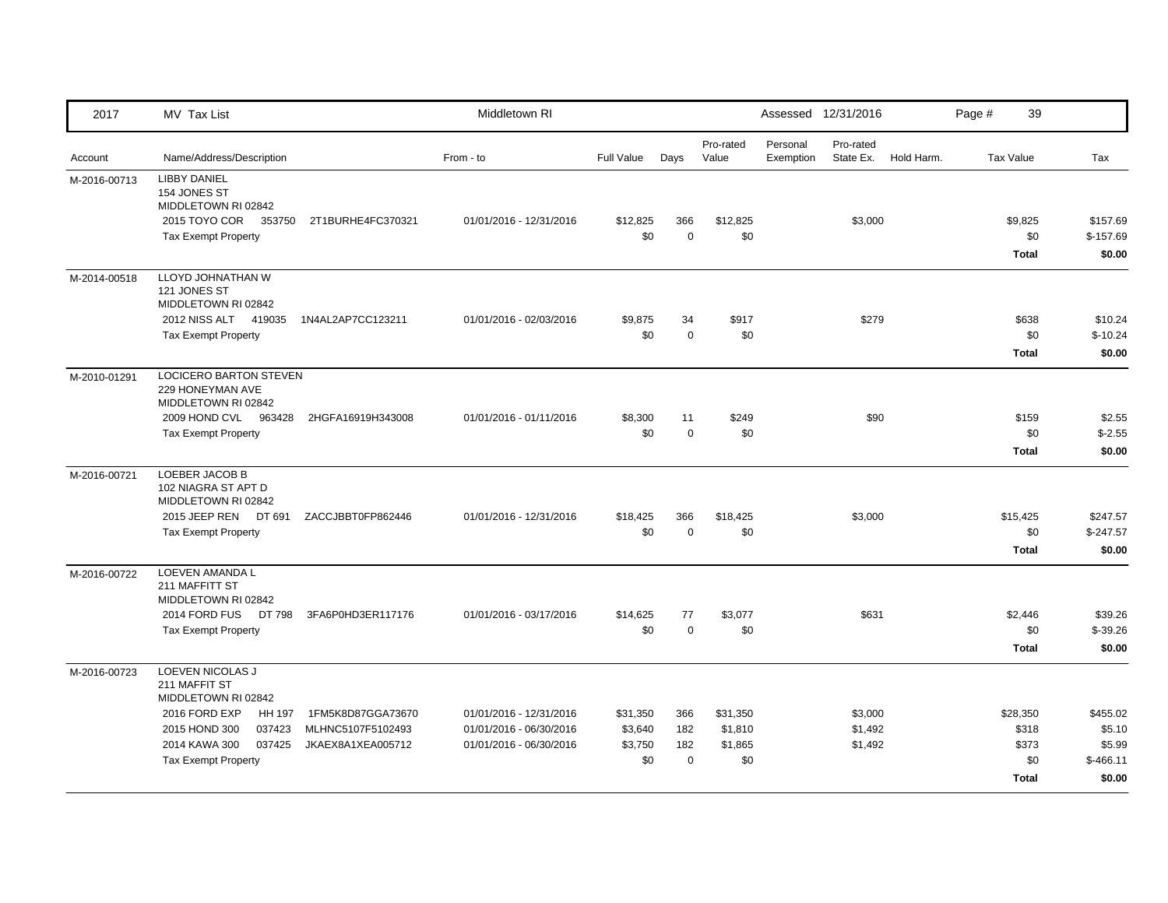| 2017         | MV Tax List                                                                                                                                                                                                                            | Middletown RI                                                                 |                                       |                                  |                                       |                       | Assessed 12/31/2016           |            | Page # | 39                                                |                                                      |
|--------------|----------------------------------------------------------------------------------------------------------------------------------------------------------------------------------------------------------------------------------------|-------------------------------------------------------------------------------|---------------------------------------|----------------------------------|---------------------------------------|-----------------------|-------------------------------|------------|--------|---------------------------------------------------|------------------------------------------------------|
| Account      | Name/Address/Description                                                                                                                                                                                                               | From - to                                                                     | <b>Full Value</b>                     | Days                             | Pro-rated<br>Value                    | Personal<br>Exemption | Pro-rated<br>State Ex.        | Hold Harm. |        | <b>Tax Value</b>                                  | Tax                                                  |
| M-2016-00713 | <b>LIBBY DANIEL</b><br>154 JONES ST<br>MIDDLETOWN RI 02842<br>2015 TOYO COR 353750<br>2T1BURHE4FC370321<br><b>Tax Exempt Property</b>                                                                                                  | 01/01/2016 - 12/31/2016                                                       | \$12,825<br>\$0                       | 366<br>$\mathbf 0$               | \$12,825<br>\$0                       |                       | \$3,000                       |            |        | \$9,825<br>\$0<br><b>Total</b>                    | \$157.69<br>$$-157.69$<br>\$0.00                     |
| M-2014-00518 | LLOYD JOHNATHAN W<br>121 JONES ST<br>MIDDLETOWN RI 02842<br>2012 NISS ALT 419035<br>1N4AL2AP7CC123211<br><b>Tax Exempt Property</b>                                                                                                    | 01/01/2016 - 02/03/2016                                                       | \$9,875<br>\$0                        | 34<br>$\mathbf 0$                | \$917<br>\$0                          |                       | \$279                         |            |        | \$638<br>\$0<br><b>Total</b>                      | \$10.24<br>$$-10.24$<br>\$0.00                       |
| M-2010-01291 | LOCICERO BARTON STEVEN<br>229 HONEYMAN AVE<br>MIDDLETOWN RI 02842<br>2009 HOND CVL 963428<br>2HGFA16919H343008<br><b>Tax Exempt Property</b>                                                                                           | 01/01/2016 - 01/11/2016                                                       | \$8,300<br>\$0                        | 11<br>$\mathbf 0$                | \$249<br>\$0                          |                       | \$90                          |            |        | \$159<br>\$0<br><b>Total</b>                      | \$2.55<br>$$-2.55$<br>\$0.00                         |
| M-2016-00721 | LOEBER JACOB B<br>102 NIAGRA ST APT D<br>MIDDLETOWN RI 02842<br>2015 JEEP REN DT 691<br>ZACCJBBT0FP862446<br><b>Tax Exempt Property</b>                                                                                                | 01/01/2016 - 12/31/2016                                                       | \$18,425<br>\$0                       | 366<br>$\mathbf 0$               | \$18,425<br>\$0                       |                       | \$3,000                       |            |        | \$15,425<br>\$0<br><b>Total</b>                   | \$247.57<br>$$-247.57$<br>\$0.00                     |
| M-2016-00722 | LOEVEN AMANDA L<br>211 MAFFITT ST<br>MIDDLETOWN RI 02842<br>2014 FORD FUS DT 798<br>3FA6P0HD3ER117176<br><b>Tax Exempt Property</b>                                                                                                    | 01/01/2016 - 03/17/2016                                                       | \$14,625<br>\$0                       | 77<br>$\mathbf 0$                | \$3,077<br>\$0                        |                       | \$631                         |            |        | \$2,446<br>\$0<br><b>Total</b>                    | \$39.26<br>$$-39.26$<br>\$0.00                       |
| M-2016-00723 | LOEVEN NICOLAS J<br>211 MAFFIT ST<br>MIDDLETOWN RI 02842<br>2016 FORD EXP<br>HH 197<br>1FM5K8D87GGA73670<br>2015 HOND 300<br>037423<br>MLHNC5107F5102493<br>2014 KAWA 300<br>037425<br>JKAEX8A1XEA005712<br><b>Tax Exempt Property</b> | 01/01/2016 - 12/31/2016<br>01/01/2016 - 06/30/2016<br>01/01/2016 - 06/30/2016 | \$31,350<br>\$3,640<br>\$3,750<br>\$0 | 366<br>182<br>182<br>$\mathbf 0$ | \$31,350<br>\$1,810<br>\$1,865<br>\$0 |                       | \$3,000<br>\$1,492<br>\$1,492 |            |        | \$28,350<br>\$318<br>\$373<br>\$0<br><b>Total</b> | \$455.02<br>\$5.10<br>\$5.99<br>$$-466.11$<br>\$0.00 |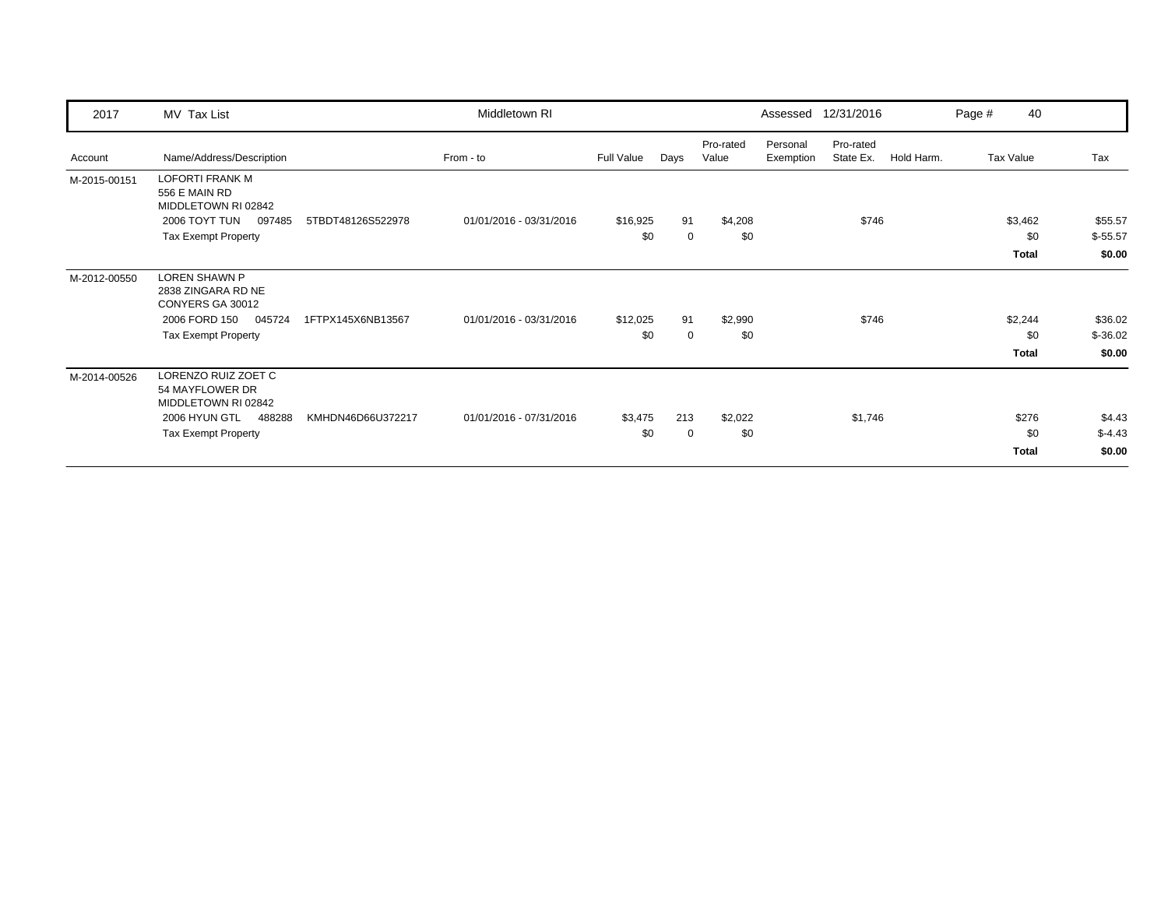| 2017         | MV Tax List                                                    |                   | Middletown RI           |            |             |                    | Assessed              | 12/31/2016             |            | Page # | 40        |           |
|--------------|----------------------------------------------------------------|-------------------|-------------------------|------------|-------------|--------------------|-----------------------|------------------------|------------|--------|-----------|-----------|
| Account      | Name/Address/Description                                       |                   | From - to               | Full Value | Days        | Pro-rated<br>Value | Personal<br>Exemption | Pro-rated<br>State Ex. | Hold Harm. |        | Tax Value | Tax       |
| M-2015-00151 | <b>LOFORTI FRANK M</b><br>556 E MAIN RD<br>MIDDLETOWN RI 02842 |                   |                         |            |             |                    |                       |                        |            |        |           |           |
|              | 2006 TOYT TUN<br>097485                                        | 5TBDT48126S522978 | 01/01/2016 - 03/31/2016 | \$16,925   | 91          | \$4,208            |                       | \$746                  |            |        | \$3,462   | \$55.57   |
|              | <b>Tax Exempt Property</b>                                     |                   |                         | \$0        | $\mathbf 0$ | \$0                |                       |                        |            |        | \$0       | $$-55.57$ |
|              |                                                                |                   |                         |            |             |                    |                       |                        |            |        | Total     | \$0.00    |
| M-2012-00550 | <b>LOREN SHAWN P</b><br>2838 ZINGARA RD NE<br>CONYERS GA 30012 |                   |                         |            |             |                    |                       |                        |            |        |           |           |
|              | 2006 FORD 150<br>045724                                        | 1FTPX145X6NB13567 | 01/01/2016 - 03/31/2016 | \$12,025   | 91          | \$2,990            |                       | \$746                  |            |        | \$2,244   | \$36.02   |
|              | <b>Tax Exempt Property</b>                                     |                   |                         | \$0        | 0           | \$0                |                       |                        |            |        | \$0       | $$-36.02$ |
|              |                                                                |                   |                         |            |             |                    |                       |                        |            |        | Total     | \$0.00    |
| M-2014-00526 | LORENZO RUIZ ZOET C<br>54 MAYFLOWER DR<br>MIDDLETOWN RI 02842  |                   |                         |            |             |                    |                       |                        |            |        |           |           |
|              | 2006 HYUN GTL<br>488288                                        | KMHDN46D66U372217 | 01/01/2016 - 07/31/2016 | \$3,475    | 213         | \$2,022            |                       | \$1,746                |            |        | \$276     | \$4.43    |
|              | <b>Tax Exempt Property</b>                                     |                   |                         | \$0        | $\mathbf 0$ | \$0                |                       |                        |            |        | \$0       | $$-4.43$  |
|              |                                                                |                   |                         |            |             |                    |                       |                        |            |        | Total     | \$0.00    |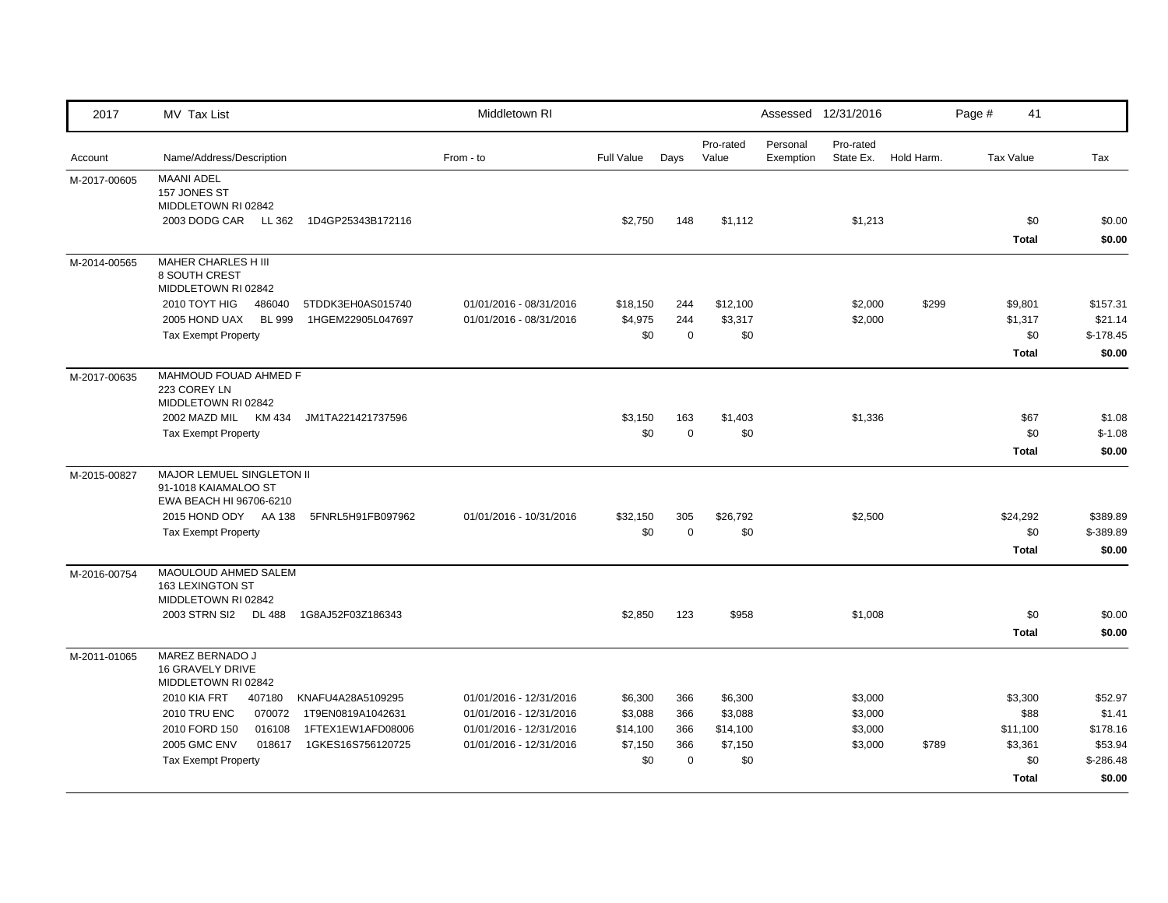| 2017         | MV Tax List                                                                         | Middletown RI           |            |             |                    |                       | Assessed 12/31/2016    |            | Page #           | 41                  |                  |
|--------------|-------------------------------------------------------------------------------------|-------------------------|------------|-------------|--------------------|-----------------------|------------------------|------------|------------------|---------------------|------------------|
| Account      | Name/Address/Description                                                            | From - to               | Full Value | Days        | Pro-rated<br>Value | Personal<br>Exemption | Pro-rated<br>State Ex. | Hold Harm. | <b>Tax Value</b> |                     | Tax              |
| M-2017-00605 | <b>MAANI ADEL</b><br>157 JONES ST<br>MIDDLETOWN RI 02842                            |                         |            |             |                    |                       |                        |            |                  |                     |                  |
|              | 2003 DODG CAR LL 362<br>1D4GP25343B172116                                           |                         | \$2,750    | 148         | \$1,112            |                       | \$1,213                |            |                  | \$0<br><b>Total</b> | \$0.00<br>\$0.00 |
| M-2014-00565 | MAHER CHARLES H III<br>8 SOUTH CREST<br>MIDDLETOWN RI 02842                         |                         |            |             |                    |                       |                        |            |                  |                     |                  |
|              | 2010 TOYT HIG<br>486040<br>5TDDK3EH0AS015740                                        | 01/01/2016 - 08/31/2016 | \$18,150   | 244         | \$12,100           |                       | \$2,000                | \$299      |                  | \$9,801             | \$157.31         |
|              | <b>BL 999</b><br>2005 HOND UAX<br>1HGEM22905L047697                                 | 01/01/2016 - 08/31/2016 | \$4,975    | 244         | \$3,317            |                       | \$2,000                |            |                  | \$1,317             | \$21.14          |
|              | <b>Tax Exempt Property</b>                                                          |                         | \$0        | $\mathbf 0$ | \$0                |                       |                        |            |                  | \$0                 | $$-178.45$       |
|              |                                                                                     |                         |            |             |                    |                       |                        |            |                  | <b>Total</b>        | \$0.00           |
| M-2017-00635 | MAHMOUD FOUAD AHMED F<br>223 COREY LN<br>MIDDLETOWN RI 02842                        |                         |            |             |                    |                       |                        |            |                  |                     |                  |
|              | 2002 MAZD MIL KM 434<br>JM1TA221421737596                                           |                         | \$3,150    | 163         | \$1,403            |                       | \$1,336                |            |                  | \$67                | \$1.08           |
|              | <b>Tax Exempt Property</b>                                                          |                         | \$0        | $\mathbf 0$ | \$0                |                       |                        |            |                  | \$0                 | $$-1.08$         |
|              |                                                                                     |                         |            |             |                    |                       |                        |            |                  | <b>Total</b>        | \$0.00           |
| M-2015-00827 | <b>MAJOR LEMUEL SINGLETON II</b><br>91-1018 KAIAMALOO ST<br>EWA BEACH HI 96706-6210 |                         |            |             |                    |                       |                        |            |                  |                     |                  |
|              | 2015 HOND ODY AA 138<br>5FNRL5H91FB097962                                           | 01/01/2016 - 10/31/2016 | \$32,150   | 305         | \$26,792           |                       | \$2,500                |            |                  | \$24,292            | \$389.89         |
|              | <b>Tax Exempt Property</b>                                                          |                         | \$0        | $\mathbf 0$ | \$0                |                       |                        |            |                  | \$0                 | \$-389.89        |
|              |                                                                                     |                         |            |             |                    |                       |                        |            |                  | <b>Total</b>        | \$0.00           |
| M-2016-00754 | MAOULOUD AHMED SALEM<br>163 LEXINGTON ST<br>MIDDLETOWN RI 02842                     |                         |            |             |                    |                       |                        |            |                  |                     |                  |
|              | 2003 STRN SI2 DL 488<br>1G8AJ52F03Z186343                                           |                         | \$2,850    | 123         | \$958              |                       | \$1,008                |            |                  | \$0                 | \$0.00           |
|              |                                                                                     |                         |            |             |                    |                       |                        |            |                  | <b>Total</b>        | \$0.00           |
| M-2011-01065 | MAREZ BERNADO J<br><b>16 GRAVELY DRIVE</b><br>MIDDLETOWN RI 02842                   |                         |            |             |                    |                       |                        |            |                  |                     |                  |
|              | <b>2010 KIA FRT</b><br>407180<br>KNAFU4A28A5109295                                  | 01/01/2016 - 12/31/2016 | \$6,300    | 366         | \$6,300            |                       | \$3,000                |            |                  | \$3,300             | \$52.97          |
|              | <b>2010 TRU ENC</b><br>070072<br>1T9EN0819A1042631                                  | 01/01/2016 - 12/31/2016 | \$3,088    | 366         | \$3,088            |                       | \$3,000                |            |                  | \$88                | \$1.41           |
|              | 2010 FORD 150<br>016108<br>1FTEX1EW1AFD08006                                        | 01/01/2016 - 12/31/2016 | \$14,100   | 366         | \$14,100           |                       | \$3,000                |            |                  | \$11,100            | \$178.16         |
|              | <b>2005 GMC ENV</b><br>018617<br>1GKES16S756120725                                  | 01/01/2016 - 12/31/2016 | \$7,150    | 366         | \$7,150            |                       | \$3,000                | \$789      |                  | \$3,361             | \$53.94          |
|              | <b>Tax Exempt Property</b>                                                          |                         | \$0        | $\mathbf 0$ | \$0                |                       |                        |            |                  | \$0                 | $$-286.48$       |
|              |                                                                                     |                         |            |             |                    |                       |                        |            |                  | <b>Total</b>        | \$0.00           |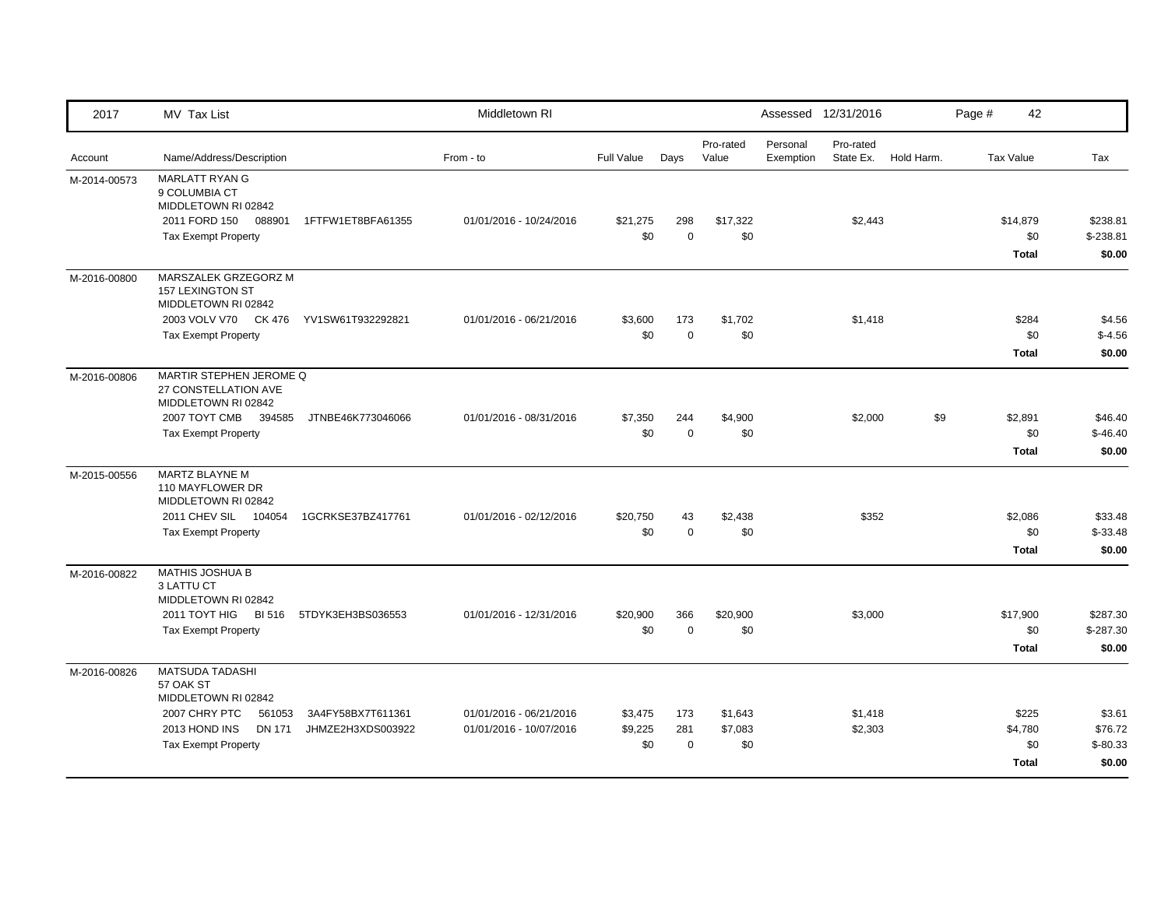| 2017         | MV Tax List                                                                                                                                                                              | Middletown RI                                      |                           |                           |                           |                       | Assessed 12/31/2016    |            | Page #           | 42                                      |                                          |
|--------------|------------------------------------------------------------------------------------------------------------------------------------------------------------------------------------------|----------------------------------------------------|---------------------------|---------------------------|---------------------------|-----------------------|------------------------|------------|------------------|-----------------------------------------|------------------------------------------|
| Account      | Name/Address/Description                                                                                                                                                                 | From - to                                          | <b>Full Value</b>         | Days                      | Pro-rated<br>Value        | Personal<br>Exemption | Pro-rated<br>State Ex. | Hold Harm. | <b>Tax Value</b> |                                         | Tax                                      |
| M-2014-00573 | MARLATT RYAN G<br>9 COLUMBIA CT<br>MIDDLETOWN RI 02842<br>2011 FORD 150<br>088901<br>1FTFW1ET8BFA61355<br><b>Tax Exempt Property</b>                                                     | 01/01/2016 - 10/24/2016                            | \$21,275<br>\$0           | 298<br>$\mathbf 0$        | \$17,322<br>\$0           |                       | \$2,443                |            |                  | \$14,879<br>\$0<br><b>Total</b>         | \$238.81<br>$$-238.81$<br>\$0.00         |
| M-2016-00800 | MARSZALEK GRZEGORZ M<br>157 LEXINGTON ST<br>MIDDLETOWN RI 02842<br>2003 VOLV V70 CK 476<br>YV1SW61T932292821<br><b>Tax Exempt Property</b>                                               | 01/01/2016 - 06/21/2016                            | \$3,600<br>\$0            | 173<br>$\mathbf 0$        | \$1,702<br>\$0            |                       | \$1,418                |            |                  | \$284<br>\$0<br><b>Total</b>            | \$4.56<br>$$-4.56$<br>\$0.00             |
| M-2016-00806 | MARTIR STEPHEN JEROME Q<br>27 CONSTELLATION AVE<br>MIDDLETOWN RI 02842<br>2007 TOYT CMB 394585<br>JTNBE46K773046066<br><b>Tax Exempt Property</b>                                        | 01/01/2016 - 08/31/2016                            | \$7,350<br>\$0            | 244<br>$\mathbf 0$        | \$4,900<br>\$0            |                       | \$2,000                | \$9        |                  | \$2,891<br>\$0<br><b>Total</b>          | \$46.40<br>$$-46.40$<br>\$0.00           |
| M-2015-00556 | MARTZ BLAYNE M<br>110 MAYFLOWER DR<br>MIDDLETOWN RI 02842<br>2011 CHEV SIL 104054<br>1GCRKSE37BZ417761<br><b>Tax Exempt Property</b>                                                     | 01/01/2016 - 02/12/2016                            | \$20,750<br>\$0           | 43<br>$\mathbf 0$         | \$2,438<br>\$0            |                       | \$352                  |            |                  | \$2,086<br>\$0<br><b>Total</b>          | \$33.48<br>$$ -33.48$<br>\$0.00          |
| M-2016-00822 | <b>MATHIS JOSHUA B</b><br>3 LATTU CT<br>MIDDLETOWN RI 02842<br>2011 TOYT HIG BI 516<br>5TDYK3EH3BS036553<br><b>Tax Exempt Property</b>                                                   | 01/01/2016 - 12/31/2016                            | \$20,900<br>\$0           | 366<br>$\mathbf 0$        | \$20,900<br>\$0           |                       | \$3,000                |            |                  | \$17,900<br>\$0<br><b>Total</b>         | \$287.30<br>$$-287.30$<br>\$0.00         |
| M-2016-00826 | MATSUDA TADASHI<br>57 OAK ST<br>MIDDLETOWN RI 02842<br>2007 CHRY PTC<br>3A4FY58BX7T611361<br>561053<br>2013 HOND INS<br><b>DN 171</b><br>JHMZE2H3XDS003922<br><b>Tax Exempt Property</b> | 01/01/2016 - 06/21/2016<br>01/01/2016 - 10/07/2016 | \$3,475<br>\$9,225<br>\$0 | 173<br>281<br>$\mathbf 0$ | \$1,643<br>\$7,083<br>\$0 |                       | \$1,418<br>\$2,303     |            |                  | \$225<br>\$4,780<br>\$0<br><b>Total</b> | \$3.61<br>\$76.72<br>$$-80.33$<br>\$0.00 |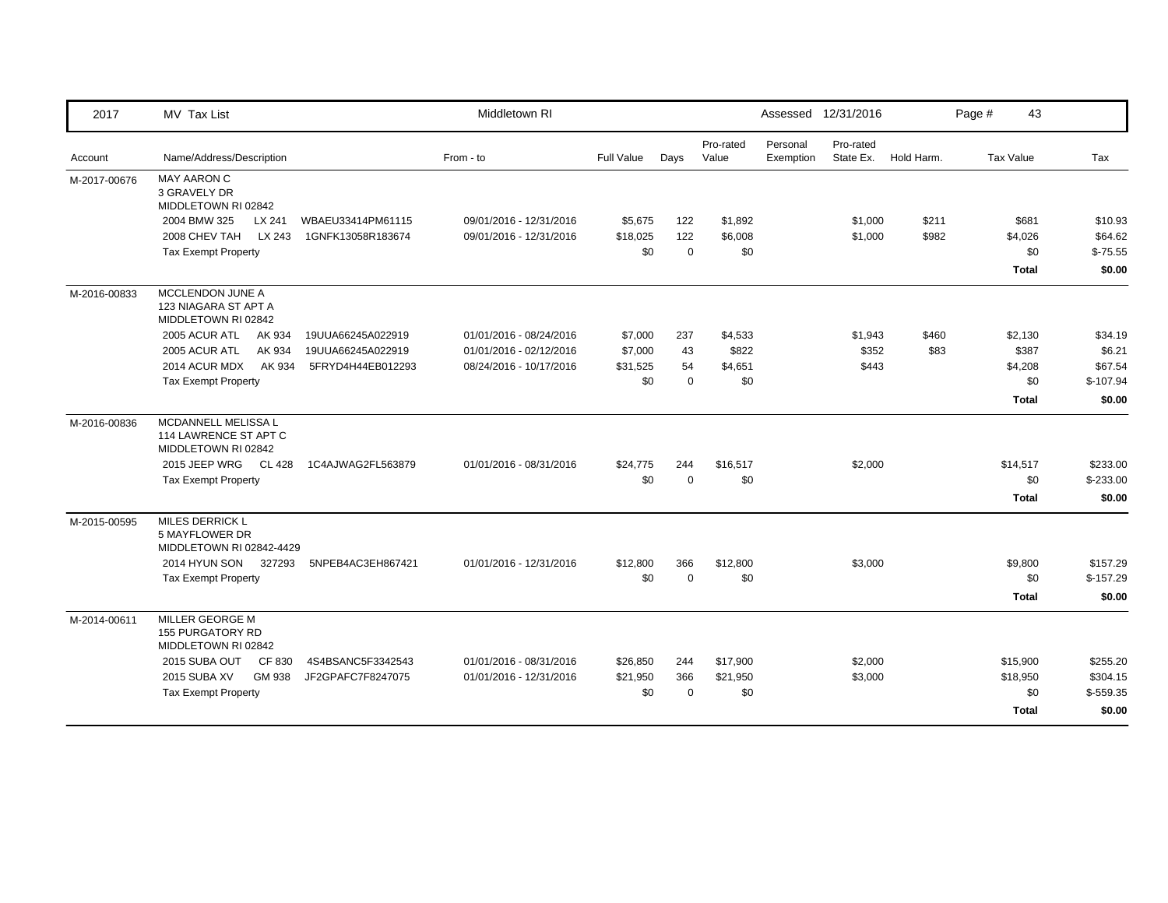| 2017         | MV Tax List                                                          |                   | Middletown RI           |                   |             |                    |                       | Assessed 12/31/2016    |            | Page # | 43               |            |
|--------------|----------------------------------------------------------------------|-------------------|-------------------------|-------------------|-------------|--------------------|-----------------------|------------------------|------------|--------|------------------|------------|
| Account      | Name/Address/Description                                             |                   | From - to               | <b>Full Value</b> | Days        | Pro-rated<br>Value | Personal<br>Exemption | Pro-rated<br>State Ex. | Hold Harm. |        | <b>Tax Value</b> | Tax        |
| M-2017-00676 | <b>MAY AARON C</b><br>3 GRAVELY DR<br>MIDDLETOWN RI 02842            |                   |                         |                   |             |                    |                       |                        |            |        |                  |            |
|              | 2004 BMW 325<br>LX 241                                               | WBAEU33414PM61115 | 09/01/2016 - 12/31/2016 | \$5,675           | 122         | \$1,892            |                       | \$1,000                | \$211      |        | \$681            | \$10.93    |
|              | 2008 CHEV TAH<br>LX 243                                              | 1GNFK13058R183674 | 09/01/2016 - 12/31/2016 | \$18,025          | 122         | \$6,008            |                       | \$1,000                | \$982      |        | \$4,026          | \$64.62    |
|              | <b>Tax Exempt Property</b>                                           |                   |                         | \$0               | $\mathbf 0$ | \$0                |                       |                        |            |        | \$0              | $$-75.55$  |
|              |                                                                      |                   |                         |                   |             |                    |                       |                        |            |        | <b>Total</b>     | \$0.00     |
| M-2016-00833 | MCCLENDON JUNE A<br>123 NIAGARA ST APT A<br>MIDDLETOWN RI 02842      |                   |                         |                   |             |                    |                       |                        |            |        |                  |            |
|              | 2005 ACUR ATL<br>AK 934                                              | 19UUA66245A022919 | 01/01/2016 - 08/24/2016 | \$7,000           | 237         | \$4,533            |                       | \$1,943                | \$460      |        | \$2,130          | \$34.19    |
|              | 2005 ACUR ATL<br>AK 934                                              | 19UUA66245A022919 | 01/01/2016 - 02/12/2016 | \$7,000           | 43          | \$822              |                       | \$352                  | \$83       |        | \$387            | \$6.21     |
|              | 2014 ACUR MDX<br>AK 934                                              | 5FRYD4H44EB012293 | 08/24/2016 - 10/17/2016 | \$31,525          | 54          | \$4,651            |                       | \$443                  |            |        | \$4,208          | \$67.54    |
|              | Tax Exempt Property                                                  |                   |                         | \$0               | $\mathbf 0$ | \$0                |                       |                        |            |        | \$0              | $$-107.94$ |
|              |                                                                      |                   |                         |                   |             |                    |                       |                        |            |        | <b>Total</b>     | \$0.00     |
| M-2016-00836 | MCDANNELL MELISSA L<br>114 LAWRENCE ST APT C<br>MIDDLETOWN RI 02842  |                   |                         |                   |             |                    |                       |                        |            |        |                  |            |
|              | 2015 JEEP WRG<br>CL 428                                              | 1C4AJWAG2FL563879 | 01/01/2016 - 08/31/2016 | \$24,775          | 244         | \$16,517           |                       | \$2,000                |            |        | \$14,517         | \$233.00   |
|              | <b>Tax Exempt Property</b>                                           |                   |                         | \$0               | $\mathbf 0$ | \$0                |                       |                        |            |        | \$0              | $$-233.00$ |
|              |                                                                      |                   |                         |                   |             |                    |                       |                        |            |        | <b>Total</b>     | \$0.00     |
| M-2015-00595 | <b>MILES DERRICK L</b><br>5 MAYFLOWER DR<br>MIDDLETOWN RI 02842-4429 |                   |                         |                   |             |                    |                       |                        |            |        |                  |            |
|              | 2014 HYUN SON<br>327293                                              | 5NPEB4AC3EH867421 | 01/01/2016 - 12/31/2016 | \$12,800          | 366         | \$12,800           |                       | \$3,000                |            |        | \$9,800          | \$157.29   |
|              | <b>Tax Exempt Property</b>                                           |                   |                         | \$0               | $\mathbf 0$ | \$0                |                       |                        |            |        | \$0              | $$-157.29$ |
|              |                                                                      |                   |                         |                   |             |                    |                       |                        |            |        | <b>Total</b>     | \$0.00     |
| M-2014-00611 | MILLER GEORGE M<br><b>155 PURGATORY RD</b><br>MIDDLETOWN RI 02842    |                   |                         |                   |             |                    |                       |                        |            |        |                  |            |
|              | 2015 SUBA OUT<br>CF 830                                              | 4S4BSANC5F3342543 | 01/01/2016 - 08/31/2016 | \$26,850          | 244         | \$17,900           |                       | \$2,000                |            |        | \$15,900         | \$255.20   |
|              | <b>2015 SUBA XV</b><br>GM 938                                        | JF2GPAFC7F8247075 | 01/01/2016 - 12/31/2016 | \$21,950          | 366         | \$21,950           |                       | \$3,000                |            |        | \$18,950         | \$304.15   |
|              | <b>Tax Exempt Property</b>                                           |                   |                         | \$0               | $\mathbf 0$ | \$0                |                       |                        |            |        | \$0              | $$-559.35$ |
|              |                                                                      |                   |                         |                   |             |                    |                       |                        |            |        | <b>Total</b>     | \$0.00     |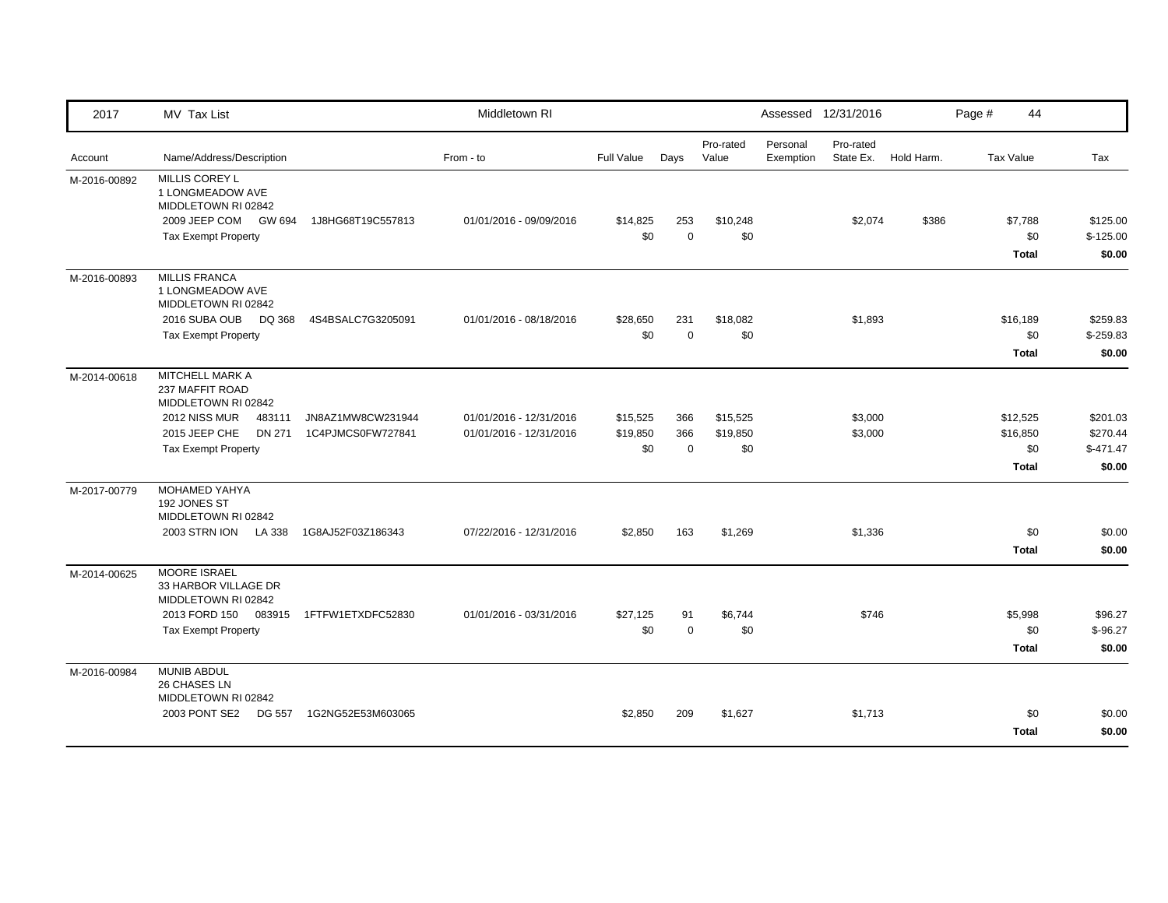| 2017         | MV Tax List                                                                                                                                   |                                        | Middletown RI                                      |                             |                           |                             |                       | Assessed 12/31/2016    |            | Page # | 44                                          |                                              |
|--------------|-----------------------------------------------------------------------------------------------------------------------------------------------|----------------------------------------|----------------------------------------------------|-----------------------------|---------------------------|-----------------------------|-----------------------|------------------------|------------|--------|---------------------------------------------|----------------------------------------------|
| Account      | Name/Address/Description                                                                                                                      |                                        | From - to                                          | Full Value                  | Days                      | Pro-rated<br>Value          | Personal<br>Exemption | Pro-rated<br>State Ex. | Hold Harm. |        | <b>Tax Value</b>                            | Tax                                          |
| M-2016-00892 | <b>MILLIS COREY L</b><br>1 LONGMEADOW AVE<br>MIDDLETOWN RI 02842<br>2009 JEEP COM GW 694<br><b>Tax Exempt Property</b>                        | 1J8HG68T19C557813                      | 01/01/2016 - 09/09/2016                            | \$14,825<br>\$0             | 253<br>$\mathbf 0$        | \$10,248<br>\$0             |                       | \$2,074                | \$386      |        | \$7,788<br>\$0<br><b>Total</b>              | \$125.00<br>$$-125.00$<br>\$0.00             |
| M-2016-00893 | <b>MILLIS FRANCA</b><br>1 LONGMEADOW AVE<br>MIDDLETOWN RI 02842<br>2016 SUBA OUB<br>DQ 368<br><b>Tax Exempt Property</b>                      | 4S4BSALC7G3205091                      | 01/01/2016 - 08/18/2016                            | \$28,650<br>\$0             | 231<br>$\Omega$           | \$18,082<br>\$0             |                       | \$1,893                |            |        | \$16,189<br>\$0<br><b>Total</b>             | \$259.83<br>$$-259.83$<br>\$0.00             |
| M-2014-00618 | MITCHELL MARK A<br>237 MAFFIT ROAD<br>MIDDLETOWN RI 02842<br>2012 NISS MUR<br>483111<br>2015 JEEP CHE<br>DN 271<br><b>Tax Exempt Property</b> | JN8AZ1MW8CW231944<br>1C4PJMCS0FW727841 | 01/01/2016 - 12/31/2016<br>01/01/2016 - 12/31/2016 | \$15,525<br>\$19,850<br>\$0 | 366<br>366<br>$\mathbf 0$ | \$15,525<br>\$19,850<br>\$0 |                       | \$3,000<br>\$3,000     |            |        | \$12,525<br>\$16,850<br>\$0<br><b>Total</b> | \$201.03<br>\$270.44<br>$$-471.47$<br>\$0.00 |
| M-2017-00779 | <b>MOHAMED YAHYA</b><br>192 JONES ST<br>MIDDLETOWN RI 02842<br>2003 STRN ION LA 338                                                           | 1G8AJ52F03Z186343                      | 07/22/2016 - 12/31/2016                            | \$2,850                     | 163                       | \$1,269                     |                       | \$1,336                |            |        | \$0<br><b>Total</b>                         | \$0.00<br>\$0.00                             |
| M-2014-00625 | <b>MOORE ISRAEL</b><br>33 HARBOR VILLAGE DR<br>MIDDLETOWN RI 02842<br>2013 FORD 150<br>083915<br><b>Tax Exempt Property</b>                   | 1FTFW1ETXDFC52830                      | 01/01/2016 - 03/31/2016                            | \$27,125<br>\$0             | 91<br>$\mathbf 0$         | \$6,744<br>\$0              |                       | \$746                  |            |        | \$5,998<br>\$0<br><b>Total</b>              | \$96.27<br>$$-96.27$<br>\$0.00               |
| M-2016-00984 | MUNIB ABDUL<br>26 CHASES LN<br>MIDDLETOWN RI 02842<br>2003 PONT SE2 DG 557                                                                    | 1G2NG52E53M603065                      |                                                    | \$2,850                     | 209                       | \$1,627                     |                       | \$1,713                |            |        | \$0<br><b>Total</b>                         | \$0.00<br>\$0.00                             |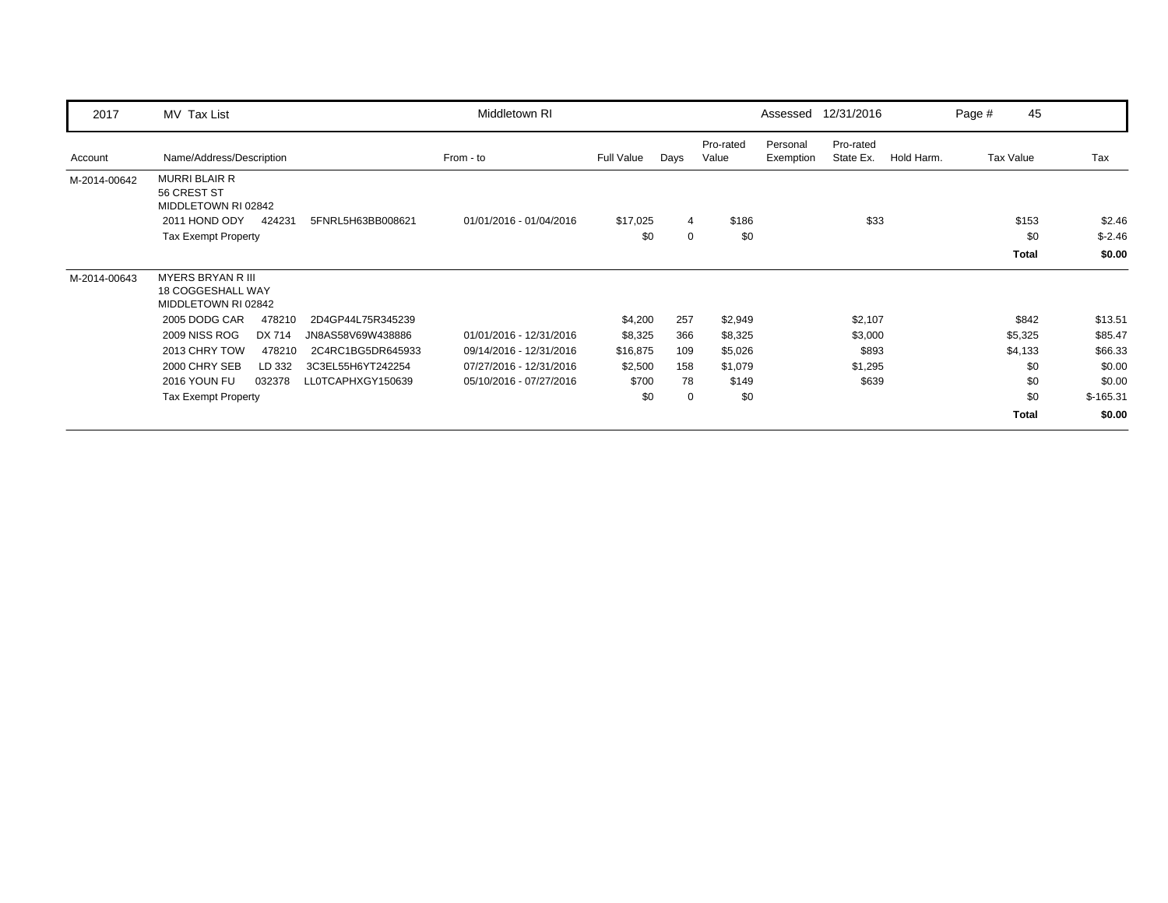| 2017         | MV Tax List                                                                                                         |                   | Middletown RI           |                 |                  |                    | Assessed              | 12/31/2016             |            | Page # | 45                           |                              |
|--------------|---------------------------------------------------------------------------------------------------------------------|-------------------|-------------------------|-----------------|------------------|--------------------|-----------------------|------------------------|------------|--------|------------------------------|------------------------------|
| Account      | Name/Address/Description                                                                                            |                   | From - to               | Full Value      | Days             | Pro-rated<br>Value | Personal<br>Exemption | Pro-rated<br>State Ex. | Hold Harm. |        | Tax Value                    | Tax                          |
| M-2014-00642 | <b>MURRI BLAIR R</b><br>56 CREST ST<br>MIDDLETOWN RI 02842<br>2011 HOND ODY<br>424231<br><b>Tax Exempt Property</b> | 5FNRL5H63BB008621 | 01/01/2016 - 01/04/2016 | \$17,025<br>\$0 | 4<br>$\mathbf 0$ | \$186<br>\$0       |                       | \$33                   |            |        | \$153<br>\$0<br><b>Total</b> | \$2.46<br>$$-2.46$<br>\$0.00 |
| M-2014-00643 | <b>MYERS BRYAN R III</b><br>18 COGGESHALL WAY<br>MIDDLETOWN RI 02842                                                |                   |                         |                 |                  |                    |                       |                        |            |        |                              |                              |
|              | 2005 DODG CAR<br>478210                                                                                             | 2D4GP44L75R345239 |                         | \$4,200         | 257              | \$2,949            |                       | \$2,107                |            |        | \$842                        | \$13.51                      |
|              | 2009 NISS ROG<br>DX 714                                                                                             | JN8AS58V69W438886 | 01/01/2016 - 12/31/2016 | \$8,325         | 366              | \$8,325            |                       | \$3,000                |            |        | \$5,325                      | \$85.47                      |
|              | 2013 CHRY TOW<br>478210                                                                                             | 2C4RC1BG5DR645933 | 09/14/2016 - 12/31/2016 | \$16,875        | 109              | \$5,026            |                       | \$893                  |            |        | \$4,133                      | \$66.33                      |
|              | 2000 CHRY SEB<br>LD 332                                                                                             | 3C3EL55H6YT242254 | 07/27/2016 - 12/31/2016 | \$2,500         | 158              | \$1,079            |                       | \$1,295                |            |        | \$0                          | \$0.00                       |
|              | 2016 YOUN FU<br>032378                                                                                              | LL0TCAPHXGY150639 | 05/10/2016 - 07/27/2016 | \$700           | 78               | \$149              |                       | \$639                  |            |        | \$0                          | \$0.00                       |
|              | <b>Tax Exempt Property</b>                                                                                          |                   |                         | \$0             | $\mathbf 0$      | \$0                |                       |                        |            |        | \$0                          | $$-165.31$                   |
|              |                                                                                                                     |                   |                         |                 |                  |                    |                       |                        |            |        | Total                        | \$0.00                       |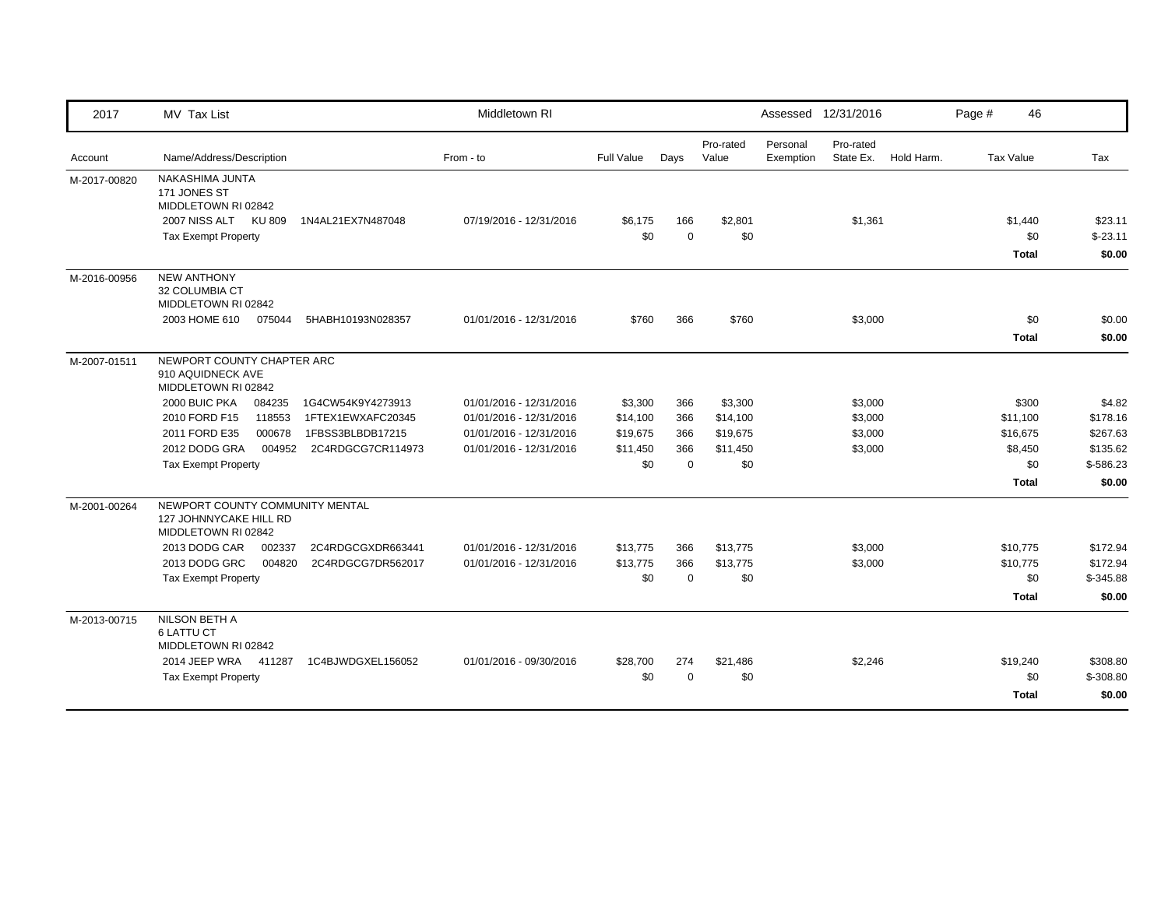| 2017         | <b>MV Tax List</b>                                                               |                   | Middletown RI           |                   |                 |                    | Assessed 12/31/2016                             | Page #<br>46                   |                                |
|--------------|----------------------------------------------------------------------------------|-------------------|-------------------------|-------------------|-----------------|--------------------|-------------------------------------------------|--------------------------------|--------------------------------|
| Account      | Name/Address/Description                                                         |                   | From - to               | <b>Full Value</b> | Days            | Pro-rated<br>Value | Personal<br>Pro-rated<br>Exemption<br>State Ex. | Hold Harm.<br><b>Tax Value</b> | Tax                            |
| M-2017-00820 | NAKASHIMA JUNTA<br>171 JONES ST<br>MIDDLETOWN RI 02842                           |                   |                         |                   |                 |                    |                                                 |                                |                                |
|              | 2007 NISS ALT KU 809<br><b>Tax Exempt Property</b>                               | 1N4AL21EX7N487048 | 07/19/2016 - 12/31/2016 | \$6,175<br>\$0    | 166<br>$\Omega$ | \$2,801<br>\$0     | \$1,361                                         | \$1,440<br>\$0<br><b>Total</b> | \$23.11<br>$$-23.11$<br>\$0.00 |
| M-2016-00956 | <b>NEW ANTHONY</b><br>32 COLUMBIA CT<br>MIDDLETOWN RI 02842                      |                   |                         |                   |                 |                    |                                                 |                                |                                |
| M-2007-01511 | 2003 HOME 610<br>075044                                                          | 5HABH10193N028357 | 01/01/2016 - 12/31/2016 | \$760             | 366             | \$760              | \$3,000                                         | \$0<br><b>Total</b>            | \$0.00<br>\$0.00               |
|              | NEWPORT COUNTY CHAPTER ARC<br>910 AQUIDNECK AVE<br>MIDDLETOWN RI 02842           |                   |                         |                   |                 |                    |                                                 |                                |                                |
|              | 2000 BUIC PKA<br>084235                                                          | 1G4CW54K9Y4273913 | 01/01/2016 - 12/31/2016 | \$3,300           | 366             | \$3,300            | \$3,000                                         | \$300                          | \$4.82                         |
|              | 2010 FORD F15<br>118553                                                          | 1FTEX1EWXAFC20345 | 01/01/2016 - 12/31/2016 | \$14,100          | 366             | \$14,100           | \$3,000                                         | \$11,100                       | \$178.16                       |
|              | 2011 FORD E35<br>000678                                                          | 1FBSS3BLBDB17215  | 01/01/2016 - 12/31/2016 | \$19,675          | 366             | \$19,675           | \$3,000                                         | \$16,675                       | \$267.63                       |
|              | 2012 DODG GRA<br>004952                                                          | 2C4RDGCG7CR114973 | 01/01/2016 - 12/31/2016 | \$11,450          | 366             | \$11,450           | \$3,000                                         | \$8,450                        | \$135.62                       |
|              | <b>Tax Exempt Property</b>                                                       |                   |                         | \$0               | $\Omega$        | \$0                |                                                 | \$0                            | \$-586.23                      |
|              |                                                                                  |                   |                         |                   |                 |                    |                                                 | <b>Total</b>                   | \$0.00                         |
| M-2001-00264 | NEWPORT COUNTY COMMUNITY MENTAL<br>127 JOHNNYCAKE HILL RD<br>MIDDLETOWN RI 02842 |                   |                         |                   |                 |                    |                                                 |                                |                                |
|              | 2013 DODG CAR<br>002337                                                          | 2C4RDGCGXDR663441 | 01/01/2016 - 12/31/2016 | \$13,775          | 366             | \$13,775           | \$3,000                                         | \$10,775                       | \$172.94                       |
|              | 2013 DODG GRC<br>004820                                                          | 2C4RDGCG7DR562017 | 01/01/2016 - 12/31/2016 | \$13,775          | 366             | \$13,775           | \$3,000                                         | \$10,775                       | \$172.94                       |
|              | <b>Tax Exempt Property</b>                                                       |                   |                         | \$0               | $\Omega$        | \$0                |                                                 | \$0                            | $$-345.88$                     |
|              |                                                                                  |                   |                         |                   |                 |                    |                                                 | <b>Total</b>                   | \$0.00                         |
| M-2013-00715 | NILSON BETH A<br><b>6 LATTU CT</b><br>MIDDLETOWN RI 02842                        |                   |                         |                   |                 |                    |                                                 |                                |                                |
|              | 2014 JEEP WRA 411287                                                             | 1C4BJWDGXEL156052 | 01/01/2016 - 09/30/2016 | \$28,700          | 274             | \$21,486           | \$2,246                                         | \$19,240                       | \$308.80                       |
|              | <b>Tax Exempt Property</b>                                                       |                   |                         | \$0               | $\Omega$        | \$0                |                                                 | \$0                            | $$ -308.80$                    |
|              |                                                                                  |                   |                         |                   |                 |                    |                                                 | <b>Total</b>                   | \$0.00                         |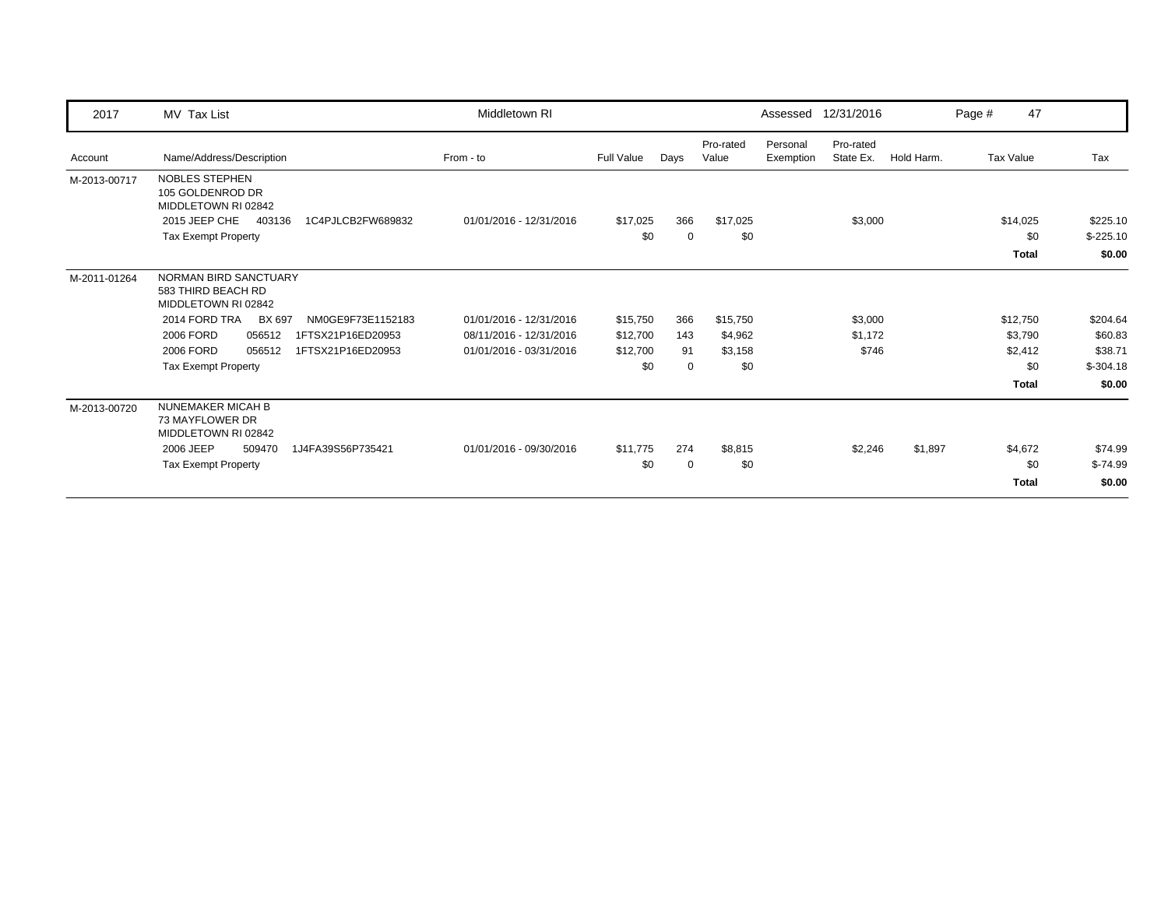| 2017         | MV Tax List                                                                | Middletown RI           |                   |                 |                    | Assessed              | 12/31/2016             |            | Page # | 47              |                        |
|--------------|----------------------------------------------------------------------------|-------------------------|-------------------|-----------------|--------------------|-----------------------|------------------------|------------|--------|-----------------|------------------------|
| Account      | Name/Address/Description                                                   | From - to               | <b>Full Value</b> | Days            | Pro-rated<br>Value | Personal<br>Exemption | Pro-rated<br>State Ex. | Hold Harm. |        | Tax Value       | Tax                    |
| M-2013-00717 | <b>NOBLES STEPHEN</b><br>105 GOLDENROD DR<br>MIDDLETOWN RI 02842           |                         |                   |                 |                    |                       |                        |            |        |                 |                        |
|              | 2015 JEEP CHE<br>403136<br>1C4PJLCB2FW689832<br><b>Tax Exempt Property</b> | 01/01/2016 - 12/31/2016 | \$17,025<br>\$0   | 366<br>$\Omega$ | \$17,025<br>\$0    |                       | \$3,000                |            |        | \$14,025<br>\$0 | \$225.10<br>$$-225.10$ |
|              |                                                                            |                         |                   |                 |                    |                       |                        |            |        | <b>Total</b>    | \$0.00                 |
|              |                                                                            |                         |                   |                 |                    |                       |                        |            |        |                 |                        |
| M-2011-01264 | NORMAN BIRD SANCTUARY<br>583 THIRD BEACH RD<br>MIDDLETOWN RI 02842         |                         |                   |                 |                    |                       |                        |            |        |                 |                        |
|              | 2014 FORD TRA<br><b>BX 697</b><br>NM0GE9F73E1152183                        | 01/01/2016 - 12/31/2016 | \$15,750          | 366             | \$15,750           |                       | \$3,000                |            |        | \$12,750        | \$204.64               |
|              | 2006 FORD<br>056512<br>1FTSX21P16ED20953                                   | 08/11/2016 - 12/31/2016 | \$12,700          | 143             | \$4,962            |                       | \$1,172                |            |        | \$3,790         | \$60.83                |
|              | 2006 FORD<br>056512<br>1FTSX21P16ED20953                                   | 01/01/2016 - 03/31/2016 | \$12,700          | 91              | \$3,158            |                       | \$746                  |            |        | \$2,412         | \$38.71                |
|              | <b>Tax Exempt Property</b>                                                 |                         | \$0               | $\Omega$        | \$0                |                       |                        |            |        | \$0             | $$-304.18$             |
|              |                                                                            |                         |                   |                 |                    |                       |                        |            |        | <b>Total</b>    | \$0.00                 |
| M-2013-00720 | <b>NUNEMAKER MICAH B</b><br>73 MAYFLOWER DR<br>MIDDLETOWN RI 02842         |                         |                   |                 |                    |                       |                        |            |        |                 |                        |
|              | 2006 JEEP<br>509470<br>1J4FA39S56P735421                                   | 01/01/2016 - 09/30/2016 | \$11,775          | 274             | \$8,815            |                       | \$2,246                | \$1,897    |        | \$4,672         | \$74.99                |
|              | <b>Tax Exempt Property</b>                                                 |                         | \$0               | $\overline{0}$  | \$0                |                       |                        |            |        | \$0             | $$-74.99$              |
|              |                                                                            |                         |                   |                 |                    |                       |                        |            |        | <b>Total</b>    | \$0.00                 |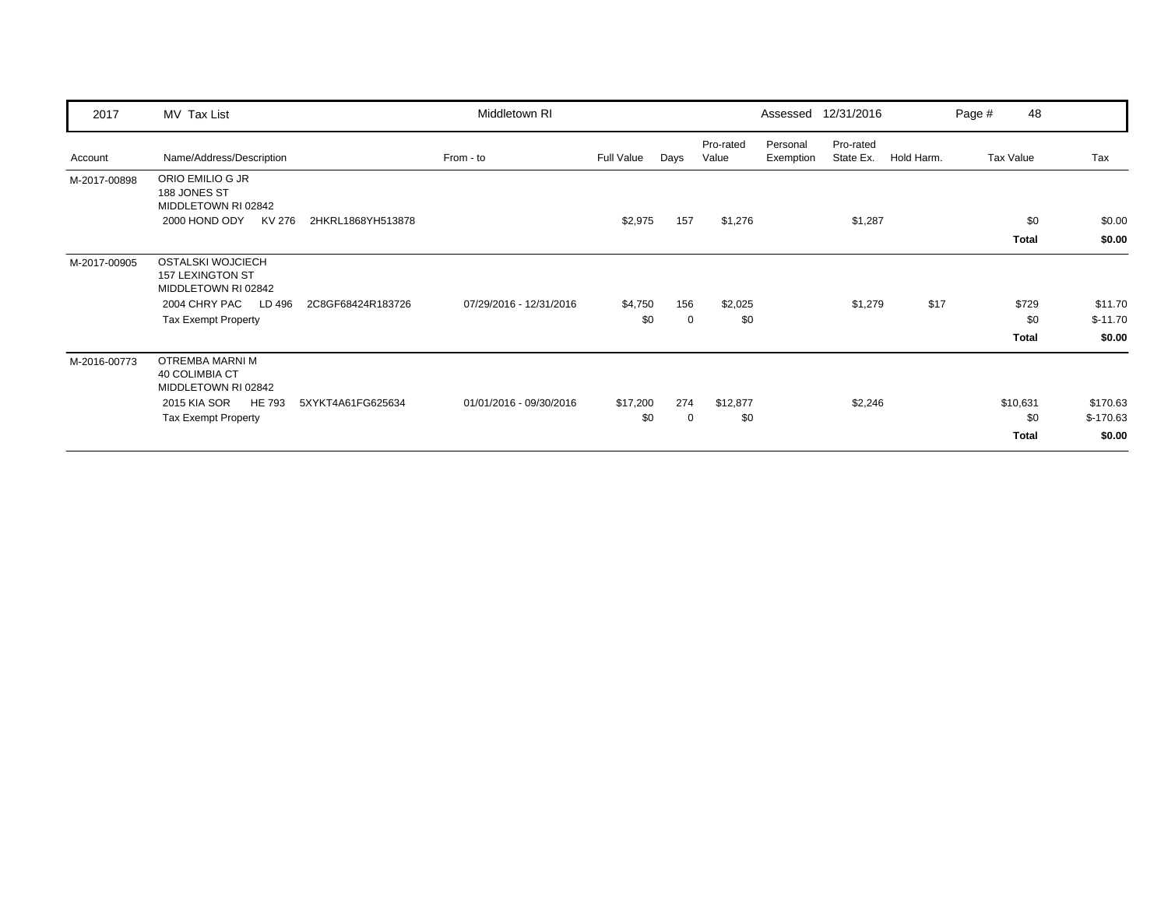| 2017         | MV Tax List                                                                |                   | Middletown RI           |            |      |                    |                       | Assessed 12/31/2016    |            | Page # | 48           |                  |
|--------------|----------------------------------------------------------------------------|-------------------|-------------------------|------------|------|--------------------|-----------------------|------------------------|------------|--------|--------------|------------------|
| Account      | Name/Address/Description                                                   |                   | From - to               | Full Value | Days | Pro-rated<br>Value | Personal<br>Exemption | Pro-rated<br>State Ex. | Hold Harm. |        | Tax Value    | Tax              |
| M-2017-00898 | ORIO EMILIO G JR<br>188 JONES ST<br>MIDDLETOWN RI 02842                    |                   |                         |            |      |                    |                       |                        |            |        |              |                  |
|              | 2000 HOND ODY<br>KV 276                                                    | 2HKRL1868YH513878 |                         | \$2,975    | 157  | \$1,276            |                       | \$1,287                |            |        | \$0<br>Total | \$0.00<br>\$0.00 |
| M-2017-00905 | <b>OSTALSKI WOJCIECH</b><br><b>157 LEXINGTON ST</b><br>MIDDLETOWN RI 02842 |                   |                         |            |      |                    |                       |                        |            |        |              |                  |
|              | 2004 CHRY PAC LD 496                                                       | 2C8GF68424R183726 | 07/29/2016 - 12/31/2016 | \$4,750    | 156  | \$2,025            |                       | \$1,279                | \$17       |        | \$729        | \$11.70          |
|              | <b>Tax Exempt Property</b>                                                 |                   |                         | \$0        | 0    | \$0                |                       |                        |            |        | \$0          | $$-11.70$        |
|              |                                                                            |                   |                         |            |      |                    |                       |                        |            |        | Total        | \$0.00           |
| M-2016-00773 | OTREMBA MARNI M<br><b>40 COLIMBIA CT</b><br>MIDDLETOWN RI 02842            |                   |                         |            |      |                    |                       |                        |            |        |              |                  |
|              | <b>HE 793</b><br>2015 KIA SOR                                              | 5XYKT4A61FG625634 | 01/01/2016 - 09/30/2016 | \$17,200   | 274  | \$12,877           |                       | \$2,246                |            |        | \$10,631     | \$170.63         |
|              | <b>Tax Exempt Property</b>                                                 |                   |                         | \$0        | 0    | \$0                |                       |                        |            |        | \$0          | $$-170.63$       |
|              |                                                                            |                   |                         |            |      |                    |                       |                        |            |        | Total        | \$0.00           |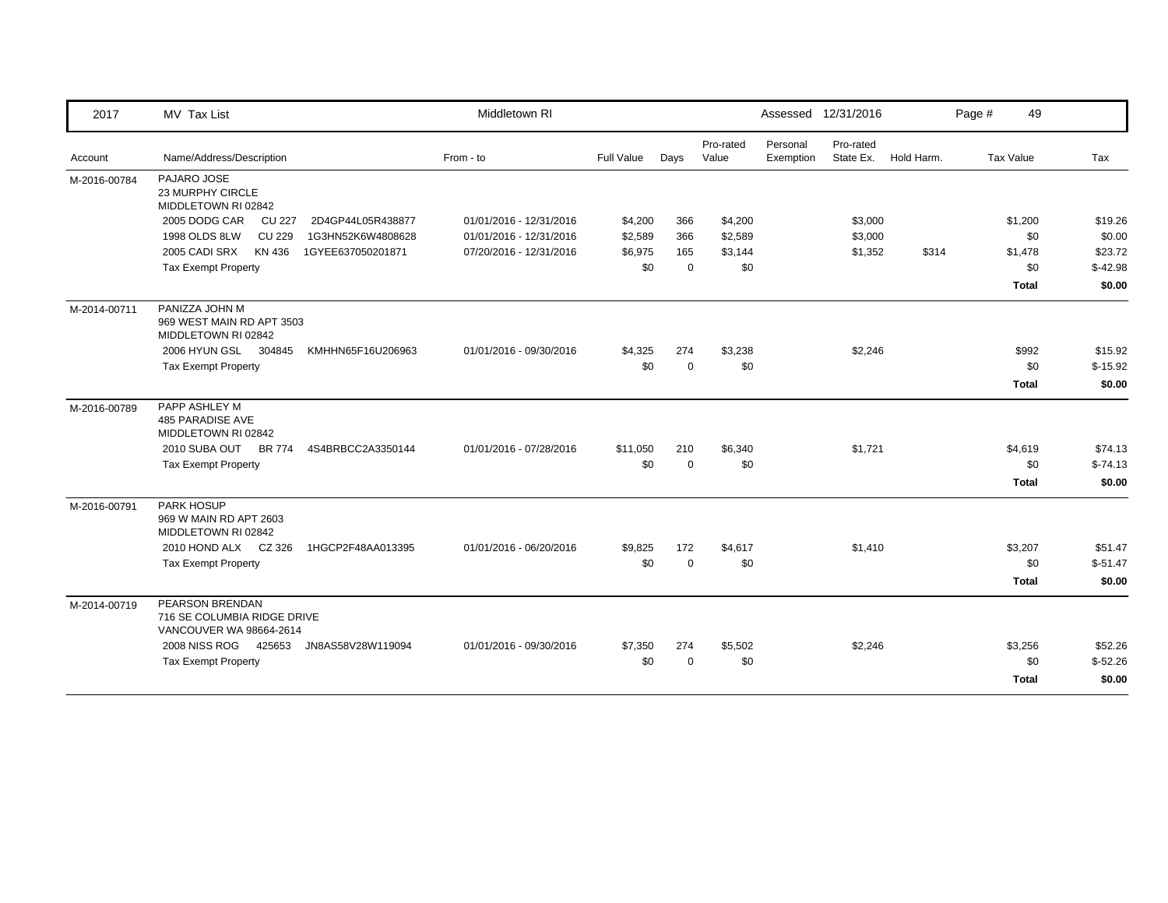| 2017         | MV Tax List                                                               | Middletown RI           |            |             |                    | Assessed 12/31/2016   |                        |            | Page # | 49               |           |
|--------------|---------------------------------------------------------------------------|-------------------------|------------|-------------|--------------------|-----------------------|------------------------|------------|--------|------------------|-----------|
| Account      | Name/Address/Description                                                  | From - to               | Full Value | Days        | Pro-rated<br>Value | Personal<br>Exemption | Pro-rated<br>State Ex. | Hold Harm. |        | <b>Tax Value</b> | Tax       |
| M-2016-00784 | PAJARO JOSE<br>23 MURPHY CIRCLE<br>MIDDLETOWN RI 02842                    |                         |            |             |                    |                       |                        |            |        |                  |           |
|              | 2005 DODG CAR<br><b>CU 227</b><br>2D4GP44L05R438877                       | 01/01/2016 - 12/31/2016 | \$4,200    | 366         | \$4,200            |                       | \$3,000                |            |        | \$1,200          | \$19.26   |
|              | <b>CU 229</b><br>1998 OLDS 8LW<br>1G3HN52K6W4808628                       | 01/01/2016 - 12/31/2016 | \$2,589    | 366         | \$2,589            |                       | \$3,000                |            |        | \$0              | \$0.00    |
|              | 2005 CADI SRX<br>KN 436<br>1GYEE637050201871                              | 07/20/2016 - 12/31/2016 | \$6,975    | 165         | \$3,144            |                       | \$1,352                | \$314      |        | \$1,478          | \$23.72   |
|              | <b>Tax Exempt Property</b>                                                |                         | \$0        | $\Omega$    | \$0                |                       |                        |            |        | \$0              | $$-42.98$ |
|              |                                                                           |                         |            |             |                    |                       |                        |            |        | <b>Total</b>     | \$0.00    |
| M-2014-00711 | PANIZZA JOHN M<br>969 WEST MAIN RD APT 3503<br>MIDDLETOWN RI 02842        |                         |            |             |                    |                       |                        |            |        |                  |           |
|              | 2006 HYUN GSL 304845<br>KMHHN65F16U206963                                 | 01/01/2016 - 09/30/2016 | \$4,325    | 274         | \$3,238            |                       | \$2,246                |            |        | \$992            | \$15.92   |
|              | <b>Tax Exempt Property</b>                                                |                         | \$0        | $\mathbf 0$ | \$0                |                       |                        |            |        | \$0              | $$-15.92$ |
|              |                                                                           |                         |            |             |                    |                       |                        |            |        | <b>Total</b>     | \$0.00    |
| M-2016-00789 | PAPP ASHLEY M<br>485 PARADISE AVE<br>MIDDLETOWN RI 02842                  |                         |            |             |                    |                       |                        |            |        |                  |           |
|              | 2010 SUBA OUT<br><b>BR 774</b><br>4S4BRBCC2A3350144                       | 01/01/2016 - 07/28/2016 | \$11,050   | 210         | \$6,340            |                       | \$1,721                |            |        | \$4,619          | \$74.13   |
|              | <b>Tax Exempt Property</b>                                                |                         | \$0        | $\mathbf 0$ | \$0                |                       |                        |            |        | \$0              | $$-74.13$ |
|              |                                                                           |                         |            |             |                    |                       |                        |            |        | <b>Total</b>     | \$0.00    |
| M-2016-00791 | PARK HOSUP<br>969 W MAIN RD APT 2603<br>MIDDLETOWN RI 02842               |                         |            |             |                    |                       |                        |            |        |                  |           |
|              | 2010 HOND ALX CZ 326<br>1HGCP2F48AA013395                                 | 01/01/2016 - 06/20/2016 | \$9,825    | 172         | \$4,617            |                       | \$1,410                |            |        | \$3,207          | \$51.47   |
|              | <b>Tax Exempt Property</b>                                                |                         | \$0        | $\Omega$    | \$0                |                       |                        |            |        | \$0              | $$-51.47$ |
|              |                                                                           |                         |            |             |                    |                       |                        |            |        | <b>Total</b>     | \$0.00    |
| M-2014-00719 | PEARSON BRENDAN<br>716 SE COLUMBIA RIDGE DRIVE<br>VANCOUVER WA 98664-2614 |                         |            |             |                    |                       |                        |            |        |                  |           |
|              | 2008 NISS ROG 425653<br>JN8AS58V28W119094                                 | 01/01/2016 - 09/30/2016 | \$7,350    | 274         | \$5,502            |                       | \$2,246                |            |        | \$3,256          | \$52.26   |
|              | <b>Tax Exempt Property</b>                                                |                         | \$0        | $\Omega$    | \$0                |                       |                        |            |        | \$0              | $$-52.26$ |
|              |                                                                           |                         |            |             |                    |                       |                        |            |        | <b>Total</b>     | \$0.00    |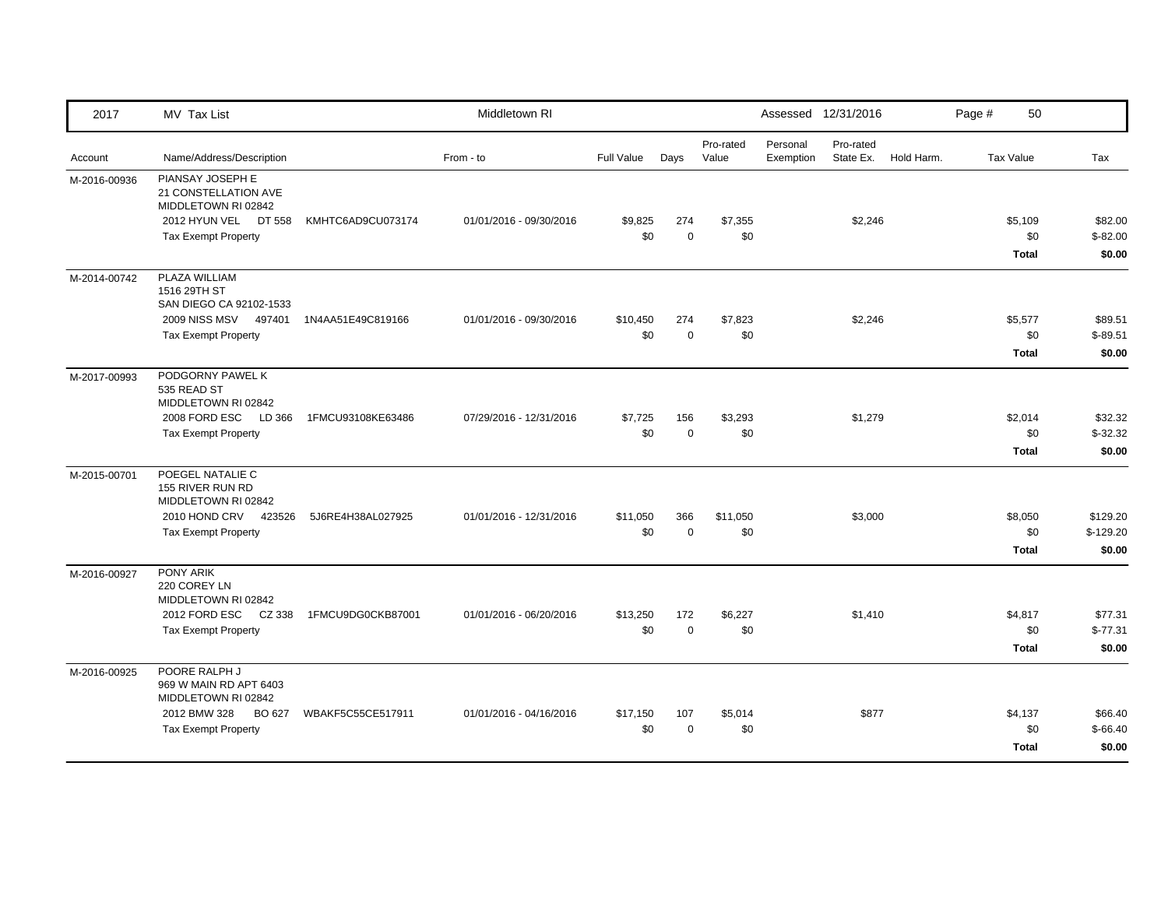| 2017         | MV Tax List                                                                                                              |                   | Middletown RI           |                   |                    |                    |                       | Assessed 12/31/2016    |            | Page # | 50                             |                                  |
|--------------|--------------------------------------------------------------------------------------------------------------------------|-------------------|-------------------------|-------------------|--------------------|--------------------|-----------------------|------------------------|------------|--------|--------------------------------|----------------------------------|
| Account      | Name/Address/Description                                                                                                 |                   | From - to               | <b>Full Value</b> | Days               | Pro-rated<br>Value | Personal<br>Exemption | Pro-rated<br>State Ex. | Hold Harm. |        | <b>Tax Value</b>               | Tax                              |
| M-2016-00936 | PIANSAY JOSEPH E<br>21 CONSTELLATION AVE<br>MIDDLETOWN RI 02842<br>2012 HYUN VEL<br>DT 558<br><b>Tax Exempt Property</b> | KMHTC6AD9CU073174 | 01/01/2016 - 09/30/2016 | \$9,825<br>\$0    | 274<br>$\mathbf 0$ | \$7,355<br>\$0     |                       | \$2,246                |            |        | \$5,109<br>\$0<br><b>Total</b> | \$82.00<br>$$-82.00$<br>\$0.00   |
| M-2014-00742 | PLAZA WILLIAM<br>1516 29TH ST<br>SAN DIEGO CA 92102-1533<br>2009 NISS MSV 497401<br><b>Tax Exempt Property</b>           | 1N4AA51E49C819166 | 01/01/2016 - 09/30/2016 | \$10,450<br>\$0   | 274<br>$\mathbf 0$ | \$7,823<br>\$0     |                       | \$2,246                |            |        | \$5,577<br>\$0<br><b>Total</b> | \$89.51<br>$$-89.51$<br>\$0.00   |
| M-2017-00993 | PODGORNY PAWEL K<br>535 READ ST<br>MIDDLETOWN RI 02842<br>2008 FORD ESC LD 366<br><b>Tax Exempt Property</b>             | 1FMCU93108KE63486 | 07/29/2016 - 12/31/2016 | \$7,725<br>\$0    | 156<br>$\pmb{0}$   | \$3,293<br>\$0     |                       | \$1,279                |            |        | \$2,014<br>\$0<br><b>Total</b> | \$32.32<br>$$-32.32$<br>\$0.00   |
| M-2015-00701 | POEGEL NATALIE C<br>155 RIVER RUN RD<br>MIDDLETOWN RI 02842<br>2010 HOND CRV<br>423526<br><b>Tax Exempt Property</b>     | 5J6RE4H38AL027925 | 01/01/2016 - 12/31/2016 | \$11,050<br>\$0   | 366<br>$\Omega$    | \$11,050<br>\$0    |                       | \$3,000                |            |        | \$8,050<br>\$0<br><b>Total</b> | \$129.20<br>$$-129.20$<br>\$0.00 |
| M-2016-00927 | PONY ARIK<br>220 COREY LN<br>MIDDLETOWN RI 02842<br>2012 FORD ESC CZ 338<br><b>Tax Exempt Property</b>                   | 1FMCU9DG0CKB87001 | 01/01/2016 - 06/20/2016 | \$13,250<br>\$0   | 172<br>$\mathbf 0$ | \$6,227<br>\$0     |                       | \$1,410                |            |        | \$4,817<br>\$0<br><b>Total</b> | \$77.31<br>$$-77.31$<br>\$0.00   |
| M-2016-00925 | POORE RALPH J<br>969 W MAIN RD APT 6403<br>MIDDLETOWN RI 02842<br>2012 BMW 328<br>BO 627<br><b>Tax Exempt Property</b>   | WBAKF5C55CE517911 | 01/01/2016 - 04/16/2016 | \$17,150<br>\$0   | 107<br>$\Omega$    | \$5,014<br>\$0     |                       | \$877                  |            |        | \$4,137<br>\$0<br><b>Total</b> | \$66.40<br>$$-66.40$<br>\$0.00   |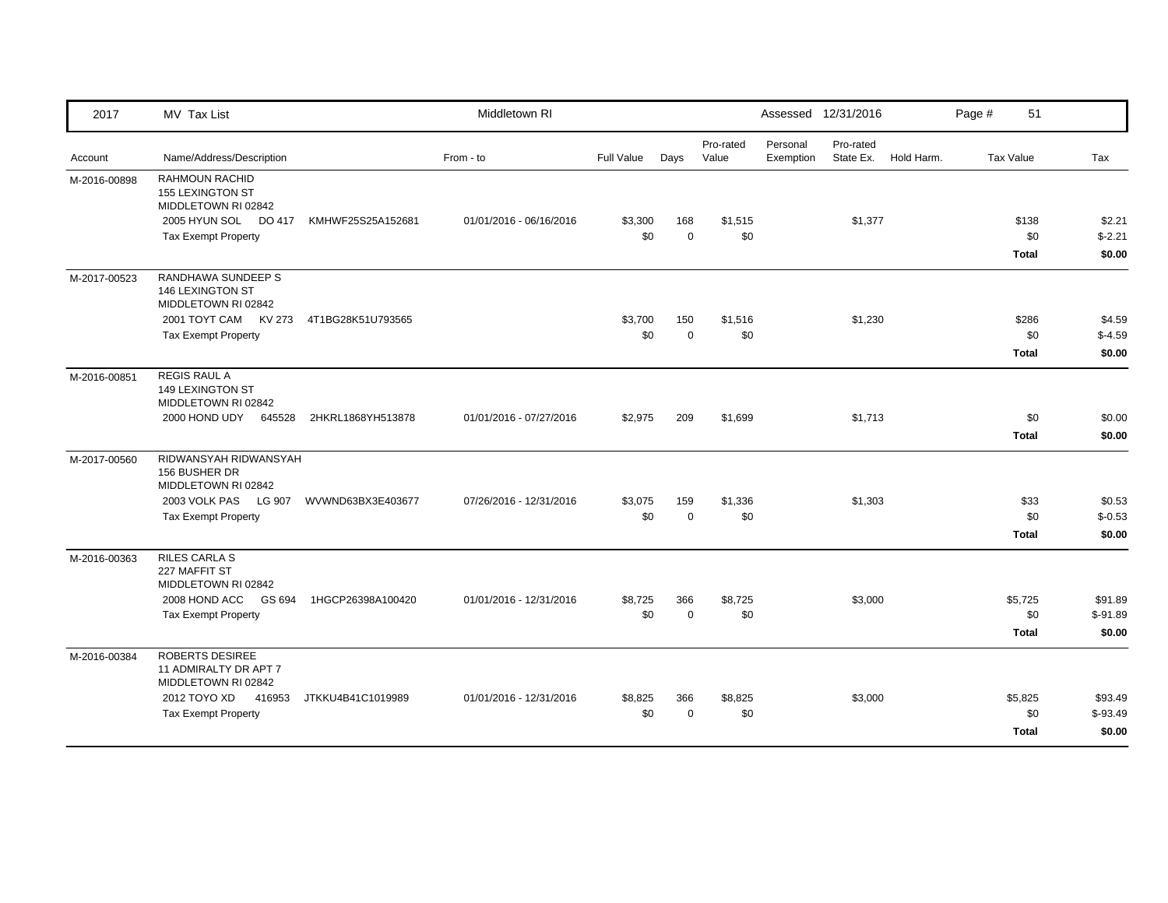| 2017         | MV Tax List                                                                                                             |                          | Middletown RI           |                |                    |                    |                       | Assessed 12/31/2016    |            | Page # | 51                             |                                |
|--------------|-------------------------------------------------------------------------------------------------------------------------|--------------------------|-------------------------|----------------|--------------------|--------------------|-----------------------|------------------------|------------|--------|--------------------------------|--------------------------------|
| Account      | Name/Address/Description                                                                                                |                          | From - to               | Full Value     | Days               | Pro-rated<br>Value | Personal<br>Exemption | Pro-rated<br>State Ex. | Hold Harm. |        | <b>Tax Value</b>               | Tax                            |
| M-2016-00898 | RAHMOUN RACHID<br>155 LEXINGTON ST<br>MIDDLETOWN RI 02842<br>2005 HYUN SOL DO 417<br><b>Tax Exempt Property</b>         | KMHWF25S25A152681        | 01/01/2016 - 06/16/2016 | \$3,300<br>\$0 | 168<br>$\mathbf 0$ | \$1,515<br>\$0     |                       | \$1,377                |            |        | \$138<br>\$0<br><b>Total</b>   | \$2.21<br>$$-2.21$<br>\$0.00   |
| M-2017-00523 | RANDHAWA SUNDEEP S<br>146 LEXINGTON ST<br>MIDDLETOWN RI 02842<br>2001 TOYT CAM KV 273<br><b>Tax Exempt Property</b>     | 4T1BG28K51U793565        |                         | \$3,700<br>\$0 | 150<br>$\mathbf 0$ | \$1,516<br>\$0     |                       | \$1,230                |            |        | \$286<br>\$0<br><b>Total</b>   | \$4.59<br>$$-4.59$<br>\$0.00   |
| M-2016-00851 | <b>REGIS RAUL A</b><br>149 LEXINGTON ST<br>MIDDLETOWN RI 02842<br>2000 HOND UDY<br>645528                               | 2HKRL1868YH513878        | 01/01/2016 - 07/27/2016 | \$2,975        | 209                | \$1,699            |                       | \$1,713                |            |        | \$0<br><b>Total</b>            | \$0.00<br>\$0.00               |
| M-2017-00560 | RIDWANSYAH RIDWANSYAH<br>156 BUSHER DR<br>MIDDLETOWN RI 02842<br>2003 VOLK PAS LG 907<br><b>Tax Exempt Property</b>     | WVWND63BX3E403677        | 07/26/2016 - 12/31/2016 | \$3,075<br>\$0 | 159<br>$\mathbf 0$ | \$1,336<br>\$0     |                       | \$1,303                |            |        | \$33<br>\$0<br><b>Total</b>    | \$0.53<br>$$-0.53$<br>\$0.00   |
| M-2016-00363 | <b>RILES CARLA S</b><br>227 MAFFIT ST<br>MIDDLETOWN RI 02842<br>2008 HOND ACC<br><b>Tax Exempt Property</b>             | GS 694 1HGCP26398A100420 | 01/01/2016 - 12/31/2016 | \$8,725<br>\$0 | 366<br>$\mathbf 0$ | \$8,725<br>\$0     |                       | \$3,000                |            |        | \$5,725<br>\$0<br>Total        | \$91.89<br>$$-91.89$<br>\$0.00 |
| M-2016-00384 | ROBERTS DESIREE<br>11 ADMIRALTY DR APT 7<br>MIDDLETOWN RI 02842<br>2012 TOYO XD<br>416953<br><b>Tax Exempt Property</b> | JTKKU4B41C1019989        | 01/01/2016 - 12/31/2016 | \$8,825<br>\$0 | 366<br>$\mathbf 0$ | \$8,825<br>\$0     |                       | \$3,000                |            |        | \$5,825<br>\$0<br><b>Total</b> | \$93.49<br>$$-93.49$<br>\$0.00 |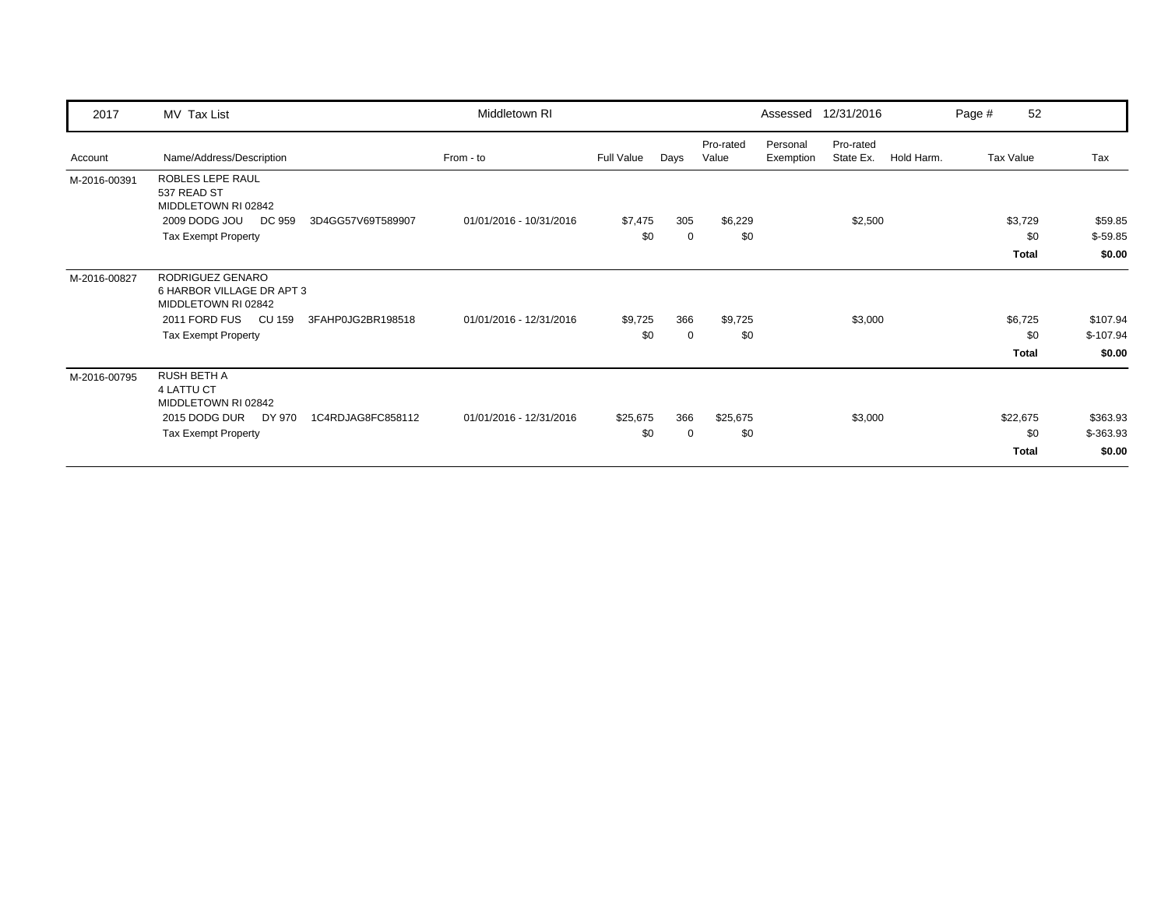| 2017         | MV Tax List                                                          | Middletown RI           |            |             |                    | Assessed              | 12/31/2016             |            | Page # | 52           |            |
|--------------|----------------------------------------------------------------------|-------------------------|------------|-------------|--------------------|-----------------------|------------------------|------------|--------|--------------|------------|
| Account      | Name/Address/Description                                             | From - to               | Full Value | Days        | Pro-rated<br>Value | Personal<br>Exemption | Pro-rated<br>State Ex. | Hold Harm. |        | Tax Value    | Tax        |
| M-2016-00391 | ROBLES LEPE RAUL<br>537 READ ST<br>MIDDLETOWN RI 02842               |                         |            |             |                    |                       |                        |            |        |              |            |
|              | 2009 DODG JOU<br>DC 959<br>3D4GG57V69T589907                         | 01/01/2016 - 10/31/2016 | \$7,475    | 305         | \$6,229            |                       | \$2,500                |            |        | \$3,729      | \$59.85    |
|              | <b>Tax Exempt Property</b>                                           |                         | \$0        | $\mathbf 0$ | \$0                |                       |                        |            |        | \$0          | $$-59.85$  |
|              |                                                                      |                         |            |             |                    |                       |                        |            |        | <b>Total</b> | \$0.00     |
| M-2016-00827 | RODRIGUEZ GENARO<br>6 HARBOR VILLAGE DR APT 3<br>MIDDLETOWN RI 02842 |                         |            |             |                    |                       |                        |            |        |              |            |
|              | 2011 FORD FUS<br>CU 159<br>3FAHP0JG2BR198518                         | 01/01/2016 - 12/31/2016 | \$9,725    | 366         | \$9,725            |                       | \$3,000                |            |        | \$6,725      | \$107.94   |
|              | <b>Tax Exempt Property</b>                                           |                         | \$0        | $\mathbf 0$ | \$0                |                       |                        |            |        | \$0          | $$-107.94$ |
|              |                                                                      |                         |            |             |                    |                       |                        |            |        | Total        | \$0.00     |
| M-2016-00795 | <b>RUSH BETH A</b><br>4 LATTU CT<br>MIDDLETOWN RI 02842              |                         |            |             |                    |                       |                        |            |        |              |            |
|              | 2015 DODG DUR<br>DY 970<br>1C4RDJAG8FC858112                         | 01/01/2016 - 12/31/2016 | \$25,675   | 366         | \$25,675           |                       | \$3,000                |            |        | \$22,675     | \$363.93   |
|              | <b>Tax Exempt Property</b>                                           |                         | \$0        | $\mathbf 0$ | \$0                |                       |                        |            |        | \$0          | $$-363.93$ |
|              |                                                                      |                         |            |             |                    |                       |                        |            |        | Total        | \$0.00     |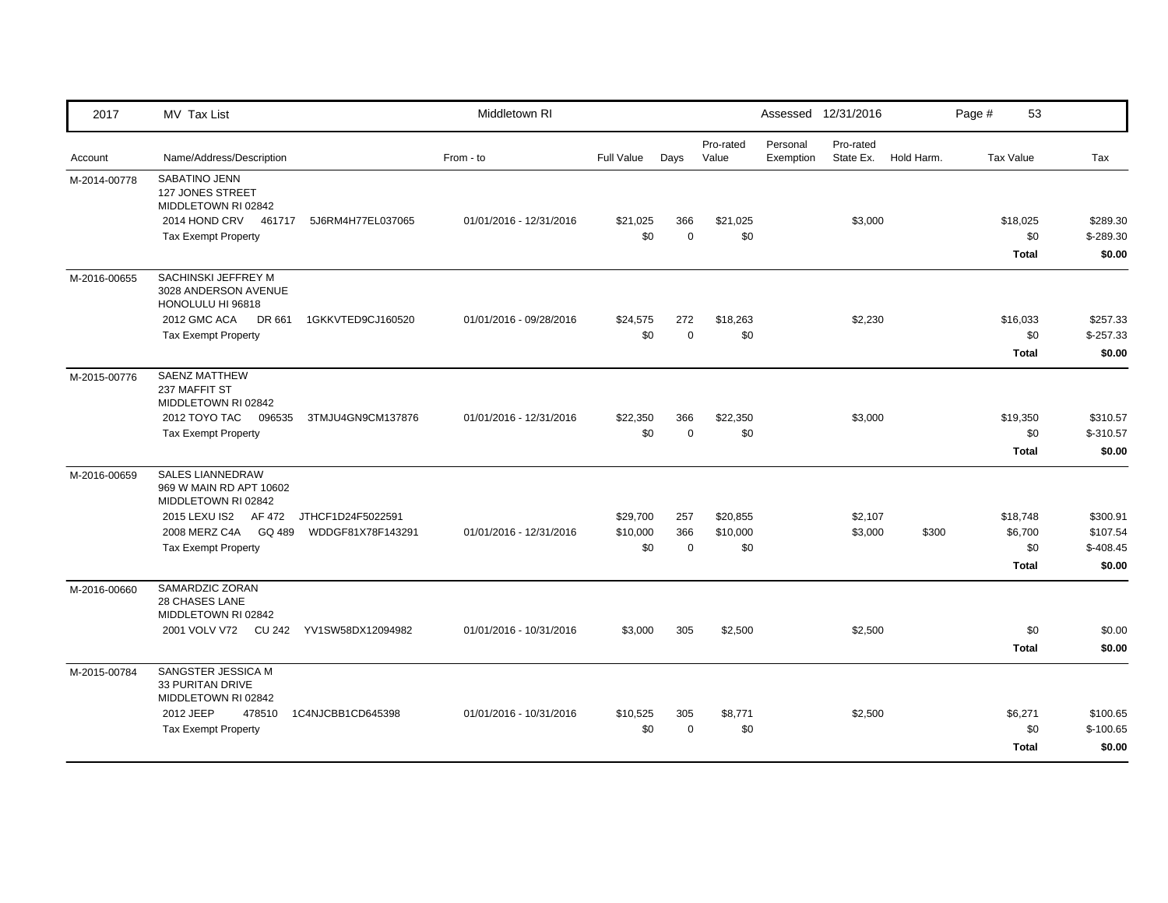| 2017         | MV Tax List                                                                                                           |                   | Middletown RI           |                 |                    |                    |                       | Assessed 12/31/2016    |            | Page #           | 53                             |                                  |
|--------------|-----------------------------------------------------------------------------------------------------------------------|-------------------|-------------------------|-----------------|--------------------|--------------------|-----------------------|------------------------|------------|------------------|--------------------------------|----------------------------------|
| Account      | Name/Address/Description                                                                                              |                   | From - to               | Full Value      | Days               | Pro-rated<br>Value | Personal<br>Exemption | Pro-rated<br>State Ex. | Hold Harm. | <b>Tax Value</b> |                                | Tax                              |
| M-2014-00778 | SABATINO JENN<br><b>127 JONES STREET</b><br>MIDDLETOWN RI 02842<br>2014 HOND CRV 461717<br><b>Tax Exempt Property</b> | 5J6RM4H77EL037065 | 01/01/2016 - 12/31/2016 | \$21,025<br>\$0 | 366<br>$\mathbf 0$ | \$21,025<br>\$0    |                       | \$3,000                |            |                  | \$18,025<br>\$0                | \$289.30<br>$$-289.30$           |
|              |                                                                                                                       |                   |                         |                 |                    |                    |                       |                        |            |                  | <b>Total</b>                   | \$0.00                           |
| M-2016-00655 | SACHINSKI JEFFREY M<br>3028 ANDERSON AVENUE<br>HONOLULU HI 96818                                                      |                   |                         |                 |                    |                    |                       |                        |            |                  |                                |                                  |
|              | 2012 GMC ACA<br>DR 661                                                                                                | 1GKKVTED9CJ160520 | 01/01/2016 - 09/28/2016 | \$24,575        | 272                | \$18,263           |                       | \$2,230                |            |                  | \$16,033                       | \$257.33                         |
|              | <b>Tax Exempt Property</b>                                                                                            |                   |                         | \$0             | $\mathbf 0$        | \$0                |                       |                        |            |                  | \$0<br><b>Total</b>            | $$-257.33$<br>\$0.00             |
| M-2015-00776 | <b>SAENZ MATTHEW</b><br>237 MAFFIT ST<br>MIDDLETOWN RI 02842                                                          |                   |                         |                 |                    |                    |                       |                        |            |                  |                                |                                  |
|              | 2012 TOYO TAC<br>096535                                                                                               | 3TMJU4GN9CM137876 | 01/01/2016 - 12/31/2016 | \$22,350        | 366                | \$22,350           |                       | \$3,000                |            |                  | \$19,350                       | \$310.57                         |
|              | <b>Tax Exempt Property</b>                                                                                            |                   |                         | \$0             | $\mathbf 0$        | \$0                |                       |                        |            |                  | \$0                            | $$ -310.57$                      |
|              |                                                                                                                       |                   |                         |                 |                    |                    |                       |                        |            |                  | <b>Total</b>                   | \$0.00                           |
| M-2016-00659 | <b>SALES LIANNEDRAW</b><br>969 W MAIN RD APT 10602<br>MIDDLETOWN RI 02842                                             |                   |                         |                 |                    |                    |                       |                        |            |                  |                                |                                  |
|              | 2015 LEXU IS2 AF 472 JTHCF1D24F5022591                                                                                |                   |                         | \$29,700        | 257                | \$20,855           |                       | \$2,107                |            |                  | \$18,748                       | \$300.91                         |
|              | 2008 MERZ C4A GQ 489 WDDGF81X78F143291<br><b>Tax Exempt Property</b>                                                  |                   | 01/01/2016 - 12/31/2016 | \$10,000<br>\$0 | 366<br>$\mathbf 0$ | \$10,000<br>\$0    |                       | \$3,000                | \$300      |                  | \$6,700<br>\$0                 | \$107.54<br>$$-408.45$           |
|              |                                                                                                                       |                   |                         |                 |                    |                    |                       |                        |            |                  | <b>Total</b>                   | \$0.00                           |
| M-2016-00660 | SAMARDZIC ZORAN<br><b>28 CHASES LANE</b><br>MIDDLETOWN RI 02842                                                       |                   |                         |                 |                    |                    |                       |                        |            |                  |                                |                                  |
|              | 2001 VOLV V72 CU 242 YV1SW58DX12094982                                                                                |                   | 01/01/2016 - 10/31/2016 | \$3,000         | 305                | \$2,500            |                       | \$2,500                |            |                  | \$0                            | \$0.00                           |
|              |                                                                                                                       |                   |                         |                 |                    |                    |                       |                        |            |                  | <b>Total</b>                   | \$0.00                           |
| M-2015-00784 | SANGSTER JESSICA M<br>33 PURITAN DRIVE<br>MIDDLETOWN RI 02842                                                         |                   |                         |                 |                    |                    |                       |                        |            |                  |                                |                                  |
|              | 2012 JEEP<br>478510<br><b>Tax Exempt Property</b>                                                                     | 1C4NJCBB1CD645398 | 01/01/2016 - 10/31/2016 | \$10,525<br>\$0 | 305<br>$\mathbf 0$ | \$8,771<br>\$0     |                       | \$2,500                |            |                  | \$6,271<br>\$0<br><b>Total</b> | \$100.65<br>$$-100.65$<br>\$0.00 |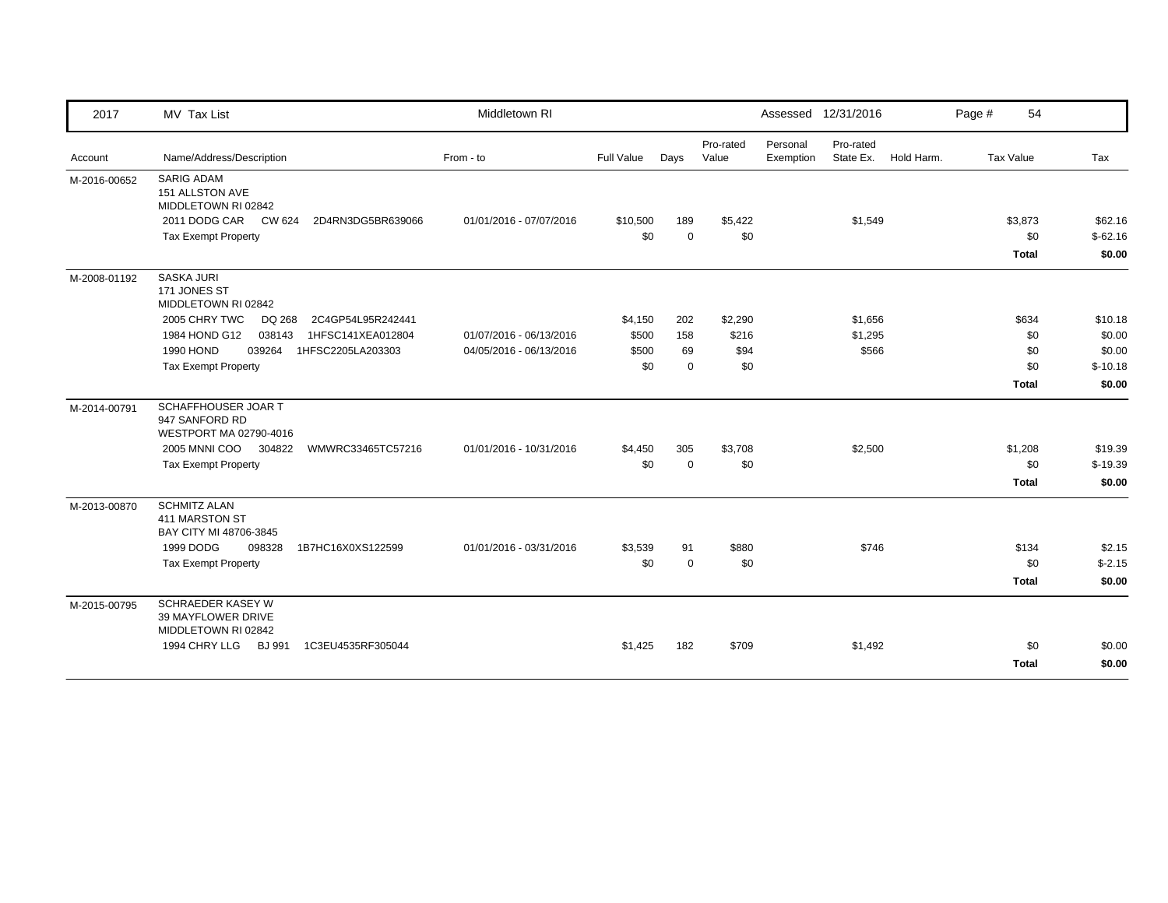| 2017         | MV Tax List                                                     | Middletown RI           |            |             |                    |                       | Assessed 12/31/2016    |            | Page # | 54               |           |
|--------------|-----------------------------------------------------------------|-------------------------|------------|-------------|--------------------|-----------------------|------------------------|------------|--------|------------------|-----------|
| Account      | Name/Address/Description                                        | From - to               | Full Value | Days        | Pro-rated<br>Value | Personal<br>Exemption | Pro-rated<br>State Ex. | Hold Harm. |        | <b>Tax Value</b> | Tax       |
| M-2016-00652 | <b>SARIG ADAM</b><br>151 ALLSTON AVE<br>MIDDLETOWN RI 02842     |                         |            |             |                    |                       |                        |            |        |                  |           |
|              | 2011 DODG CAR CW 624<br>2D4RN3DG5BR639066                       | 01/01/2016 - 07/07/2016 | \$10,500   | 189         | \$5,422            |                       | \$1,549                |            |        | \$3,873          | \$62.16   |
|              | <b>Tax Exempt Property</b>                                      |                         | \$0        | $\mathbf 0$ | \$0                |                       |                        |            |        | \$0              | $$-62.16$ |
|              |                                                                 |                         |            |             |                    |                       |                        |            |        | <b>Total</b>     | \$0.00    |
| M-2008-01192 | <b>SASKA JURI</b><br>171 JONES ST<br>MIDDLETOWN RI 02842        |                         |            |             |                    |                       |                        |            |        |                  |           |
|              | 2005 CHRY TWC<br>DQ 268<br>2C4GP54L95R242441                    |                         | \$4,150    | 202         | \$2,290            |                       | \$1,656                |            |        | \$634            | \$10.18   |
|              | 1984 HOND G12<br>038143<br>1HFSC141XEA012804                    | 01/07/2016 - 06/13/2016 | \$500      | 158         | \$216              |                       | \$1,295                |            |        | \$0              | \$0.00    |
|              | 1990 HOND<br>039264<br>1HFSC2205LA203303                        | 04/05/2016 - 06/13/2016 | \$500      | 69          | \$94               |                       | \$566                  |            |        | \$0              | \$0.00    |
|              | <b>Tax Exempt Property</b>                                      |                         | \$0        | $\mathbf 0$ | \$0                |                       |                        |            |        | \$0              | $$-10.18$ |
|              |                                                                 |                         |            |             |                    |                       |                        |            |        | <b>Total</b>     | \$0.00    |
| M-2014-00791 | SCHAFFHOUSER JOAR T<br>947 SANFORD RD<br>WESTPORT MA 02790-4016 |                         |            |             |                    |                       |                        |            |        |                  |           |
|              | 2005 MNNI COO 304822<br>WMWRC33465TC57216                       | 01/01/2016 - 10/31/2016 | \$4,450    | 305         | \$3,708            |                       | \$2,500                |            |        | \$1,208          | \$19.39   |
|              | <b>Tax Exempt Property</b>                                      |                         | \$0        | $\Omega$    | \$0                |                       |                        |            |        | \$0              | $$-19.39$ |
|              |                                                                 |                         |            |             |                    |                       |                        |            |        | <b>Total</b>     | \$0.00    |
| M-2013-00870 | <b>SCHMITZ ALAN</b><br>411 MARSTON ST<br>BAY CITY MI 48706-3845 |                         |            |             |                    |                       |                        |            |        |                  |           |
|              | 1999 DODG<br>098328<br>1B7HC16X0XS122599                        | 01/01/2016 - 03/31/2016 | \$3,539    | 91          | \$880              |                       | \$746                  |            |        | \$134            | \$2.15    |
|              | <b>Tax Exempt Property</b>                                      |                         | \$0        | $\mathbf 0$ | \$0                |                       |                        |            |        | \$0              | $$-2.15$  |
|              |                                                                 |                         |            |             |                    |                       |                        |            |        | <b>Total</b>     | \$0.00    |
| M-2015-00795 | SCHRAEDER KASEY W<br>39 MAYFLOWER DRIVE<br>MIDDLETOWN RI 02842  |                         |            |             |                    |                       |                        |            |        |                  |           |
|              | 1994 CHRY LLG<br><b>BJ 991</b><br>1C3EU4535RF305044             |                         | \$1,425    | 182         | \$709              |                       | \$1,492                |            |        | \$0              | \$0.00    |
|              |                                                                 |                         |            |             |                    |                       |                        |            |        | <b>Total</b>     | \$0.00    |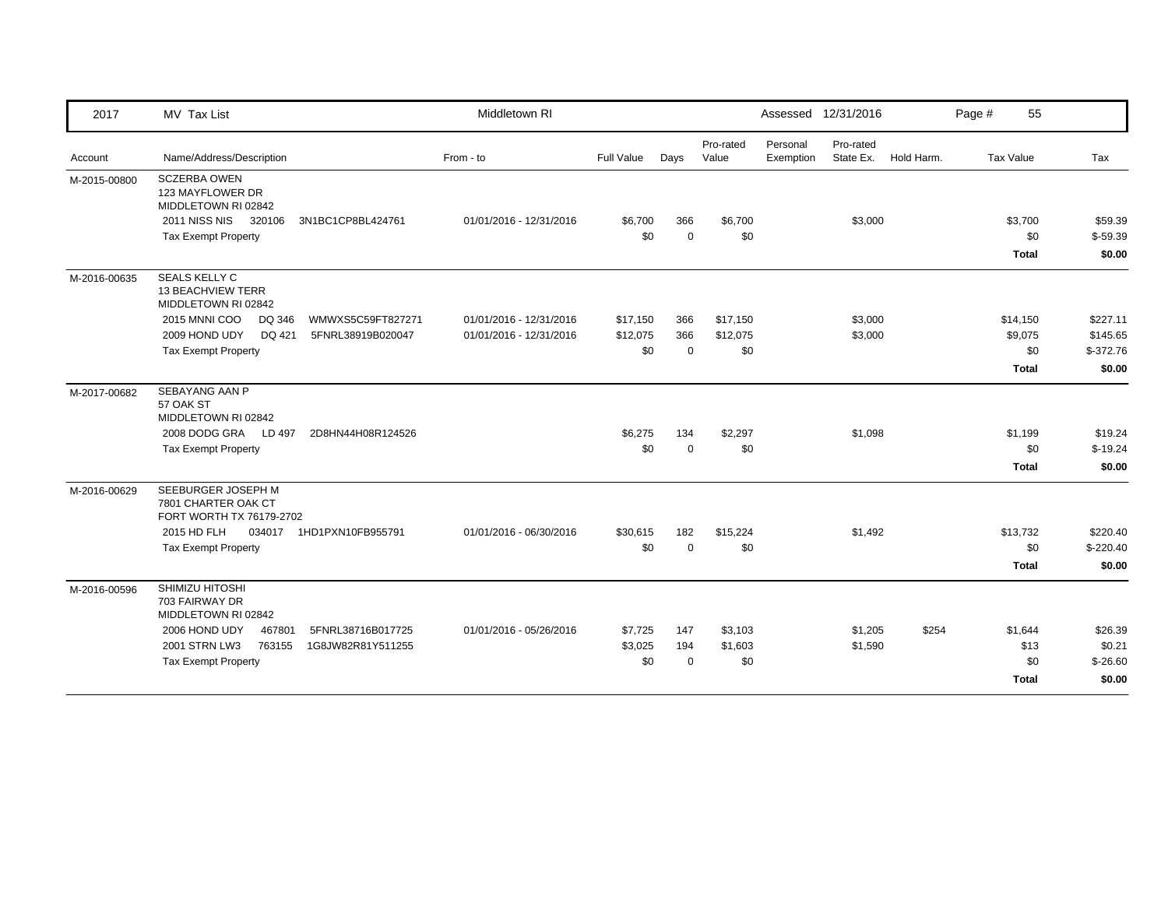| 2017         | MV Tax List                                                           | Middletown RI           |                |                    |                    |                       | Assessed 12/31/2016    |            | Page # | 55                  |                     |
|--------------|-----------------------------------------------------------------------|-------------------------|----------------|--------------------|--------------------|-----------------------|------------------------|------------|--------|---------------------|---------------------|
| Account      | Name/Address/Description                                              | From - to               | Full Value     | Days               | Pro-rated<br>Value | Personal<br>Exemption | Pro-rated<br>State Ex. | Hold Harm. |        | Tax Value           | Tax                 |
| M-2015-00800 | <b>SCZERBA OWEN</b><br>123 MAYFLOWER DR<br>MIDDLETOWN RI 02842        |                         |                |                    |                    |                       |                        |            |        |                     |                     |
|              | 2011 NISS NIS 320106<br>3N1BC1CP8BL424761                             | 01/01/2016 - 12/31/2016 | \$6,700<br>\$0 | 366<br>$\mathbf 0$ | \$6,700<br>\$0     |                       | \$3,000                |            |        | \$3,700             | \$59.39             |
|              | <b>Tax Exempt Property</b>                                            |                         |                |                    |                    |                       |                        |            |        | \$0<br><b>Total</b> | $$-59.39$<br>\$0.00 |
| M-2016-00635 | SEALS KELLY C<br><b>13 BEACHVIEW TERR</b><br>MIDDLETOWN RI 02842      |                         |                |                    |                    |                       |                        |            |        |                     |                     |
|              | 2015 MNNI COO<br>WMWXS5C59FT827271<br>DQ 346                          | 01/01/2016 - 12/31/2016 | \$17,150       | 366                | \$17,150           |                       | \$3,000                |            |        | \$14,150            | \$227.11            |
|              | 2009 HOND UDY<br>DQ 421<br>5FNRL38919B020047                          | 01/01/2016 - 12/31/2016 | \$12,075       | 366                | \$12,075           |                       | \$3,000                |            |        | \$9,075             | \$145.65            |
|              | <b>Tax Exempt Property</b>                                            |                         | \$0            | $\mathbf 0$        | \$0                |                       |                        |            |        | \$0                 | $$-372.76$          |
|              |                                                                       |                         |                |                    |                    |                       |                        |            |        | <b>Total</b>        | \$0.00              |
| M-2017-00682 | SEBAYANG AAN P<br>57 OAK ST<br>MIDDLETOWN RI 02842                    |                         |                |                    |                    |                       |                        |            |        |                     |                     |
|              | 2008 DODG GRA LD 497<br>2D8HN44H08R124526                             |                         | \$6,275        | 134                | \$2,297            |                       | \$1,098                |            |        | \$1,199             | \$19.24             |
|              | <b>Tax Exempt Property</b>                                            |                         | \$0            | $\mathbf 0$        | \$0                |                       |                        |            |        | \$0                 | $$-19.24$           |
|              |                                                                       |                         |                |                    |                    |                       |                        |            |        | <b>Total</b>        | \$0.00              |
| M-2016-00629 | SEEBURGER JOSEPH M<br>7801 CHARTER OAK CT<br>FORT WORTH TX 76179-2702 |                         |                |                    |                    |                       |                        |            |        |                     |                     |
|              | 2015 HD FLH<br>1HD1PXN10FB955791<br>034017                            | 01/01/2016 - 06/30/2016 | \$30,615       | 182                | \$15,224           |                       | \$1,492                |            |        | \$13,732            | \$220.40            |
|              | <b>Tax Exempt Property</b>                                            |                         | \$0            | $\Omega$           | \$0                |                       |                        |            |        | \$0                 | $$-220.40$          |
|              |                                                                       |                         |                |                    |                    |                       |                        |            |        | <b>Total</b>        | \$0.00              |
| M-2016-00596 | SHIMIZU HITOSHI<br>703 FAIRWAY DR<br>MIDDLETOWN RI 02842              |                         |                |                    |                    |                       |                        |            |        |                     |                     |
|              | 2006 HOND UDY<br>467801<br>5FNRL38716B017725                          | 01/01/2016 - 05/26/2016 | \$7,725        | 147                | \$3,103            |                       | \$1,205                | \$254      |        | \$1,644             | \$26.39             |
|              | 2001 STRN LW3<br>763155<br>1G8JW82R81Y511255                          |                         | \$3,025        | 194                | \$1,603            |                       | \$1,590                |            |        | \$13                | \$0.21              |
|              | <b>Tax Exempt Property</b>                                            |                         | \$0            | $\Omega$           | \$0                |                       |                        |            |        | \$0                 | $$-26.60$           |
|              |                                                                       |                         |                |                    |                    |                       |                        |            |        | <b>Total</b>        | \$0.00              |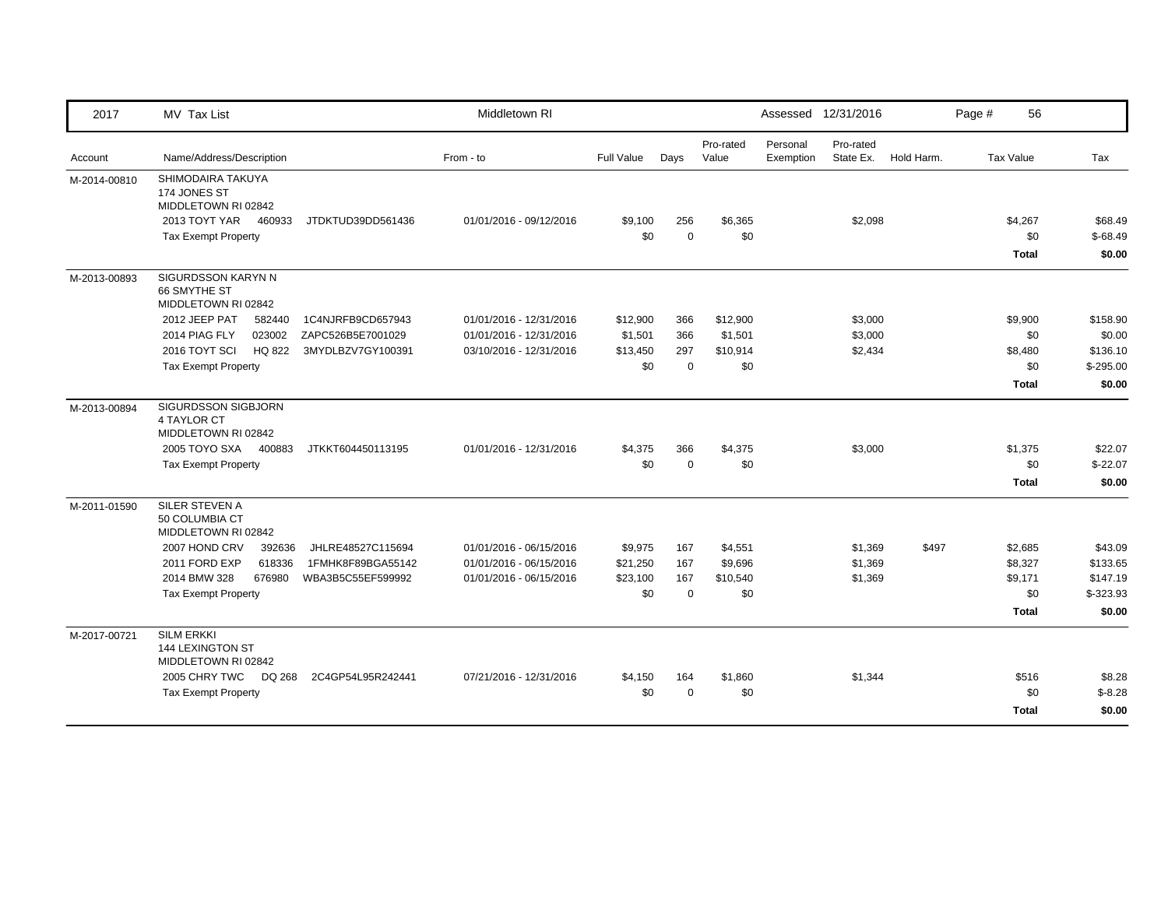| 2017         | MV Tax List                                                         |                   | Middletown RI           |                   |             |                    |                       | Assessed 12/31/2016    |            | Page # | 56               |            |
|--------------|---------------------------------------------------------------------|-------------------|-------------------------|-------------------|-------------|--------------------|-----------------------|------------------------|------------|--------|------------------|------------|
| Account      | Name/Address/Description                                            |                   | From - to               | <b>Full Value</b> | Days        | Pro-rated<br>Value | Personal<br>Exemption | Pro-rated<br>State Ex. | Hold Harm. |        | <b>Tax Value</b> | Tax        |
| M-2014-00810 | SHIMODAIRA TAKUYA<br>174 JONES ST<br>MIDDLETOWN RI 02842            |                   |                         |                   |             |                    |                       |                        |            |        |                  |            |
|              | 2013 TOYT YAR<br>460933                                             | JTDKTUD39DD561436 | 01/01/2016 - 09/12/2016 | \$9,100           | 256         | \$6,365            |                       | \$2,098                |            |        | \$4,267          | \$68.49    |
|              | <b>Tax Exempt Property</b>                                          |                   |                         | \$0               | $\Omega$    | \$0                |                       |                        |            |        | \$0              | $$-68.49$  |
|              |                                                                     |                   |                         |                   |             |                    |                       |                        |            |        | <b>Total</b>     | \$0.00     |
| M-2013-00893 | SIGURDSSON KARYN N<br>66 SMYTHE ST<br>MIDDLETOWN RI 02842           |                   |                         |                   |             |                    |                       |                        |            |        |                  |            |
|              | 2012 JEEP PAT<br>582440                                             | 1C4NJRFB9CD657943 | 01/01/2016 - 12/31/2016 | \$12,900          | 366         | \$12,900           |                       | \$3,000                |            |        | \$9,900          | \$158.90   |
|              | 023002<br>2014 PIAG FLY                                             | ZAPC526B5E7001029 | 01/01/2016 - 12/31/2016 | \$1,501           | 366         | \$1,501            |                       | \$3,000                |            |        | \$0              | \$0.00     |
|              | 2016 TOYT SCI<br><b>HQ 822</b>                                      | 3MYDLBZV7GY100391 | 03/10/2016 - 12/31/2016 | \$13,450          | 297         | \$10,914           |                       | \$2,434                |            |        | \$8,480          | \$136.10   |
|              | <b>Tax Exempt Property</b>                                          |                   |                         | \$0               | $\mathbf 0$ | \$0                |                       |                        |            |        | \$0              | $$-295.00$ |
|              |                                                                     |                   |                         |                   |             |                    |                       |                        |            |        | <b>Total</b>     | \$0.00     |
| M-2013-00894 | SIGURDSSON SIGBJORN<br>4 TAYLOR CT<br>MIDDLETOWN RI 02842           |                   |                         |                   |             |                    |                       |                        |            |        |                  |            |
|              | 2005 TOYO SXA 400883                                                | JTKKT604450113195 | 01/01/2016 - 12/31/2016 | \$4,375           | 366         | \$4,375            |                       | \$3,000                |            |        | \$1,375          | \$22.07    |
|              | <b>Tax Exempt Property</b>                                          |                   |                         | \$0               | $\mathbf 0$ | \$0                |                       |                        |            |        | \$0              | $$-22.07$  |
|              |                                                                     |                   |                         |                   |             |                    |                       |                        |            |        | <b>Total</b>     | \$0.00     |
| M-2011-01590 | SILER STEVEN A<br>50 COLUMBIA CT<br>MIDDLETOWN RI 02842             |                   |                         |                   |             |                    |                       |                        |            |        |                  |            |
|              | 2007 HOND CRV<br>392636                                             | JHLRE48527C115694 | 01/01/2016 - 06/15/2016 | \$9,975           | 167         | \$4,551            |                       | \$1,369                | \$497      |        | \$2,685          | \$43.09    |
|              | 2011 FORD EXP<br>618336                                             | 1FMHK8F89BGA55142 | 01/01/2016 - 06/15/2016 | \$21,250          | 167         | \$9,696            |                       | \$1,369                |            |        | \$8,327          | \$133.65   |
|              | 2014 BMW 328<br>676980                                              | WBA3B5C55EF599992 | 01/01/2016 - 06/15/2016 | \$23,100          | 167         | \$10,540           |                       | \$1,369                |            |        | \$9,171          | \$147.19   |
|              | Tax Exempt Property                                                 |                   |                         | \$0               | $\mathbf 0$ | \$0                |                       |                        |            |        | \$0              | $$-323.93$ |
|              |                                                                     |                   |                         |                   |             |                    |                       |                        |            |        | <b>Total</b>     | \$0.00     |
| M-2017-00721 | <b>SILM ERKKI</b><br><b>144 LEXINGTON ST</b><br>MIDDLETOWN RI 02842 |                   |                         |                   |             |                    |                       |                        |            |        |                  |            |
|              | 2005 CHRY TWC<br>DQ 268                                             | 2C4GP54L95R242441 | 07/21/2016 - 12/31/2016 | \$4,150           | 164         | \$1,860            |                       | \$1,344                |            |        | \$516            | \$8.28     |
|              | <b>Tax Exempt Property</b>                                          |                   |                         | \$0               | $\mathbf 0$ | \$0                |                       |                        |            |        | \$0              | $$-8.28$   |
|              |                                                                     |                   |                         |                   |             |                    |                       |                        |            |        | Total            | \$0.00     |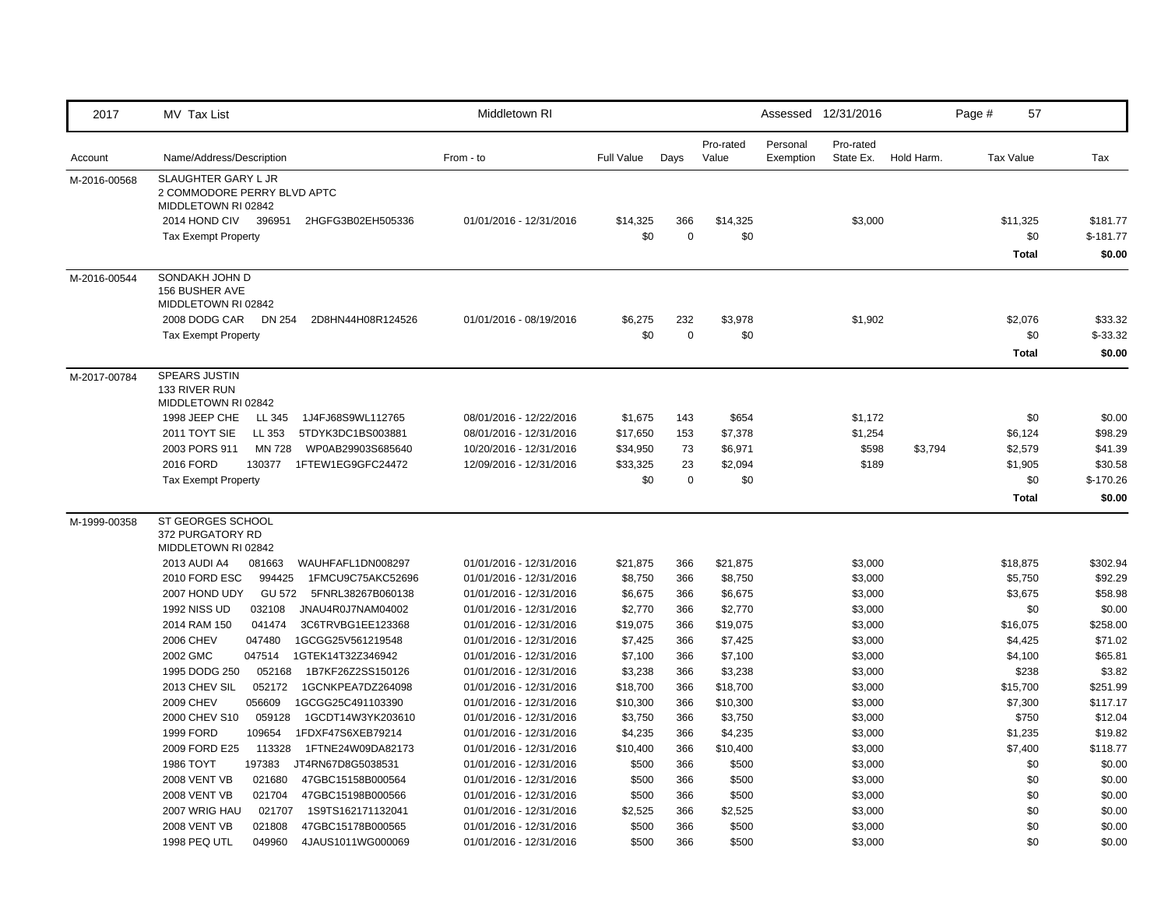| 2017         | MV Tax List                                                               | Middletown RI                                      |                     |             |                     |                       | Assessed 12/31/2016    |            | 57<br>Page #       |                    |
|--------------|---------------------------------------------------------------------------|----------------------------------------------------|---------------------|-------------|---------------------|-----------------------|------------------------|------------|--------------------|--------------------|
| Account      | Name/Address/Description                                                  | From - to                                          | <b>Full Value</b>   | Days        | Pro-rated<br>Value  | Personal<br>Exemption | Pro-rated<br>State Ex. | Hold Harm. | <b>Tax Value</b>   | Tax                |
| M-2016-00568 | SLAUGHTER GARY L JR<br>2 COMMODORE PERRY BLVD APTC<br>MIDDLETOWN RI 02842 |                                                    |                     |             |                     |                       |                        |            |                    |                    |
|              | 2014 HOND CIV<br>396951<br>2HGFG3B02EH505336                              | 01/01/2016 - 12/31/2016                            | \$14,325            | 366         | \$14,325            |                       | \$3,000                |            | \$11,325           | \$181.77           |
|              | <b>Tax Exempt Property</b>                                                |                                                    | \$0                 | $\mathbf 0$ | \$0                 |                       |                        |            | \$0                | $$-181.77$         |
|              |                                                                           |                                                    |                     |             |                     |                       |                        |            | <b>Total</b>       | \$0.00             |
| M-2016-00544 | SONDAKH JOHN D<br>156 BUSHER AVE<br>MIDDLETOWN RI 02842                   |                                                    |                     |             |                     |                       |                        |            |                    |                    |
|              | 2008 DODG CAR<br>DN 254<br>2D8HN44H08R124526                              | 01/01/2016 - 08/19/2016                            | \$6,275             | 232         | \$3,978             |                       | \$1,902                |            | \$2,076            | \$33.32            |
|              | <b>Tax Exempt Property</b>                                                |                                                    | \$0                 | $\mathbf 0$ | \$0                 |                       |                        |            | \$0                | $$-33.32$          |
|              |                                                                           |                                                    |                     |             |                     |                       |                        |            | <b>Total</b>       | \$0.00             |
| M-2017-00784 | SPEARS JUSTIN<br>133 RIVER RUN<br>MIDDLETOWN RI 02842                     |                                                    |                     |             |                     |                       |                        |            |                    |                    |
|              | 1998 JEEP CHE<br>LL 345<br>1J4FJ68S9WL112765                              | 08/01/2016 - 12/22/2016                            | \$1,675             | 143         | \$654               |                       | \$1,172                |            | \$0                | \$0.00             |
|              | 2011 TOYT SIE<br>LL 353<br>5TDYK3DC1BS003881                              | 08/01/2016 - 12/31/2016                            | \$17,650            | 153         | \$7,378             |                       | \$1,254                |            | \$6,124            | \$98.29            |
|              | 2003 PORS 911<br>MN 728<br>WP0AB29903S685640                              | 10/20/2016 - 12/31/2016                            | \$34,950            | 73          | \$6,971             |                       | \$598                  | \$3,794    | \$2,579            | \$41.39            |
|              | 2016 FORD<br>130377<br>1FTEW1EG9GFC24472                                  | 12/09/2016 - 12/31/2016                            | \$33,325            | 23          | \$2,094             |                       | \$189                  |            | \$1,905            | \$30.58            |
|              | <b>Tax Exempt Property</b>                                                |                                                    | \$0                 | $\mathbf 0$ | \$0                 |                       |                        |            | \$0                | $$-170.26$         |
|              |                                                                           |                                                    |                     |             |                     |                       |                        |            | <b>Total</b>       | \$0.00             |
| M-1999-00358 | ST GEORGES SCHOOL<br>372 PURGATORY RD<br>MIDDLETOWN RI 02842              |                                                    |                     |             |                     |                       |                        |            |                    |                    |
|              | 2013 AUDI A4<br>081663<br>WAUHFAFL1DN008297                               | 01/01/2016 - 12/31/2016                            | \$21,875            | 366         | \$21,875            |                       | \$3,000                |            | \$18,875           | \$302.94           |
|              | 2010 FORD ESC<br>994425<br>1FMCU9C75AKC52696                              | 01/01/2016 - 12/31/2016                            | \$8,750             | 366         | \$8,750             |                       | \$3,000                |            | \$5,750            | \$92.29            |
|              | 2007 HOND UDY<br>GU 572 5FNRL38267B060138                                 | 01/01/2016 - 12/31/2016                            | \$6,675             | 366         | \$6,675             |                       | \$3,000                |            | \$3,675            | \$58.98            |
|              | <b>1992 NISS UD</b><br>032108<br>JNAU4R0J7NAM04002                        | 01/01/2016 - 12/31/2016                            | \$2,770             | 366         | \$2,770             |                       | \$3,000                |            | \$0                | \$0.00             |
|              | 2014 RAM 150<br>041474<br>3C6TRVBG1EE123368                               | 01/01/2016 - 12/31/2016                            | \$19,075            | 366         | \$19,075            |                       | \$3,000                |            | \$16,075           | \$258.00           |
|              | 2006 CHEV<br>1GCGG25V561219548<br>047480                                  | 01/01/2016 - 12/31/2016                            | \$7,425             | 366         | \$7,425             |                       | \$3,000                |            | \$4,425            | \$71.02            |
|              | 2002 GMC<br>047514<br>1GTEK14T32Z346942                                   | 01/01/2016 - 12/31/2016                            | \$7,100             | 366         | \$7,100             |                       | \$3,000                |            | \$4,100            | \$65.81            |
|              | 1995 DODG 250<br>052168<br>1B7KF26Z2SS150126                              | 01/01/2016 - 12/31/2016                            | \$3,238             | 366         | \$3,238             |                       | \$3,000                |            | \$238              | \$3.82             |
|              | 2013 CHEV SIL<br>052172<br>1GCNKPEA7DZ264098                              | 01/01/2016 - 12/31/2016                            | \$18,700            | 366         | \$18,700            |                       | \$3,000                |            | \$15,700           | \$251.99           |
|              | 2009 CHEV<br>056609<br>1GCGG25C491103390                                  | 01/01/2016 - 12/31/2016                            | \$10,300            | 366         | \$10,300            |                       | \$3,000                |            | \$7,300            | \$117.17           |
|              | 059128<br>2000 CHEV S10<br>1GCDT14W3YK203610<br>1999 FORD<br>109654       | 01/01/2016 - 12/31/2016                            | \$3,750             | 366         | \$3,750             |                       | \$3,000                |            | \$750              | \$12.04<br>\$19.82 |
|              | 1FDXF47S6XEB79214<br>2009 FORD E25<br>113328<br>1FTNE24W09DA82173         | 01/01/2016 - 12/31/2016<br>01/01/2016 - 12/31/2016 | \$4,235<br>\$10,400 | 366<br>366  | \$4,235<br>\$10,400 |                       | \$3,000                |            | \$1,235<br>\$7,400 | \$118.77           |
|              | 1986 TOYT<br>197383<br>JT4RN67D8G5038531                                  | 01/01/2016 - 12/31/2016                            | \$500               | 366         | \$500               |                       | \$3,000<br>\$3,000     |            | \$0                | \$0.00             |
|              | <b>2008 VENT VB</b><br>021680<br>47GBC15158B000564                        | 01/01/2016 - 12/31/2016                            | \$500               | 366         | \$500               |                       | \$3,000                |            | \$0                | \$0.00             |
|              | <b>2008 VENT VB</b><br>021704<br>47GBC15198B000566                        | 01/01/2016 - 12/31/2016                            | \$500               | 366         | \$500               |                       | \$3,000                |            | \$0                | \$0.00             |
|              | 2007 WRIG HAU<br>021707<br>1S9TS162171132041                              | 01/01/2016 - 12/31/2016                            | \$2,525             | 366         | \$2,525             |                       | \$3,000                |            | \$0                | \$0.00             |
|              | <b>2008 VENT VB</b><br>021808<br>47GBC15178B000565                        | 01/01/2016 - 12/31/2016                            | \$500               | 366         | \$500               |                       | \$3,000                |            | \$0                | \$0.00             |
|              | 1998 PEQ UTL<br>049960<br>4JAUS1011WG000069                               | 01/01/2016 - 12/31/2016                            | \$500               | 366         | \$500               |                       | \$3,000                |            | \$0                | \$0.00             |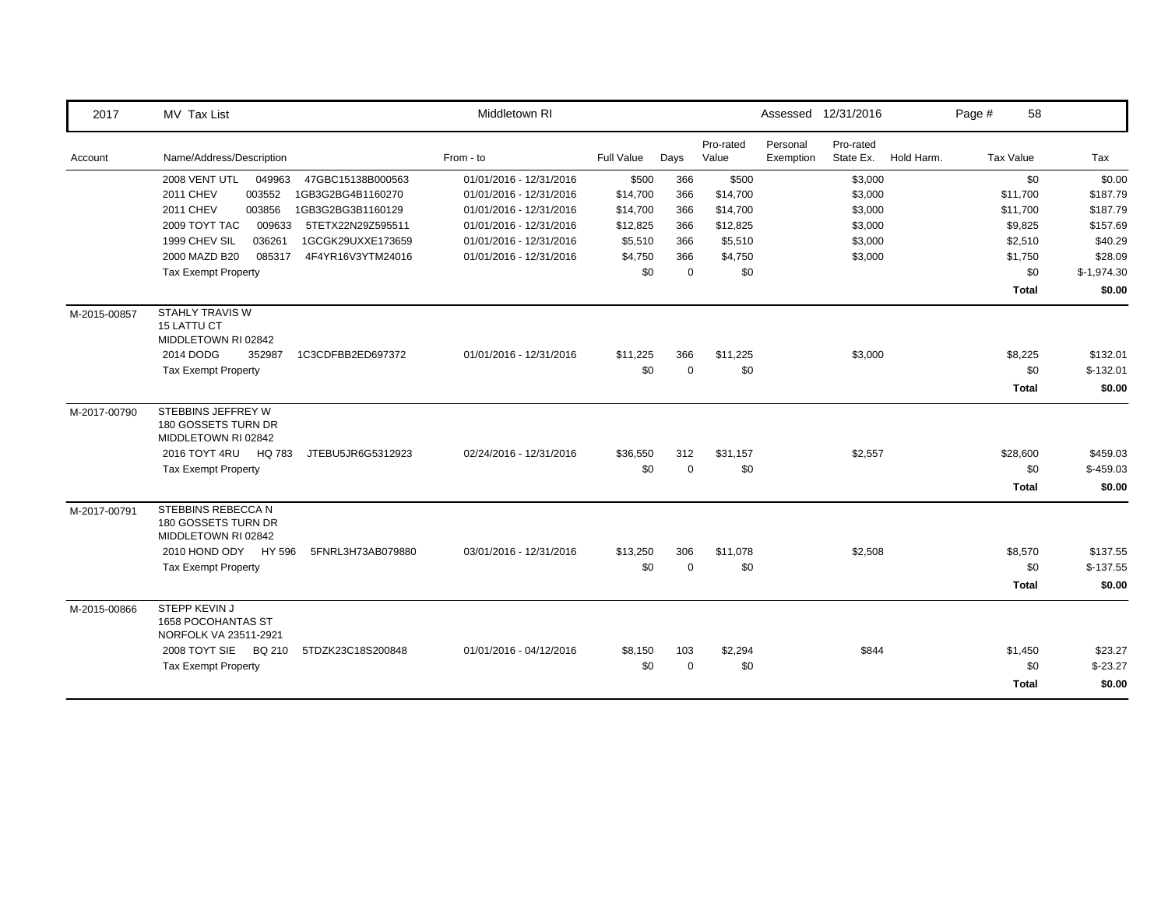| 2017         | MV Tax List                                                         | Middletown RI           |            |             |                    |                       | Assessed 12/31/2016    |            | Page # | 58               |              |
|--------------|---------------------------------------------------------------------|-------------------------|------------|-------------|--------------------|-----------------------|------------------------|------------|--------|------------------|--------------|
| Account      | Name/Address/Description                                            | From - to               | Full Value | Days        | Pro-rated<br>Value | Personal<br>Exemption | Pro-rated<br>State Ex. | Hold Harm. |        | <b>Tax Value</b> | Tax          |
|              | 2008 VENT UTL<br>049963<br>47GBC15138B000563                        | 01/01/2016 - 12/31/2016 | \$500      | 366         | \$500              |                       | \$3,000                |            |        | \$0              | \$0.00       |
|              | 003552<br>2011 CHEV<br>1GB3G2BG4B1160270                            | 01/01/2016 - 12/31/2016 | \$14,700   | 366         | \$14,700           |                       | \$3,000                |            |        | \$11,700         | \$187.79     |
|              | <b>2011 CHEV</b><br>003856<br>1GB3G2BG3B1160129                     | 01/01/2016 - 12/31/2016 | \$14,700   | 366         | \$14,700           |                       | \$3,000                |            |        | \$11,700         | \$187.79     |
|              | 2009 TOYT TAC<br>009633<br>5TETX22N29Z595511                        | 01/01/2016 - 12/31/2016 | \$12,825   | 366         | \$12,825           |                       | \$3,000                |            |        | \$9,825          | \$157.69     |
|              | 1999 CHEV SIL<br>036261<br>1GCGK29UXXE173659                        | 01/01/2016 - 12/31/2016 | \$5,510    | 366         | \$5,510            |                       | \$3,000                |            |        | \$2,510          | \$40.29      |
|              | 2000 MAZD B20<br>085317<br>4F4YR16V3YTM24016                        | 01/01/2016 - 12/31/2016 | \$4,750    | 366         | \$4,750            |                       | \$3,000                |            |        | \$1,750          | \$28.09      |
|              | <b>Tax Exempt Property</b>                                          |                         | \$0        | $\mathbf 0$ | \$0                |                       |                        |            |        | \$0              | $$-1,974.30$ |
|              |                                                                     |                         |            |             |                    |                       |                        |            |        | <b>Total</b>     | \$0.00       |
| M-2015-00857 | <b>STAHLY TRAVIS W</b><br><b>15 LATTU CT</b><br>MIDDLETOWN RI 02842 |                         |            |             |                    |                       |                        |            |        |                  |              |
|              | 2014 DODG<br>352987<br>1C3CDFBB2ED697372                            | 01/01/2016 - 12/31/2016 | \$11,225   | 366         | \$11,225           |                       | \$3,000                |            |        | \$8,225          | \$132.01     |
|              | <b>Tax Exempt Property</b>                                          |                         | \$0        | $\mathbf 0$ | \$0                |                       |                        |            |        | \$0              | $$-132.01$   |
|              |                                                                     |                         |            |             |                    |                       |                        |            |        | <b>Total</b>     | \$0.00       |
| M-2017-00790 | STEBBINS JEFFREY W<br>180 GOSSETS TURN DR<br>MIDDLETOWN RI 02842    |                         |            |             |                    |                       |                        |            |        |                  |              |
|              | 2016 TOYT 4RU<br>HQ 783<br>JTEBU5JR6G5312923                        | 02/24/2016 - 12/31/2016 | \$36,550   | 312         | \$31,157           |                       | \$2,557                |            |        | \$28,600         | \$459.03     |
|              | <b>Tax Exempt Property</b>                                          |                         | \$0        | $\Omega$    | \$0                |                       |                        |            |        | \$0              | $$-459.03$   |
|              |                                                                     |                         |            |             |                    |                       |                        |            |        | <b>Total</b>     | \$0.00       |
| M-2017-00791 | STEBBINS REBECCA N<br>180 GOSSETS TURN DR<br>MIDDLETOWN RI 02842    |                         |            |             |                    |                       |                        |            |        |                  |              |
|              | 2010 HOND ODY HY 596<br>5FNRL3H73AB079880                           | 03/01/2016 - 12/31/2016 | \$13,250   | 306         | \$11,078           |                       | \$2,508                |            |        | \$8,570          | \$137.55     |
|              | <b>Tax Exempt Property</b>                                          |                         | \$0        | $\Omega$    | \$0                |                       |                        |            |        | \$0              | $$-137.55$   |
|              |                                                                     |                         |            |             |                    |                       |                        |            |        | <b>Total</b>     | \$0.00       |
| M-2015-00866 | STEPP KEVIN J<br><b>1658 POCOHANTAS ST</b><br>NORFOLK VA 23511-2921 |                         |            |             |                    |                       |                        |            |        |                  |              |
|              | 2008 TOYT SIE BQ 210<br>5TDZK23C18S200848                           | 01/01/2016 - 04/12/2016 | \$8,150    | 103         | \$2,294            |                       | \$844                  |            |        | \$1,450          | \$23.27      |
|              | <b>Tax Exempt Property</b>                                          |                         | \$0        | $\mathbf 0$ | \$0                |                       |                        |            |        | \$0              | $$-23.27$    |
|              |                                                                     |                         |            |             |                    |                       |                        |            |        | <b>Total</b>     | \$0.00       |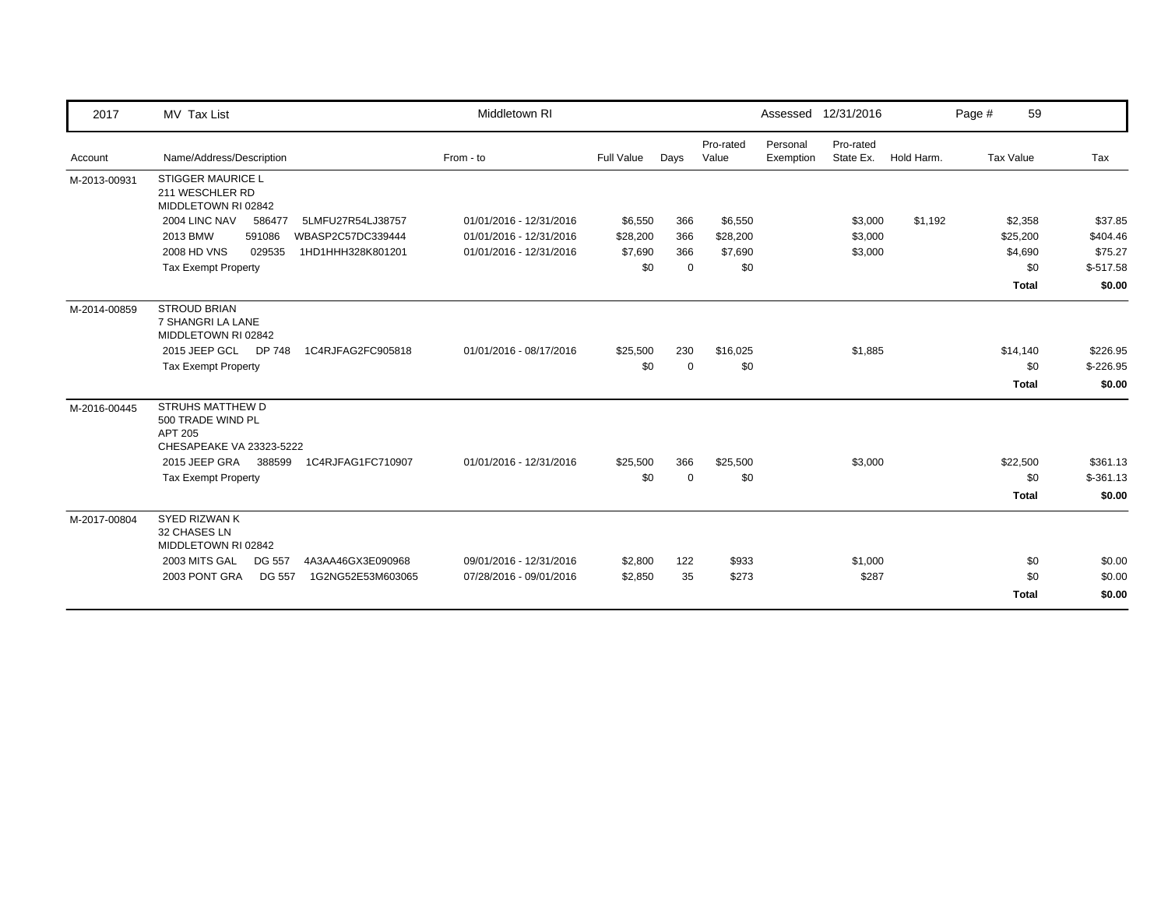| 2017         | MV Tax List                                                                  | Middletown RI           |            |             |                    |                       | Assessed 12/31/2016    |            | Page #           | 59           |            |
|--------------|------------------------------------------------------------------------------|-------------------------|------------|-------------|--------------------|-----------------------|------------------------|------------|------------------|--------------|------------|
| Account      | Name/Address/Description                                                     | From - to               | Full Value | Days        | Pro-rated<br>Value | Personal<br>Exemption | Pro-rated<br>State Ex. | Hold Harm. | <b>Tax Value</b> |              | Tax        |
| M-2013-00931 | <b>STIGGER MAURICE L</b><br>211 WESCHLER RD<br>MIDDLETOWN RI 02842           |                         |            |             |                    |                       |                        |            |                  |              |            |
|              | 2004 LINC NAV<br>586477<br>5LMFU27R54LJ38757                                 | 01/01/2016 - 12/31/2016 | \$6,550    | 366         | \$6,550            |                       | \$3,000                | \$1,192    |                  | \$2,358      | \$37.85    |
|              | 2013 BMW<br>591086<br>WBASP2C57DC339444                                      | 01/01/2016 - 12/31/2016 | \$28,200   | 366         | \$28,200           |                       | \$3,000                |            |                  | \$25,200     | \$404.46   |
|              | <b>2008 HD VNS</b><br>029535<br>1HD1HHH328K801201                            | 01/01/2016 - 12/31/2016 | \$7,690    | 366         | \$7,690            |                       | \$3,000                |            |                  | \$4,690      | \$75.27    |
|              | <b>Tax Exempt Property</b>                                                   |                         | \$0        | $\mathbf 0$ | \$0                |                       |                        |            |                  | \$0          | $$-517.58$ |
|              |                                                                              |                         |            |             |                    |                       |                        |            |                  | <b>Total</b> | \$0.00     |
| M-2014-00859 | <b>STROUD BRIAN</b><br>7 SHANGRI LA LANE<br>MIDDLETOWN RI 02842              |                         |            |             |                    |                       |                        |            |                  |              |            |
|              | 2015 JEEP GCL<br>DP 748<br>1C4RJFAG2FC905818                                 | 01/01/2016 - 08/17/2016 | \$25,500   | 230         | \$16,025           |                       | \$1,885                |            |                  | \$14,140     | \$226.95   |
|              | <b>Tax Exempt Property</b>                                                   |                         | \$0        | $\mathbf 0$ | \$0                |                       |                        |            |                  | \$0          | $$-226.95$ |
|              |                                                                              |                         |            |             |                    |                       |                        |            |                  | <b>Total</b> | \$0.00     |
| M-2016-00445 | STRUHS MATTHEW D<br>500 TRADE WIND PL<br>APT 205<br>CHESAPEAKE VA 23323-5222 |                         |            |             |                    |                       |                        |            |                  |              |            |
|              | 2015 JEEP GRA<br>388599<br>1C4RJFAG1FC710907                                 | 01/01/2016 - 12/31/2016 | \$25,500   | 366         | \$25,500           |                       | \$3,000                |            |                  | \$22,500     | \$361.13   |
|              | <b>Tax Exempt Property</b>                                                   |                         | \$0        | $\mathbf 0$ | \$0                |                       |                        |            |                  | \$0          | $$-361.13$ |
|              |                                                                              |                         |            |             |                    |                       |                        |            |                  | <b>Total</b> | \$0.00     |
| M-2017-00804 | <b>SYED RIZWAN K</b><br>32 CHASES LN<br>MIDDLETOWN RI 02842                  |                         |            |             |                    |                       |                        |            |                  |              |            |
|              | 2003 MITS GAL<br>4A3AA46GX3E090968<br><b>DG 557</b>                          | 09/01/2016 - 12/31/2016 | \$2,800    | 122         | \$933              |                       | \$1,000                |            |                  | \$0          | \$0.00     |
|              | <b>DG 557</b><br>2003 PONT GRA<br>1G2NG52E53M603065                          | 07/28/2016 - 09/01/2016 | \$2,850    | 35          | \$273              |                       | \$287                  |            |                  | \$0          | \$0.00     |
|              |                                                                              |                         |            |             |                    |                       |                        |            |                  | <b>Total</b> | \$0.00     |
|              |                                                                              |                         |            |             |                    |                       |                        |            |                  |              |            |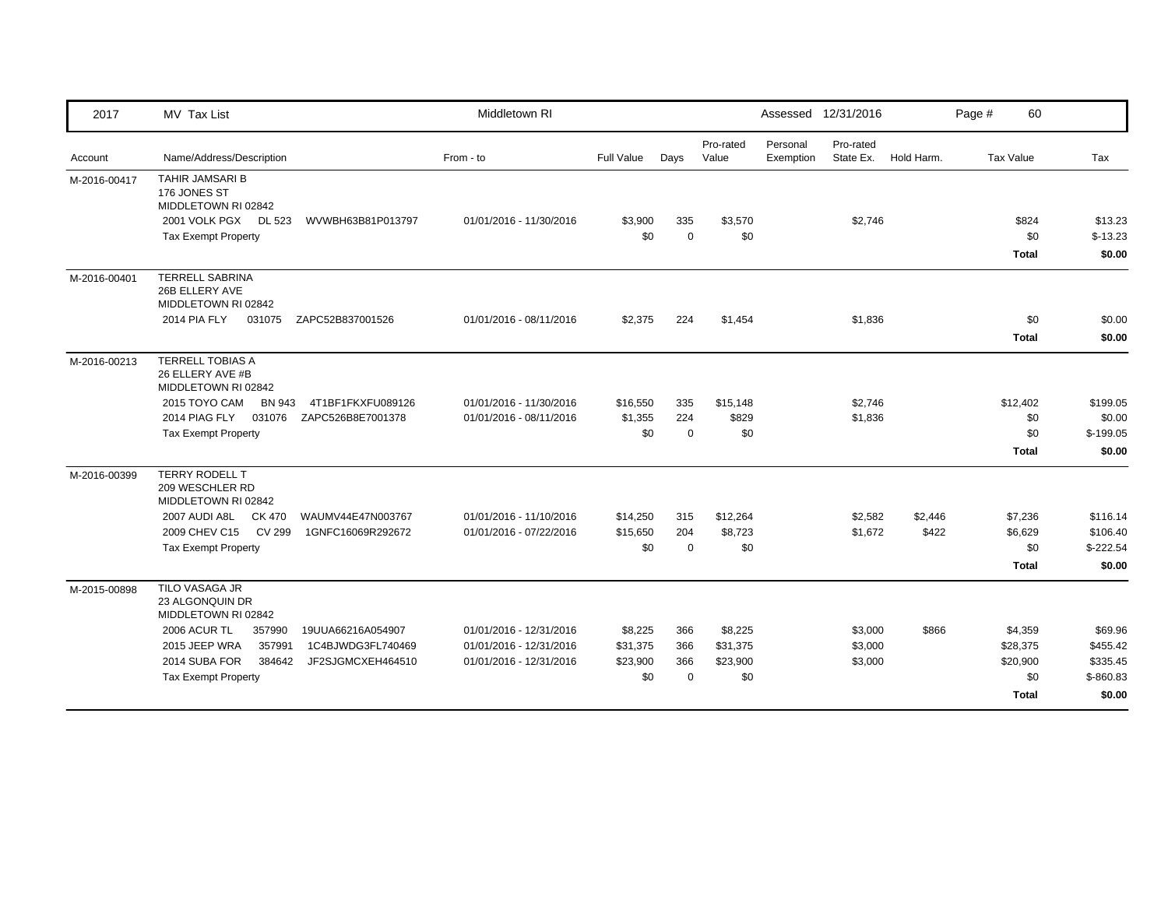| 2017         | MV Tax List                                                                                                | Middletown RI           |            |             |                    |                       | Assessed 12/31/2016    |            | Page #    | 60                  |                     |
|--------------|------------------------------------------------------------------------------------------------------------|-------------------------|------------|-------------|--------------------|-----------------------|------------------------|------------|-----------|---------------------|---------------------|
| Account      | Name/Address/Description                                                                                   | From - to               | Full Value | Days        | Pro-rated<br>Value | Personal<br>Exemption | Pro-rated<br>State Ex. | Hold Harm. | Tax Value |                     | Tax                 |
| M-2016-00417 | <b>TAHIR JAMSARI B</b><br>176 JONES ST<br>MIDDLETOWN RI 02842                                              |                         |            |             |                    |                       |                        |            |           |                     |                     |
|              | 2001 VOLK PGX DL 523<br>WVWBH63B81P013797                                                                  | 01/01/2016 - 11/30/2016 | \$3,900    | 335         | \$3,570            |                       | \$2,746                |            |           | \$824               | \$13.23             |
|              | <b>Tax Exempt Property</b>                                                                                 |                         | \$0        | $\mathbf 0$ | \$0                |                       |                        |            |           | \$0<br><b>Total</b> | $$-13.23$<br>\$0.00 |
| M-2016-00401 | <b>TERRELL SABRINA</b><br>26B ELLERY AVE<br>MIDDLETOWN RI 02842<br>2014 PIA FLY<br>031075 ZAPC52B837001526 | 01/01/2016 - 08/11/2016 | \$2,375    | 224         | \$1,454            |                       | \$1,836                |            |           | \$0                 | \$0.00              |
|              |                                                                                                            |                         |            |             |                    |                       |                        |            |           | <b>Total</b>        | \$0.00              |
| M-2016-00213 | <b>TERRELL TOBIAS A</b><br>26 ELLERY AVE #B<br>MIDDLETOWN RI 02842                                         |                         |            |             |                    |                       |                        |            |           |                     |                     |
|              | 2015 TOYO CAM<br>BN 943<br>4T1BF1FKXFU089126                                                               | 01/01/2016 - 11/30/2016 | \$16,550   | 335         | \$15,148           |                       | \$2,746                |            |           | \$12,402            | \$199.05            |
|              | 2014 PIAG FLY<br>031076<br>ZAPC526B8E7001378                                                               | 01/01/2016 - 08/11/2016 | \$1,355    | 224         | \$829              |                       | \$1,836                |            |           | \$0                 | \$0.00              |
|              | <b>Tax Exempt Property</b>                                                                                 |                         | \$0        | $\Omega$    | \$0                |                       |                        |            |           | \$0                 | $$-199.05$          |
|              |                                                                                                            |                         |            |             |                    |                       |                        |            |           | <b>Total</b>        | \$0.00              |
| M-2016-00399 | TERRY RODELL T<br>209 WESCHLER RD<br>MIDDLETOWN RI 02842                                                   |                         |            |             |                    |                       |                        |            |           |                     |                     |
|              | 2007 AUDI A8L<br>CK 470<br>WAUMV44E47N003767                                                               | 01/01/2016 - 11/10/2016 | \$14,250   | 315         | \$12,264           |                       | \$2,582                | \$2,446    |           | \$7,236             | \$116.14            |
|              | 2009 CHEV C15<br>CV 299<br>1GNFC16069R292672                                                               | 01/01/2016 - 07/22/2016 | \$15,650   | 204         | \$8,723            |                       | \$1,672                | \$422      |           | \$6,629             | \$106.40            |
|              | <b>Tax Exempt Property</b>                                                                                 |                         | \$0        | $\Omega$    | \$0                |                       |                        |            |           | \$0                 | $$-222.54$          |
|              |                                                                                                            |                         |            |             |                    |                       |                        |            |           | <b>Total</b>        | \$0.00              |
| M-2015-00898 | TILO VASAGA JR<br>23 ALGONQUIN DR<br>MIDDLETOWN RI 02842                                                   |                         |            |             |                    |                       |                        |            |           |                     |                     |
|              | <b>2006 ACUR TL</b><br>357990<br>19UUA66216A054907                                                         | 01/01/2016 - 12/31/2016 | \$8,225    | 366         | \$8,225            |                       | \$3,000                | \$866      |           | \$4,359             | \$69.96             |
|              | 2015 JEEP WRA<br>357991<br>1C4BJWDG3FL740469                                                               | 01/01/2016 - 12/31/2016 | \$31,375   | 366         | \$31,375           |                       | \$3,000                |            |           | \$28,375            | \$455.42            |
|              | JF2SJGMCXEH464510<br>2014 SUBA FOR<br>384642                                                               | 01/01/2016 - 12/31/2016 | \$23,900   | 366         | \$23,900           |                       | \$3,000                |            |           | \$20,900            | \$335.45            |
|              | <b>Tax Exempt Property</b>                                                                                 |                         | \$0        | $\Omega$    | \$0                |                       |                        |            |           | \$0                 | $$-860.83$          |
|              |                                                                                                            |                         |            |             |                    |                       |                        |            |           | <b>Total</b>        | \$0.00              |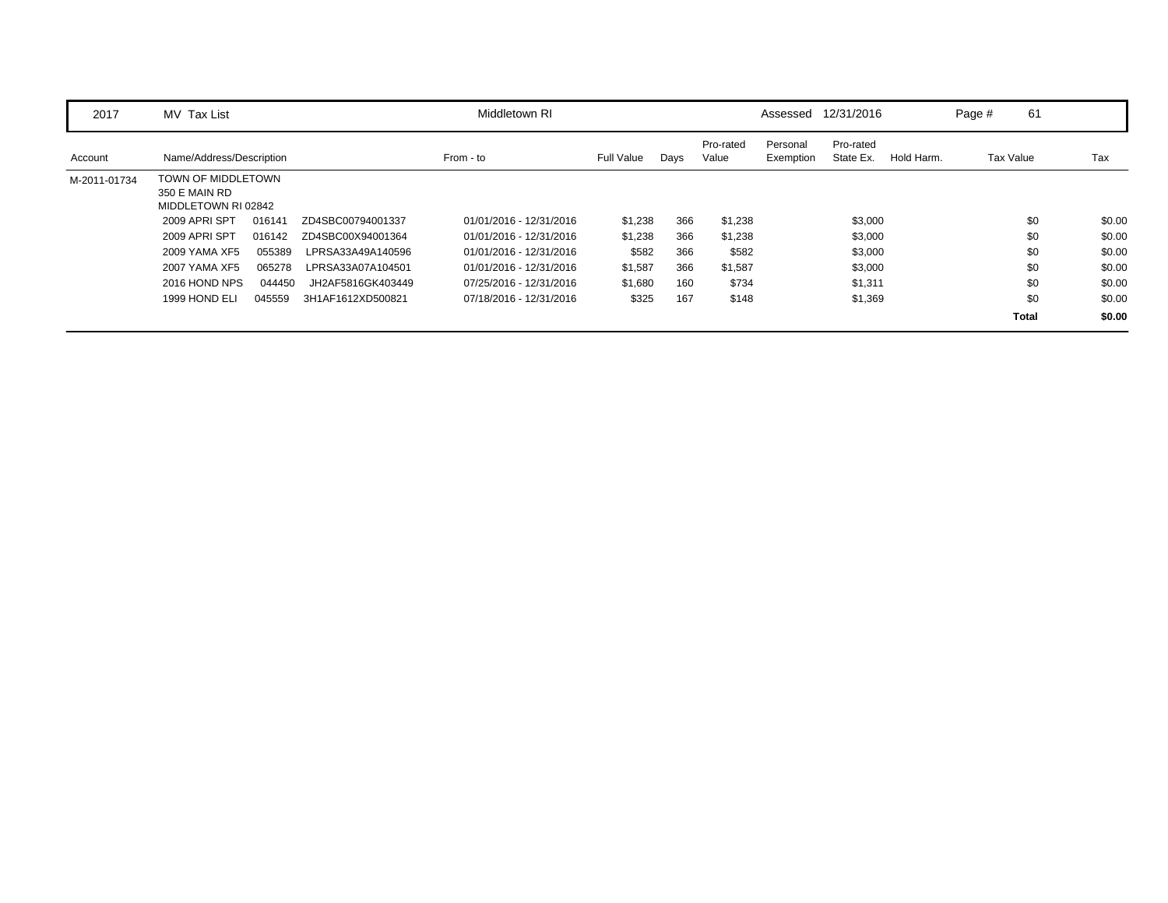| 2017         | MV Tax List                                                |        |                   | Middletown RI           |                   |      |                    |                       | Assessed 12/31/2016    |            | Page # | 61           |        |
|--------------|------------------------------------------------------------|--------|-------------------|-------------------------|-------------------|------|--------------------|-----------------------|------------------------|------------|--------|--------------|--------|
| Account      | Name/Address/Description                                   |        |                   | From - to               | <b>Full Value</b> | Days | Pro-rated<br>Value | Personal<br>Exemption | Pro-rated<br>State Ex. | Hold Harm. |        | Tax Value    | Tax    |
| M-2011-01734 | TOWN OF MIDDLETOWN<br>350 E MAIN RD<br>MIDDLETOWN RI 02842 |        |                   |                         |                   |      |                    |                       |                        |            |        |              |        |
|              | 2009 APRI SPT                                              | 016141 | ZD4SBC00794001337 | 01/01/2016 - 12/31/2016 | \$1,238           | 366  | \$1,238            |                       | \$3,000                |            |        | \$0          | \$0.00 |
|              | 2009 APRI SPT                                              | 016142 | ZD4SBC00X94001364 | 01/01/2016 - 12/31/2016 | \$1,238           | 366  | \$1,238            |                       | \$3,000                |            |        | \$0          | \$0.00 |
|              | 2009 YAMA XF5                                              | 055389 | LPRSA33A49A140596 | 01/01/2016 - 12/31/2016 | \$582             | 366  | \$582              |                       | \$3,000                |            |        | \$0          | \$0.00 |
|              | 2007 YAMA XF5                                              | 065278 | LPRSA33A07A104501 | 01/01/2016 - 12/31/2016 | \$1,587           | 366  | \$1,587            |                       | \$3,000                |            |        | \$0          | \$0.00 |
|              | 2016 HOND NPS                                              | 044450 | JH2AF5816GK403449 | 07/25/2016 - 12/31/2016 | \$1,680           | 160  | \$734              |                       | \$1,311                |            |        | \$0          | \$0.00 |
|              | 1999 HOND ELI                                              | 045559 | 3H1AF1612XD500821 | 07/18/2016 - 12/31/2016 | \$325             | 167  | \$148              |                       | \$1,369                |            |        | \$0          | \$0.00 |
|              |                                                            |        |                   |                         |                   |      |                    |                       |                        |            |        | <b>Total</b> | \$0.00 |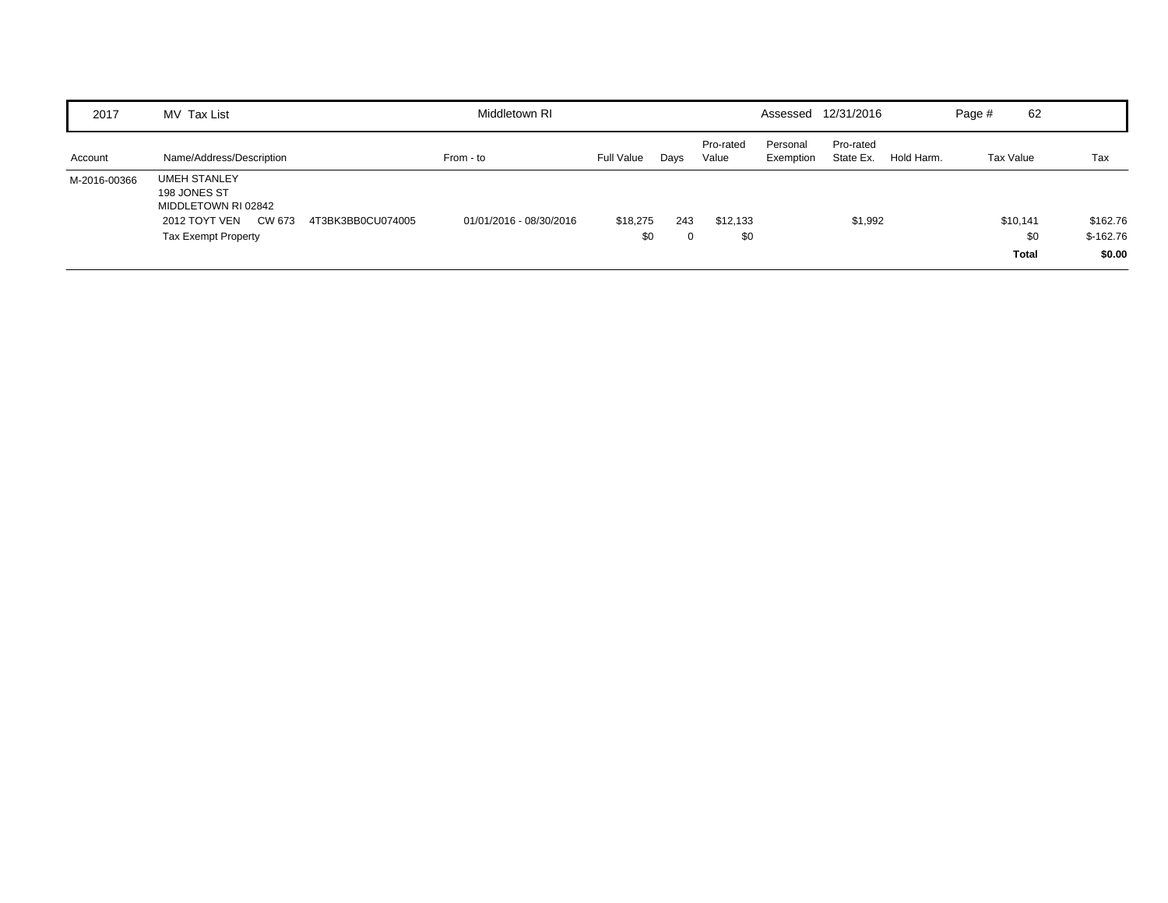| 2017         | MV Tax List                                                                                                                              | Middletown RI           |                 |          |                    |                       | Assessed 12/31/2016    |            | Page #    | 62                              |                                  |
|--------------|------------------------------------------------------------------------------------------------------------------------------------------|-------------------------|-----------------|----------|--------------------|-----------------------|------------------------|------------|-----------|---------------------------------|----------------------------------|
| Account      | Name/Address/Description                                                                                                                 | From - to               | Full Value      | Days     | Pro-rated<br>Value | Personal<br>Exemption | Pro-rated<br>State Ex. | Hold Harm. | Tax Value |                                 | Tax                              |
| M-2016-00366 | <b>UMEH STANLEY</b><br>198 JONES ST<br>MIDDLETOWN RI 02842<br>CW 673<br>2012 TOYT VEN<br>4T3BK3BB0CU074005<br><b>Tax Exempt Property</b> | 01/01/2016 - 08/30/2016 | \$18,275<br>\$0 | 243<br>0 | \$12,133<br>\$0    |                       | \$1,992                |            |           | \$10,141<br>\$0<br><b>Total</b> | \$162.76<br>$$-162.76$<br>\$0.00 |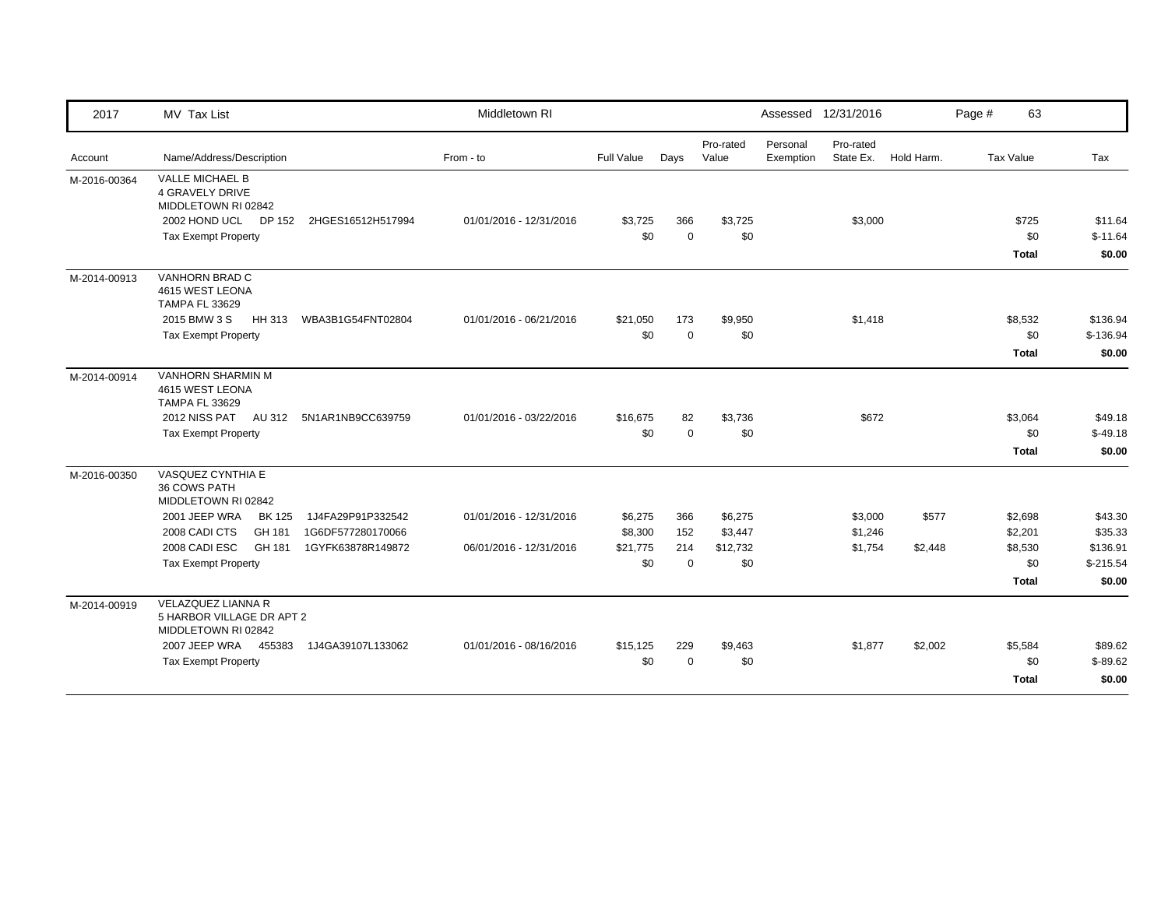| 2017         | MV Tax List                                                                   |                   | Middletown RI           |            |             |                    |                       | Assessed 12/31/2016 |                      | Page # | 63           |            |
|--------------|-------------------------------------------------------------------------------|-------------------|-------------------------|------------|-------------|--------------------|-----------------------|---------------------|----------------------|--------|--------------|------------|
| Account      | Name/Address/Description                                                      |                   | From - to               | Full Value | Days        | Pro-rated<br>Value | Personal<br>Exemption | Pro-rated           | State Ex. Hold Harm. |        | Tax Value    | Tax        |
| M-2016-00364 | VALLE MICHAEL B<br><b>4 GRAVELY DRIVE</b><br>MIDDLETOWN RI 02842              |                   |                         |            |             |                    |                       |                     |                      |        |              |            |
|              | 2002 HOND UCL DP 152                                                          | 2HGES16512H517994 | 01/01/2016 - 12/31/2016 | \$3,725    | 366         | \$3,725            |                       | \$3,000             |                      |        | \$725        | \$11.64    |
|              | <b>Tax Exempt Property</b>                                                    |                   |                         | \$0        | $\Omega$    | \$0                |                       |                     |                      |        | \$0          | $$-11.64$  |
|              |                                                                               |                   |                         |            |             |                    |                       |                     |                      |        | Total        | \$0.00     |
| M-2014-00913 | VANHORN BRAD C<br>4615 WEST LEONA<br><b>TAMPA FL 33629</b>                    |                   |                         |            |             |                    |                       |                     |                      |        |              |            |
|              | 2015 BMW 3 S<br>HH 313                                                        | WBA3B1G54FNT02804 | 01/01/2016 - 06/21/2016 | \$21,050   | 173         | \$9,950            |                       | \$1,418             |                      |        | \$8,532      | \$136.94   |
|              | <b>Tax Exempt Property</b>                                                    |                   |                         | \$0        | $\mathbf 0$ | \$0                |                       |                     |                      |        | \$0          | $$-136.94$ |
|              |                                                                               |                   |                         |            |             |                    |                       |                     |                      |        | Total        | \$0.00     |
| M-2014-00914 | <b>VANHORN SHARMIN M</b><br>4615 WEST LEONA<br><b>TAMPA FL 33629</b>          |                   |                         |            |             |                    |                       |                     |                      |        |              |            |
|              | 2012 NISS PAT<br>AU 312                                                       | 5N1AR1NB9CC639759 | 01/01/2016 - 03/22/2016 | \$16,675   | 82          | \$3,736            |                       | \$672               |                      |        | \$3,064      | \$49.18    |
|              | <b>Tax Exempt Property</b>                                                    |                   |                         | \$0        | $\mathbf 0$ | \$0                |                       |                     |                      |        | \$0          | $$-49.18$  |
|              |                                                                               |                   |                         |            |             |                    |                       |                     |                      |        | <b>Total</b> | \$0.00     |
| M-2016-00350 | VASQUEZ CYNTHIA E<br>36 COWS PATH<br>MIDDLETOWN RI 02842                      |                   |                         |            |             |                    |                       |                     |                      |        |              |            |
|              | 2001 JEEP WRA<br><b>BK 125</b>                                                | 1J4FA29P91P332542 | 01/01/2016 - 12/31/2016 | \$6,275    | 366         | \$6,275            |                       | \$3,000             | \$577                |        | \$2,698      | \$43.30    |
|              | 2008 CADI CTS<br>GH 181                                                       | 1G6DF577280170066 |                         | \$8,300    | 152         | \$3,447            |                       | \$1,246             |                      |        | \$2,201      | \$35.33    |
|              | 2008 CADI ESC<br>GH 181                                                       | 1GYFK63878R149872 | 06/01/2016 - 12/31/2016 | \$21,775   | 214         | \$12,732           |                       | \$1,754             | \$2,448              |        | \$8,530      | \$136.91   |
|              | <b>Tax Exempt Property</b>                                                    |                   |                         | \$0        | $\Omega$    | \$0                |                       |                     |                      |        | \$0          | $$-215.54$ |
|              |                                                                               |                   |                         |            |             |                    |                       |                     |                      |        | Total        | \$0.00     |
| M-2014-00919 | <b>VELAZQUEZ LIANNA R</b><br>5 HARBOR VILLAGE DR APT 2<br>MIDDLETOWN RI 02842 |                   |                         |            |             |                    |                       |                     |                      |        |              |            |
|              | 2007 JEEP WRA 455383                                                          | 1J4GA39107L133062 | 01/01/2016 - 08/16/2016 | \$15,125   | 229         | \$9,463            |                       | \$1,877             | \$2,002              |        | \$5,584      | \$89.62    |
|              | <b>Tax Exempt Property</b>                                                    |                   |                         | \$0        | $\mathbf 0$ | \$0                |                       |                     |                      |        | \$0          | $$-89.62$  |
|              |                                                                               |                   |                         |            |             |                    |                       |                     |                      |        | <b>Total</b> | \$0.00     |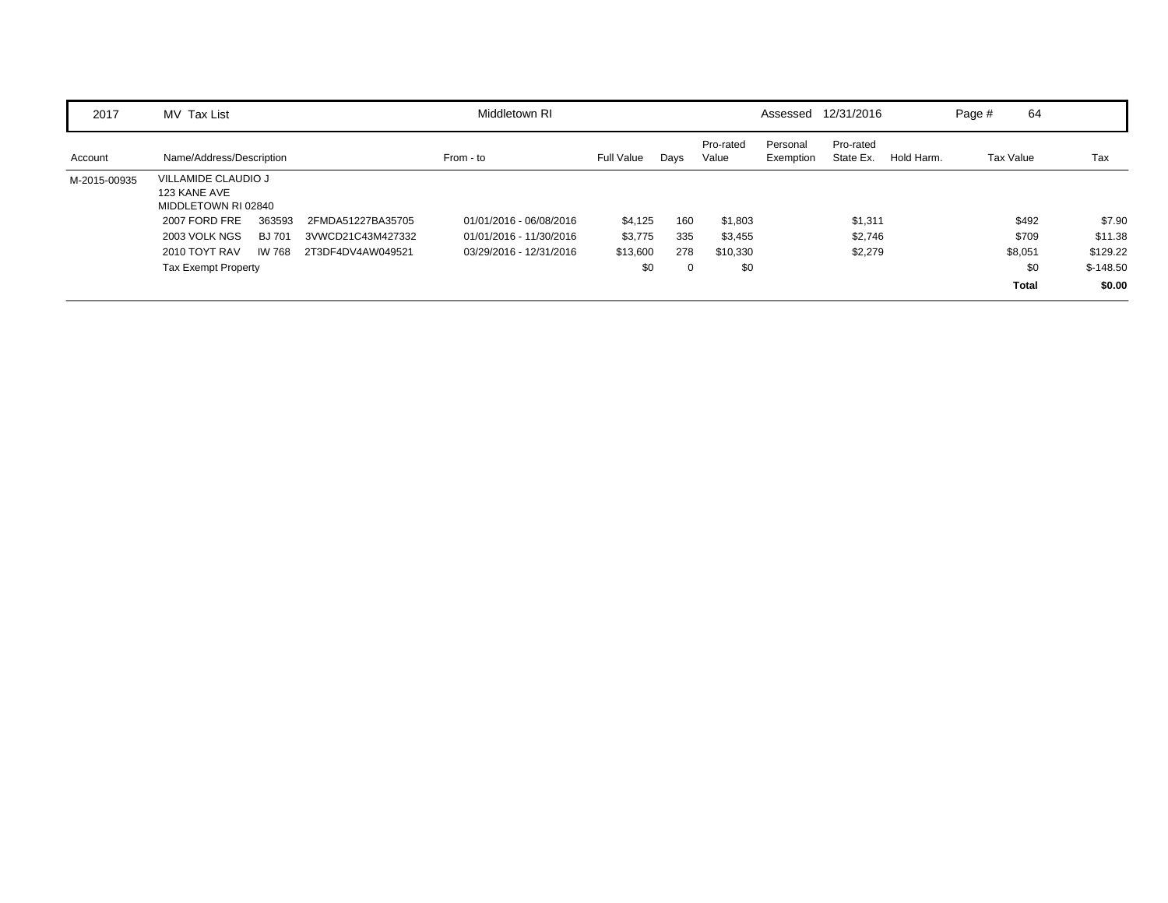| 2017         | MV Tax List                                                |              |                   | Middletown RI           |            |      |                    | Assessed              | 12/31/2016             |            | Page #    | 64           |            |
|--------------|------------------------------------------------------------|--------------|-------------------|-------------------------|------------|------|--------------------|-----------------------|------------------------|------------|-----------|--------------|------------|
| Account      | Name/Address/Description                                   |              |                   | From - to               | Full Value | Days | Pro-rated<br>Value | Personal<br>Exemption | Pro-rated<br>State Ex. | Hold Harm. | Tax Value |              | Tax        |
| M-2015-00935 | VILLAMIDE CLAUDIO J<br>123 KANE AVE<br>MIDDLETOWN RI 02840 |              |                   |                         |            |      |                    |                       |                        |            |           |              |            |
|              | 2007 FORD FRE                                              | 363593       | 2FMDA51227BA35705 | 01/01/2016 - 06/08/2016 | \$4,125    | 160  | \$1,803            |                       | \$1,311                |            |           | \$492        | \$7.90     |
|              | 2003 VOLK NGS                                              | <b>BJ701</b> | 3VWCD21C43M427332 | 01/01/2016 - 11/30/2016 | \$3,775    | 335  | \$3,455            |                       | \$2,746                |            |           | \$709        | \$11.38    |
|              | 2010 TOYT RAV                                              | IW 768       | 2T3DF4DV4AW049521 | 03/29/2016 - 12/31/2016 | \$13,600   | 278  | \$10,330           |                       | \$2,279                |            |           | \$8,051      | \$129.22   |
|              | <b>Tax Exempt Property</b>                                 |              |                   |                         | \$0        | 0    | \$0                |                       |                        |            |           | \$0          | $$-148.50$ |
|              |                                                            |              |                   |                         |            |      |                    |                       |                        |            |           | <b>Total</b> | \$0.00     |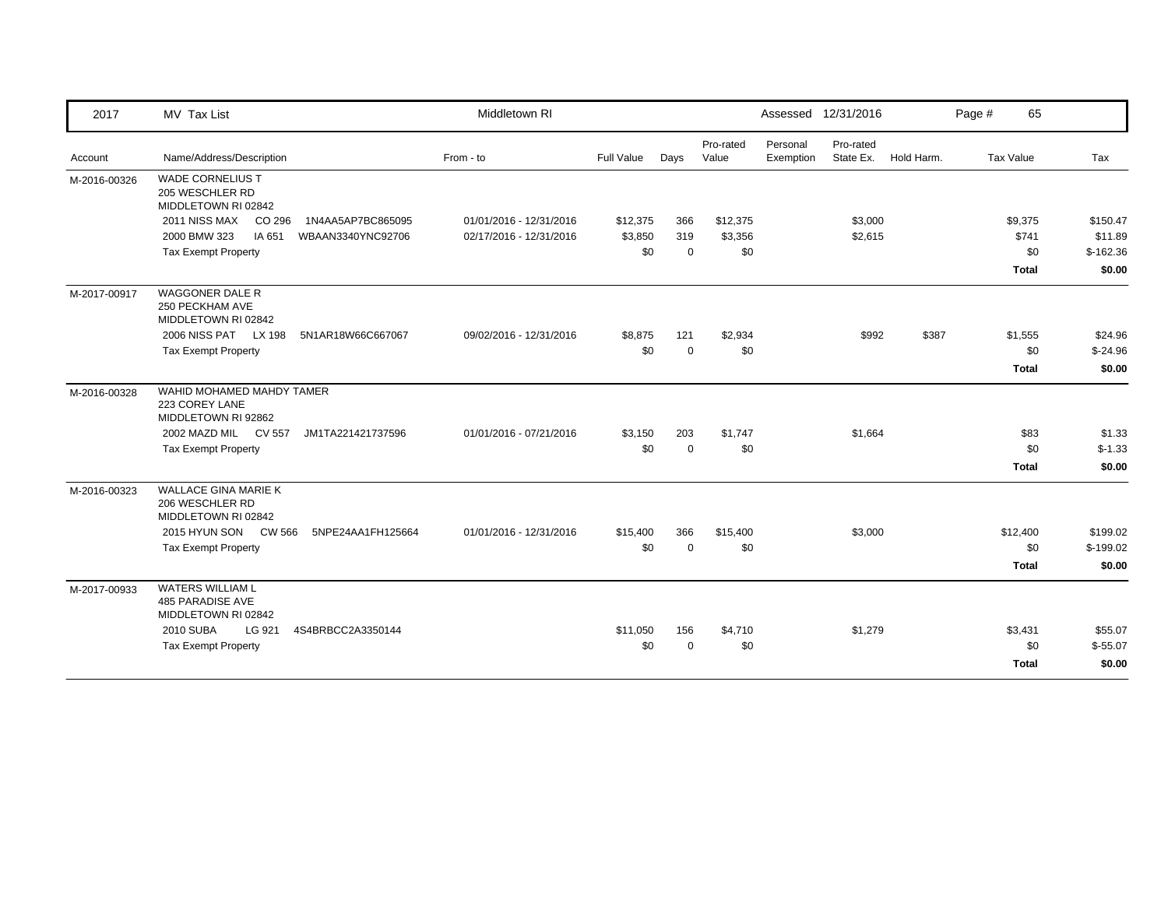| 2017         | MV Tax List                                                        | Middletown RI           |            |             |                    |                       | Assessed 12/31/2016    |            | Page # | 65               |            |
|--------------|--------------------------------------------------------------------|-------------------------|------------|-------------|--------------------|-----------------------|------------------------|------------|--------|------------------|------------|
| Account      | Name/Address/Description                                           | From - to               | Full Value | Days        | Pro-rated<br>Value | Personal<br>Exemption | Pro-rated<br>State Ex. | Hold Harm. |        | <b>Tax Value</b> | Tax        |
| M-2016-00326 | <b>WADE CORNELIUS T</b><br>205 WESCHLER RD<br>MIDDLETOWN RI 02842  |                         |            |             |                    |                       |                        |            |        |                  |            |
|              | 2011 NISS MAX<br>CO 296<br>1N4AA5AP7BC865095                       | 01/01/2016 - 12/31/2016 | \$12,375   | 366         | \$12,375           |                       | \$3,000                |            |        | \$9,375          | \$150.47   |
|              | 2000 BMW 323<br>IA 651<br>WBAAN3340YNC92706                        | 02/17/2016 - 12/31/2016 | \$3,850    | 319         | \$3,356            |                       | \$2,615                |            |        | \$741            | \$11.89    |
|              | <b>Tax Exempt Property</b>                                         |                         | \$0        | $\mathbf 0$ | \$0                |                       |                        |            |        | \$0              | $$-162.36$ |
|              |                                                                    |                         |            |             |                    |                       |                        |            |        | <b>Total</b>     | \$0.00     |
| M-2017-00917 | <b>WAGGONER DALE R</b><br>250 PECKHAM AVE<br>MIDDLETOWN RI 02842   |                         |            |             |                    |                       |                        |            |        |                  |            |
|              | 2006 NISS PAT LX 198<br>5N1AR18W66C667067                          | 09/02/2016 - 12/31/2016 | \$8,875    | 121         | \$2,934            |                       | \$992                  | \$387      |        | \$1,555          | \$24.96    |
|              | <b>Tax Exempt Property</b>                                         |                         | \$0        | $\Omega$    | \$0                |                       |                        |            |        | \$0              | $$-24.96$  |
|              |                                                                    |                         |            |             |                    |                       |                        |            |        | <b>Total</b>     | \$0.00     |
| M-2016-00328 | WAHID MOHAMED MAHDY TAMER<br>223 COREY LANE<br>MIDDLETOWN RI 92862 |                         |            |             |                    |                       |                        |            |        |                  |            |
|              | 2002 MAZD MIL<br><b>CV 557</b><br>JM1TA221421737596                | 01/01/2016 - 07/21/2016 | \$3,150    | 203         | \$1,747            |                       | \$1,664                |            |        | \$83             | \$1.33     |
|              | <b>Tax Exempt Property</b>                                         |                         | \$0        | $\mathbf 0$ | \$0                |                       |                        |            |        | \$0              | $$-1.33$   |
|              |                                                                    |                         |            |             |                    |                       |                        |            |        | <b>Total</b>     | \$0.00     |
| M-2016-00323 | WALLACE GINA MARIE K<br>206 WESCHLER RD<br>MIDDLETOWN RI 02842     |                         |            |             |                    |                       |                        |            |        |                  |            |
|              | 2015 HYUN SON CW 566<br>5NPE24AA1FH125664                          | 01/01/2016 - 12/31/2016 | \$15,400   | 366         | \$15,400           |                       | \$3,000                |            |        | \$12,400         | \$199.02   |
|              | <b>Tax Exempt Property</b>                                         |                         | \$0        | $\mathbf 0$ | \$0                |                       |                        |            |        | \$0              | $$-199.02$ |
|              |                                                                    |                         |            |             |                    |                       |                        |            |        | <b>Total</b>     | \$0.00     |
| M-2017-00933 | WATERS WILLIAM L<br>485 PARADISE AVE<br>MIDDLETOWN RI 02842        |                         |            |             |                    |                       |                        |            |        |                  |            |
|              | <b>2010 SUBA</b><br>LG 921<br>4S4BRBCC2A3350144                    |                         | \$11,050   | 156         | \$4,710            |                       | \$1,279                |            |        | \$3,431          | \$55.07    |
|              | <b>Tax Exempt Property</b>                                         |                         | \$0        | $\mathbf 0$ | \$0                |                       |                        |            |        | \$0              | $$-55.07$  |
|              |                                                                    |                         |            |             |                    |                       |                        |            |        | <b>Total</b>     | \$0.00     |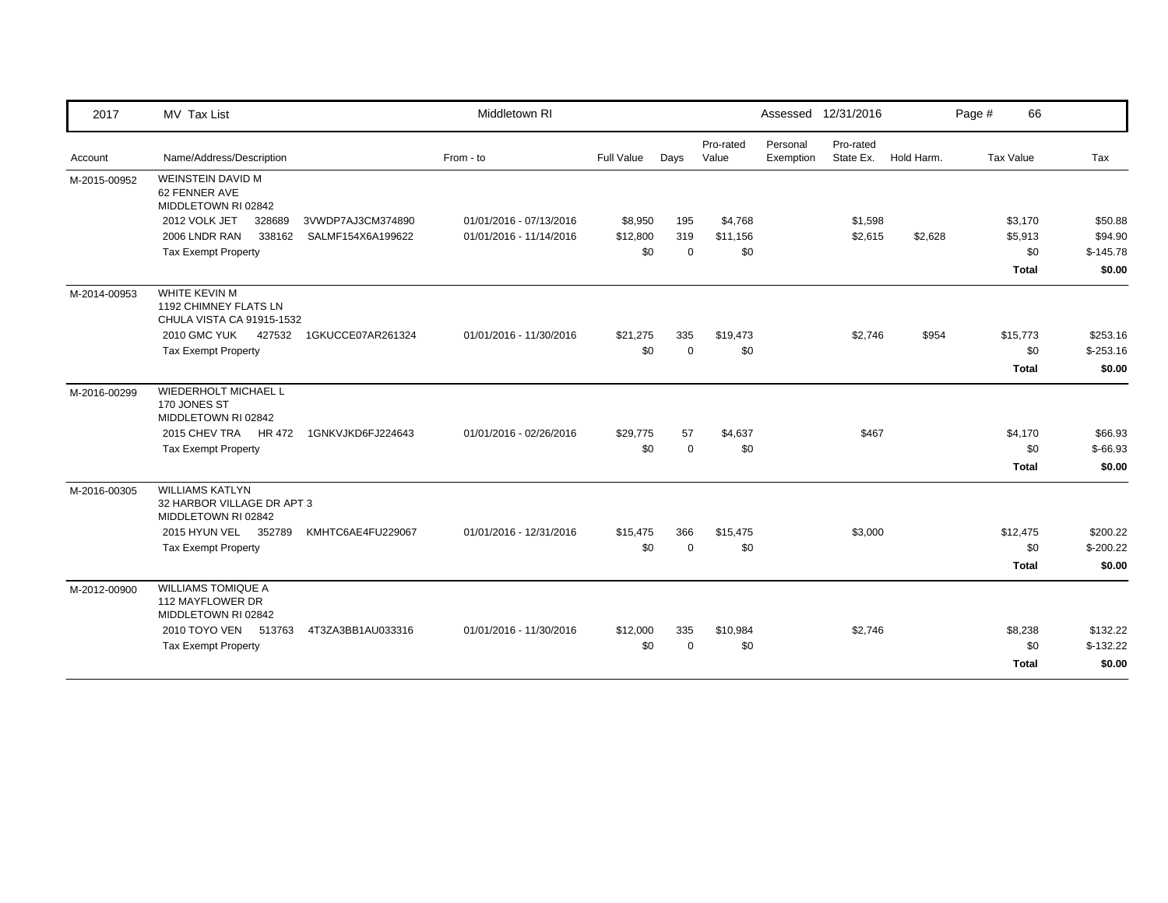| 2017         | MV Tax List                                                                 |                   | Middletown RI           |                   |                |                    |                       | Assessed 12/31/2016    |            | Page # | 66           |            |
|--------------|-----------------------------------------------------------------------------|-------------------|-------------------------|-------------------|----------------|--------------------|-----------------------|------------------------|------------|--------|--------------|------------|
| Account      | Name/Address/Description                                                    |                   | From - to               | <b>Full Value</b> | Days           | Pro-rated<br>Value | Personal<br>Exemption | Pro-rated<br>State Ex. | Hold Harm. |        | Tax Value    | Tax        |
| M-2015-00952 | <b>WEINSTEIN DAVID M</b><br>62 FENNER AVE<br>MIDDLETOWN RI 02842            |                   |                         |                   |                |                    |                       |                        |            |        |              |            |
|              | 2012 VOLK JET<br>328689                                                     | 3VWDP7AJ3CM374890 | 01/01/2016 - 07/13/2016 | \$8,950           | 195            | \$4,768            |                       | \$1,598                |            |        | \$3,170      | \$50.88    |
|              | 2006 LNDR RAN<br>338162                                                     | SALMF154X6A199622 | 01/01/2016 - 11/14/2016 | \$12,800          | 319            | \$11,156           |                       | \$2,615                | \$2,628    |        | \$5,913      | \$94.90    |
|              | <b>Tax Exempt Property</b>                                                  |                   |                         | \$0               | $\overline{0}$ | \$0                |                       |                        |            |        | \$0          | $$-145.78$ |
|              |                                                                             |                   |                         |                   |                |                    |                       |                        |            |        | <b>Total</b> | \$0.00     |
| M-2014-00953 | WHITE KEVIN M<br>1192 CHIMNEY FLATS LN<br>CHULA VISTA CA 91915-1532         |                   |                         |                   |                |                    |                       |                        |            |        |              |            |
|              | 2010 GMC YUK 427532                                                         | 1GKUCCE07AR261324 | 01/01/2016 - 11/30/2016 | \$21,275          | 335            | \$19,473           |                       | \$2,746                | \$954      |        | \$15,773     | \$253.16   |
|              | <b>Tax Exempt Property</b>                                                  |                   |                         | \$0               | $\Omega$       | \$0                |                       |                        |            |        | \$0          | $$-253.16$ |
|              |                                                                             |                   |                         |                   |                |                    |                       |                        |            |        | <b>Total</b> | \$0.00     |
| M-2016-00299 | <b>WIEDERHOLT MICHAEL L</b><br>170 JONES ST<br>MIDDLETOWN RI 02842          |                   |                         |                   |                |                    |                       |                        |            |        |              |            |
|              | 2015 CHEV TRA<br>HR 472                                                     | 1GNKVJKD6FJ224643 | 01/01/2016 - 02/26/2016 | \$29,775          | 57             | \$4,637            |                       | \$467                  |            |        | \$4,170      | \$66.93    |
|              | <b>Tax Exempt Property</b>                                                  |                   |                         | \$0               | $\Omega$       | \$0                |                       |                        |            |        | \$0          | $$-66.93$  |
|              |                                                                             |                   |                         |                   |                |                    |                       |                        |            |        | <b>Total</b> | \$0.00     |
| M-2016-00305 | <b>WILLIAMS KATLYN</b><br>32 HARBOR VILLAGE DR APT 3<br>MIDDLETOWN RI 02842 |                   |                         |                   |                |                    |                       |                        |            |        |              |            |
|              | 2015 HYUN VEL<br>352789                                                     | KMHTC6AE4FU229067 | 01/01/2016 - 12/31/2016 | \$15,475          | 366            | \$15,475           |                       | \$3,000                |            |        | \$12,475     | \$200.22   |
|              | <b>Tax Exempt Property</b>                                                  |                   |                         | \$0               | $\mathbf 0$    | \$0                |                       |                        |            |        | \$0          | $$-200.22$ |
|              |                                                                             |                   |                         |                   |                |                    |                       |                        |            |        | Total        | \$0.00     |
| M-2012-00900 | <b>WILLIAMS TOMIQUE A</b><br>112 MAYFLOWER DR<br>MIDDLETOWN RI 02842        |                   |                         |                   |                |                    |                       |                        |            |        |              |            |
|              | 2010 TOYO VEN 513763                                                        | 4T3ZA3BB1AU033316 | 01/01/2016 - 11/30/2016 | \$12,000          | 335            | \$10,984           |                       | \$2,746                |            |        | \$8,238      | \$132.22   |
|              | <b>Tax Exempt Property</b>                                                  |                   |                         | \$0               | $\Omega$       | \$0                |                       |                        |            |        | \$0          | $$-132.22$ |
|              |                                                                             |                   |                         |                   |                |                    |                       |                        |            |        | Total        | \$0.00     |